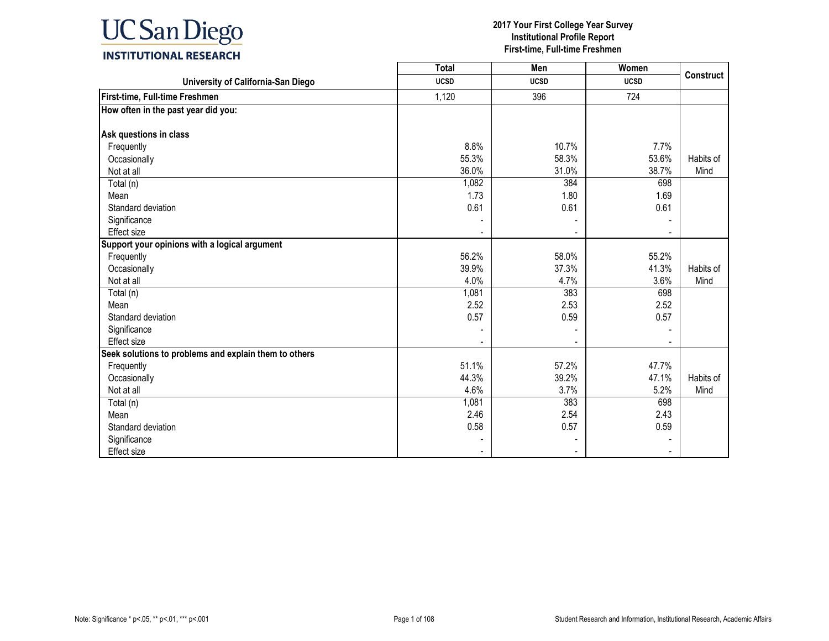

|                                                       | <b>Total</b> | Men                      | Women       |                  |
|-------------------------------------------------------|--------------|--------------------------|-------------|------------------|
| University of California-San Diego                    | <b>UCSD</b>  | <b>UCSD</b>              | <b>UCSD</b> | <b>Construct</b> |
| First-time, Full-time Freshmen                        | 1,120        | 396                      | 724         |                  |
| How often in the past year did you:                   |              |                          |             |                  |
|                                                       |              |                          |             |                  |
| Ask questions in class                                |              |                          |             |                  |
| Frequently                                            | 8.8%         | 10.7%                    | 7.7%        |                  |
| Occasionally                                          | 55.3%        | 58.3%                    | 53.6%       | Habits of        |
| Not at all                                            | 36.0%        | 31.0%                    | 38.7%       | Mind             |
| Total (n)                                             | 1,082        | 384                      | 698         |                  |
| Mean                                                  | 1.73         | 1.80                     | 1.69        |                  |
| Standard deviation                                    | 0.61         | 0.61                     | 0.61        |                  |
| Significance                                          |              |                          |             |                  |
| Effect size                                           |              | $\overline{\phantom{a}}$ |             |                  |
| Support your opinions with a logical argument         |              |                          |             |                  |
| Frequently                                            | 56.2%        | 58.0%                    | 55.2%       |                  |
| Occasionally                                          | 39.9%        | 37.3%                    | 41.3%       | Habits of        |
| Not at all                                            | 4.0%         | 4.7%                     | 3.6%        | Mind             |
| Total (n)                                             | 1,081        | 383                      | 698         |                  |
| Mean                                                  | 2.52         | 2.53                     | 2.52        |                  |
| Standard deviation                                    | 0.57         | 0.59                     | 0.57        |                  |
| Significance                                          |              |                          |             |                  |
| Effect size                                           |              |                          |             |                  |
| Seek solutions to problems and explain them to others |              |                          |             |                  |
| Frequently                                            | 51.1%        | 57.2%                    | 47.7%       |                  |
| Occasionally                                          | 44.3%        | 39.2%                    | 47.1%       | Habits of        |
| Not at all                                            | 4.6%         | 3.7%                     | 5.2%        | Mind             |
| Total (n)                                             | 1,081        | 383                      | 698         |                  |
| Mean                                                  | 2.46         | 2.54                     | 2.43        |                  |
| Standard deviation                                    | 0.58         | 0.57                     | 0.59        |                  |
| Significance                                          |              |                          |             |                  |
| <b>Effect size</b>                                    |              |                          |             |                  |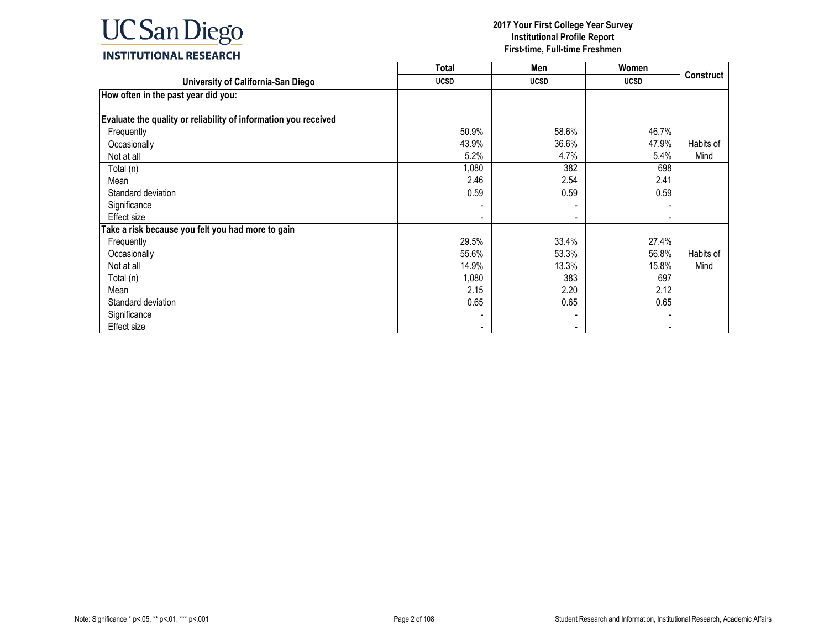

|                                                                 | <b>Total</b> | Men         | Women                        |                  |
|-----------------------------------------------------------------|--------------|-------------|------------------------------|------------------|
| University of California-San Diego                              | <b>UCSD</b>  | <b>UCSD</b> | <b>UCSD</b>                  | <b>Construct</b> |
| How often in the past year did you:                             |              |             |                              |                  |
|                                                                 |              |             |                              |                  |
| Evaluate the quality or reliability of information you received |              |             |                              |                  |
| Frequently                                                      | 50.9%        | 58.6%       | 46.7%                        |                  |
| Occasionally                                                    | 43.9%        | 36.6%       | 47.9%                        | Habits of        |
| Not at all                                                      | 5.2%         | 4.7%        | 5.4%                         | Mind             |
| Total (n)                                                       | 1,080        | 382         | 698                          |                  |
| Mean                                                            | 2.46         | 2.54        | 2.41                         |                  |
| Standard deviation                                              | 0.59         | 0.59        | 0.59                         |                  |
| Significance                                                    |              |             |                              |                  |
| Effect size                                                     |              |             | $\qquad \qquad \blacksquare$ |                  |
| Take a risk because you felt you had more to gain               |              |             |                              |                  |
| Frequently                                                      | 29.5%        | 33.4%       | 27.4%                        |                  |
| Occasionally                                                    | 55.6%        | 53.3%       | 56.8%                        | Habits of        |
| Not at all                                                      | 14.9%        | 13.3%       | 15.8%                        | Mind             |
| Total (n)                                                       | 1,080        | 383         | 697                          |                  |
| Mean                                                            | 2.15         | 2.20        | 2.12                         |                  |
| Standard deviation                                              | 0.65         | 0.65        | 0.65                         |                  |
| Significance                                                    |              |             |                              |                  |
| Effect size                                                     |              |             |                              |                  |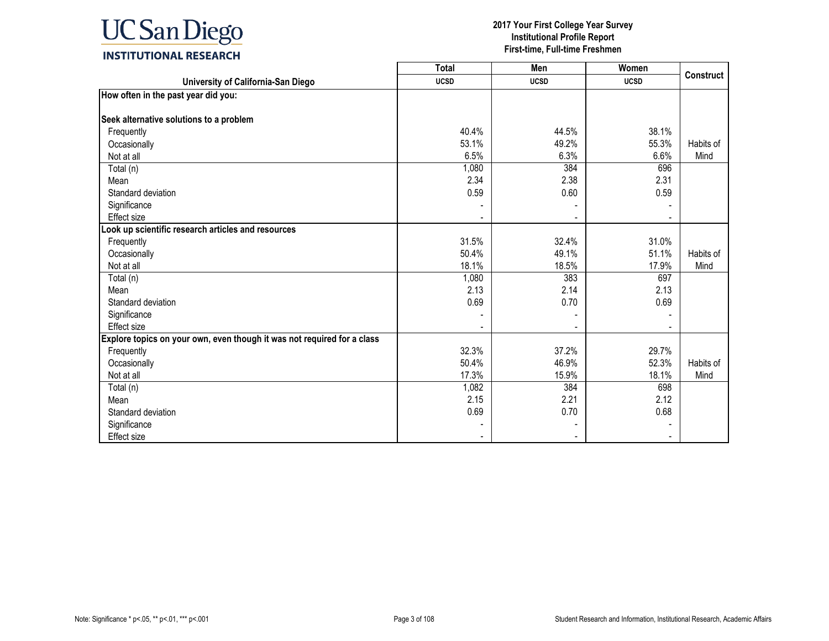

|                                                                         | <b>Total</b> | Men         | Women       |                  |
|-------------------------------------------------------------------------|--------------|-------------|-------------|------------------|
| University of California-San Diego                                      | <b>UCSD</b>  | <b>UCSD</b> | <b>UCSD</b> | <b>Construct</b> |
| How often in the past year did you:                                     |              |             |             |                  |
|                                                                         |              |             |             |                  |
| Seek alternative solutions to a problem                                 |              |             |             |                  |
| Frequently                                                              | 40.4%        | 44.5%       | 38.1%       |                  |
| Occasionally                                                            | 53.1%        | 49.2%       | 55.3%       | Habits of        |
| Not at all                                                              | 6.5%         | 6.3%        | 6.6%        | Mind             |
| Total (n)                                                               | 1,080        | 384         | 696         |                  |
| Mean                                                                    | 2.34         | 2.38        | 2.31        |                  |
| Standard deviation                                                      | 0.59         | 0.60        | 0.59        |                  |
| Significance                                                            |              |             |             |                  |
| Effect size                                                             |              |             |             |                  |
| Look up scientific research articles and resources                      |              |             |             |                  |
| Frequently                                                              | 31.5%        | 32.4%       | 31.0%       |                  |
| Occasionally                                                            | 50.4%        | 49.1%       | 51.1%       | Habits of        |
| Not at all                                                              | 18.1%        | 18.5%       | 17.9%       | Mind             |
| Total (n)                                                               | 1,080        | 383         | 697         |                  |
| Mean                                                                    | 2.13         | 2.14        | 2.13        |                  |
| Standard deviation                                                      | 0.69         | 0.70        | 0.69        |                  |
| Significance                                                            |              |             |             |                  |
| Effect size                                                             |              |             |             |                  |
| Explore topics on your own, even though it was not required for a class |              |             |             |                  |
| Frequently                                                              | 32.3%        | 37.2%       | 29.7%       |                  |
| Occasionally                                                            | 50.4%        | 46.9%       | 52.3%       | Habits of        |
| Not at all                                                              | 17.3%        | 15.9%       | 18.1%       | Mind             |
| Total (n)                                                               | 1,082        | 384         | 698         |                  |
| Mean                                                                    | 2.15         | 2.21        | 2.12        |                  |
| Standard deviation                                                      | 0.69         | 0.70        | 0.68        |                  |
| Significance                                                            |              |             |             |                  |
| Effect size                                                             |              |             |             |                  |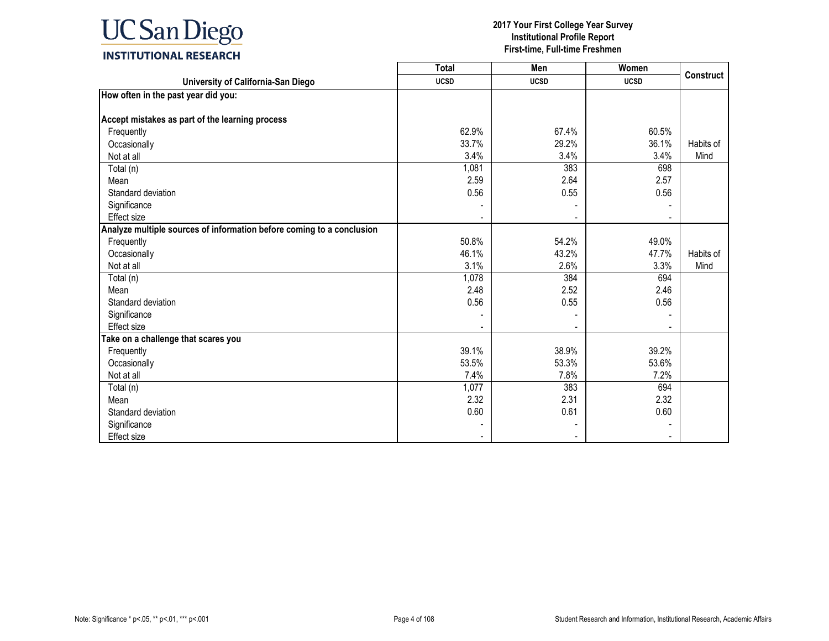

|                                                                       | <b>Total</b> | Men         | Women       | <b>Construct</b> |
|-----------------------------------------------------------------------|--------------|-------------|-------------|------------------|
| University of California-San Diego                                    | <b>UCSD</b>  | <b>UCSD</b> | <b>UCSD</b> |                  |
| How often in the past year did you:                                   |              |             |             |                  |
|                                                                       |              |             |             |                  |
| Accept mistakes as part of the learning process                       |              |             |             |                  |
| Frequently                                                            | 62.9%        | 67.4%       | 60.5%       |                  |
| Occasionally                                                          | 33.7%        | 29.2%       | 36.1%       | Habits of        |
| Not at all                                                            | 3.4%         | 3.4%        | 3.4%        | Mind             |
| Total (n)                                                             | 1,081        | 383         | 698         |                  |
| Mean                                                                  | 2.59         | 2.64        | 2.57        |                  |
| Standard deviation                                                    | 0.56         | 0.55        | 0.56        |                  |
| Significance                                                          |              |             |             |                  |
| <b>Effect size</b>                                                    |              |             |             |                  |
| Analyze multiple sources of information before coming to a conclusion |              |             |             |                  |
| Frequently                                                            | 50.8%        | 54.2%       | 49.0%       |                  |
| Occasionally                                                          | 46.1%        | 43.2%       | 47.7%       | Habits of        |
| Not at all                                                            | 3.1%         | 2.6%        | 3.3%        | Mind             |
| Total (n)                                                             | 1,078        | 384         | 694         |                  |
| Mean                                                                  | 2.48         | 2.52        | 2.46        |                  |
| Standard deviation                                                    | 0.56         | 0.55        | 0.56        |                  |
| Significance                                                          |              |             |             |                  |
| Effect size                                                           |              |             |             |                  |
| Take on a challenge that scares you                                   |              |             |             |                  |
| Frequently                                                            | 39.1%        | 38.9%       | 39.2%       |                  |
| Occasionally                                                          | 53.5%        | 53.3%       | 53.6%       |                  |
| Not at all                                                            | 7.4%         | 7.8%        | 7.2%        |                  |
| Total (n)                                                             | 1,077        | 383         | 694         |                  |
| Mean                                                                  | 2.32         | 2.31        | 2.32        |                  |
| Standard deviation                                                    | 0.60         | 0.61        | 0.60        |                  |
| Significance                                                          |              |             |             |                  |
| <b>Effect size</b>                                                    |              |             |             |                  |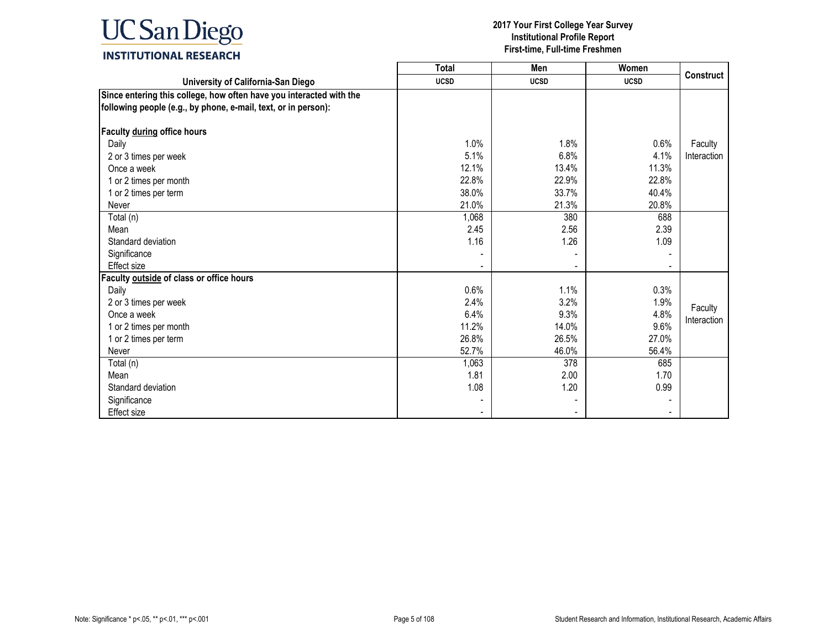

|                                                                     | <b>Total</b> | Men         | Women       |                  |
|---------------------------------------------------------------------|--------------|-------------|-------------|------------------|
| University of California-San Diego                                  | <b>UCSD</b>  | <b>UCSD</b> | <b>UCSD</b> | <b>Construct</b> |
| Since entering this college, how often have you interacted with the |              |             |             |                  |
| following people (e.g., by phone, e-mail, text, or in person):      |              |             |             |                  |
|                                                                     |              |             |             |                  |
| Faculty during office hours                                         |              |             |             |                  |
| Daily                                                               | 1.0%         | 1.8%        | 0.6%        | Faculty          |
| 2 or 3 times per week                                               | 5.1%         | 6.8%        | 4.1%        | Interaction      |
| Once a week                                                         | 12.1%        | 13.4%       | 11.3%       |                  |
| 1 or 2 times per month                                              | 22.8%        | 22.9%       | 22.8%       |                  |
| 1 or 2 times per term                                               | 38.0%        | 33.7%       | 40.4%       |                  |
| Never                                                               | 21.0%        | 21.3%       | 20.8%       |                  |
| Total (n)                                                           | 1,068        | 380         | 688         |                  |
| Mean                                                                | 2.45         | 2.56        | 2.39        |                  |
| Standard deviation                                                  | 1.16         | 1.26        | 1.09        |                  |
| Significance                                                        |              |             |             |                  |
| Effect size                                                         |              |             |             |                  |
| Faculty outside of class or office hours                            |              |             |             |                  |
| Daily                                                               | 0.6%         | 1.1%        | 0.3%        |                  |
| 2 or 3 times per week                                               | 2.4%         | 3.2%        | 1.9%        |                  |
| Once a week                                                         | 6.4%         | 9.3%        | 4.8%        | Faculty          |
| 1 or 2 times per month                                              | 11.2%        | 14.0%       | 9.6%        | Interaction      |
| 1 or 2 times per term                                               | 26.8%        | 26.5%       | 27.0%       |                  |
| Never                                                               | 52.7%        | 46.0%       | 56.4%       |                  |
| Total (n)                                                           | 1,063        | 378         | 685         |                  |
| Mean                                                                | 1.81         | 2.00        | 1.70        |                  |
| Standard deviation                                                  | 1.08         | 1.20        | 0.99        |                  |
| Significance                                                        |              |             |             |                  |
| <b>Effect size</b>                                                  |              |             |             |                  |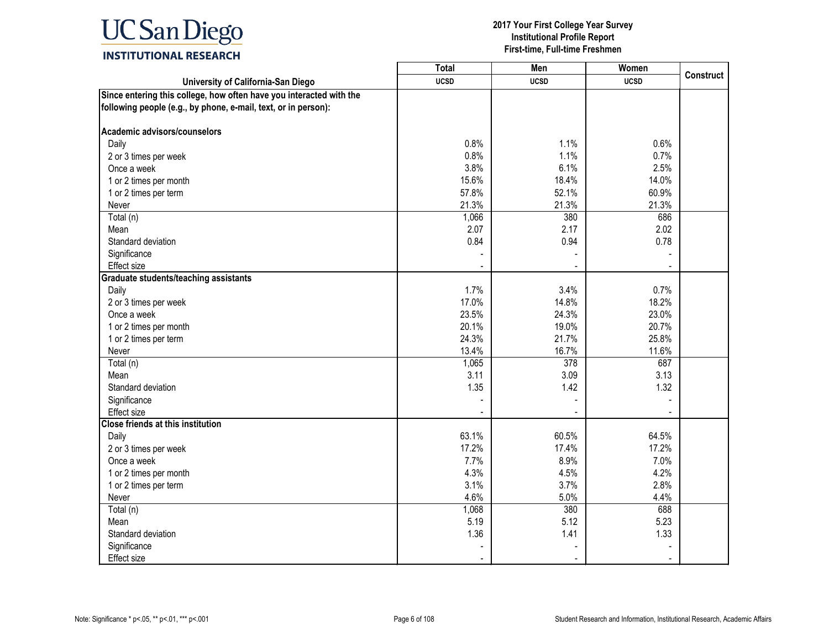

|                                                                                                                                       | <b>Total</b>   | Men            | Women          | <b>Construct</b> |
|---------------------------------------------------------------------------------------------------------------------------------------|----------------|----------------|----------------|------------------|
| University of California-San Diego                                                                                                    | <b>UCSD</b>    | <b>UCSD</b>    | <b>UCSD</b>    |                  |
| Since entering this college, how often have you interacted with the<br>following people (e.g., by phone, e-mail, text, or in person): |                |                |                |                  |
| Academic advisors/counselors                                                                                                          |                |                |                |                  |
| Daily                                                                                                                                 | 0.8%           | 1.1%           | 0.6%           |                  |
| 2 or 3 times per week                                                                                                                 | 0.8%           | 1.1%           | 0.7%           |                  |
| Once a week                                                                                                                           | 3.8%           | 6.1%           | 2.5%           |                  |
| 1 or 2 times per month                                                                                                                | 15.6%          | 18.4%          | 14.0%          |                  |
| 1 or 2 times per term                                                                                                                 | 57.8%          | 52.1%          | 60.9%          |                  |
| Never                                                                                                                                 | 21.3%          | 21.3%          | 21.3%          |                  |
| Total (n)                                                                                                                             | 1,066          | 380            | 686            |                  |
| Mean                                                                                                                                  | 2.07           | 2.17           | 2.02           |                  |
| Standard deviation                                                                                                                    | 0.84           | 0.94           | 0.78           |                  |
| Significance                                                                                                                          |                |                |                |                  |
| Effect size                                                                                                                           |                |                |                |                  |
| <b>Graduate students/teaching assistants</b>                                                                                          |                |                |                |                  |
| Daily                                                                                                                                 | 1.7%           | 3.4%           | 0.7%           |                  |
| 2 or 3 times per week                                                                                                                 | 17.0%          | 14.8%          | 18.2%          |                  |
| Once a week                                                                                                                           | 23.5%          | 24.3%          | 23.0%          |                  |
| 1 or 2 times per month                                                                                                                | 20.1%          | 19.0%          | 20.7%          |                  |
| 1 or 2 times per term                                                                                                                 | 24.3%          | 21.7%          | 25.8%          |                  |
| Never                                                                                                                                 | 13.4%          | 16.7%          | 11.6%          |                  |
| Total (n)                                                                                                                             | 1,065          | 378            | 687            |                  |
| Mean                                                                                                                                  | 3.11           | 3.09           | 3.13           |                  |
| Standard deviation                                                                                                                    | 1.35           | 1.42           | 1.32           |                  |
| Significance                                                                                                                          |                |                |                |                  |
| Effect size                                                                                                                           |                |                |                |                  |
| <b>Close friends at this institution</b>                                                                                              |                |                |                |                  |
| Daily                                                                                                                                 | 63.1%<br>17.2% | 60.5%<br>17.4% | 64.5%<br>17.2% |                  |
| 2 or 3 times per week<br>Once a week                                                                                                  | 7.7%           | 8.9%           | 7.0%           |                  |
|                                                                                                                                       | 4.3%           | 4.5%           | 4.2%           |                  |
| 1 or 2 times per month                                                                                                                | 3.1%           | 3.7%           | 2.8%           |                  |
| 1 or 2 times per term<br>Never                                                                                                        | 4.6%           | 5.0%           | 4.4%           |                  |
|                                                                                                                                       |                | 380            | 688            |                  |
| Total (n)<br>Mean                                                                                                                     | 1,068<br>5.19  | 5.12           | 5.23           |                  |
| Standard deviation                                                                                                                    | 1.36           | 1.41           | 1.33           |                  |
| Significance                                                                                                                          |                |                |                |                  |
| Effect size                                                                                                                           |                |                |                |                  |
|                                                                                                                                       |                |                |                |                  |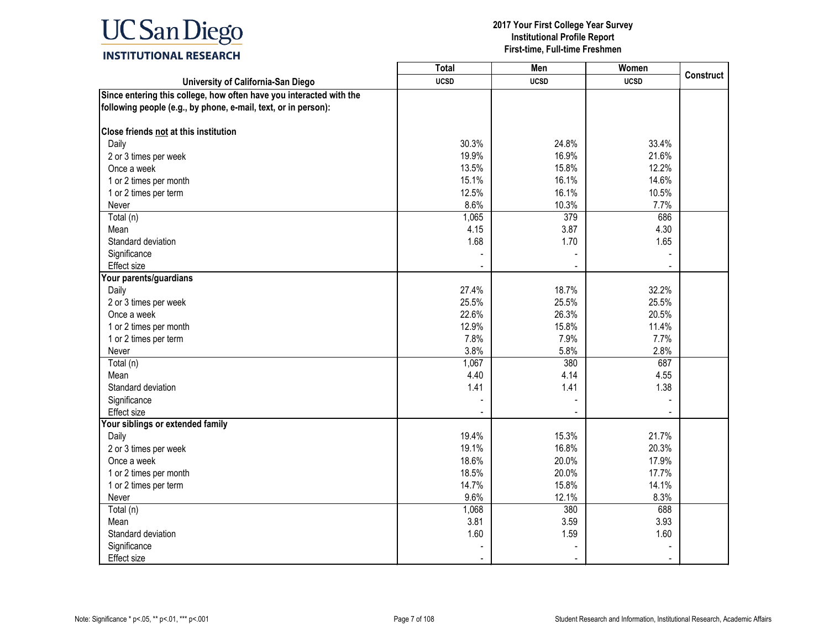

|                                                                     | <b>Total</b> | Men         | Women       | <b>Construct</b> |
|---------------------------------------------------------------------|--------------|-------------|-------------|------------------|
| University of California-San Diego                                  | <b>UCSD</b>  | <b>UCSD</b> | <b>UCSD</b> |                  |
| Since entering this college, how often have you interacted with the |              |             |             |                  |
| following people (e.g., by phone, e-mail, text, or in person):      |              |             |             |                  |
| Close friends not at this institution                               |              |             |             |                  |
| Daily                                                               | 30.3%        | 24.8%       | 33.4%       |                  |
| 2 or 3 times per week                                               | 19.9%        | 16.9%       | 21.6%       |                  |
| Once a week                                                         | 13.5%        | 15.8%       | 12.2%       |                  |
| 1 or 2 times per month                                              | 15.1%        | 16.1%       | 14.6%       |                  |
| 1 or 2 times per term                                               | 12.5%        | 16.1%       | 10.5%       |                  |
| Never                                                               | 8.6%         | 10.3%       | 7.7%        |                  |
| Total (n)                                                           | 1,065        | 379         | 686         |                  |
| Mean                                                                | 4.15         | 3.87        | 4.30        |                  |
| Standard deviation                                                  | 1.68         | 1.70        | 1.65        |                  |
| Significance                                                        |              |             |             |                  |
| Effect size                                                         |              |             |             |                  |
| Your parents/guardians                                              |              |             |             |                  |
| Daily                                                               | 27.4%        | 18.7%       | 32.2%       |                  |
| 2 or 3 times per week                                               | 25.5%        | 25.5%       | 25.5%       |                  |
| Once a week                                                         | 22.6%        | 26.3%       | 20.5%       |                  |
| 1 or 2 times per month                                              | 12.9%        | 15.8%       | 11.4%       |                  |
| 1 or 2 times per term                                               | 7.8%         | 7.9%        | 7.7%        |                  |
| Never                                                               | 3.8%         | 5.8%        | 2.8%        |                  |
| Total (n)                                                           | 1,067        | 380         | 687         |                  |
| Mean                                                                | 4.40         | 4.14        | 4.55        |                  |
| Standard deviation                                                  | 1.41         | 1.41        | 1.38        |                  |
| Significance                                                        |              |             |             |                  |
| Effect size                                                         |              |             |             |                  |
| Your siblings or extended family                                    |              |             |             |                  |
| Daily                                                               | 19.4%        | 15.3%       | 21.7%       |                  |
| 2 or 3 times per week                                               | 19.1%        | 16.8%       | 20.3%       |                  |
| Once a week                                                         | 18.6%        | 20.0%       | 17.9%       |                  |
| 1 or 2 times per month                                              | 18.5%        | 20.0%       | 17.7%       |                  |
| 1 or 2 times per term                                               | 14.7%        | 15.8%       | 14.1%       |                  |
| Never                                                               | 9.6%         | 12.1%       | 8.3%        |                  |
| Total (n)                                                           | 1,068        | 380         | 688         |                  |
| Mean                                                                | 3.81         | 3.59        | 3.93        |                  |
| Standard deviation                                                  | 1.60         | 1.59        | 1.60        |                  |
| Significance                                                        |              |             |             |                  |
| Effect size                                                         |              |             |             |                  |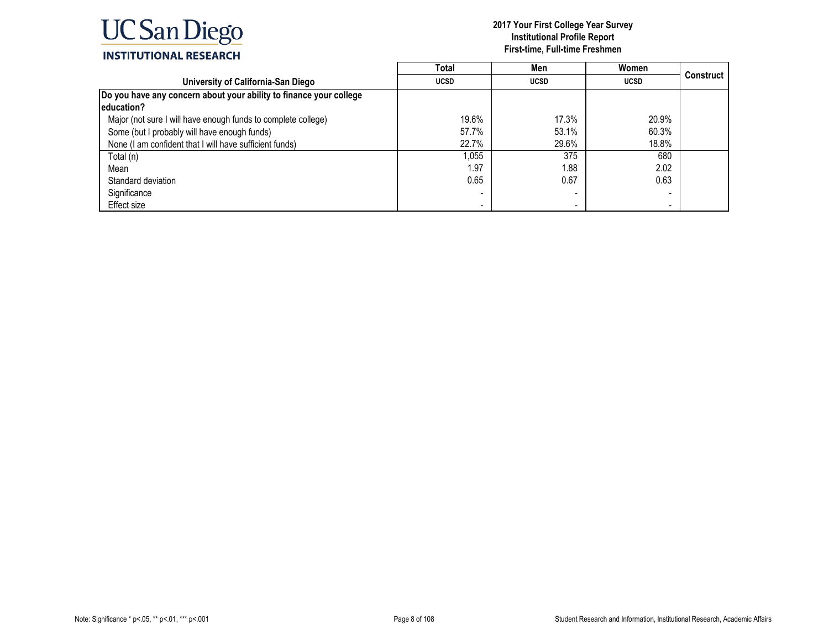

|                                                                    | Total       | Men         | Women       |           |
|--------------------------------------------------------------------|-------------|-------------|-------------|-----------|
| University of California-San Diego                                 | <b>UCSD</b> | <b>UCSD</b> | <b>UCSD</b> | Construct |
| Do you have any concern about your ability to finance your college |             |             |             |           |
| leducation?                                                        |             |             |             |           |
| Major (not sure I will have enough funds to complete college)      | 19.6%       | 17.3%       | 20.9%       |           |
| Some (but I probably will have enough funds)                       | 57.7%       | 53.1%       | 60.3%       |           |
| None (I am confident that I will have sufficient funds)            | 22.7%       | 29.6%       | 18.8%       |           |
| Total (n)                                                          | 1,055       | 375         | 680         |           |
| Mean                                                               | 1.97        | .88         | 2.02        |           |
| Standard deviation                                                 | 0.65        | 0.67        | 0.63        |           |
| Significance                                                       |             |             |             |           |
| Effect size                                                        |             |             |             |           |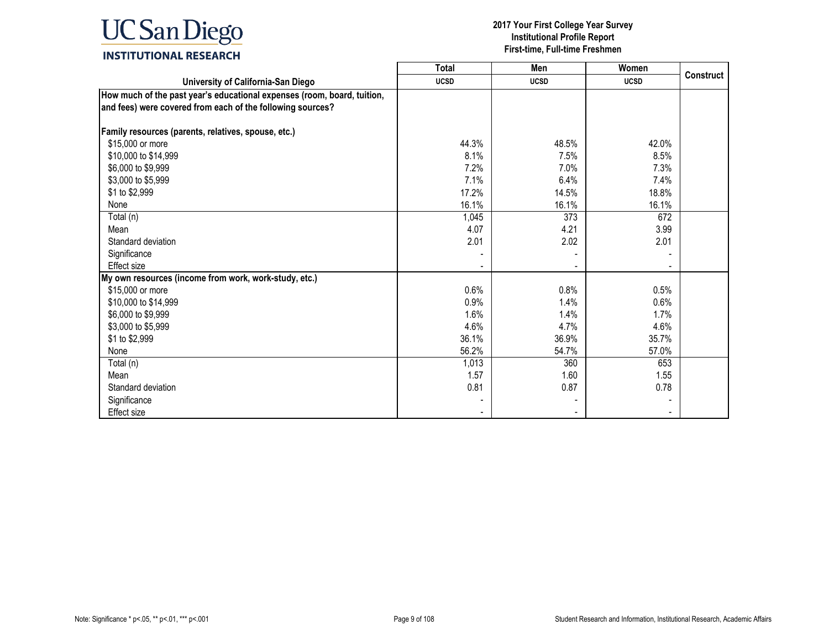

|                                                                                                                                       | <b>Total</b> | Men         | Women       |                  |
|---------------------------------------------------------------------------------------------------------------------------------------|--------------|-------------|-------------|------------------|
| University of California-San Diego                                                                                                    | <b>UCSD</b>  | <b>UCSD</b> | <b>UCSD</b> | <b>Construct</b> |
| How much of the past year's educational expenses (room, board, tuition,<br>and fees) were covered from each of the following sources? |              |             |             |                  |
| Family resources (parents, relatives, spouse, etc.)                                                                                   |              |             |             |                  |
| \$15,000 or more                                                                                                                      | 44.3%        | 48.5%       | 42.0%       |                  |
| \$10,000 to \$14,999                                                                                                                  | 8.1%         | 7.5%        | 8.5%        |                  |
| \$6,000 to \$9,999                                                                                                                    | 7.2%         | 7.0%        | 7.3%        |                  |
| \$3,000 to \$5,999                                                                                                                    | 7.1%         | 6.4%        | 7.4%        |                  |
| \$1 to \$2,999                                                                                                                        | 17.2%        | 14.5%       | 18.8%       |                  |
| None                                                                                                                                  | 16.1%        | 16.1%       | 16.1%       |                  |
| Total (n)                                                                                                                             | 1,045        | 373         | 672         |                  |
| Mean                                                                                                                                  | 4.07         | 4.21        | 3.99        |                  |
| Standard deviation                                                                                                                    | 2.01         | 2.02        | 2.01        |                  |
| Significance                                                                                                                          |              |             |             |                  |
| Effect size                                                                                                                           |              |             |             |                  |
| My own resources (income from work, work-study, etc.)                                                                                 |              |             |             |                  |
| \$15,000 or more                                                                                                                      | 0.6%         | 0.8%        | 0.5%        |                  |
| \$10,000 to \$14,999                                                                                                                  | 0.9%         | 1.4%        | 0.6%        |                  |
| \$6,000 to \$9,999                                                                                                                    | 1.6%         | 1.4%        | 1.7%        |                  |
| \$3,000 to \$5,999                                                                                                                    | 4.6%         | 4.7%        | 4.6%        |                  |
| \$1 to \$2,999                                                                                                                        | 36.1%        | 36.9%       | 35.7%       |                  |
| None                                                                                                                                  | 56.2%        | 54.7%       | 57.0%       |                  |
| Total (n)                                                                                                                             | 1,013        | 360         | 653         |                  |
| Mean                                                                                                                                  | 1.57         | 1.60        | 1.55        |                  |
| Standard deviation                                                                                                                    | 0.81         | 0.87        | 0.78        |                  |
| Significance                                                                                                                          |              |             |             |                  |
| <b>Effect size</b>                                                                                                                    |              |             |             |                  |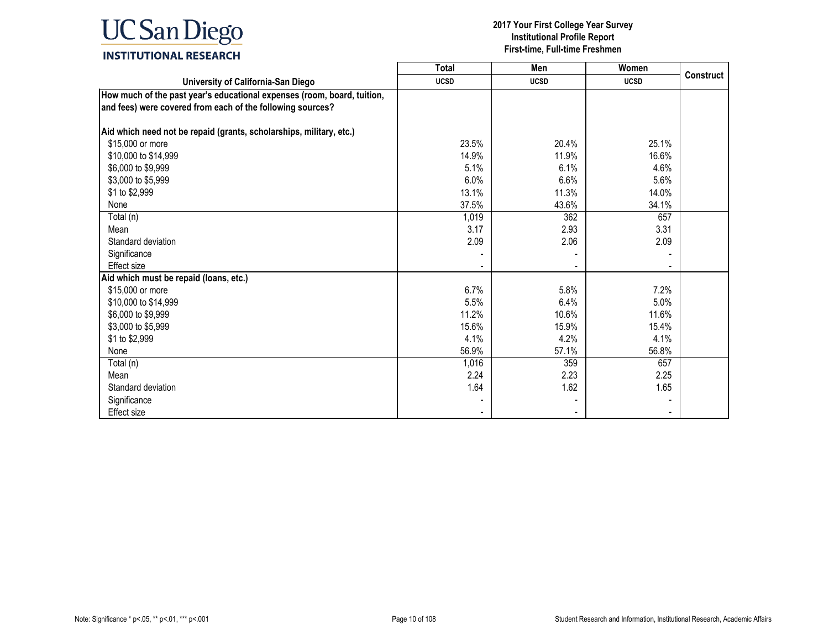

|                                                                                                                                       | <b>Total</b> | Men         | Women       |                  |
|---------------------------------------------------------------------------------------------------------------------------------------|--------------|-------------|-------------|------------------|
| University of California-San Diego                                                                                                    | <b>UCSD</b>  | <b>UCSD</b> | <b>UCSD</b> | <b>Construct</b> |
| How much of the past year's educational expenses (room, board, tuition,<br>and fees) were covered from each of the following sources? |              |             |             |                  |
| Aid which need not be repaid (grants, scholarships, military, etc.)                                                                   |              |             |             |                  |
| \$15,000 or more                                                                                                                      | 23.5%        | 20.4%       | 25.1%       |                  |
| \$10,000 to \$14,999                                                                                                                  | 14.9%        | 11.9%       | 16.6%       |                  |
| \$6,000 to \$9,999                                                                                                                    | 5.1%         | 6.1%        | 4.6%        |                  |
| \$3,000 to \$5,999                                                                                                                    | 6.0%         | 6.6%        | 5.6%        |                  |
| \$1 to \$2,999                                                                                                                        | 13.1%        | 11.3%       | 14.0%       |                  |
| None                                                                                                                                  | 37.5%        | 43.6%       | 34.1%       |                  |
| Total (n)                                                                                                                             | 1,019        | 362         | 657         |                  |
| Mean                                                                                                                                  | 3.17         | 2.93        | 3.31        |                  |
| Standard deviation                                                                                                                    | 2.09         | 2.06        | 2.09        |                  |
| Significance                                                                                                                          |              |             |             |                  |
| Effect size                                                                                                                           |              |             |             |                  |
| Aid which must be repaid (loans, etc.)                                                                                                |              |             |             |                  |
| \$15,000 or more                                                                                                                      | 6.7%         | 5.8%        | 7.2%        |                  |
| \$10,000 to \$14,999                                                                                                                  | 5.5%         | 6.4%        | 5.0%        |                  |
| \$6,000 to \$9,999                                                                                                                    | 11.2%        | 10.6%       | 11.6%       |                  |
| \$3,000 to \$5,999                                                                                                                    | 15.6%        | 15.9%       | 15.4%       |                  |
| \$1 to \$2,999                                                                                                                        | 4.1%         | 4.2%        | 4.1%        |                  |
| None                                                                                                                                  | 56.9%        | 57.1%       | 56.8%       |                  |
| Total (n)                                                                                                                             | 1,016        | 359         | 657         |                  |
| Mean                                                                                                                                  | 2.24         | 2.23        | 2.25        |                  |
| Standard deviation                                                                                                                    | 1.64         | 1.62        | 1.65        |                  |
| Significance                                                                                                                          |              |             |             |                  |
| Effect size                                                                                                                           |              |             |             |                  |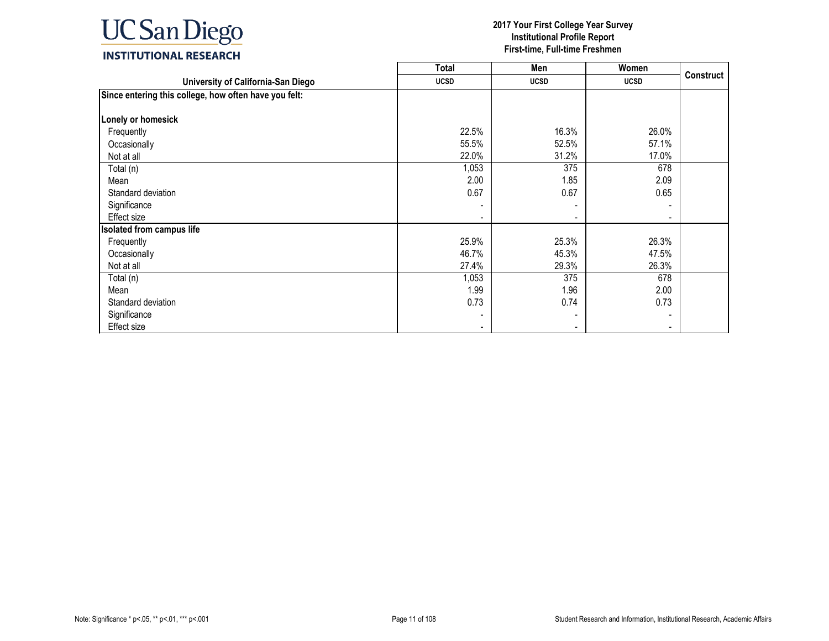

|                                                       | <b>Total</b> | Men         | Women       |                  |
|-------------------------------------------------------|--------------|-------------|-------------|------------------|
| University of California-San Diego                    | <b>UCSD</b>  | <b>UCSD</b> | <b>UCSD</b> | <b>Construct</b> |
| Since entering this college, how often have you felt: |              |             |             |                  |
|                                                       |              |             |             |                  |
| Lonely or homesick                                    |              |             |             |                  |
| Frequently                                            | 22.5%        | 16.3%       | 26.0%       |                  |
| Occasionally                                          | 55.5%        | 52.5%       | 57.1%       |                  |
| Not at all                                            | 22.0%        | 31.2%       | 17.0%       |                  |
| Total (n)                                             | 1,053        | 375         | 678         |                  |
| Mean                                                  | 2.00         | 1.85        | 2.09        |                  |
| Standard deviation                                    | 0.67         | 0.67        | 0.65        |                  |
| Significance                                          |              |             |             |                  |
| Effect size                                           |              |             |             |                  |
| <b>Isolated from campus life</b>                      |              |             |             |                  |
| Frequently                                            | 25.9%        | 25.3%       | 26.3%       |                  |
| Occasionally                                          | 46.7%        | 45.3%       | 47.5%       |                  |
| Not at all                                            | 27.4%        | 29.3%       | 26.3%       |                  |
| Total (n)                                             | 1,053        | 375         | 678         |                  |
| Mean                                                  | 1.99         | 1.96        | 2.00        |                  |
| Standard deviation                                    | 0.73         | 0.74        | 0.73        |                  |
| Significance                                          |              |             |             |                  |
| Effect size                                           |              |             |             |                  |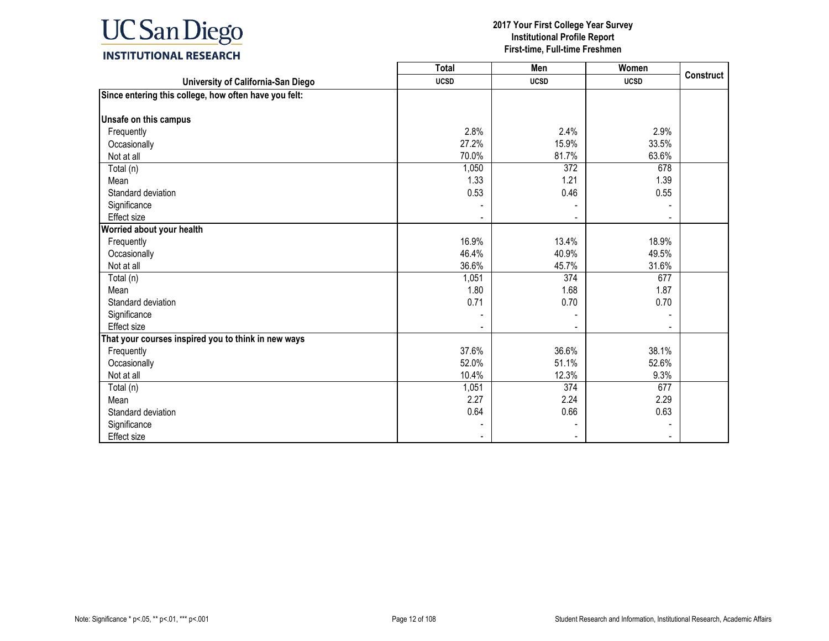

|                                                       | <b>Total</b> | Men         | Women       |                  |
|-------------------------------------------------------|--------------|-------------|-------------|------------------|
| University of California-San Diego                    | <b>UCSD</b>  | <b>UCSD</b> | <b>UCSD</b> | <b>Construct</b> |
| Since entering this college, how often have you felt: |              |             |             |                  |
|                                                       |              |             |             |                  |
| Unsafe on this campus                                 |              |             |             |                  |
| Frequently                                            | 2.8%         | 2.4%        | 2.9%        |                  |
| Occasionally                                          | 27.2%        | 15.9%       | 33.5%       |                  |
| Not at all                                            | 70.0%        | 81.7%       | 63.6%       |                  |
| Total (n)                                             | 1,050        | 372         | 678         |                  |
| Mean                                                  | 1.33         | 1.21        | 1.39        |                  |
| Standard deviation                                    | 0.53         | 0.46        | 0.55        |                  |
| Significance                                          |              |             |             |                  |
| <b>Effect size</b>                                    |              |             |             |                  |
| Worried about your health                             |              |             |             |                  |
| Frequently                                            | 16.9%        | 13.4%       | 18.9%       |                  |
| Occasionally                                          | 46.4%        | 40.9%       | 49.5%       |                  |
| Not at all                                            | 36.6%        | 45.7%       | 31.6%       |                  |
| Total (n)                                             | 1,051        | 374         | 677         |                  |
| Mean                                                  | 1.80         | 1.68        | 1.87        |                  |
| Standard deviation                                    | 0.71         | 0.70        | 0.70        |                  |
| Significance                                          |              |             |             |                  |
| <b>Effect size</b>                                    |              |             |             |                  |
| That your courses inspired you to think in new ways   |              |             |             |                  |
| Frequently                                            | 37.6%        | 36.6%       | 38.1%       |                  |
| Occasionally                                          | 52.0%        | 51.1%       | 52.6%       |                  |
| Not at all                                            | 10.4%        | 12.3%       | 9.3%        |                  |
| Total (n)                                             | 1,051        | 374         | 677         |                  |
| Mean                                                  | 2.27         | 2.24        | 2.29        |                  |
| Standard deviation                                    | 0.64         | 0.66        | 0.63        |                  |
| Significance                                          |              |             |             |                  |
| <b>Effect size</b>                                    |              |             |             |                  |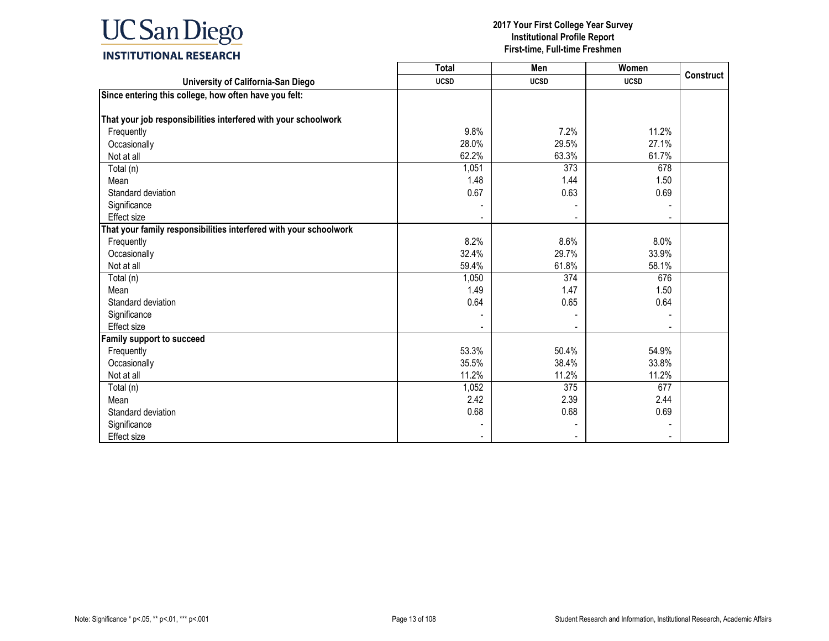

|                                                                   | <b>Total</b> | Men         | Women       |                  |
|-------------------------------------------------------------------|--------------|-------------|-------------|------------------|
| University of California-San Diego                                | <b>UCSD</b>  | <b>UCSD</b> | <b>UCSD</b> | <b>Construct</b> |
| Since entering this college, how often have you felt:             |              |             |             |                  |
|                                                                   |              |             |             |                  |
| That your job responsibilities interfered with your schoolwork    |              |             |             |                  |
| Frequently                                                        | 9.8%         | 7.2%        | 11.2%       |                  |
| Occasionally                                                      | 28.0%        | 29.5%       | 27.1%       |                  |
| Not at all                                                        | 62.2%        | 63.3%       | 61.7%       |                  |
| Total (n)                                                         | 1,051        | 373         | 678         |                  |
| Mean                                                              | 1.48         | 1.44        | 1.50        |                  |
| Standard deviation                                                | 0.67         | 0.63        | 0.69        |                  |
| Significance                                                      |              |             |             |                  |
| <b>Effect size</b>                                                |              |             |             |                  |
| That your family responsibilities interfered with your schoolwork |              |             |             |                  |
| Frequently                                                        | 8.2%         | 8.6%        | 8.0%        |                  |
| Occasionally                                                      | 32.4%        | 29.7%       | 33.9%       |                  |
| Not at all                                                        | 59.4%        | 61.8%       | 58.1%       |                  |
| Total (n)                                                         | 1,050        | 374         | 676         |                  |
| Mean                                                              | 1.49         | 1.47        | 1.50        |                  |
| Standard deviation                                                | 0.64         | 0.65        | 0.64        |                  |
| Significance                                                      |              |             |             |                  |
| Effect size                                                       |              |             |             |                  |
| <b>Family support to succeed</b>                                  |              |             |             |                  |
| Frequently                                                        | 53.3%        | 50.4%       | 54.9%       |                  |
| Occasionally                                                      | 35.5%        | 38.4%       | 33.8%       |                  |
| Not at all                                                        | 11.2%        | 11.2%       | 11.2%       |                  |
| Total (n)                                                         | 1,052        | 375         | 677         |                  |
| Mean                                                              | 2.42         | 2.39        | 2.44        |                  |
| Standard deviation                                                | 0.68         | 0.68        | 0.69        |                  |
| Significance                                                      |              |             |             |                  |
| <b>Effect size</b>                                                |              |             |             |                  |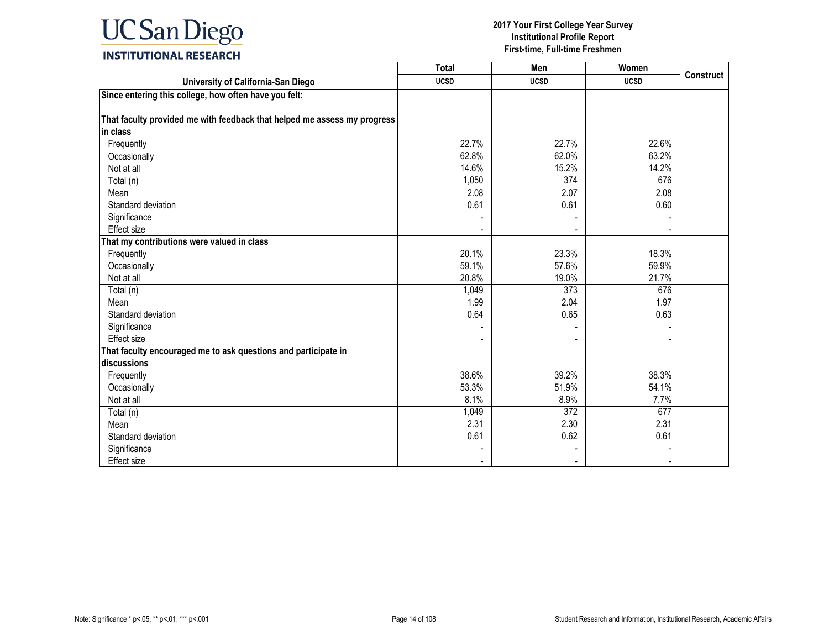

|                                                                          | <b>Total</b> | Men         | Women       |                  |
|--------------------------------------------------------------------------|--------------|-------------|-------------|------------------|
| University of California-San Diego                                       | <b>UCSD</b>  | <b>UCSD</b> | <b>UCSD</b> | <b>Construct</b> |
| Since entering this college, how often have you felt:                    |              |             |             |                  |
|                                                                          |              |             |             |                  |
| That faculty provided me with feedback that helped me assess my progress |              |             |             |                  |
| in class                                                                 |              |             |             |                  |
| Frequently                                                               | 22.7%        | 22.7%       | 22.6%       |                  |
| Occasionally                                                             | 62.8%        | 62.0%       | 63.2%       |                  |
| Not at all                                                               | 14.6%        | 15.2%       | 14.2%       |                  |
| Total (n)                                                                | 1,050        | 374         | 676         |                  |
| Mean                                                                     | 2.08         | 2.07        | 2.08        |                  |
| Standard deviation                                                       | 0.61         | 0.61        | 0.60        |                  |
| Significance                                                             |              |             |             |                  |
| <b>Effect size</b>                                                       |              |             |             |                  |
| That my contributions were valued in class                               |              |             |             |                  |
| Frequently                                                               | 20.1%        | 23.3%       | 18.3%       |                  |
| Occasionally                                                             | 59.1%        | 57.6%       | 59.9%       |                  |
| Not at all                                                               | 20.8%        | 19.0%       | 21.7%       |                  |
| Total (n)                                                                | 1,049        | 373         | 676         |                  |
| Mean                                                                     | 1.99         | 2.04        | 1.97        |                  |
| Standard deviation                                                       | 0.64         | 0.65        | 0.63        |                  |
| Significance                                                             |              |             |             |                  |
| Effect size                                                              |              |             |             |                  |
| That faculty encouraged me to ask questions and participate in           |              |             |             |                  |
| discussions                                                              |              |             |             |                  |
| Frequently                                                               | 38.6%        | 39.2%       | 38.3%       |                  |
| Occasionally                                                             | 53.3%        | 51.9%       | 54.1%       |                  |
| Not at all                                                               | 8.1%         | 8.9%        | 7.7%        |                  |
| Total (n)                                                                | 1,049        | 372         | 677         |                  |
| Mean                                                                     | 2.31         | 2.30        | 2.31        |                  |
| Standard deviation                                                       | 0.61         | 0.62        | 0.61        |                  |
| Significance                                                             |              |             |             |                  |
| Effect size                                                              |              |             |             |                  |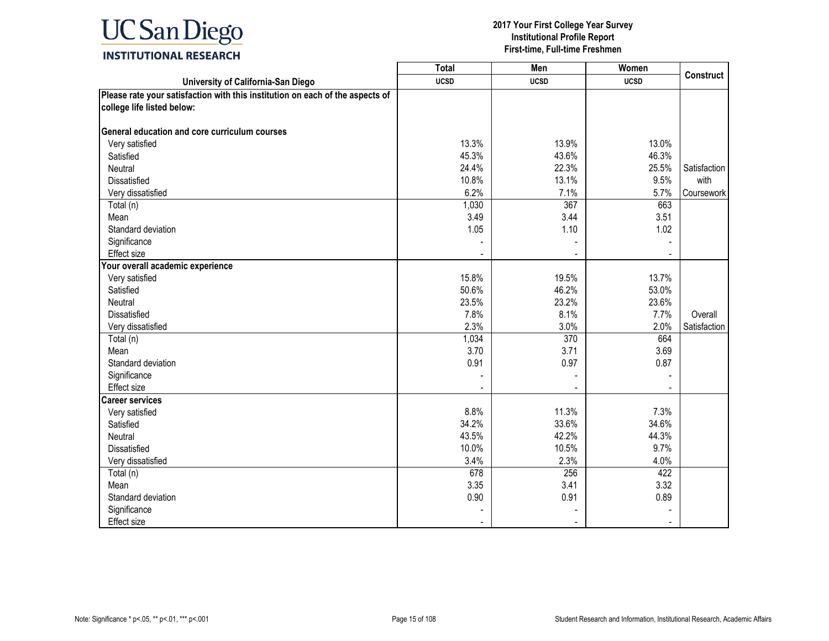

|                                                                               | <b>Total</b> | Men         | Women       |                  |
|-------------------------------------------------------------------------------|--------------|-------------|-------------|------------------|
| University of California-San Diego                                            | <b>UCSD</b>  | <b>UCSD</b> | <b>UCSD</b> | <b>Construct</b> |
| Please rate your satisfaction with this institution on each of the aspects of |              |             |             |                  |
| college life listed below:                                                    |              |             |             |                  |
|                                                                               |              |             |             |                  |
| General education and core curriculum courses                                 |              |             |             |                  |
| Very satisfied                                                                | 13.3%        | 13.9%       | 13.0%       |                  |
| Satisfied                                                                     | 45.3%        | 43.6%       | 46.3%       |                  |
| Neutral                                                                       | 24.4%        | 22.3%       | 25.5%       | Satisfaction     |
| Dissatisfied                                                                  | 10.8%        | 13.1%       | 9.5%        | with             |
| Very dissatisfied                                                             | 6.2%         | 7.1%        | 5.7%        | Coursework       |
| Total (n)                                                                     | 1,030        | 367         | 663         |                  |
| Mean                                                                          | 3.49         | 3.44        | 3.51        |                  |
| Standard deviation                                                            | 1.05         | 1.10        | 1.02        |                  |
| Significance                                                                  |              |             |             |                  |
| Effect size                                                                   |              |             |             |                  |
| Your overall academic experience                                              |              |             |             |                  |
| Very satisfied                                                                | 15.8%        | 19.5%       | 13.7%       |                  |
| Satisfied                                                                     | 50.6%        | 46.2%       | 53.0%       |                  |
| Neutral                                                                       | 23.5%        | 23.2%       | 23.6%       |                  |
| Dissatisfied                                                                  | 7.8%         | 8.1%        | 7.7%        | Overall          |
| Very dissatisfied                                                             | 2.3%         | 3.0%        | 2.0%        | Satisfaction     |
| Total (n)                                                                     | 1,034        | 370         | 664         |                  |
| Mean                                                                          | 3.70         | 3.71        | 3.69        |                  |
| Standard deviation                                                            | 0.91         | 0.97        | 0.87        |                  |
| Significance                                                                  |              |             |             |                  |
| <b>Effect size</b>                                                            |              |             |             |                  |
| <b>Career services</b>                                                        |              |             |             |                  |
| Very satisfied                                                                | 8.8%         | 11.3%       | 7.3%        |                  |
| Satisfied                                                                     | 34.2%        | 33.6%       | 34.6%       |                  |
| Neutral                                                                       | 43.5%        | 42.2%       | 44.3%       |                  |
| <b>Dissatisfied</b>                                                           | 10.0%        | 10.5%       | 9.7%        |                  |
| Very dissatisfied                                                             | 3.4%         | 2.3%        | 4.0%        |                  |
| Total (n)                                                                     | 678          | 256         | 422         |                  |
| Mean                                                                          | 3.35         | 3.41        | 3.32        |                  |
| Standard deviation                                                            | 0.90         | 0.91        | 0.89        |                  |
| Significance                                                                  |              |             |             |                  |
| <b>Effect size</b>                                                            |              |             |             |                  |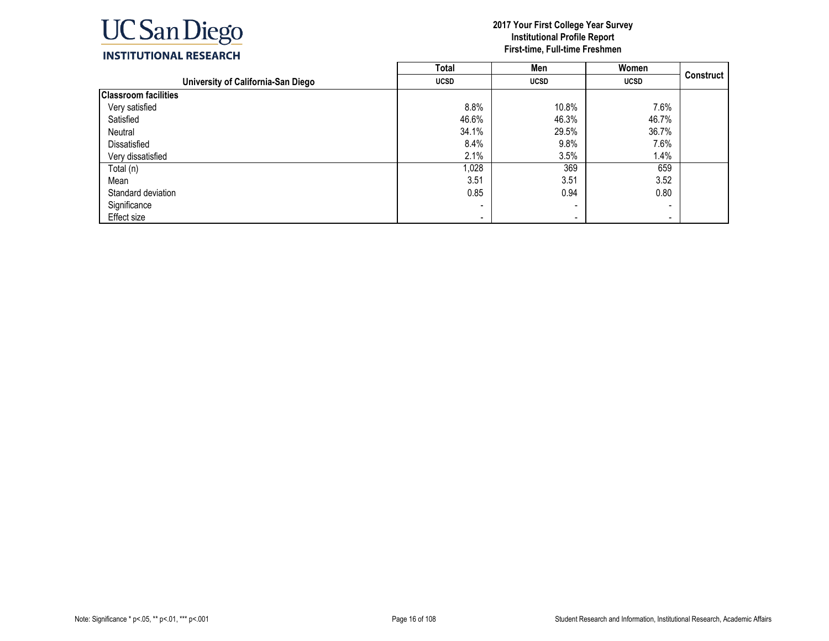

|                                    | <b>Total</b>   | Men                      | Women                    |           |
|------------------------------------|----------------|--------------------------|--------------------------|-----------|
| University of California-San Diego | <b>UCSD</b>    | <b>UCSD</b>              | <b>UCSD</b>              | Construct |
| <b>Classroom facilities</b>        |                |                          |                          |           |
| Very satisfied                     | 8.8%           | 10.8%                    | 7.6%                     |           |
| Satisfied                          | 46.6%          | 46.3%                    | 46.7%                    |           |
| Neutral                            | 34.1%          | 29.5%                    | 36.7%                    |           |
| Dissatisfied                       | 8.4%           | 9.8%                     | 7.6%                     |           |
| Very dissatisfied                  | 2.1%           | 3.5%                     | 1.4%                     |           |
| Total (n)                          | 1,028          | 369                      | 659                      |           |
| Mean                               | 3.51           | 3.51                     | 3.52                     |           |
| Standard deviation                 | 0.85           | 0.94                     | 0.80                     |           |
| Significance                       |                | $\overline{\phantom{0}}$ |                          |           |
| Effect size                        | $\blacksquare$ | $\overline{\phantom{a}}$ | $\overline{\phantom{a}}$ |           |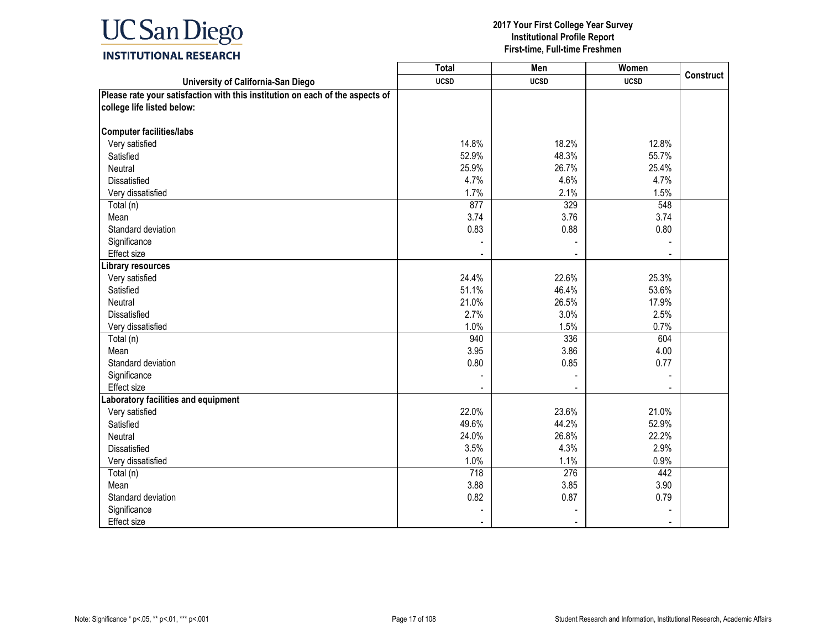

|                                                                               | <b>Total</b> | Men         | Women       |                  |
|-------------------------------------------------------------------------------|--------------|-------------|-------------|------------------|
| University of California-San Diego                                            | <b>UCSD</b>  | <b>UCSD</b> | <b>UCSD</b> | <b>Construct</b> |
| Please rate your satisfaction with this institution on each of the aspects of |              |             |             |                  |
| college life listed below:                                                    |              |             |             |                  |
|                                                                               |              |             |             |                  |
| <b>Computer facilities/labs</b>                                               |              |             |             |                  |
| Very satisfied                                                                | 14.8%        | 18.2%       | 12.8%       |                  |
| Satisfied                                                                     | 52.9%        | 48.3%       | 55.7%       |                  |
| Neutral                                                                       | 25.9%        | 26.7%       | 25.4%       |                  |
| Dissatisfied                                                                  | 4.7%         | 4.6%        | 4.7%        |                  |
| Very dissatisfied                                                             | 1.7%         | 2.1%        | 1.5%        |                  |
| Total (n)                                                                     | 877          | 329         | 548         |                  |
| Mean                                                                          | 3.74         | 3.76        | 3.74        |                  |
| Standard deviation                                                            | 0.83         | 0.88        | 0.80        |                  |
| Significance                                                                  |              |             |             |                  |
| Effect size                                                                   |              |             |             |                  |
| Library resources                                                             |              |             |             |                  |
| Very satisfied                                                                | 24.4%        | 22.6%       | 25.3%       |                  |
| Satisfied                                                                     | 51.1%        | 46.4%       | 53.6%       |                  |
| Neutral                                                                       | 21.0%        | 26.5%       | 17.9%       |                  |
| <b>Dissatisfied</b>                                                           | 2.7%         | 3.0%        | 2.5%        |                  |
| Very dissatisfied                                                             | 1.0%         | 1.5%        | 0.7%        |                  |
| Total (n)                                                                     | 940          | 336         | 604         |                  |
| Mean                                                                          | 3.95         | 3.86        | 4.00        |                  |
| Standard deviation                                                            | 0.80         | 0.85        | 0.77        |                  |
| Significance                                                                  |              |             |             |                  |
| <b>Effect size</b>                                                            |              |             |             |                  |
| Laboratory facilities and equipment                                           |              |             |             |                  |
| Very satisfied                                                                | 22.0%        | 23.6%       | 21.0%       |                  |
| Satisfied                                                                     | 49.6%        | 44.2%       | 52.9%       |                  |
| Neutral                                                                       | 24.0%        | 26.8%       | 22.2%       |                  |
| Dissatisfied                                                                  | 3.5%         | 4.3%        | 2.9%        |                  |
| Very dissatisfied                                                             | 1.0%         | 1.1%        | 0.9%        |                  |
| Total (n)                                                                     | 718          | 276         | 442         |                  |
| Mean                                                                          | 3.88         | 3.85        | 3.90        |                  |
| Standard deviation                                                            | 0.82         | 0.87        | 0.79        |                  |
| Significance                                                                  |              |             |             |                  |
| Effect size                                                                   |              |             |             |                  |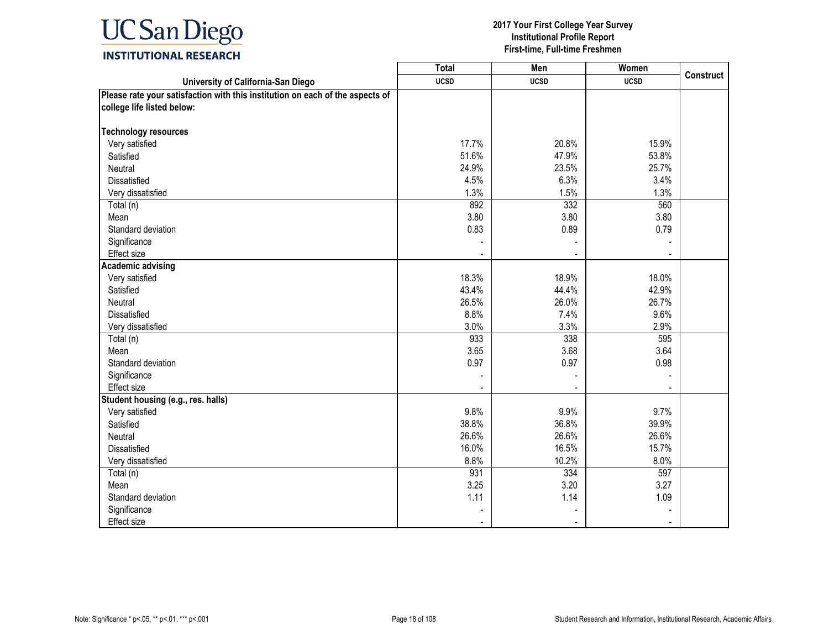

|                                                                               | <b>Total</b> | Men         | Women       |                  |
|-------------------------------------------------------------------------------|--------------|-------------|-------------|------------------|
| University of California-San Diego                                            | <b>UCSD</b>  | <b>UCSD</b> | <b>UCSD</b> | <b>Construct</b> |
| Please rate your satisfaction with this institution on each of the aspects of |              |             |             |                  |
| college life listed below:                                                    |              |             |             |                  |
|                                                                               |              |             |             |                  |
| <b>Technology resources</b>                                                   |              |             |             |                  |
| Very satisfied                                                                | 17.7%        | 20.8%       | 15.9%       |                  |
| Satisfied                                                                     | 51.6%        | 47.9%       | 53.8%       |                  |
| Neutral                                                                       | 24.9%        | 23.5%       | 25.7%       |                  |
| <b>Dissatisfied</b>                                                           | 4.5%         | 6.3%        | 3.4%        |                  |
| Very dissatisfied                                                             | 1.3%         | 1.5%        | 1.3%        |                  |
| Total (n)                                                                     | 892          | 332         | 560         |                  |
| Mean                                                                          | 3.80         | 3.80        | 3.80        |                  |
| Standard deviation                                                            | 0.83         | 0.89        | 0.79        |                  |
| Significance                                                                  |              |             |             |                  |
| Effect size                                                                   |              |             |             |                  |
| <b>Academic advising</b>                                                      |              |             |             |                  |
| Very satisfied                                                                | 18.3%        | 18.9%       | 18.0%       |                  |
| Satisfied                                                                     | 43.4%        | 44.4%       | 42.9%       |                  |
| Neutral                                                                       | 26.5%        | 26.0%       | 26.7%       |                  |
| Dissatisfied                                                                  | 8.8%         | 7.4%        | 9.6%        |                  |
| Very dissatisfied                                                             | 3.0%         | 3.3%        | 2.9%        |                  |
| Total (n)                                                                     | 933          | 338         | 595         |                  |
| Mean                                                                          | 3.65         | 3.68        | 3.64        |                  |
| Standard deviation                                                            | 0.97         | 0.97        | 0.98        |                  |
| Significance                                                                  |              |             |             |                  |
| <b>Effect size</b>                                                            |              |             |             |                  |
| Student housing (e.g., res. halls)                                            |              |             |             |                  |
| Very satisfied                                                                | 9.8%         | 9.9%        | 9.7%        |                  |
| Satisfied                                                                     | 38.8%        | 36.8%       | 39.9%       |                  |
| Neutral                                                                       | 26.6%        | 26.6%       | 26.6%       |                  |
| Dissatisfied                                                                  | 16.0%        | 16.5%       | 15.7%       |                  |
| Very dissatisfied                                                             | 8.8%         | 10.2%       | 8.0%        |                  |
| Total (n)                                                                     | 931          | 334         | 597         |                  |
| Mean                                                                          | 3.25         | 3.20        | 3.27        |                  |
| Standard deviation                                                            | 1.11         | 1.14        | 1.09        |                  |
| Significance                                                                  |              |             |             |                  |
| Effect size                                                                   |              |             |             |                  |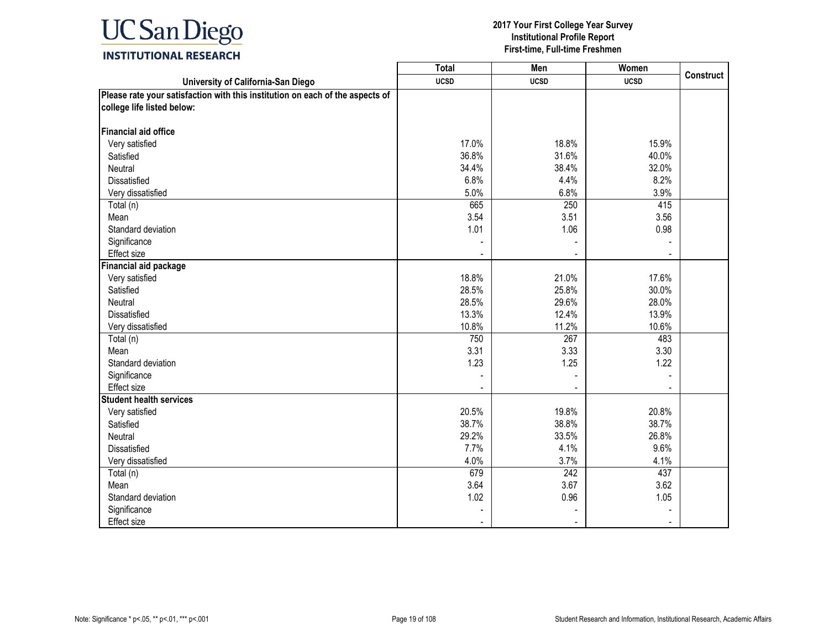

|                                                                               | <b>Total</b> | Men              | Women       |                  |
|-------------------------------------------------------------------------------|--------------|------------------|-------------|------------------|
| University of California-San Diego                                            | <b>UCSD</b>  | <b>UCSD</b>      | <b>UCSD</b> | <b>Construct</b> |
| Please rate your satisfaction with this institution on each of the aspects of |              |                  |             |                  |
| college life listed below:                                                    |              |                  |             |                  |
|                                                                               |              |                  |             |                  |
| <b>Financial aid office</b>                                                   |              |                  |             |                  |
| Very satisfied                                                                | 17.0%        | 18.8%            | 15.9%       |                  |
| Satisfied                                                                     | 36.8%        | 31.6%            | 40.0%       |                  |
| Neutral                                                                       | 34.4%        | 38.4%            | 32.0%       |                  |
| Dissatisfied                                                                  | 6.8%         | 4.4%             | 8.2%        |                  |
| Very dissatisfied                                                             | 5.0%         | 6.8%             | 3.9%        |                  |
| Total (n)                                                                     | 665          | 250              | 415         |                  |
| Mean                                                                          | 3.54         | 3.51             | 3.56        |                  |
| Standard deviation                                                            | 1.01         | 1.06             | 0.98        |                  |
| Significance                                                                  |              |                  |             |                  |
| Effect size                                                                   |              |                  |             |                  |
| <b>Financial aid package</b>                                                  |              |                  |             |                  |
| Very satisfied                                                                | 18.8%        | 21.0%            | 17.6%       |                  |
| Satisfied                                                                     | 28.5%        | 25.8%            | 30.0%       |                  |
| Neutral                                                                       | 28.5%        | 29.6%            | 28.0%       |                  |
| <b>Dissatisfied</b>                                                           | 13.3%        | 12.4%            | 13.9%       |                  |
| Very dissatisfied                                                             | 10.8%        | 11.2%            | 10.6%       |                  |
| Total (n)                                                                     | 750          | $\overline{267}$ | 483         |                  |
| Mean                                                                          | 3.31         | 3.33             | 3.30        |                  |
| Standard deviation                                                            | 1.23         | 1.25             | 1.22        |                  |
| Significance                                                                  |              |                  |             |                  |
| <b>Effect size</b>                                                            |              |                  |             |                  |
| <b>Student health services</b>                                                |              |                  |             |                  |
| Very satisfied                                                                | 20.5%        | 19.8%            | 20.8%       |                  |
| Satisfied                                                                     | 38.7%        | 38.8%            | 38.7%       |                  |
| Neutral                                                                       | 29.2%        | 33.5%            | 26.8%       |                  |
| Dissatisfied                                                                  | 7.7%         | 4.1%             | 9.6%        |                  |
| Very dissatisfied                                                             | 4.0%         | 3.7%             | 4.1%        |                  |
| Total (n)                                                                     | 679          | $\overline{242}$ | 437         |                  |
| Mean                                                                          | 3.64         | 3.67             | 3.62        |                  |
| Standard deviation                                                            | 1.02         | 0.96             | 1.05        |                  |
| Significance                                                                  |              |                  |             |                  |
| Effect size                                                                   |              |                  |             |                  |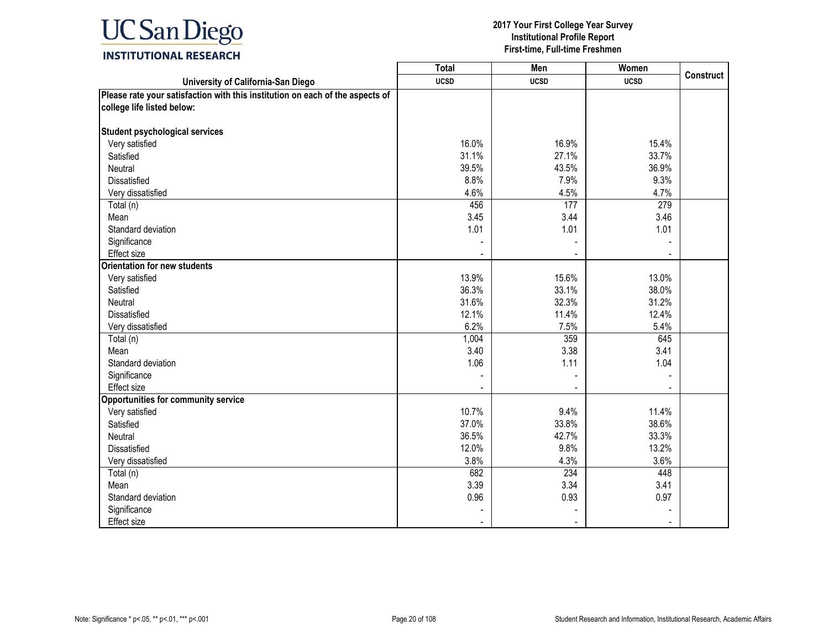

|                                                                               | <b>Total</b> | <b>Men</b>  | Women       |                  |
|-------------------------------------------------------------------------------|--------------|-------------|-------------|------------------|
| University of California-San Diego                                            | <b>UCSD</b>  | <b>UCSD</b> | <b>UCSD</b> | <b>Construct</b> |
| Please rate your satisfaction with this institution on each of the aspects of |              |             |             |                  |
| college life listed below:                                                    |              |             |             |                  |
|                                                                               |              |             |             |                  |
| <b>Student psychological services</b>                                         |              |             |             |                  |
| Very satisfied                                                                | 16.0%        | 16.9%       | 15.4%       |                  |
| Satisfied                                                                     | 31.1%        | 27.1%       | 33.7%       |                  |
| Neutral                                                                       | 39.5%        | 43.5%       | 36.9%       |                  |
| Dissatisfied                                                                  | 8.8%         | 7.9%        | 9.3%        |                  |
| Very dissatisfied                                                             | 4.6%         | 4.5%        | 4.7%        |                  |
| Total (n)                                                                     | 456          | 177         | 279         |                  |
| Mean                                                                          | 3.45         | 3.44        | 3.46        |                  |
| Standard deviation                                                            | 1.01         | 1.01        | 1.01        |                  |
| Significance                                                                  |              |             |             |                  |
| Effect size                                                                   |              |             |             |                  |
| <b>Orientation for new students</b>                                           |              |             |             |                  |
| Very satisfied                                                                | 13.9%        | 15.6%       | 13.0%       |                  |
| Satisfied                                                                     | 36.3%        | 33.1%       | 38.0%       |                  |
| Neutral                                                                       | 31.6%        | 32.3%       | 31.2%       |                  |
| <b>Dissatisfied</b>                                                           | 12.1%        | 11.4%       | 12.4%       |                  |
| Very dissatisfied                                                             | 6.2%         | 7.5%        | 5.4%        |                  |
| Total (n)                                                                     | 1,004        | 359         | 645         |                  |
| Mean                                                                          | 3.40         | 3.38        | 3.41        |                  |
| Standard deviation                                                            | 1.06         | 1.11        | 1.04        |                  |
| Significance                                                                  |              |             |             |                  |
| Effect size                                                                   |              |             |             |                  |
| <b>Opportunities for community service</b>                                    |              |             |             |                  |
| Very satisfied                                                                | 10.7%        | 9.4%        | 11.4%       |                  |
| Satisfied                                                                     | 37.0%        | 33.8%       | 38.6%       |                  |
| Neutral                                                                       | 36.5%        | 42.7%       | 33.3%       |                  |
| Dissatisfied                                                                  | 12.0%        | 9.8%        | 13.2%       |                  |
| Very dissatisfied                                                             | 3.8%         | 4.3%        | 3.6%        |                  |
| Total (n)                                                                     | 682          | 234         | 448         |                  |
| Mean                                                                          | 3.39         | 3.34        | 3.41        |                  |
| Standard deviation                                                            | 0.96         | 0.93        | 0.97        |                  |
| Significance                                                                  |              |             |             |                  |
| Effect size                                                                   |              |             |             |                  |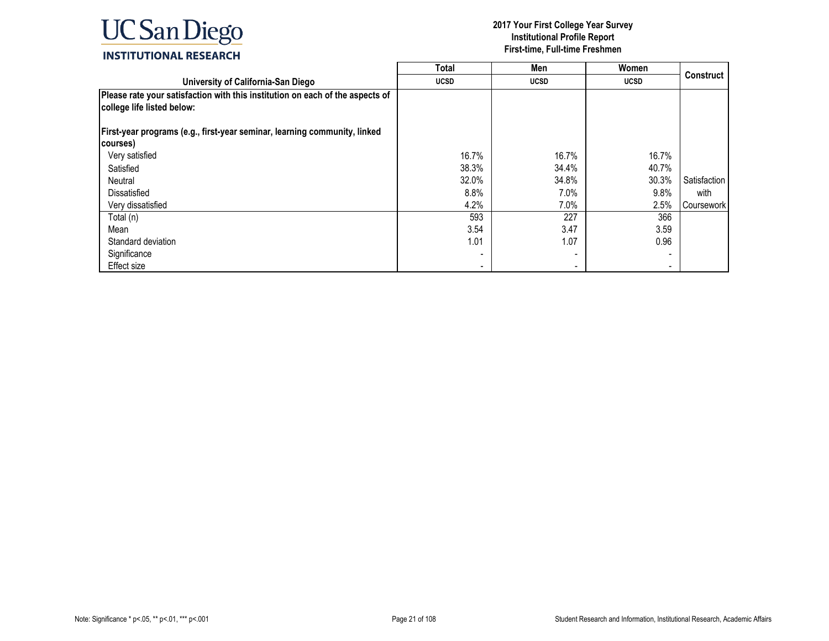

|                                                                                                             | <b>Total</b>             | Men         | Women                    |                   |
|-------------------------------------------------------------------------------------------------------------|--------------------------|-------------|--------------------------|-------------------|
| University of California-San Diego                                                                          | <b>UCSD</b>              | <b>UCSD</b> | <b>UCSD</b>              | <b>Construct</b>  |
| Please rate your satisfaction with this institution on each of the aspects of<br>college life listed below: |                          |             |                          |                   |
| First-year programs (e.g., first-year seminar, learning community, linked                                   |                          |             |                          |                   |
| courses)                                                                                                    |                          |             |                          |                   |
| Very satisfied                                                                                              | 16.7%                    | 16.7%       | 16.7%                    |                   |
| Satisfied                                                                                                   | 38.3%                    | 34.4%       | 40.7%                    |                   |
| Neutral                                                                                                     | 32.0%                    | 34.8%       | 30.3%                    | Satisfaction      |
| <b>Dissatisfied</b>                                                                                         | 8.8%                     | 7.0%        | 9.8%                     | with              |
| Very dissatisfied                                                                                           | 4.2%                     | 7.0%        | 2.5%                     | <b>Coursework</b> |
| Total (n)                                                                                                   | 593                      | 227         | 366                      |                   |
| Mean                                                                                                        | 3.54                     | 3.47        | 3.59                     |                   |
| Standard deviation                                                                                          | 1.01                     | 1.07        | 0.96                     |                   |
| Significance                                                                                                |                          |             | $\overline{\phantom{0}}$ |                   |
| Effect size                                                                                                 | $\overline{\phantom{a}}$ |             | $\overline{\phantom{0}}$ |                   |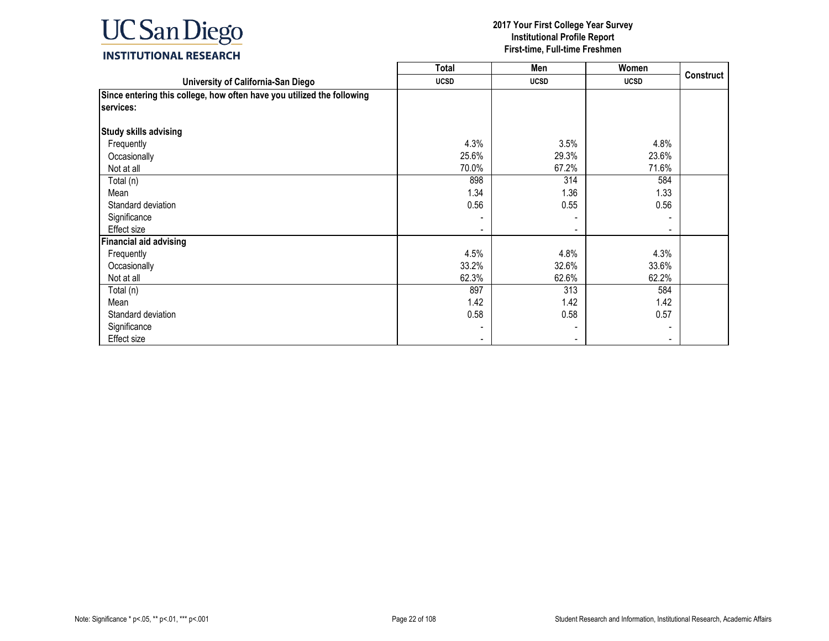

|                                                                                     | <b>Total</b> | Men         | Women                    |                  |
|-------------------------------------------------------------------------------------|--------------|-------------|--------------------------|------------------|
| University of California-San Diego                                                  | <b>UCSD</b>  | <b>UCSD</b> | <b>UCSD</b>              | <b>Construct</b> |
| Since entering this college, how often have you utilized the following<br>services: |              |             |                          |                  |
| <b>Study skills advising</b>                                                        |              |             |                          |                  |
| Frequently                                                                          | 4.3%         | 3.5%        | 4.8%                     |                  |
| Occasionally                                                                        | 25.6%        | 29.3%       | 23.6%                    |                  |
| Not at all                                                                          | 70.0%        | 67.2%       | 71.6%                    |                  |
| Total (n)                                                                           | 898          | 314         | 584                      |                  |
| Mean                                                                                | 1.34         | 1.36        | 1.33                     |                  |
| Standard deviation                                                                  | 0.56         | 0.55        | 0.56                     |                  |
| Significance                                                                        |              |             |                          |                  |
| Effect size                                                                         |              |             | $\overline{\phantom{a}}$ |                  |
| <b>Financial aid advising</b>                                                       |              |             |                          |                  |
| Frequently                                                                          | 4.5%         | 4.8%        | 4.3%                     |                  |
| Occasionally                                                                        | 33.2%        | 32.6%       | 33.6%                    |                  |
| Not at all                                                                          | 62.3%        | 62.6%       | 62.2%                    |                  |
| Total (n)                                                                           | 897          | 313         | 584                      |                  |
| Mean                                                                                | 1.42         | 1.42        | 1.42                     |                  |
| Standard deviation                                                                  | 0.58         | 0.58        | 0.57                     |                  |
| Significance                                                                        |              |             |                          |                  |
| Effect size                                                                         |              |             |                          |                  |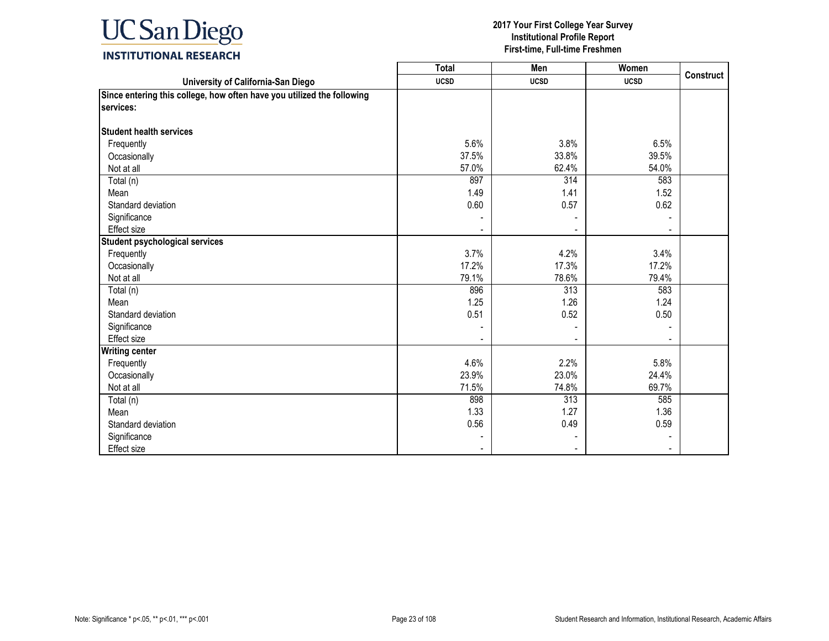

|                                                                        | <b>Total</b> | Men         | Women       |                  |
|------------------------------------------------------------------------|--------------|-------------|-------------|------------------|
| University of California-San Diego                                     | <b>UCSD</b>  | <b>UCSD</b> | <b>UCSD</b> | <b>Construct</b> |
| Since entering this college, how often have you utilized the following |              |             |             |                  |
| services:                                                              |              |             |             |                  |
|                                                                        |              |             |             |                  |
| <b>Student health services</b>                                         |              |             |             |                  |
| Frequently                                                             | 5.6%         | 3.8%        | 6.5%        |                  |
| Occasionally                                                           | 37.5%        | 33.8%       | 39.5%       |                  |
| Not at all                                                             | 57.0%        | 62.4%       | 54.0%       |                  |
| Total (n)                                                              | 897          | 314         | 583         |                  |
| Mean                                                                   | 1.49         | 1.41        | 1.52        |                  |
| Standard deviation                                                     | 0.60         | 0.57        | 0.62        |                  |
| Significance                                                           |              |             |             |                  |
| Effect size                                                            |              |             |             |                  |
| <b>Student psychological services</b>                                  |              |             |             |                  |
| Frequently                                                             | 3.7%         | 4.2%        | 3.4%        |                  |
| Occasionally                                                           | 17.2%        | 17.3%       | 17.2%       |                  |
| Not at all                                                             | 79.1%        | 78.6%       | 79.4%       |                  |
| Total (n)                                                              | 896          | 313         | 583         |                  |
| Mean                                                                   | 1.25         | 1.26        | 1.24        |                  |
| Standard deviation                                                     | 0.51         | 0.52        | 0.50        |                  |
| Significance                                                           |              |             |             |                  |
| Effect size                                                            |              |             |             |                  |
| <b>Writing center</b>                                                  |              |             |             |                  |
| Frequently                                                             | 4.6%         | 2.2%        | 5.8%        |                  |
| Occasionally                                                           | 23.9%        | 23.0%       | 24.4%       |                  |
| Not at all                                                             | 71.5%        | 74.8%       | 69.7%       |                  |
| Total (n)                                                              | 898          | 313         | 585         |                  |
| Mean                                                                   | 1.33         | 1.27        | 1.36        |                  |
| Standard deviation                                                     | 0.56         | 0.49        | 0.59        |                  |
| Significance                                                           |              |             |             |                  |
| Effect size                                                            |              |             |             |                  |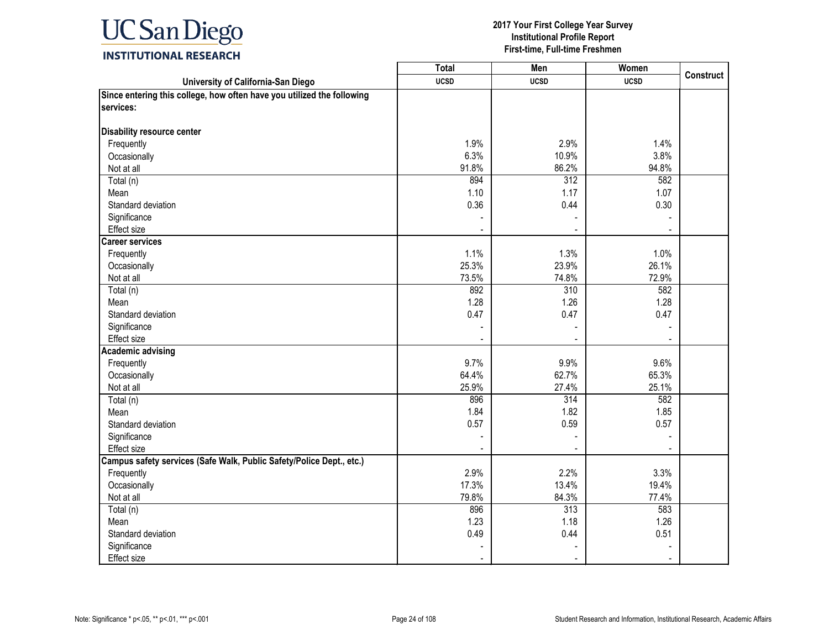

| University of California-San Diego<br><b>UCSD</b><br><b>UCSD</b><br><b>UCSD</b><br>services:<br>Disability resource center<br>1.9%<br>2.9%<br>1.4%<br>Frequently<br>6.3%<br>Occasionally<br>10.9%<br>3.8%<br>86.2%<br>91.8%<br>94.8%<br>Not at all<br>894<br>312<br>582<br>Total (n)<br>1.10<br>1.17<br>1.07<br>Mean<br>0.36<br>Standard deviation<br>0.44<br>0.30<br>Significance<br>Effect size<br><b>Career services</b><br>1.1%<br>1.3%<br>1.0%<br>Frequently<br>25.3%<br>23.9%<br>26.1%<br>Occasionally<br>72.9%<br>73.5%<br>74.8%<br>Not at all<br>892<br>310<br>Total (n)<br>582<br>1.28<br>1.26<br>1.28<br>Mean<br>Standard deviation<br>0.47<br>0.47<br>0.47<br>Significance<br>Effect size<br><b>Academic advising</b><br>9.7%<br>9.9%<br>9.6%<br>Frequently<br>62.7%<br>65.3%<br>Occasionally<br>64.4%<br>25.9%<br>Not at all<br>27.4%<br>25.1%<br>896<br>$\overline{314}$<br>582<br>Total (n)<br>1.84<br>1.82<br>1.85<br>Mean<br>Standard deviation<br>0.57<br>0.59<br>0.57<br>Significance<br>Effect size<br>Campus safety services (Safe Walk, Public Safety/Police Dept., etc.)<br>2.9%<br>2.2%<br>Frequently<br>3.3%<br>17.3%<br>13.4%<br>19.4%<br>Occasionally<br>84.3%<br>Not at all<br>79.8%<br>77.4%<br>896<br>313<br>583<br>Total (n)<br>1.23<br>1.18<br>1.26<br>Mean<br>Standard deviation<br>0.49<br>0.44<br>0.51<br>Significance |                                                                        | <b>Total</b> | Men | Women | <b>Construct</b> |
|----------------------------------------------------------------------------------------------------------------------------------------------------------------------------------------------------------------------------------------------------------------------------------------------------------------------------------------------------------------------------------------------------------------------------------------------------------------------------------------------------------------------------------------------------------------------------------------------------------------------------------------------------------------------------------------------------------------------------------------------------------------------------------------------------------------------------------------------------------------------------------------------------------------------------------------------------------------------------------------------------------------------------------------------------------------------------------------------------------------------------------------------------------------------------------------------------------------------------------------------------------------------------------------------------------------------------------------------------------|------------------------------------------------------------------------|--------------|-----|-------|------------------|
|                                                                                                                                                                                                                                                                                                                                                                                                                                                                                                                                                                                                                                                                                                                                                                                                                                                                                                                                                                                                                                                                                                                                                                                                                                                                                                                                                          |                                                                        |              |     |       |                  |
|                                                                                                                                                                                                                                                                                                                                                                                                                                                                                                                                                                                                                                                                                                                                                                                                                                                                                                                                                                                                                                                                                                                                                                                                                                                                                                                                                          | Since entering this college, how often have you utilized the following |              |     |       |                  |
|                                                                                                                                                                                                                                                                                                                                                                                                                                                                                                                                                                                                                                                                                                                                                                                                                                                                                                                                                                                                                                                                                                                                                                                                                                                                                                                                                          |                                                                        |              |     |       |                  |
|                                                                                                                                                                                                                                                                                                                                                                                                                                                                                                                                                                                                                                                                                                                                                                                                                                                                                                                                                                                                                                                                                                                                                                                                                                                                                                                                                          |                                                                        |              |     |       |                  |
|                                                                                                                                                                                                                                                                                                                                                                                                                                                                                                                                                                                                                                                                                                                                                                                                                                                                                                                                                                                                                                                                                                                                                                                                                                                                                                                                                          |                                                                        |              |     |       |                  |
|                                                                                                                                                                                                                                                                                                                                                                                                                                                                                                                                                                                                                                                                                                                                                                                                                                                                                                                                                                                                                                                                                                                                                                                                                                                                                                                                                          |                                                                        |              |     |       |                  |
|                                                                                                                                                                                                                                                                                                                                                                                                                                                                                                                                                                                                                                                                                                                                                                                                                                                                                                                                                                                                                                                                                                                                                                                                                                                                                                                                                          |                                                                        |              |     |       |                  |
|                                                                                                                                                                                                                                                                                                                                                                                                                                                                                                                                                                                                                                                                                                                                                                                                                                                                                                                                                                                                                                                                                                                                                                                                                                                                                                                                                          |                                                                        |              |     |       |                  |
|                                                                                                                                                                                                                                                                                                                                                                                                                                                                                                                                                                                                                                                                                                                                                                                                                                                                                                                                                                                                                                                                                                                                                                                                                                                                                                                                                          |                                                                        |              |     |       |                  |
|                                                                                                                                                                                                                                                                                                                                                                                                                                                                                                                                                                                                                                                                                                                                                                                                                                                                                                                                                                                                                                                                                                                                                                                                                                                                                                                                                          |                                                                        |              |     |       |                  |
|                                                                                                                                                                                                                                                                                                                                                                                                                                                                                                                                                                                                                                                                                                                                                                                                                                                                                                                                                                                                                                                                                                                                                                                                                                                                                                                                                          |                                                                        |              |     |       |                  |
|                                                                                                                                                                                                                                                                                                                                                                                                                                                                                                                                                                                                                                                                                                                                                                                                                                                                                                                                                                                                                                                                                                                                                                                                                                                                                                                                                          |                                                                        |              |     |       |                  |
|                                                                                                                                                                                                                                                                                                                                                                                                                                                                                                                                                                                                                                                                                                                                                                                                                                                                                                                                                                                                                                                                                                                                                                                                                                                                                                                                                          |                                                                        |              |     |       |                  |
|                                                                                                                                                                                                                                                                                                                                                                                                                                                                                                                                                                                                                                                                                                                                                                                                                                                                                                                                                                                                                                                                                                                                                                                                                                                                                                                                                          |                                                                        |              |     |       |                  |
|                                                                                                                                                                                                                                                                                                                                                                                                                                                                                                                                                                                                                                                                                                                                                                                                                                                                                                                                                                                                                                                                                                                                                                                                                                                                                                                                                          |                                                                        |              |     |       |                  |
|                                                                                                                                                                                                                                                                                                                                                                                                                                                                                                                                                                                                                                                                                                                                                                                                                                                                                                                                                                                                                                                                                                                                                                                                                                                                                                                                                          |                                                                        |              |     |       |                  |
|                                                                                                                                                                                                                                                                                                                                                                                                                                                                                                                                                                                                                                                                                                                                                                                                                                                                                                                                                                                                                                                                                                                                                                                                                                                                                                                                                          |                                                                        |              |     |       |                  |
|                                                                                                                                                                                                                                                                                                                                                                                                                                                                                                                                                                                                                                                                                                                                                                                                                                                                                                                                                                                                                                                                                                                                                                                                                                                                                                                                                          |                                                                        |              |     |       |                  |
|                                                                                                                                                                                                                                                                                                                                                                                                                                                                                                                                                                                                                                                                                                                                                                                                                                                                                                                                                                                                                                                                                                                                                                                                                                                                                                                                                          |                                                                        |              |     |       |                  |
|                                                                                                                                                                                                                                                                                                                                                                                                                                                                                                                                                                                                                                                                                                                                                                                                                                                                                                                                                                                                                                                                                                                                                                                                                                                                                                                                                          |                                                                        |              |     |       |                  |
|                                                                                                                                                                                                                                                                                                                                                                                                                                                                                                                                                                                                                                                                                                                                                                                                                                                                                                                                                                                                                                                                                                                                                                                                                                                                                                                                                          |                                                                        |              |     |       |                  |
|                                                                                                                                                                                                                                                                                                                                                                                                                                                                                                                                                                                                                                                                                                                                                                                                                                                                                                                                                                                                                                                                                                                                                                                                                                                                                                                                                          |                                                                        |              |     |       |                  |
|                                                                                                                                                                                                                                                                                                                                                                                                                                                                                                                                                                                                                                                                                                                                                                                                                                                                                                                                                                                                                                                                                                                                                                                                                                                                                                                                                          |                                                                        |              |     |       |                  |
|                                                                                                                                                                                                                                                                                                                                                                                                                                                                                                                                                                                                                                                                                                                                                                                                                                                                                                                                                                                                                                                                                                                                                                                                                                                                                                                                                          |                                                                        |              |     |       |                  |
|                                                                                                                                                                                                                                                                                                                                                                                                                                                                                                                                                                                                                                                                                                                                                                                                                                                                                                                                                                                                                                                                                                                                                                                                                                                                                                                                                          |                                                                        |              |     |       |                  |
|                                                                                                                                                                                                                                                                                                                                                                                                                                                                                                                                                                                                                                                                                                                                                                                                                                                                                                                                                                                                                                                                                                                                                                                                                                                                                                                                                          |                                                                        |              |     |       |                  |
|                                                                                                                                                                                                                                                                                                                                                                                                                                                                                                                                                                                                                                                                                                                                                                                                                                                                                                                                                                                                                                                                                                                                                                                                                                                                                                                                                          |                                                                        |              |     |       |                  |
|                                                                                                                                                                                                                                                                                                                                                                                                                                                                                                                                                                                                                                                                                                                                                                                                                                                                                                                                                                                                                                                                                                                                                                                                                                                                                                                                                          |                                                                        |              |     |       |                  |
|                                                                                                                                                                                                                                                                                                                                                                                                                                                                                                                                                                                                                                                                                                                                                                                                                                                                                                                                                                                                                                                                                                                                                                                                                                                                                                                                                          |                                                                        |              |     |       |                  |
|                                                                                                                                                                                                                                                                                                                                                                                                                                                                                                                                                                                                                                                                                                                                                                                                                                                                                                                                                                                                                                                                                                                                                                                                                                                                                                                                                          |                                                                        |              |     |       |                  |
|                                                                                                                                                                                                                                                                                                                                                                                                                                                                                                                                                                                                                                                                                                                                                                                                                                                                                                                                                                                                                                                                                                                                                                                                                                                                                                                                                          |                                                                        |              |     |       |                  |
|                                                                                                                                                                                                                                                                                                                                                                                                                                                                                                                                                                                                                                                                                                                                                                                                                                                                                                                                                                                                                                                                                                                                                                                                                                                                                                                                                          |                                                                        |              |     |       |                  |
|                                                                                                                                                                                                                                                                                                                                                                                                                                                                                                                                                                                                                                                                                                                                                                                                                                                                                                                                                                                                                                                                                                                                                                                                                                                                                                                                                          |                                                                        |              |     |       |                  |
|                                                                                                                                                                                                                                                                                                                                                                                                                                                                                                                                                                                                                                                                                                                                                                                                                                                                                                                                                                                                                                                                                                                                                                                                                                                                                                                                                          |                                                                        |              |     |       |                  |
|                                                                                                                                                                                                                                                                                                                                                                                                                                                                                                                                                                                                                                                                                                                                                                                                                                                                                                                                                                                                                                                                                                                                                                                                                                                                                                                                                          |                                                                        |              |     |       |                  |
|                                                                                                                                                                                                                                                                                                                                                                                                                                                                                                                                                                                                                                                                                                                                                                                                                                                                                                                                                                                                                                                                                                                                                                                                                                                                                                                                                          |                                                                        |              |     |       |                  |
|                                                                                                                                                                                                                                                                                                                                                                                                                                                                                                                                                                                                                                                                                                                                                                                                                                                                                                                                                                                                                                                                                                                                                                                                                                                                                                                                                          |                                                                        |              |     |       |                  |
|                                                                                                                                                                                                                                                                                                                                                                                                                                                                                                                                                                                                                                                                                                                                                                                                                                                                                                                                                                                                                                                                                                                                                                                                                                                                                                                                                          |                                                                        |              |     |       |                  |
|                                                                                                                                                                                                                                                                                                                                                                                                                                                                                                                                                                                                                                                                                                                                                                                                                                                                                                                                                                                                                                                                                                                                                                                                                                                                                                                                                          |                                                                        |              |     |       |                  |
|                                                                                                                                                                                                                                                                                                                                                                                                                                                                                                                                                                                                                                                                                                                                                                                                                                                                                                                                                                                                                                                                                                                                                                                                                                                                                                                                                          | Effect size                                                            |              |     |       |                  |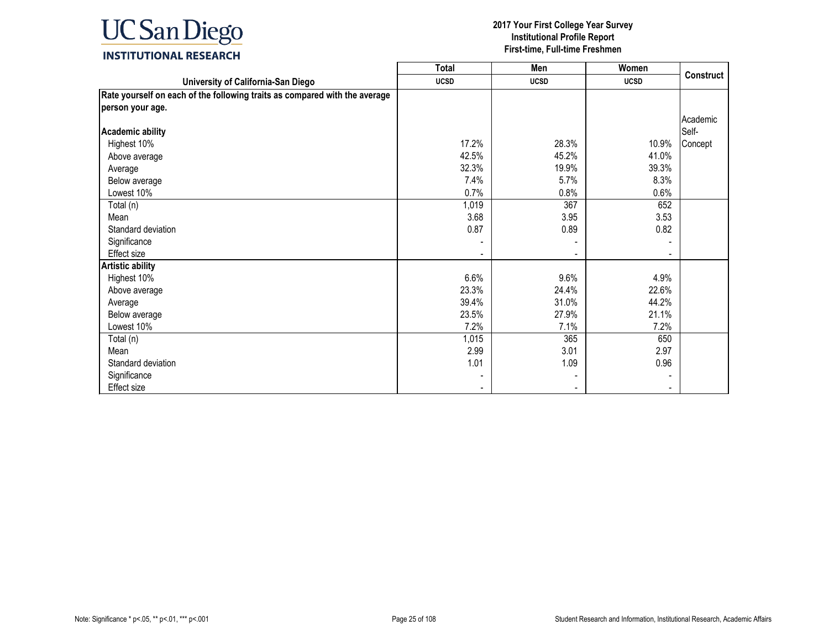

|                                                                            | <b>Total</b> | Men         | Women       |                   |
|----------------------------------------------------------------------------|--------------|-------------|-------------|-------------------|
| University of California-San Diego                                         | <b>UCSD</b>  | <b>UCSD</b> | <b>UCSD</b> | Construct         |
| Rate yourself on each of the following traits as compared with the average |              |             |             |                   |
| person your age.                                                           |              |             |             |                   |
| <b>Academic ability</b>                                                    |              |             |             | Academic<br>Self- |
| Highest 10%                                                                | 17.2%        | 28.3%       | 10.9%       | Concept           |
| Above average                                                              | 42.5%        | 45.2%       | 41.0%       |                   |
| Average                                                                    | 32.3%        | 19.9%       | 39.3%       |                   |
| Below average                                                              | 7.4%         | 5.7%        | 8.3%        |                   |
| Lowest 10%                                                                 | 0.7%         | 0.8%        | 0.6%        |                   |
| Total (n)                                                                  | 1,019        | 367         | 652         |                   |
| Mean                                                                       | 3.68         | 3.95        | 3.53        |                   |
| Standard deviation                                                         | 0.87         | 0.89        | 0.82        |                   |
| Significance                                                               |              |             |             |                   |
| <b>Effect size</b>                                                         |              |             |             |                   |
| <b>Artistic ability</b>                                                    |              |             |             |                   |
| Highest 10%                                                                | 6.6%         | 9.6%        | 4.9%        |                   |
| Above average                                                              | 23.3%        | 24.4%       | 22.6%       |                   |
| Average                                                                    | 39.4%        | 31.0%       | 44.2%       |                   |
| Below average                                                              | 23.5%        | 27.9%       | 21.1%       |                   |
| Lowest 10%                                                                 | 7.2%         | 7.1%        | 7.2%        |                   |
| Total (n)                                                                  | 1,015        | 365         | 650         |                   |
| Mean                                                                       | 2.99         | 3.01        | 2.97        |                   |
| Standard deviation                                                         | 1.01         | 1.09        | 0.96        |                   |
| Significance                                                               |              |             |             |                   |
| <b>Effect size</b>                                                         |              |             |             |                   |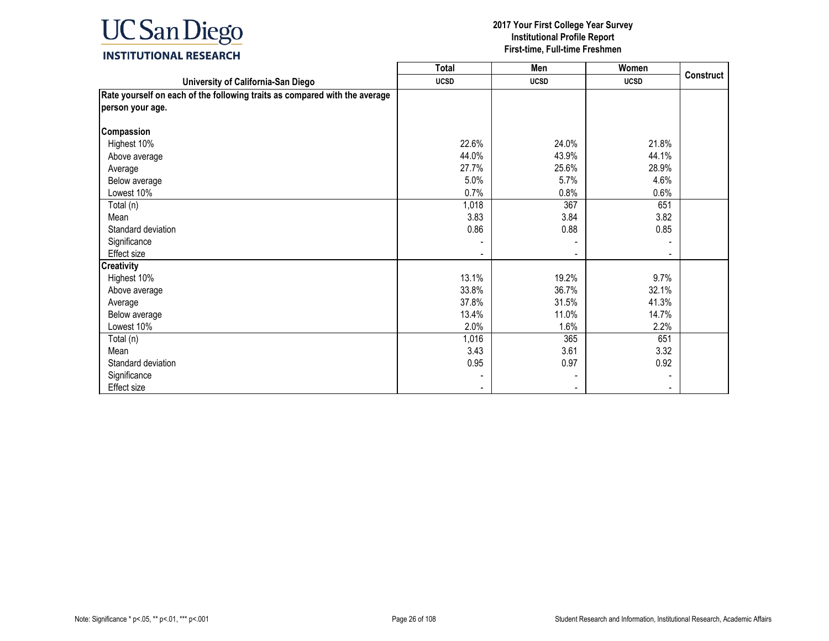

|                                                                            | <b>Total</b> | Men         | Women       |                  |
|----------------------------------------------------------------------------|--------------|-------------|-------------|------------------|
| University of California-San Diego                                         | <b>UCSD</b>  | <b>UCSD</b> | <b>UCSD</b> | <b>Construct</b> |
| Rate yourself on each of the following traits as compared with the average |              |             |             |                  |
| person your age.                                                           |              |             |             |                  |
|                                                                            |              |             |             |                  |
| Compassion                                                                 |              |             |             |                  |
| Highest 10%                                                                | 22.6%        | 24.0%       | 21.8%       |                  |
| Above average                                                              | 44.0%        | 43.9%       | 44.1%       |                  |
| Average                                                                    | 27.7%        | 25.6%       | 28.9%       |                  |
| Below average                                                              | 5.0%         | 5.7%        | 4.6%        |                  |
| Lowest 10%                                                                 | 0.7%         | 0.8%        | 0.6%        |                  |
| Total (n)                                                                  | 1,018        | 367         | 651         |                  |
| Mean                                                                       | 3.83         | 3.84        | 3.82        |                  |
| Standard deviation                                                         | 0.86         | 0.88        | 0.85        |                  |
| Significance                                                               |              |             |             |                  |
| <b>Effect size</b>                                                         |              |             |             |                  |
| <b>Creativity</b>                                                          |              |             |             |                  |
| Highest 10%                                                                | 13.1%        | 19.2%       | 9.7%        |                  |
| Above average                                                              | 33.8%        | 36.7%       | 32.1%       |                  |
| Average                                                                    | 37.8%        | 31.5%       | 41.3%       |                  |
| Below average                                                              | 13.4%        | 11.0%       | 14.7%       |                  |
| Lowest 10%                                                                 | 2.0%         | 1.6%        | 2.2%        |                  |
| Total (n)                                                                  | 1,016        | 365         | 651         |                  |
| Mean                                                                       | 3.43         | 3.61        | 3.32        |                  |
| Standard deviation                                                         | 0.95         | 0.97        | 0.92        |                  |
| Significance                                                               |              |             |             |                  |
| Effect size                                                                |              |             |             |                  |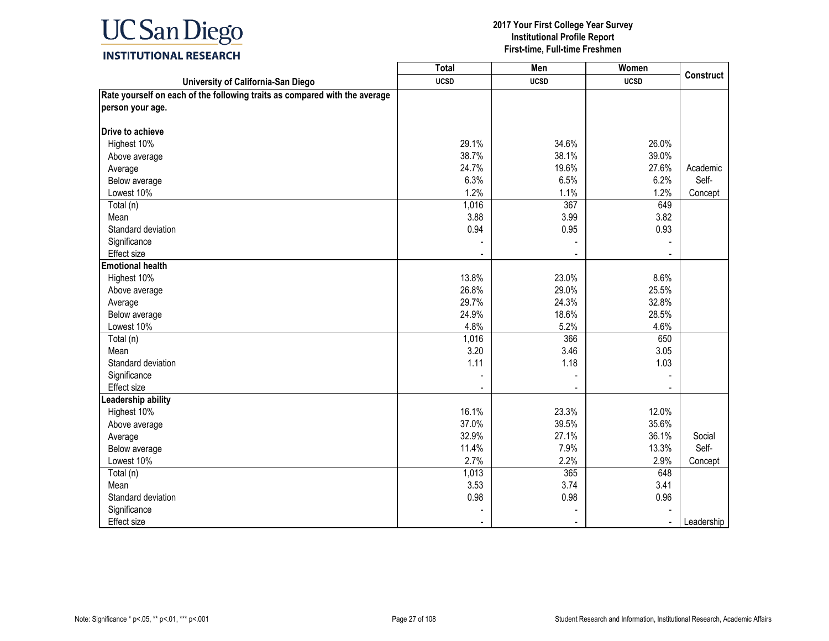

|                                                                            | <b>Total</b> | Men         | Women       |                  |
|----------------------------------------------------------------------------|--------------|-------------|-------------|------------------|
| University of California-San Diego                                         | <b>UCSD</b>  | <b>UCSD</b> | <b>UCSD</b> | <b>Construct</b> |
| Rate yourself on each of the following traits as compared with the average |              |             |             |                  |
| person your age.                                                           |              |             |             |                  |
|                                                                            |              |             |             |                  |
| Drive to achieve                                                           |              |             |             |                  |
| Highest 10%                                                                | 29.1%        | 34.6%       | 26.0%       |                  |
| Above average                                                              | 38.7%        | 38.1%       | 39.0%       |                  |
| Average                                                                    | 24.7%        | 19.6%       | 27.6%       | Academic         |
| Below average                                                              | 6.3%         | 6.5%        | 6.2%        | Self-            |
| Lowest 10%                                                                 | 1.2%         | 1.1%        | 1.2%        | Concept          |
| Total (n)                                                                  | 1,016        | 367         | 649         |                  |
| Mean                                                                       | 3.88         | 3.99        | 3.82        |                  |
| Standard deviation                                                         | 0.94         | 0.95        | 0.93        |                  |
| Significance                                                               |              |             |             |                  |
| Effect size                                                                |              |             |             |                  |
| <b>Emotional health</b>                                                    |              |             |             |                  |
| Highest 10%                                                                | 13.8%        | 23.0%       | 8.6%        |                  |
| Above average                                                              | 26.8%        | 29.0%       | 25.5%       |                  |
| Average                                                                    | 29.7%        | 24.3%       | 32.8%       |                  |
| Below average                                                              | 24.9%        | 18.6%       | 28.5%       |                  |
| Lowest 10%                                                                 | 4.8%         | 5.2%        | 4.6%        |                  |
| Total (n)                                                                  | 1,016        | 366         | 650         |                  |
| Mean                                                                       | 3.20         | 3.46        | 3.05        |                  |
| Standard deviation                                                         | 1.11         | 1.18        | 1.03        |                  |
| Significance                                                               |              |             |             |                  |
| Effect size                                                                |              |             |             |                  |
| eadership ability                                                          |              |             |             |                  |
| Highest 10%                                                                | 16.1%        | 23.3%       | 12.0%       |                  |
| Above average                                                              | 37.0%        | 39.5%       | 35.6%       |                  |
| Average                                                                    | 32.9%        | 27.1%       | 36.1%       | Social           |
| Below average                                                              | 11.4%        | 7.9%        | 13.3%       | Self-            |
| Lowest 10%                                                                 | 2.7%         | 2.2%        | 2.9%        | Concept          |
| Total (n)                                                                  | 1,013        | 365         | 648         |                  |
| Mean                                                                       | 3.53         | 3.74        | 3.41        |                  |
| Standard deviation                                                         | 0.98         | 0.98        | 0.96        |                  |
| Significance                                                               |              |             |             |                  |
| Effect size                                                                |              |             |             | Leadership       |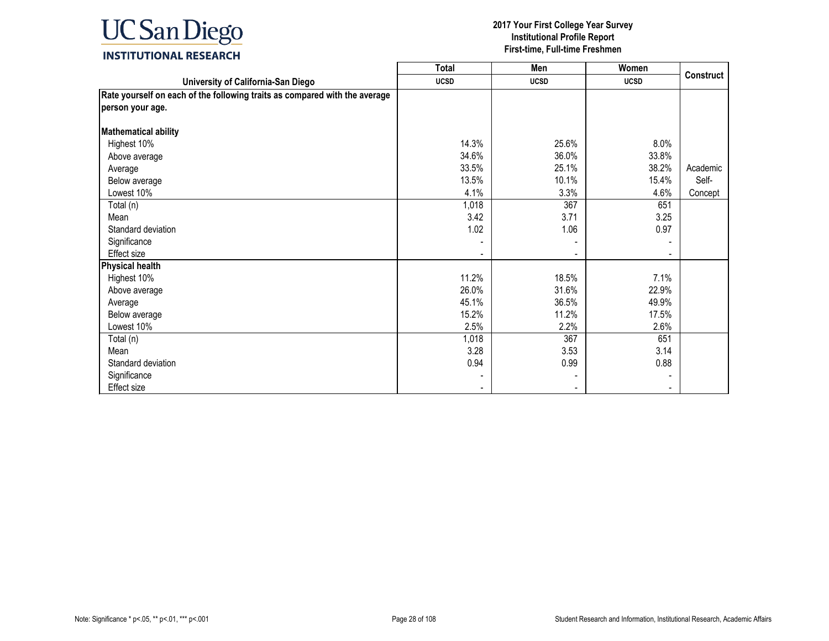

|                                                                            | <b>Total</b>             | Men                      | Women       |                  |
|----------------------------------------------------------------------------|--------------------------|--------------------------|-------------|------------------|
| University of California-San Diego                                         | <b>UCSD</b>              | <b>UCSD</b>              | <b>UCSD</b> | <b>Construct</b> |
| Rate yourself on each of the following traits as compared with the average |                          |                          |             |                  |
| person your age.                                                           |                          |                          |             |                  |
|                                                                            |                          |                          |             |                  |
| <b>Mathematical ability</b>                                                |                          |                          |             |                  |
| Highest 10%                                                                | 14.3%                    | 25.6%                    | 8.0%        |                  |
| Above average                                                              | 34.6%                    | 36.0%                    | 33.8%       |                  |
| Average                                                                    | 33.5%                    | 25.1%                    | 38.2%       | Academic         |
| Below average                                                              | 13.5%                    | 10.1%                    | 15.4%       | Self-            |
| Lowest 10%                                                                 | 4.1%                     | 3.3%                     | 4.6%        | Concept          |
| Total (n)                                                                  | 1,018                    | 367                      | 651         |                  |
| Mean                                                                       | 3.42                     | 3.71                     | 3.25        |                  |
| Standard deviation                                                         | 1.02                     | 1.06                     | 0.97        |                  |
| Significance                                                               |                          |                          |             |                  |
| Effect size                                                                |                          |                          |             |                  |
| <b>Physical health</b>                                                     |                          |                          |             |                  |
| Highest 10%                                                                | 11.2%                    | 18.5%                    | 7.1%        |                  |
| Above average                                                              | 26.0%                    | 31.6%                    | 22.9%       |                  |
| Average                                                                    | 45.1%                    | 36.5%                    | 49.9%       |                  |
| Below average                                                              | 15.2%                    | 11.2%                    | 17.5%       |                  |
| Lowest 10%                                                                 | 2.5%                     | 2.2%                     | 2.6%        |                  |
| Total (n)                                                                  | 1,018                    | 367                      | 651         |                  |
| Mean                                                                       | 3.28                     | 3.53                     | 3.14        |                  |
| Standard deviation                                                         | 0.94                     | 0.99                     | 0.88        |                  |
| Significance                                                               |                          |                          |             |                  |
| <b>Effect size</b>                                                         | $\overline{\phantom{a}}$ | $\overline{\phantom{0}}$ |             |                  |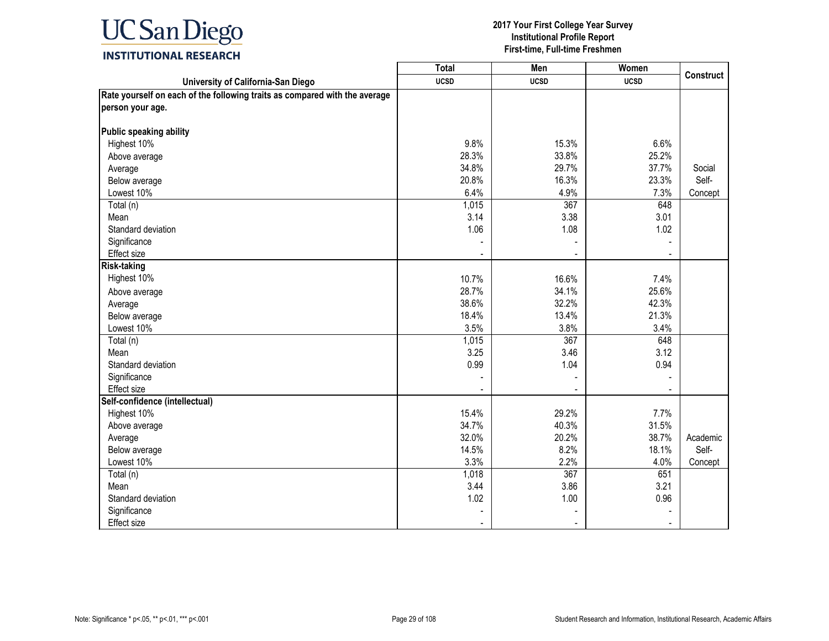

|                                                                            | <b>Total</b> | Men         | Women       | <b>Construct</b> |
|----------------------------------------------------------------------------|--------------|-------------|-------------|------------------|
| University of California-San Diego                                         | <b>UCSD</b>  | <b>UCSD</b> | <b>UCSD</b> |                  |
| Rate yourself on each of the following traits as compared with the average |              |             |             |                  |
| person your age.                                                           |              |             |             |                  |
|                                                                            |              |             |             |                  |
| Public speaking ability                                                    |              |             |             |                  |
| Highest 10%                                                                | 9.8%         | 15.3%       | 6.6%        |                  |
| Above average                                                              | 28.3%        | 33.8%       | 25.2%       |                  |
| Average                                                                    | 34.8%        | 29.7%       | 37.7%       | Social           |
| Below average                                                              | 20.8%        | 16.3%       | 23.3%       | Self-            |
| Lowest 10%                                                                 | 6.4%         | 4.9%        | 7.3%        | Concept          |
| Total (n)                                                                  | 1,015        | 367         | 648         |                  |
| Mean                                                                       | 3.14         | 3.38        | 3.01        |                  |
| Standard deviation                                                         | 1.06         | 1.08        | 1.02        |                  |
| Significance                                                               |              |             |             |                  |
| Effect size                                                                |              |             |             |                  |
| <b>Risk-taking</b>                                                         |              |             |             |                  |
| Highest 10%                                                                | 10.7%        | 16.6%       | 7.4%        |                  |
| Above average                                                              | 28.7%        | 34.1%       | 25.6%       |                  |
| Average                                                                    | 38.6%        | 32.2%       | 42.3%       |                  |
| Below average                                                              | 18.4%        | 13.4%       | 21.3%       |                  |
| Lowest 10%                                                                 | 3.5%         | 3.8%        | 3.4%        |                  |
| Total (n)                                                                  | 1,015        | 367         | 648         |                  |
| Mean                                                                       | 3.25         | 3.46        | 3.12        |                  |
| Standard deviation                                                         | 0.99         | 1.04        | 0.94        |                  |
| Significance                                                               |              |             |             |                  |
| <b>Effect size</b>                                                         |              |             |             |                  |
| Self-confidence (intellectual)                                             |              |             |             |                  |
| Highest 10%                                                                | 15.4%        | 29.2%       | 7.7%        |                  |
| Above average                                                              | 34.7%        | 40.3%       | 31.5%       |                  |
| Average                                                                    | 32.0%        | 20.2%       | 38.7%       | Academic         |
| Below average                                                              | 14.5%        | 8.2%        | 18.1%       | Self-            |
| Lowest 10%                                                                 | 3.3%         | 2.2%        | 4.0%        | Concept          |
| Total (n)                                                                  | 1,018        | 367         | 651         |                  |
| Mean                                                                       | 3.44         | 3.86        | 3.21        |                  |
| Standard deviation                                                         | 1.02         | 1.00        | 0.96        |                  |
| Significance                                                               |              |             |             |                  |
| <b>Effect size</b>                                                         |              |             |             |                  |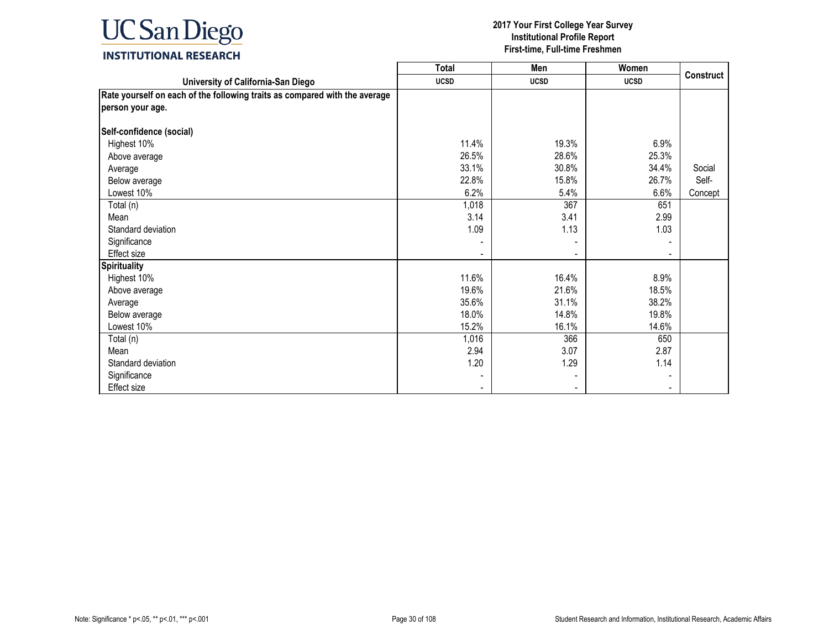

|                                                                            | <b>Total</b> | Men            | Women       |                  |
|----------------------------------------------------------------------------|--------------|----------------|-------------|------------------|
| University of California-San Diego                                         | <b>UCSD</b>  | <b>UCSD</b>    | <b>UCSD</b> | <b>Construct</b> |
| Rate yourself on each of the following traits as compared with the average |              |                |             |                  |
| person your age.                                                           |              |                |             |                  |
|                                                                            |              |                |             |                  |
| Self-confidence (social)                                                   |              |                |             |                  |
| Highest 10%                                                                | 11.4%        | 19.3%          | 6.9%        |                  |
| Above average                                                              | 26.5%        | 28.6%          | 25.3%       |                  |
| Average                                                                    | 33.1%        | 30.8%          | 34.4%       | Social           |
| Below average                                                              | 22.8%        | 15.8%          | 26.7%       | Self-            |
| Lowest 10%                                                                 | 6.2%         | 5.4%           | 6.6%        | Concept          |
| Total (n)                                                                  | 1,018        | 367            | 651         |                  |
| Mean                                                                       | 3.14         | 3.41           | 2.99        |                  |
| Standard deviation                                                         | 1.09         | 1.13           | 1.03        |                  |
| Significance                                                               |              |                |             |                  |
| <b>Effect size</b>                                                         |              |                |             |                  |
| <b>Spirituality</b>                                                        |              |                |             |                  |
| Highest 10%                                                                | 11.6%        | 16.4%          | 8.9%        |                  |
| Above average                                                              | 19.6%        | 21.6%          | 18.5%       |                  |
| Average                                                                    | 35.6%        | 31.1%          | 38.2%       |                  |
| Below average                                                              | 18.0%        | 14.8%          | 19.8%       |                  |
| Lowest 10%                                                                 | 15.2%        | 16.1%          | 14.6%       |                  |
| Total (n)                                                                  | 1,016        | 366            | 650         |                  |
| Mean                                                                       | 2.94         | 3.07           | 2.87        |                  |
| Standard deviation                                                         | 1.20         | 1.29           | 1.14        |                  |
| Significance                                                               |              |                |             |                  |
| Effect size                                                                |              | $\blacksquare$ |             |                  |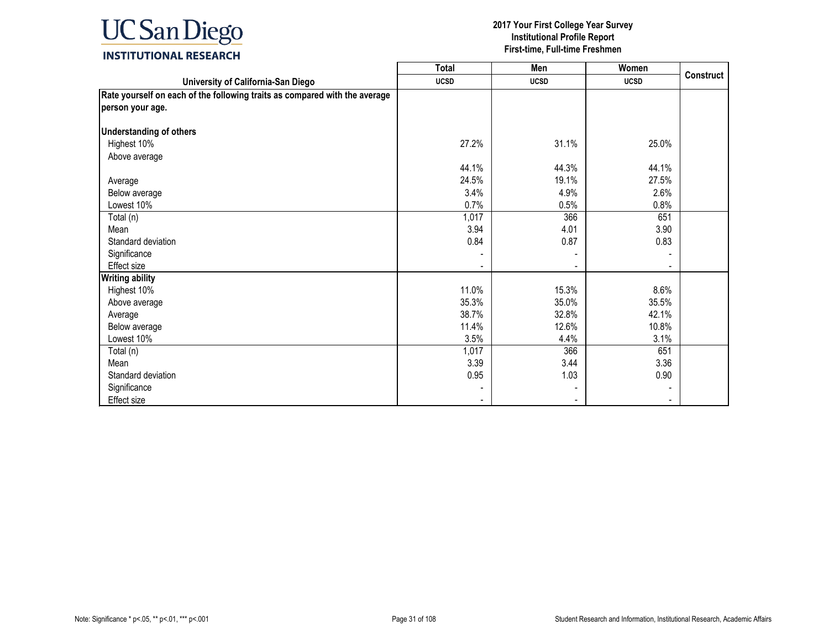

|                                                                            | <b>Total</b> | Men         | Women       |           |
|----------------------------------------------------------------------------|--------------|-------------|-------------|-----------|
| University of California-San Diego                                         | <b>UCSD</b>  | <b>UCSD</b> | <b>UCSD</b> | Construct |
| Rate yourself on each of the following traits as compared with the average |              |             |             |           |
| person your age.                                                           |              |             |             |           |
|                                                                            |              |             |             |           |
| <b>Understanding of others</b>                                             |              |             |             |           |
| Highest 10%                                                                | 27.2%        | 31.1%       | 25.0%       |           |
| Above average                                                              |              |             |             |           |
|                                                                            | 44.1%        | 44.3%       | 44.1%       |           |
| Average                                                                    | 24.5%        | 19.1%       | 27.5%       |           |
| Below average                                                              | 3.4%         | 4.9%        | 2.6%        |           |
| Lowest 10%                                                                 | 0.7%         | 0.5%        | 0.8%        |           |
| Total (n)                                                                  | 1,017        | 366         | 651         |           |
| Mean                                                                       | 3.94         | 4.01        | 3.90        |           |
| Standard deviation                                                         | 0.84         | 0.87        | 0.83        |           |
| Significance                                                               |              |             |             |           |
| Effect size                                                                |              |             |             |           |
| <b>Writing ability</b>                                                     |              |             |             |           |
| Highest 10%                                                                | 11.0%        | 15.3%       | 8.6%        |           |
| Above average                                                              | 35.3%        | 35.0%       | 35.5%       |           |
| Average                                                                    | 38.7%        | 32.8%       | 42.1%       |           |
| Below average                                                              | 11.4%        | 12.6%       | 10.8%       |           |
| Lowest 10%                                                                 | 3.5%         | 4.4%        | 3.1%        |           |
| Total (n)                                                                  | 1,017        | 366         | 651         |           |
| Mean                                                                       | 3.39         | 3.44        | 3.36        |           |
| Standard deviation                                                         | 0.95         | 1.03        | 0.90        |           |
| Significance                                                               |              |             |             |           |
| <b>Effect size</b>                                                         |              |             |             |           |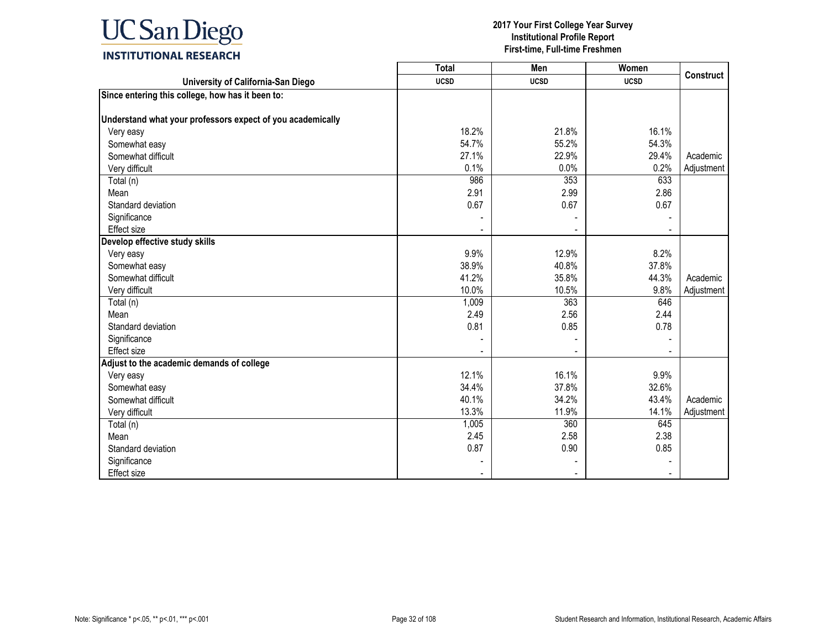

|                                                            | <b>Total</b> | Men         | <b>Women</b> | <b>Construct</b> |
|------------------------------------------------------------|--------------|-------------|--------------|------------------|
| University of California-San Diego                         | <b>UCSD</b>  | <b>UCSD</b> | <b>UCSD</b>  |                  |
| Since entering this college, how has it been to:           |              |             |              |                  |
|                                                            |              |             |              |                  |
| Understand what your professors expect of you academically |              |             |              |                  |
| Very easy                                                  | 18.2%        | 21.8%       | 16.1%        |                  |
| Somewhat easy                                              | 54.7%        | 55.2%       | 54.3%        |                  |
| Somewhat difficult                                         | 27.1%        | 22.9%       | 29.4%        | Academic         |
| Very difficult                                             | 0.1%         | 0.0%        | 0.2%         | Adjustment       |
| Total (n)                                                  | 986          | 353         | 633          |                  |
| Mean                                                       | 2.91         | 2.99        | 2.86         |                  |
| Standard deviation                                         | 0.67         | 0.67        | 0.67         |                  |
| Significance                                               |              |             |              |                  |
| Effect size                                                |              |             |              |                  |
| Develop effective study skills                             |              |             |              |                  |
| Very easy                                                  | 9.9%         | 12.9%       | 8.2%         |                  |
| Somewhat easy                                              | 38.9%        | 40.8%       | 37.8%        |                  |
| Somewhat difficult                                         | 41.2%        | 35.8%       | 44.3%        | Academic         |
| Very difficult                                             | 10.0%        | 10.5%       | 9.8%         | Adjustment       |
| Total (n)                                                  | 1,009        | 363         | 646          |                  |
| Mean                                                       | 2.49         | 2.56        | 2.44         |                  |
| Standard deviation                                         | 0.81         | 0.85        | 0.78         |                  |
| Significance                                               |              |             |              |                  |
| <b>Effect size</b>                                         |              |             |              |                  |
| Adjust to the academic demands of college                  |              |             |              |                  |
| Very easy                                                  | 12.1%        | 16.1%       | 9.9%         |                  |
| Somewhat easy                                              | 34.4%        | 37.8%       | 32.6%        |                  |
| Somewhat difficult                                         | 40.1%        | 34.2%       | 43.4%        | Academic         |
| Very difficult                                             | 13.3%        | 11.9%       | 14.1%        | Adjustment       |
| Total (n)                                                  | 1,005        | 360         | 645          |                  |
| Mean                                                       | 2.45         | 2.58        | 2.38         |                  |
| Standard deviation                                         | 0.87         | 0.90        | 0.85         |                  |
| Significance                                               |              |             |              |                  |
| <b>Effect size</b>                                         |              |             |              |                  |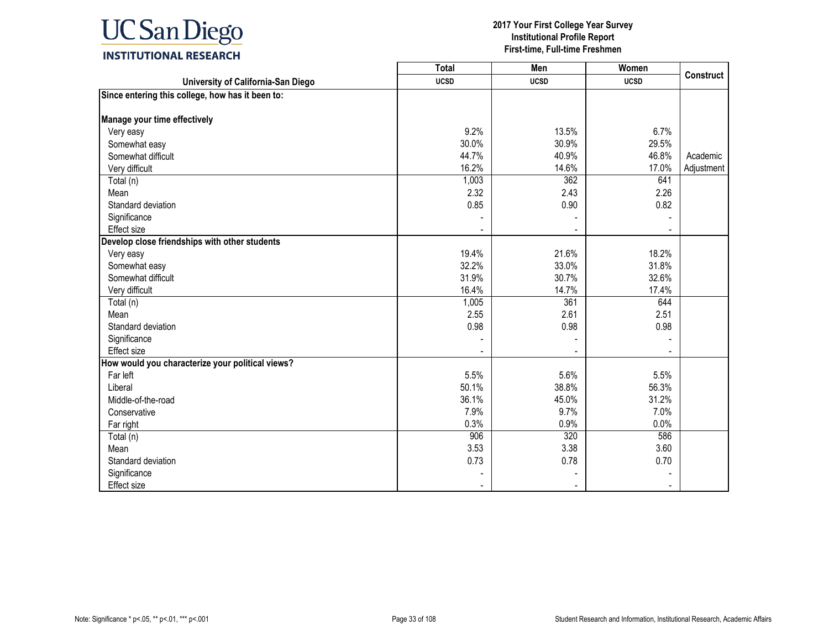

|                                                  | <b>Total</b> | Men         | Women       | <b>Construct</b> |
|--------------------------------------------------|--------------|-------------|-------------|------------------|
| University of California-San Diego               | <b>UCSD</b>  | <b>UCSD</b> | <b>UCSD</b> |                  |
| Since entering this college, how has it been to: |              |             |             |                  |
|                                                  |              |             |             |                  |
| Manage your time effectively                     |              |             |             |                  |
| Very easy                                        | 9.2%         | 13.5%       | 6.7%        |                  |
| Somewhat easy                                    | 30.0%        | 30.9%       | 29.5%       |                  |
| Somewhat difficult                               | 44.7%        | 40.9%       | 46.8%       | Academic         |
| Very difficult                                   | 16.2%        | 14.6%       | 17.0%       | Adjustment       |
| Total (n)                                        | 1,003        | 362         | 641         |                  |
| Mean                                             | 2.32         | 2.43        | 2.26        |                  |
| Standard deviation                               | 0.85         | 0.90        | 0.82        |                  |
| Significance                                     |              |             |             |                  |
| <b>Effect size</b>                               |              |             |             |                  |
| Develop close friendships with other students    |              |             |             |                  |
| Very easy                                        | 19.4%        | 21.6%       | 18.2%       |                  |
| Somewhat easy                                    | 32.2%        | 33.0%       | 31.8%       |                  |
| Somewhat difficult                               | 31.9%        | 30.7%       | 32.6%       |                  |
| Very difficult                                   | 16.4%        | 14.7%       | 17.4%       |                  |
| Total (n)                                        | 1,005        | 361         | 644         |                  |
| Mean                                             | 2.55         | 2.61        | 2.51        |                  |
| Standard deviation                               | 0.98         | 0.98        | 0.98        |                  |
| Significance                                     |              |             |             |                  |
| <b>Effect size</b>                               |              |             |             |                  |
| How would you characterize your political views? |              |             |             |                  |
| Far left                                         | 5.5%         | 5.6%        | 5.5%        |                  |
| Liberal                                          | 50.1%        | 38.8%       | 56.3%       |                  |
| Middle-of-the-road                               | 36.1%        | 45.0%       | 31.2%       |                  |
| Conservative                                     | 7.9%         | 9.7%        | 7.0%        |                  |
| Far right                                        | 0.3%         | 0.9%        | 0.0%        |                  |
| Total (n)                                        | 906          | 320         | 586         |                  |
| Mean                                             | 3.53         | 3.38        | 3.60        |                  |
| Standard deviation                               | 0.73         | 0.78        | 0.70        |                  |
| Significance                                     |              |             |             |                  |
| <b>Effect size</b>                               |              |             |             |                  |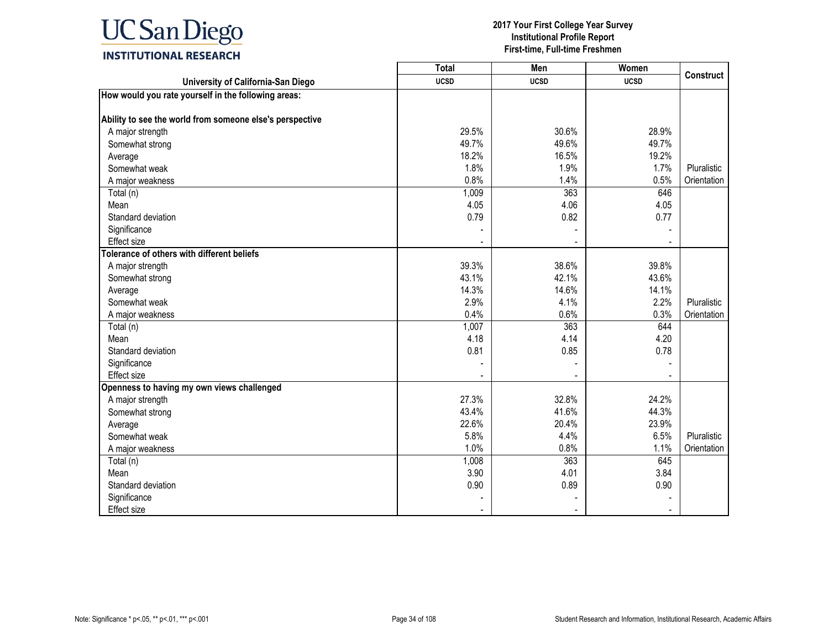

|                                                          | <b>Total</b> | Men         | Women       | <b>Construct</b> |
|----------------------------------------------------------|--------------|-------------|-------------|------------------|
| University of California-San Diego                       | <b>UCSD</b>  | <b>UCSD</b> | <b>UCSD</b> |                  |
| How would you rate yourself in the following areas:      |              |             |             |                  |
| Ability to see the world from someone else's perspective |              |             |             |                  |
| A major strength                                         | 29.5%        | 30.6%       | 28.9%       |                  |
| Somewhat strong                                          | 49.7%        | 49.6%       | 49.7%       |                  |
| Average                                                  | 18.2%        | 16.5%       | 19.2%       |                  |
| Somewhat weak                                            | 1.8%         | 1.9%        | 1.7%        | Pluralistic      |
| A major weakness                                         | 0.8%         | 1.4%        | 0.5%        | Orientation      |
| Total (n)                                                | 1,009        | 363         | 646         |                  |
| Mean                                                     | 4.05         | 4.06        | 4.05        |                  |
| Standard deviation                                       | 0.79         | 0.82        | 0.77        |                  |
| Significance                                             |              |             |             |                  |
| <b>Effect size</b>                                       |              |             |             |                  |
| Tolerance of others with different beliefs               |              |             |             |                  |
| A major strength                                         | 39.3%        | 38.6%       | 39.8%       |                  |
| Somewhat strong                                          | 43.1%        | 42.1%       | 43.6%       |                  |
| Average                                                  | 14.3%        | 14.6%       | 14.1%       |                  |
| Somewhat weak                                            | 2.9%         | 4.1%        | 2.2%        | Pluralistic      |
| A major weakness                                         | 0.4%         | 0.6%        | 0.3%        | Orientation      |
| Total (n)                                                | 1,007        | 363         | 644         |                  |
| Mean                                                     | 4.18         | 4.14        | 4.20        |                  |
| Standard deviation                                       | 0.81         | 0.85        | 0.78        |                  |
| Significance                                             |              |             |             |                  |
| <b>Effect size</b>                                       |              |             |             |                  |
| Openness to having my own views challenged               |              |             |             |                  |
| A major strength                                         | 27.3%        | 32.8%       | 24.2%       |                  |
| Somewhat strong                                          | 43.4%        | 41.6%       | 44.3%       |                  |
| Average                                                  | 22.6%        | 20.4%       | 23.9%       |                  |
| Somewhat weak                                            | 5.8%         | 4.4%        | 6.5%        | Pluralistic      |
| A major weakness                                         | 1.0%         | 0.8%        | 1.1%        | Orientation      |
| Total (n)                                                | 1,008        | 363         | 645         |                  |
| Mean                                                     | 3.90         | 4.01        | 3.84        |                  |
| Standard deviation                                       | 0.90         | 0.89        | 0.90        |                  |
| Significance                                             |              |             |             |                  |
| <b>Effect size</b>                                       |              |             |             |                  |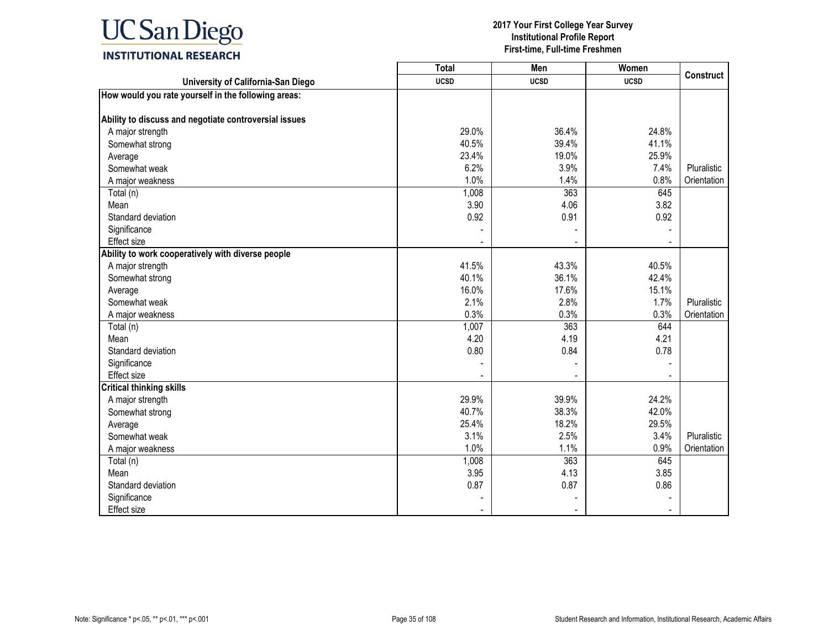

|                                                       | <b>Total</b> | Men         | Women       |                  |
|-------------------------------------------------------|--------------|-------------|-------------|------------------|
| University of California-San Diego                    | <b>UCSD</b>  | <b>UCSD</b> | <b>UCSD</b> | <b>Construct</b> |
| How would you rate yourself in the following areas:   |              |             |             |                  |
|                                                       |              |             |             |                  |
| Ability to discuss and negotiate controversial issues |              |             |             |                  |
| A major strength                                      | 29.0%        | 36.4%       | 24.8%       |                  |
| Somewhat strong                                       | 40.5%        | 39.4%       | 41.1%       |                  |
| Average                                               | 23.4%        | 19.0%       | 25.9%       |                  |
| Somewhat weak                                         | 6.2%         | 3.9%        | 7.4%        | Pluralistic      |
| A major weakness                                      | 1.0%         | 1.4%        | 0.8%        | Orientation      |
| Total (n)                                             | 1,008        | 363         | 645         |                  |
| Mean                                                  | 3.90         | 4.06        | 3.82        |                  |
| Standard deviation                                    | 0.92         | 0.91        | 0.92        |                  |
| Significance                                          |              |             |             |                  |
| Effect size                                           |              |             |             |                  |
| Ability to work cooperatively with diverse people     |              |             |             |                  |
| A major strength                                      | 41.5%        | 43.3%       | 40.5%       |                  |
| Somewhat strong                                       | 40.1%        | 36.1%       | 42.4%       |                  |
| Average                                               | 16.0%        | 17.6%       | 15.1%       |                  |
| Somewhat weak                                         | 2.1%         | 2.8%        | 1.7%        | Pluralistic      |
| A major weakness                                      | 0.3%         | 0.3%        | 0.3%        | Orientation      |
| Total (n)                                             | 1,007        | 363         | 644         |                  |
| Mean                                                  | 4.20         | 4.19        | 4.21        |                  |
| Standard deviation                                    | 0.80         | 0.84        | 0.78        |                  |
| Significance                                          |              |             |             |                  |
| <b>Effect size</b>                                    |              |             |             |                  |
| <b>Critical thinking skills</b>                       |              |             |             |                  |
| A major strength                                      | 29.9%        | 39.9%       | 24.2%       |                  |
| Somewhat strong                                       | 40.7%        | 38.3%       | 42.0%       |                  |
| Average                                               | 25.4%        | 18.2%       | 29.5%       |                  |
| Somewhat weak                                         | 3.1%         | 2.5%        | 3.4%        | Pluralistic      |
| A major weakness                                      | 1.0%         | 1.1%        | 0.9%        | Orientation      |
| Total (n)                                             | 1,008        | 363         | 645         |                  |
| Mean                                                  | 3.95         | 4.13        | 3.85        |                  |
| Standard deviation                                    | 0.87         | 0.87        | 0.86        |                  |
| Significance                                          |              |             |             |                  |
| Effect size                                           |              |             |             |                  |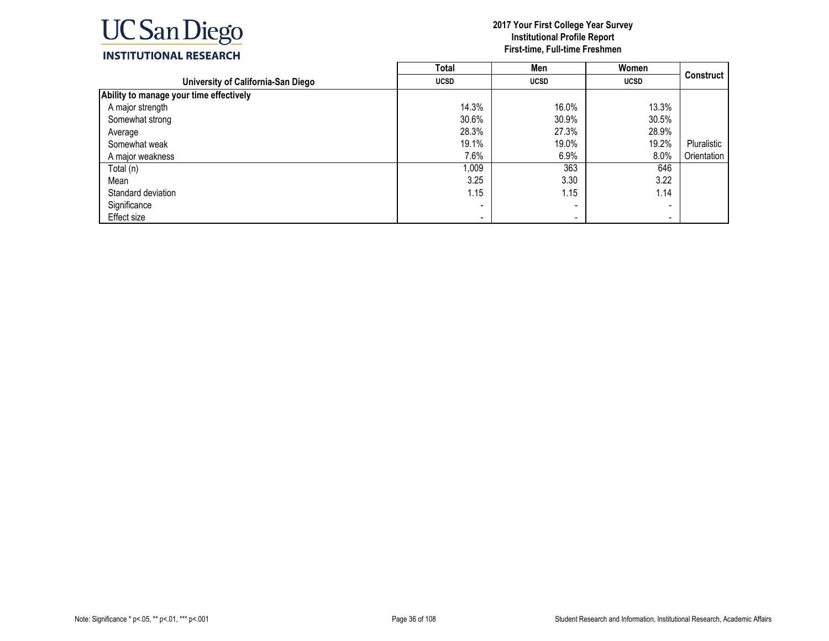

|                                         | <b>Total</b>             | Men                      | Women       |                  |
|-----------------------------------------|--------------------------|--------------------------|-------------|------------------|
| University of California-San Diego      | <b>UCSD</b>              | <b>UCSD</b>              | <b>UCSD</b> | <b>Construct</b> |
| Ability to manage your time effectively |                          |                          |             |                  |
| A major strength                        | 14.3%                    | 16.0%                    | 13.3%       |                  |
| Somewhat strong                         | 30.6%                    | 30.9%                    | 30.5%       |                  |
| Average                                 | 28.3%                    | 27.3%                    | 28.9%       |                  |
| Somewhat weak                           | 19.1%                    | 19.0%                    | 19.2%       | Pluralistic      |
| A major weakness                        | 7.6%                     | 6.9%                     | 8.0%        | Orientation      |
| Total (n)                               | 1,009                    | 363                      | 646         |                  |
| Mean                                    | 3.25                     | 3.30                     | 3.22        |                  |
| Standard deviation                      | 1.15                     | 1.15                     | 1.14        |                  |
| Significance                            |                          | -                        |             |                  |
| Effect size                             | $\overline{\phantom{0}}$ | $\overline{\phantom{0}}$ | $\,$        |                  |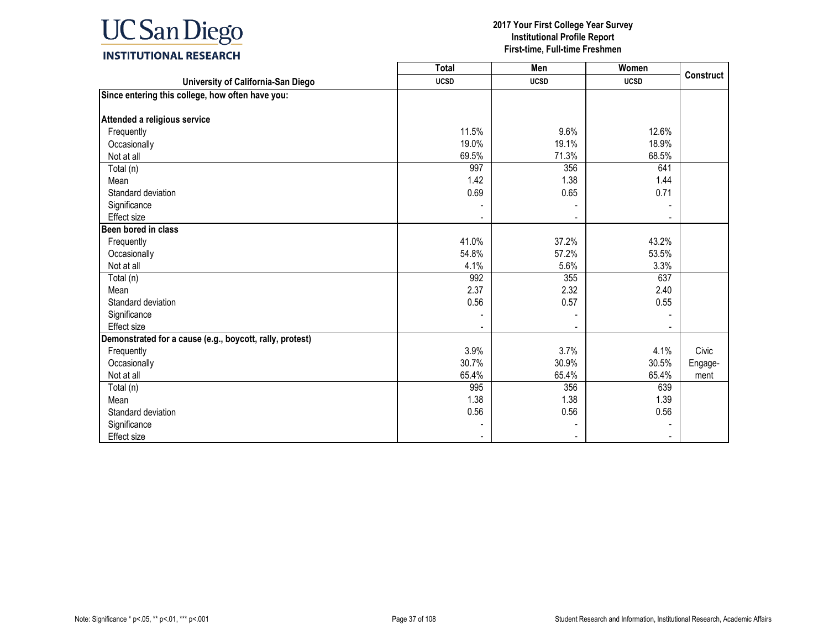

|                                                          | <b>Total</b> | Men         | Women       | <b>Construct</b> |
|----------------------------------------------------------|--------------|-------------|-------------|------------------|
| University of California-San Diego                       | <b>UCSD</b>  | <b>UCSD</b> | <b>UCSD</b> |                  |
| Since entering this college, how often have you:         |              |             |             |                  |
|                                                          |              |             |             |                  |
| Attended a religious service                             |              |             |             |                  |
| Frequently                                               | 11.5%        | 9.6%        | 12.6%       |                  |
| Occasionally                                             | 19.0%        | 19.1%       | 18.9%       |                  |
| Not at all                                               | 69.5%        | 71.3%       | 68.5%       |                  |
| Total (n)                                                | 997          | 356         | 641         |                  |
| Mean                                                     | 1.42         | 1.38        | 1.44        |                  |
| Standard deviation                                       | 0.69         | 0.65        | 0.71        |                  |
| Significance                                             |              |             |             |                  |
| Effect size                                              |              |             |             |                  |
| Been bored in class                                      |              |             |             |                  |
| Frequently                                               | 41.0%        | 37.2%       | 43.2%       |                  |
| Occasionally                                             | 54.8%        | 57.2%       | 53.5%       |                  |
| Not at all                                               | 4.1%         | 5.6%        | 3.3%        |                  |
| Total (n)                                                | 992          | 355         | 637         |                  |
| Mean                                                     | 2.37         | 2.32        | 2.40        |                  |
| Standard deviation                                       | 0.56         | 0.57        | 0.55        |                  |
| Significance                                             |              |             |             |                  |
| Effect size                                              |              |             |             |                  |
| Demonstrated for a cause (e.g., boycott, rally, protest) |              |             |             |                  |
| Frequently                                               | 3.9%         | 3.7%        | 4.1%        | Civic            |
| Occasionally                                             | 30.7%        | 30.9%       | 30.5%       | Engage-          |
| Not at all                                               | 65.4%        | 65.4%       | 65.4%       | ment             |
| Total (n)                                                | 995          | 356         | 639         |                  |
| Mean                                                     | 1.38         | 1.38        | 1.39        |                  |
| Standard deviation                                       | 0.56         | 0.56        | 0.56        |                  |
| Significance                                             |              |             |             |                  |
| Effect size                                              |              |             |             |                  |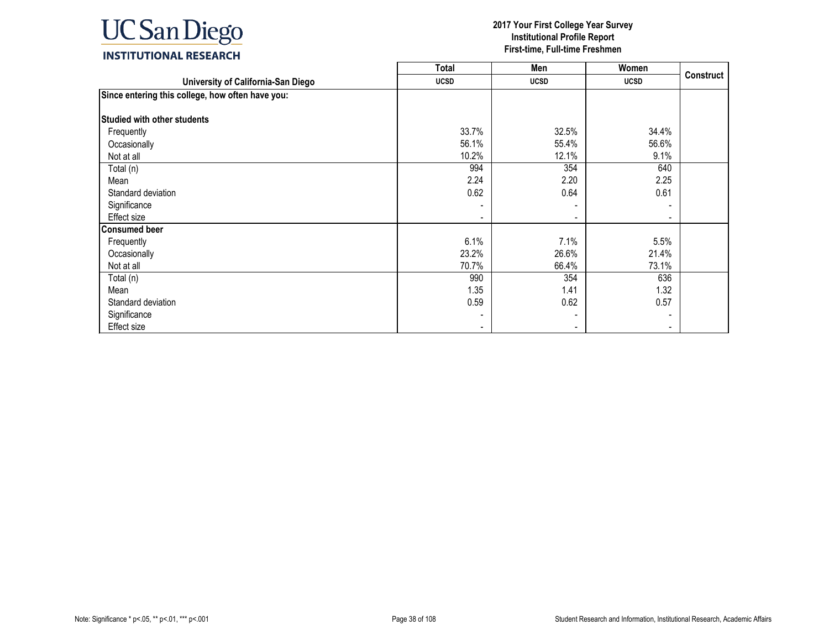

|                                                  | <b>Total</b> | Men         | Women                    |                  |
|--------------------------------------------------|--------------|-------------|--------------------------|------------------|
| University of California-San Diego               | <b>UCSD</b>  | <b>UCSD</b> | <b>UCSD</b>              | <b>Construct</b> |
| Since entering this college, how often have you: |              |             |                          |                  |
|                                                  |              |             |                          |                  |
| <b>Studied with other students</b>               |              |             |                          |                  |
| Frequently                                       | 33.7%        | 32.5%       | 34.4%                    |                  |
| Occasionally                                     | 56.1%        | 55.4%       | 56.6%                    |                  |
| Not at all                                       | 10.2%        | 12.1%       | 9.1%                     |                  |
| Total (n)                                        | 994          | 354         | 640                      |                  |
| Mean                                             | 2.24         | 2.20        | 2.25                     |                  |
| Standard deviation                               | 0.62         | 0.64        | 0.61                     |                  |
| Significance                                     |              |             |                          |                  |
| Effect size                                      |              |             | $\blacksquare$           |                  |
| <b>Consumed beer</b>                             |              |             |                          |                  |
| Frequently                                       | 6.1%         | 7.1%        | 5.5%                     |                  |
| Occasionally                                     | 23.2%        | 26.6%       | 21.4%                    |                  |
| Not at all                                       | 70.7%        | 66.4%       | 73.1%                    |                  |
| Total (n)                                        | 990          | 354         | 636                      |                  |
| Mean                                             | 1.35         | 1.41        | 1.32                     |                  |
| Standard deviation                               | 0.59         | 0.62        | 0.57                     |                  |
| Significance                                     |              |             | $\overline{\phantom{a}}$ |                  |
| Effect size                                      |              |             |                          |                  |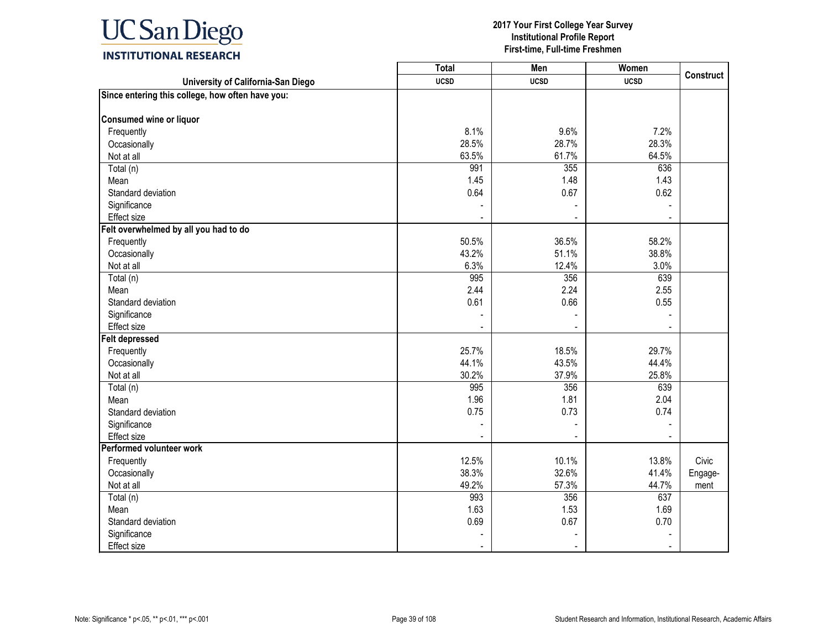

|                                                  | <b>Total</b> | Men            | Women       | Construct |
|--------------------------------------------------|--------------|----------------|-------------|-----------|
| University of California-San Diego               | <b>UCSD</b>  | <b>UCSD</b>    | <b>UCSD</b> |           |
| Since entering this college, how often have you: |              |                |             |           |
| Consumed wine or liquor                          |              |                |             |           |
| Frequently                                       | 8.1%         | 9.6%           | 7.2%        |           |
| Occasionally                                     | 28.5%        | 28.7%          | 28.3%       |           |
| Not at all                                       | 63.5%        | 61.7%          | 64.5%       |           |
| Total (n)                                        | 991          | 355            | 636         |           |
| Mean                                             | 1.45         | 1.48           | 1.43        |           |
| Standard deviation                               | 0.64         | 0.67           | 0.62        |           |
| Significance                                     |              |                |             |           |
| Effect size                                      | ÷            | $\blacksquare$ | ÷           |           |
| Felt overwhelmed by all you had to do            |              |                |             |           |
| Frequently                                       | 50.5%        | 36.5%          | 58.2%       |           |
| Occasionally                                     | 43.2%        | 51.1%          | 38.8%       |           |
| Not at all                                       | 6.3%         | 12.4%          | 3.0%        |           |
| Total (n)                                        | 995          | 356            | 639         |           |
| Mean                                             | 2.44         | 2.24           | 2.55        |           |
| Standard deviation                               | 0.61         | 0.66           | 0.55        |           |
| Significance                                     |              |                |             |           |
| Effect size                                      |              |                |             |           |
| <b>Felt depressed</b>                            |              |                |             |           |
| Frequently                                       | 25.7%        | 18.5%          | 29.7%       |           |
| Occasionally                                     | 44.1%        | 43.5%          | 44.4%       |           |
| Not at all                                       | 30.2%        | 37.9%          | 25.8%       |           |
| Total (n)                                        | 995          | 356            | 639         |           |
| Mean                                             | 1.96         | 1.81           | 2.04        |           |
| Standard deviation                               | 0.75         | 0.73           | 0.74        |           |
| Significance                                     |              |                |             |           |
| Effect size                                      |              |                |             |           |
| Performed volunteer work                         |              |                |             |           |
| Frequently                                       | 12.5%        | 10.1%          | 13.8%       | Civic     |
| Occasionally                                     | 38.3%        | 32.6%          | 41.4%       | Engage-   |
| Not at all                                       | 49.2%        | 57.3%          | 44.7%       | ment      |
| Total (n)                                        | 993          | 356            | 637         |           |
| Mean                                             | 1.63         | 1.53           | 1.69        |           |
| Standard deviation                               | 0.69         | 0.67           | 0.70        |           |
| Significance                                     |              |                |             |           |
| <b>Effect size</b>                               |              |                |             |           |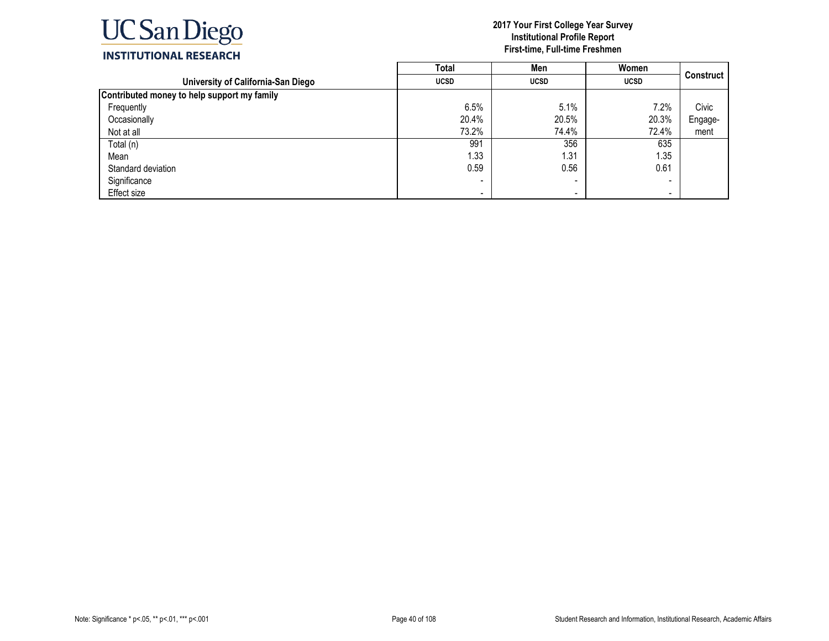

|                                             | Total       | Men         | Women                    |                  |
|---------------------------------------------|-------------|-------------|--------------------------|------------------|
| University of California-San Diego          | <b>UCSD</b> | <b>UCSD</b> | <b>UCSD</b>              | <b>Construct</b> |
| Contributed money to help support my family |             |             |                          |                  |
| Frequently                                  | 6.5%        | 5.1%        | 7.2%                     | Civic            |
| Occasionally                                | 20.4%       | 20.5%       | 20.3%                    | Engage-          |
| Not at all                                  | 73.2%       | 74.4%       | 72.4%                    | ment             |
| Total (n)                                   | 991         | 356         | 635                      |                  |
| Mean                                        | 1.33        | 1.31        | 1.35                     |                  |
| Standard deviation                          | 0.59        | 0.56        | 0.61                     |                  |
| Significance                                |             |             | $\overline{\phantom{0}}$ |                  |
| Effect size                                 | -           |             | $\overline{\phantom{0}}$ |                  |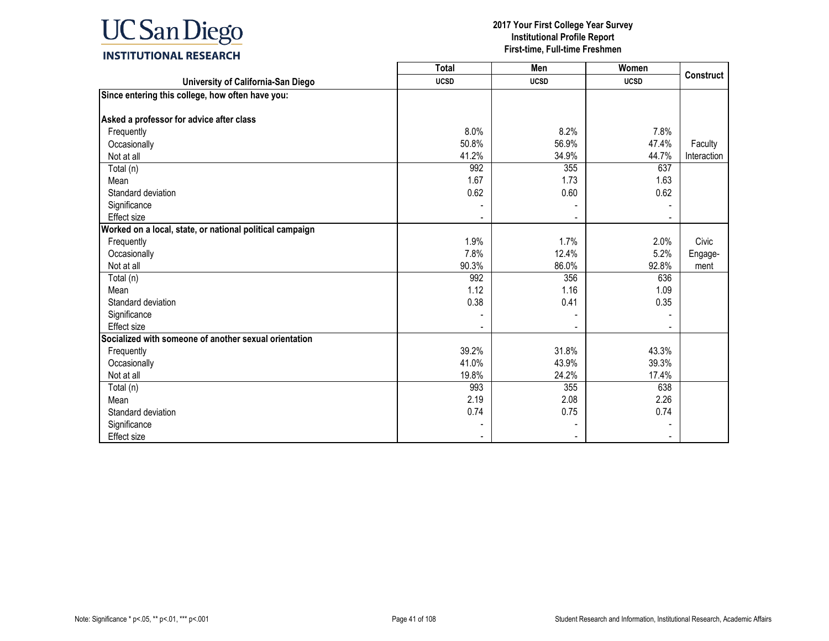

|                                                          | <b>Total</b> | Men         | Women       |                  |
|----------------------------------------------------------|--------------|-------------|-------------|------------------|
| University of California-San Diego                       | <b>UCSD</b>  | <b>UCSD</b> | <b>UCSD</b> | <b>Construct</b> |
| Since entering this college, how often have you:         |              |             |             |                  |
|                                                          |              |             |             |                  |
| Asked a professor for advice after class                 |              |             |             |                  |
| Frequently                                               | 8.0%         | 8.2%        | 7.8%        |                  |
| Occasionally                                             | 50.8%        | 56.9%       | 47.4%       | Faculty          |
| Not at all                                               | 41.2%        | 34.9%       | 44.7%       | Interaction      |
| Total (n)                                                | 992          | 355         | 637         |                  |
| Mean                                                     | 1.67         | 1.73        | 1.63        |                  |
| Standard deviation                                       | 0.62         | 0.60        | 0.62        |                  |
| Significance                                             |              |             |             |                  |
| Effect size                                              |              |             |             |                  |
| Worked on a local, state, or national political campaign |              |             |             |                  |
| Frequently                                               | 1.9%         | 1.7%        | 2.0%        | Civic            |
| Occasionally                                             | 7.8%         | 12.4%       | 5.2%        | Engage-          |
| Not at all                                               | 90.3%        | 86.0%       | 92.8%       | ment             |
| Total (n)                                                | 992          | 356         | 636         |                  |
| Mean                                                     | 1.12         | 1.16        | 1.09        |                  |
| Standard deviation                                       | 0.38         | 0.41        | 0.35        |                  |
| Significance                                             |              |             |             |                  |
| Effect size                                              |              |             |             |                  |
| Socialized with someone of another sexual orientation    |              |             |             |                  |
| Frequently                                               | 39.2%        | 31.8%       | 43.3%       |                  |
| Occasionally                                             | 41.0%        | 43.9%       | 39.3%       |                  |
| Not at all                                               | 19.8%        | 24.2%       | 17.4%       |                  |
| Total (n)                                                | 993          | 355         | 638         |                  |
| Mean                                                     | 2.19         | 2.08        | 2.26        |                  |
| Standard deviation                                       | 0.74         | 0.75        | 0.74        |                  |
| Significance                                             |              |             |             |                  |
| <b>Effect size</b>                                       |              |             |             |                  |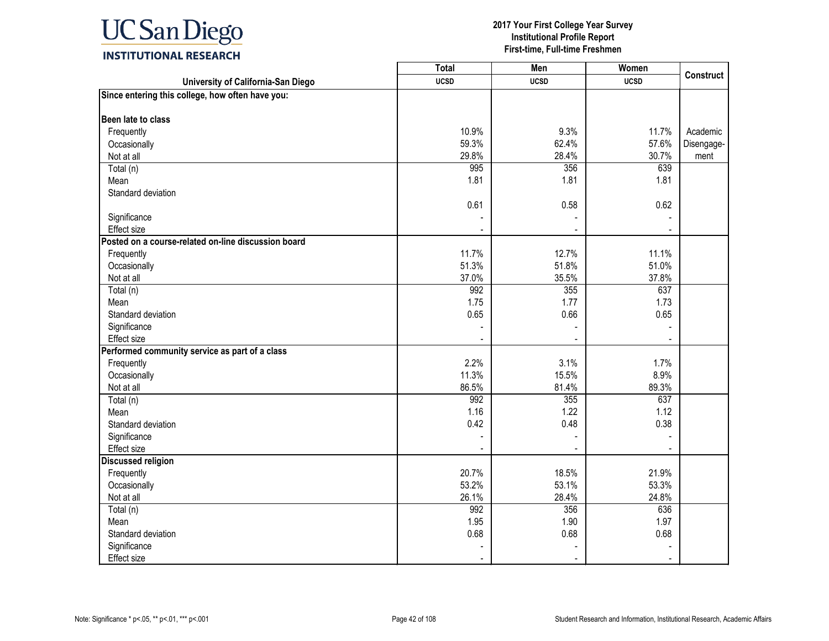

| University of California-San Diego<br><b>UCSD</b><br><b>UCSD</b><br><b>UCSD</b><br>Since entering this college, how often have you:<br>Been late to class<br>Frequently<br>10.9%<br>9.3%<br>11.7%<br>Academic<br>59.3%<br>62.4%<br>57.6%<br>Occasionally<br>Disengage-<br>29.8%<br>28.4%<br>30.7%<br>Not at all<br>ment<br>995<br>Total (n)<br>356<br>639<br>Mean<br>1.81<br>1.81<br>1.81<br>Standard deviation<br>0.61<br>0.58<br>0.62<br>Significance<br>Effect size<br>Posted on a course-related on-line discussion board<br>11.7%<br>12.7%<br>11.1%<br>Frequently<br>51.3%<br>51.8%<br>51.0%<br>Occasionally<br>37.0%<br>35.5%<br>37.8%<br>Not at all<br>992<br>355<br>Total (n)<br>637<br>1.75<br>1.77<br>1.73<br>Mean<br>Standard deviation<br>0.65<br>0.66<br>0.65<br>Significance<br>Effect size<br>Performed community service as part of a class<br>2.2%<br>3.1%<br>1.7%<br>Frequently<br>8.9%<br>11.3%<br>15.5%<br>Occasionally<br>86.5%<br>Not at all<br>81.4%<br>89.3%<br>992<br>355<br>637<br>Total (n)<br>1.16<br>1.22<br>1.12<br>Mean<br>0.42<br>0.48<br>0.38<br>Standard deviation<br>Significance<br>Effect size<br><b>Discussed religion</b><br>20.7%<br>18.5%<br>21.9%<br>Frequently<br>53.2%<br>53.1%<br>53.3%<br>Occasionally<br>26.1%<br>28.4%<br>Not at all<br>24.8%<br>992<br>356<br>636<br>Total (n)<br>1.95<br>1.90<br>1.97<br>Mean<br>0.68<br>0.68<br>Standard deviation<br>0.68<br>Significance<br>Effect size | <b>Total</b> | Men | Women | <b>Construct</b> |
|----------------------------------------------------------------------------------------------------------------------------------------------------------------------------------------------------------------------------------------------------------------------------------------------------------------------------------------------------------------------------------------------------------------------------------------------------------------------------------------------------------------------------------------------------------------------------------------------------------------------------------------------------------------------------------------------------------------------------------------------------------------------------------------------------------------------------------------------------------------------------------------------------------------------------------------------------------------------------------------------------------------------------------------------------------------------------------------------------------------------------------------------------------------------------------------------------------------------------------------------------------------------------------------------------------------------------------------------------------------------------------------------------------------------------------------------|--------------|-----|-------|------------------|
|                                                                                                                                                                                                                                                                                                                                                                                                                                                                                                                                                                                                                                                                                                                                                                                                                                                                                                                                                                                                                                                                                                                                                                                                                                                                                                                                                                                                                                              |              |     |       |                  |
|                                                                                                                                                                                                                                                                                                                                                                                                                                                                                                                                                                                                                                                                                                                                                                                                                                                                                                                                                                                                                                                                                                                                                                                                                                                                                                                                                                                                                                              |              |     |       |                  |
|                                                                                                                                                                                                                                                                                                                                                                                                                                                                                                                                                                                                                                                                                                                                                                                                                                                                                                                                                                                                                                                                                                                                                                                                                                                                                                                                                                                                                                              |              |     |       |                  |
|                                                                                                                                                                                                                                                                                                                                                                                                                                                                                                                                                                                                                                                                                                                                                                                                                                                                                                                                                                                                                                                                                                                                                                                                                                                                                                                                                                                                                                              |              |     |       |                  |
|                                                                                                                                                                                                                                                                                                                                                                                                                                                                                                                                                                                                                                                                                                                                                                                                                                                                                                                                                                                                                                                                                                                                                                                                                                                                                                                                                                                                                                              |              |     |       |                  |
|                                                                                                                                                                                                                                                                                                                                                                                                                                                                                                                                                                                                                                                                                                                                                                                                                                                                                                                                                                                                                                                                                                                                                                                                                                                                                                                                                                                                                                              |              |     |       |                  |
|                                                                                                                                                                                                                                                                                                                                                                                                                                                                                                                                                                                                                                                                                                                                                                                                                                                                                                                                                                                                                                                                                                                                                                                                                                                                                                                                                                                                                                              |              |     |       |                  |
|                                                                                                                                                                                                                                                                                                                                                                                                                                                                                                                                                                                                                                                                                                                                                                                                                                                                                                                                                                                                                                                                                                                                                                                                                                                                                                                                                                                                                                              |              |     |       |                  |
|                                                                                                                                                                                                                                                                                                                                                                                                                                                                                                                                                                                                                                                                                                                                                                                                                                                                                                                                                                                                                                                                                                                                                                                                                                                                                                                                                                                                                                              |              |     |       |                  |
|                                                                                                                                                                                                                                                                                                                                                                                                                                                                                                                                                                                                                                                                                                                                                                                                                                                                                                                                                                                                                                                                                                                                                                                                                                                                                                                                                                                                                                              |              |     |       |                  |
|                                                                                                                                                                                                                                                                                                                                                                                                                                                                                                                                                                                                                                                                                                                                                                                                                                                                                                                                                                                                                                                                                                                                                                                                                                                                                                                                                                                                                                              |              |     |       |                  |
|                                                                                                                                                                                                                                                                                                                                                                                                                                                                                                                                                                                                                                                                                                                                                                                                                                                                                                                                                                                                                                                                                                                                                                                                                                                                                                                                                                                                                                              |              |     |       |                  |
|                                                                                                                                                                                                                                                                                                                                                                                                                                                                                                                                                                                                                                                                                                                                                                                                                                                                                                                                                                                                                                                                                                                                                                                                                                                                                                                                                                                                                                              |              |     |       |                  |
|                                                                                                                                                                                                                                                                                                                                                                                                                                                                                                                                                                                                                                                                                                                                                                                                                                                                                                                                                                                                                                                                                                                                                                                                                                                                                                                                                                                                                                              |              |     |       |                  |
|                                                                                                                                                                                                                                                                                                                                                                                                                                                                                                                                                                                                                                                                                                                                                                                                                                                                                                                                                                                                                                                                                                                                                                                                                                                                                                                                                                                                                                              |              |     |       |                  |
|                                                                                                                                                                                                                                                                                                                                                                                                                                                                                                                                                                                                                                                                                                                                                                                                                                                                                                                                                                                                                                                                                                                                                                                                                                                                                                                                                                                                                                              |              |     |       |                  |
|                                                                                                                                                                                                                                                                                                                                                                                                                                                                                                                                                                                                                                                                                                                                                                                                                                                                                                                                                                                                                                                                                                                                                                                                                                                                                                                                                                                                                                              |              |     |       |                  |
|                                                                                                                                                                                                                                                                                                                                                                                                                                                                                                                                                                                                                                                                                                                                                                                                                                                                                                                                                                                                                                                                                                                                                                                                                                                                                                                                                                                                                                              |              |     |       |                  |
|                                                                                                                                                                                                                                                                                                                                                                                                                                                                                                                                                                                                                                                                                                                                                                                                                                                                                                                                                                                                                                                                                                                                                                                                                                                                                                                                                                                                                                              |              |     |       |                  |
|                                                                                                                                                                                                                                                                                                                                                                                                                                                                                                                                                                                                                                                                                                                                                                                                                                                                                                                                                                                                                                                                                                                                                                                                                                                                                                                                                                                                                                              |              |     |       |                  |
|                                                                                                                                                                                                                                                                                                                                                                                                                                                                                                                                                                                                                                                                                                                                                                                                                                                                                                                                                                                                                                                                                                                                                                                                                                                                                                                                                                                                                                              |              |     |       |                  |
|                                                                                                                                                                                                                                                                                                                                                                                                                                                                                                                                                                                                                                                                                                                                                                                                                                                                                                                                                                                                                                                                                                                                                                                                                                                                                                                                                                                                                                              |              |     |       |                  |
|                                                                                                                                                                                                                                                                                                                                                                                                                                                                                                                                                                                                                                                                                                                                                                                                                                                                                                                                                                                                                                                                                                                                                                                                                                                                                                                                                                                                                                              |              |     |       |                  |
|                                                                                                                                                                                                                                                                                                                                                                                                                                                                                                                                                                                                                                                                                                                                                                                                                                                                                                                                                                                                                                                                                                                                                                                                                                                                                                                                                                                                                                              |              |     |       |                  |
|                                                                                                                                                                                                                                                                                                                                                                                                                                                                                                                                                                                                                                                                                                                                                                                                                                                                                                                                                                                                                                                                                                                                                                                                                                                                                                                                                                                                                                              |              |     |       |                  |
|                                                                                                                                                                                                                                                                                                                                                                                                                                                                                                                                                                                                                                                                                                                                                                                                                                                                                                                                                                                                                                                                                                                                                                                                                                                                                                                                                                                                                                              |              |     |       |                  |
|                                                                                                                                                                                                                                                                                                                                                                                                                                                                                                                                                                                                                                                                                                                                                                                                                                                                                                                                                                                                                                                                                                                                                                                                                                                                                                                                                                                                                                              |              |     |       |                  |
|                                                                                                                                                                                                                                                                                                                                                                                                                                                                                                                                                                                                                                                                                                                                                                                                                                                                                                                                                                                                                                                                                                                                                                                                                                                                                                                                                                                                                                              |              |     |       |                  |
|                                                                                                                                                                                                                                                                                                                                                                                                                                                                                                                                                                                                                                                                                                                                                                                                                                                                                                                                                                                                                                                                                                                                                                                                                                                                                                                                                                                                                                              |              |     |       |                  |
|                                                                                                                                                                                                                                                                                                                                                                                                                                                                                                                                                                                                                                                                                                                                                                                                                                                                                                                                                                                                                                                                                                                                                                                                                                                                                                                                                                                                                                              |              |     |       |                  |
|                                                                                                                                                                                                                                                                                                                                                                                                                                                                                                                                                                                                                                                                                                                                                                                                                                                                                                                                                                                                                                                                                                                                                                                                                                                                                                                                                                                                                                              |              |     |       |                  |
|                                                                                                                                                                                                                                                                                                                                                                                                                                                                                                                                                                                                                                                                                                                                                                                                                                                                                                                                                                                                                                                                                                                                                                                                                                                                                                                                                                                                                                              |              |     |       |                  |
|                                                                                                                                                                                                                                                                                                                                                                                                                                                                                                                                                                                                                                                                                                                                                                                                                                                                                                                                                                                                                                                                                                                                                                                                                                                                                                                                                                                                                                              |              |     |       |                  |
|                                                                                                                                                                                                                                                                                                                                                                                                                                                                                                                                                                                                                                                                                                                                                                                                                                                                                                                                                                                                                                                                                                                                                                                                                                                                                                                                                                                                                                              |              |     |       |                  |
|                                                                                                                                                                                                                                                                                                                                                                                                                                                                                                                                                                                                                                                                                                                                                                                                                                                                                                                                                                                                                                                                                                                                                                                                                                                                                                                                                                                                                                              |              |     |       |                  |
|                                                                                                                                                                                                                                                                                                                                                                                                                                                                                                                                                                                                                                                                                                                                                                                                                                                                                                                                                                                                                                                                                                                                                                                                                                                                                                                                                                                                                                              |              |     |       |                  |
|                                                                                                                                                                                                                                                                                                                                                                                                                                                                                                                                                                                                                                                                                                                                                                                                                                                                                                                                                                                                                                                                                                                                                                                                                                                                                                                                                                                                                                              |              |     |       |                  |
|                                                                                                                                                                                                                                                                                                                                                                                                                                                                                                                                                                                                                                                                                                                                                                                                                                                                                                                                                                                                                                                                                                                                                                                                                                                                                                                                                                                                                                              |              |     |       |                  |
|                                                                                                                                                                                                                                                                                                                                                                                                                                                                                                                                                                                                                                                                                                                                                                                                                                                                                                                                                                                                                                                                                                                                                                                                                                                                                                                                                                                                                                              |              |     |       |                  |
|                                                                                                                                                                                                                                                                                                                                                                                                                                                                                                                                                                                                                                                                                                                                                                                                                                                                                                                                                                                                                                                                                                                                                                                                                                                                                                                                                                                                                                              |              |     |       |                  |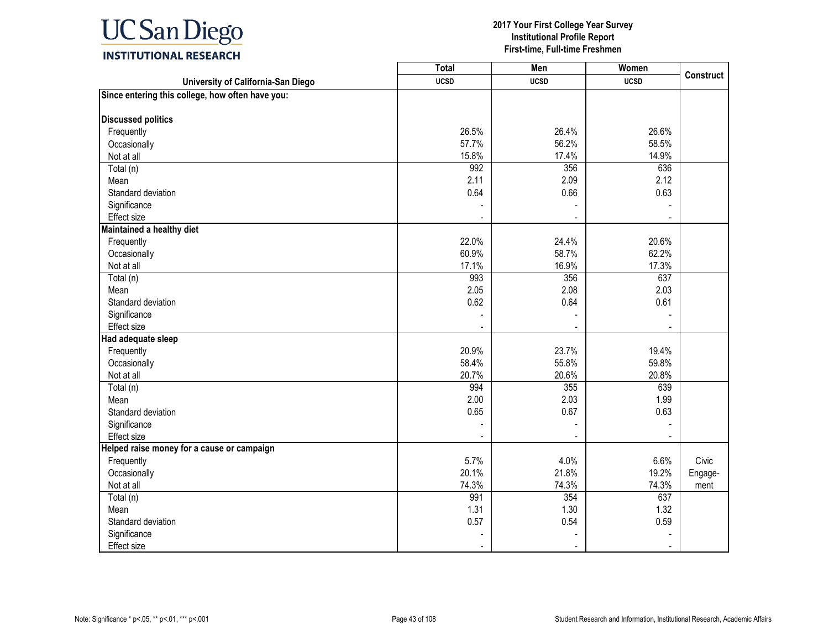

|                                                  | <b>Total</b> | Men         | Women       | <b>Construct</b> |
|--------------------------------------------------|--------------|-------------|-------------|------------------|
| University of California-San Diego               | <b>UCSD</b>  | <b>UCSD</b> | <b>UCSD</b> |                  |
| Since entering this college, how often have you: |              |             |             |                  |
| <b>Discussed politics</b>                        |              |             |             |                  |
| Frequently                                       | 26.5%        | 26.4%       | 26.6%       |                  |
| Occasionally                                     | 57.7%        | 56.2%       | 58.5%       |                  |
| Not at all                                       | 15.8%        | 17.4%       | 14.9%       |                  |
| Total (n)                                        | 992          | 356         | 636         |                  |
| Mean                                             | 2.11         | 2.09        | 2.12        |                  |
| Standard deviation                               | 0.64         | 0.66        | 0.63        |                  |
| Significance                                     |              |             |             |                  |
| Effect size                                      |              | $\sim$      | $\sim$      |                  |
| Maintained a healthy diet                        |              |             |             |                  |
| Frequently                                       | 22.0%        | 24.4%       | 20.6%       |                  |
| Occasionally                                     | 60.9%        | 58.7%       | 62.2%       |                  |
| Not at all                                       | 17.1%        | 16.9%       | 17.3%       |                  |
| Total (n)                                        | 993          | 356         | 637         |                  |
| Mean                                             | 2.05         | 2.08        | 2.03        |                  |
| Standard deviation                               | 0.62         | 0.64        | 0.61        |                  |
| Significance                                     |              |             |             |                  |
| Effect size                                      |              |             |             |                  |
| Had adequate sleep                               |              |             |             |                  |
| Frequently                                       | 20.9%        | 23.7%       | 19.4%       |                  |
| Occasionally                                     | 58.4%        | 55.8%       | 59.8%       |                  |
| Not at all                                       | 20.7%        | 20.6%       | 20.8%       |                  |
| Total (n)                                        | 994          | 355         | 639         |                  |
| Mean                                             | 2.00         | 2.03        | 1.99        |                  |
| Standard deviation                               | 0.65         | 0.67        | 0.63        |                  |
| Significance                                     |              |             |             |                  |
| Effect size                                      |              |             |             |                  |
| Helped raise money for a cause or campaign       |              |             |             |                  |
| Frequently                                       | 5.7%         | 4.0%        | 6.6%        | Civic            |
| Occasionally                                     | 20.1%        | 21.8%       | 19.2%       | Engage-          |
| Not at all                                       | 74.3%        | 74.3%       | 74.3%       | ment             |
| Total (n)                                        | 991          | 354         | 637         |                  |
| Mean                                             | 1.31         | 1.30        | 1.32        |                  |
| Standard deviation                               | 0.57         | 0.54        | 0.59        |                  |
| Significance                                     |              |             |             |                  |
| <b>Effect size</b>                               |              |             |             |                  |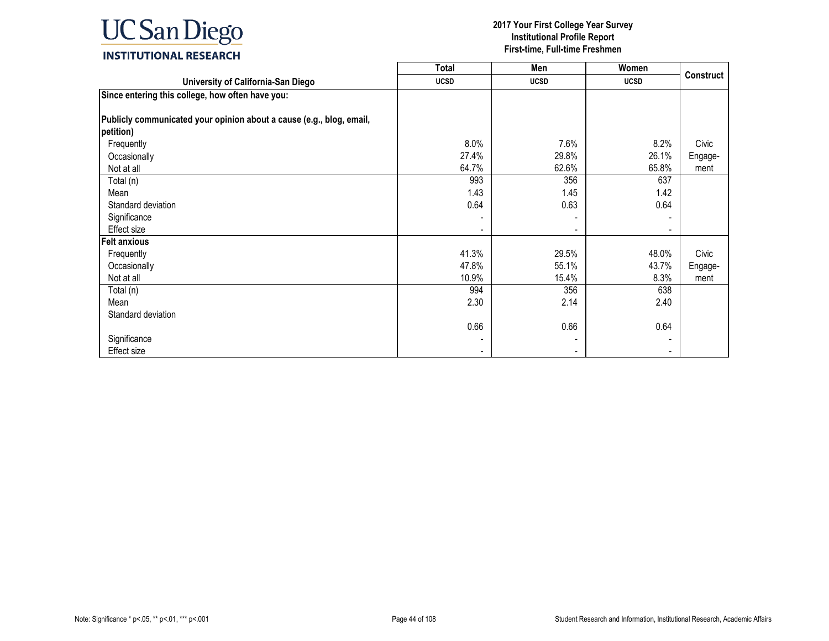

|                                                                      | <b>Total</b> | Men         | Women       |                  |
|----------------------------------------------------------------------|--------------|-------------|-------------|------------------|
| University of California-San Diego                                   | <b>UCSD</b>  | <b>UCSD</b> | <b>UCSD</b> | <b>Construct</b> |
| Since entering this college, how often have you:                     |              |             |             |                  |
|                                                                      |              |             |             |                  |
| Publicly communicated your opinion about a cause (e.g., blog, email, |              |             |             |                  |
| petition)                                                            |              |             |             |                  |
| Frequently                                                           | 8.0%         | 7.6%        | 8.2%        | Civic            |
| Occasionally                                                         | 27.4%        | 29.8%       | 26.1%       | Engage-          |
| Not at all                                                           | 64.7%        | 62.6%       | 65.8%       | ment             |
| Total (n)                                                            | 993          | 356         | 637         |                  |
| Mean                                                                 | 1.43         | 1.45        | 1.42        |                  |
| Standard deviation                                                   | 0.64         | 0.63        | 0.64        |                  |
| Significance                                                         |              |             |             |                  |
| Effect size                                                          |              |             |             |                  |
| <b>Felt anxious</b>                                                  |              |             |             |                  |
| Frequently                                                           | 41.3%        | 29.5%       | 48.0%       | Civic            |
| Occasionally                                                         | 47.8%        | 55.1%       | 43.7%       | Engage-          |
| Not at all                                                           | 10.9%        | 15.4%       | 8.3%        | ment             |
| Total (n)                                                            | 994          | 356         | 638         |                  |
| Mean                                                                 | 2.30         | 2.14        | 2.40        |                  |
| Standard deviation                                                   |              |             |             |                  |
|                                                                      | 0.66         | 0.66        | 0.64        |                  |
| Significance                                                         |              |             |             |                  |
| Effect size                                                          |              |             | ٠           |                  |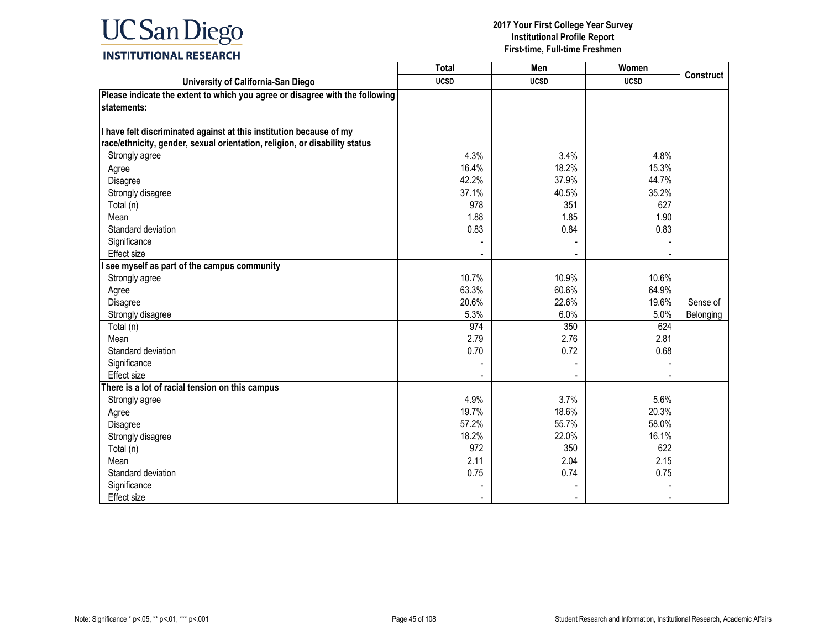# **UC** San Diego **INSTITUTIONAL RESEARCH**

|                                                                              | <b>Total</b> | Men         | Women       |                  |
|------------------------------------------------------------------------------|--------------|-------------|-------------|------------------|
| University of California-San Diego                                           | <b>UCSD</b>  | <b>UCSD</b> | <b>UCSD</b> | <b>Construct</b> |
| Please indicate the extent to which you agree or disagree with the following |              |             |             |                  |
| statements:                                                                  |              |             |             |                  |
|                                                                              |              |             |             |                  |
| I have felt discriminated against at this institution because of my          |              |             |             |                  |
| race/ethnicity, gender, sexual orientation, religion, or disability status   |              |             |             |                  |
| Strongly agree                                                               | 4.3%         | 3.4%        | 4.8%        |                  |
| Agree                                                                        | 16.4%        | 18.2%       | 15.3%       |                  |
| Disagree                                                                     | 42.2%        | 37.9%       | 44.7%       |                  |
| Strongly disagree                                                            | 37.1%        | 40.5%       | 35.2%       |                  |
| Total (n)                                                                    | 978          | 351         | 627         |                  |
| Mean                                                                         | 1.88         | 1.85        | 1.90        |                  |
| Standard deviation                                                           | 0.83         | 0.84        | 0.83        |                  |
| Significance                                                                 |              |             |             |                  |
| Effect size                                                                  |              |             |             |                  |
| see myself as part of the campus community                                   |              |             |             |                  |
| Strongly agree                                                               | 10.7%        | 10.9%       | 10.6%       |                  |
| Agree                                                                        | 63.3%        | 60.6%       | 64.9%       |                  |
| Disagree                                                                     | 20.6%        | 22.6%       | 19.6%       | Sense of         |
| Strongly disagree                                                            | 5.3%         | 6.0%        | 5.0%        | Belonging        |
| Total (n)                                                                    | 974          | 350         | 624         |                  |
| Mean                                                                         | 2.79         | 2.76        | 2.81        |                  |
| Standard deviation                                                           | 0.70         | 0.72        | 0.68        |                  |
| Significance                                                                 |              |             |             |                  |
| <b>Effect size</b>                                                           |              |             |             |                  |
| There is a lot of racial tension on this campus                              |              |             |             |                  |
| Strongly agree                                                               | 4.9%         | 3.7%        | 5.6%        |                  |
| Agree                                                                        | 19.7%        | 18.6%       | 20.3%       |                  |
| Disagree                                                                     | 57.2%        | 55.7%       | 58.0%       |                  |
| Strongly disagree                                                            | 18.2%        | 22.0%       | 16.1%       |                  |
| Total (n)                                                                    | 972          | 350         | 622         |                  |
| Mean                                                                         | 2.11         | 2.04        | 2.15        |                  |
| Standard deviation                                                           | 0.75         | 0.74        | 0.75        |                  |
| Significance                                                                 |              |             |             |                  |
| Effect size                                                                  |              |             |             |                  |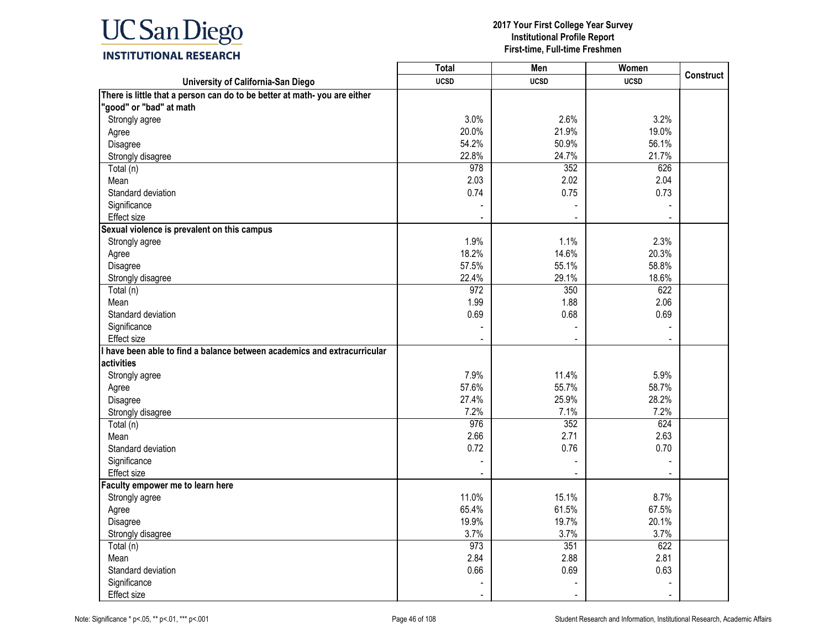

|                                                                           | <b>Total</b> | Men                      | Women       |                  |
|---------------------------------------------------------------------------|--------------|--------------------------|-------------|------------------|
| University of California-San Diego                                        | <b>UCSD</b>  | <b>UCSD</b>              | <b>UCSD</b> | <b>Construct</b> |
| There is little that a person can do to be better at math- you are either |              |                          |             |                  |
| "good" or "bad" at math                                                   |              |                          |             |                  |
| Strongly agree                                                            | 3.0%         | 2.6%                     | 3.2%        |                  |
| Agree                                                                     | 20.0%        | 21.9%                    | 19.0%       |                  |
| Disagree                                                                  | 54.2%        | 50.9%                    | 56.1%       |                  |
| Strongly disagree                                                         | 22.8%        | 24.7%                    | 21.7%       |                  |
| Total (n)                                                                 | 978          | 352                      | 626         |                  |
| Mean                                                                      | 2.03         | 2.02                     | 2.04        |                  |
| Standard deviation                                                        | 0.74         | 0.75                     | 0.73        |                  |
| Significance                                                              |              |                          |             |                  |
| Effect size                                                               |              |                          |             |                  |
| Sexual violence is prevalent on this campus                               |              |                          |             |                  |
| Strongly agree                                                            | 1.9%         | 1.1%                     | 2.3%        |                  |
| Agree                                                                     | 18.2%        | 14.6%                    | 20.3%       |                  |
| Disagree                                                                  | 57.5%        | 55.1%                    | 58.8%       |                  |
| Strongly disagree                                                         | 22.4%        | 29.1%                    | 18.6%       |                  |
| Total (n)                                                                 | 972          | 350                      | 622         |                  |
| Mean                                                                      | 1.99         | 1.88                     | 2.06        |                  |
| Standard deviation                                                        | 0.69         | 0.68                     | 0.69        |                  |
| Significance                                                              |              |                          |             |                  |
| <b>Effect size</b>                                                        |              |                          |             |                  |
| I have been able to find a balance between academics and extracurricular  |              |                          |             |                  |
| activities                                                                |              |                          |             |                  |
| Strongly agree                                                            | 7.9%         | 11.4%                    | 5.9%        |                  |
| Agree                                                                     | 57.6%        | 55.7%                    | 58.7%       |                  |
| Disagree                                                                  | 27.4%        | 25.9%                    | 28.2%       |                  |
| Strongly disagree                                                         | 7.2%         | 7.1%                     | 7.2%        |                  |
| Total (n)                                                                 | 976          | 352                      | 624         |                  |
| Mean                                                                      | 2.66         | 2.71                     | 2.63        |                  |
| Standard deviation                                                        | 0.72         | 0.76                     | 0.70        |                  |
| Significance                                                              |              |                          |             |                  |
| Effect size                                                               |              |                          |             |                  |
| Faculty empower me to learn here                                          |              |                          |             |                  |
| Strongly agree                                                            | 11.0%        | 15.1%                    | 8.7%        |                  |
| Agree                                                                     | 65.4%        | 61.5%                    | 67.5%       |                  |
| Disagree                                                                  | 19.9%        | 19.7%                    | 20.1%       |                  |
| Strongly disagree                                                         | 3.7%         | 3.7%                     | 3.7%        |                  |
| Total (n)                                                                 | 973          | 351                      | 622         |                  |
| Mean                                                                      | 2.84         | 2.88                     | 2.81        |                  |
| Standard deviation                                                        | 0.66         | 0.69                     | 0.63        |                  |
| Significance                                                              |              |                          |             |                  |
| Effect size                                                               |              | $\overline{\phantom{a}}$ |             |                  |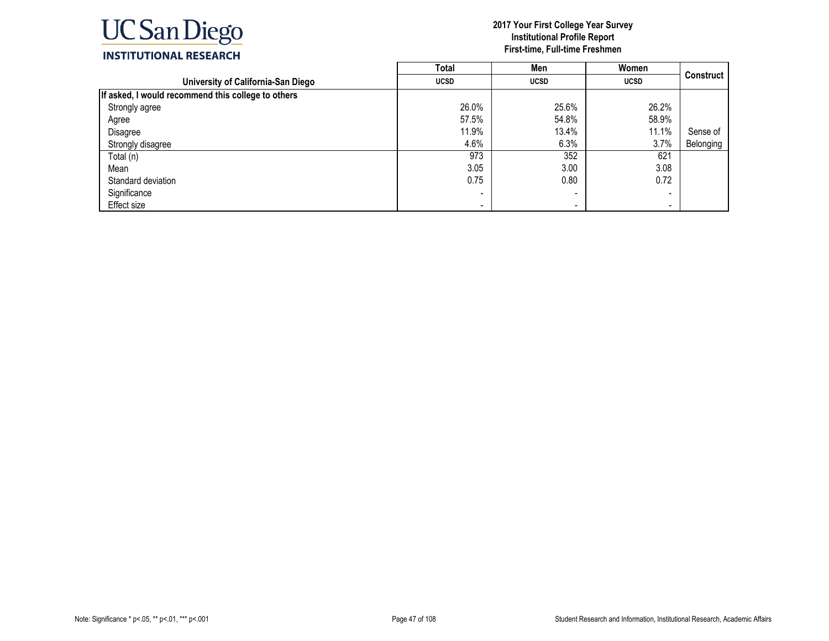

|                                                    | Total       | Men                      | Women       |                  |
|----------------------------------------------------|-------------|--------------------------|-------------|------------------|
| University of California-San Diego                 | <b>UCSD</b> | <b>UCSD</b>              | <b>UCSD</b> | <b>Construct</b> |
| If asked, I would recommend this college to others |             |                          |             |                  |
| Strongly agree                                     | 26.0%       | 25.6%                    | 26.2%       |                  |
| Agree                                              | 57.5%       | 54.8%                    | 58.9%       |                  |
| Disagree                                           | 11.9%       | 13.4%                    | 11.1%       | Sense of         |
| Strongly disagree                                  | 4.6%        | 6.3%                     | 3.7%        | Belonging        |
| Total (n)                                          | 973         | 352                      | 621         |                  |
| Mean                                               | 3.05        | 3.00                     | 3.08        |                  |
| Standard deviation                                 | 0.75        | 0.80                     | 0.72        |                  |
| Significance                                       |             | $\overline{\phantom{0}}$ |             |                  |
| Effect size                                        |             |                          |             |                  |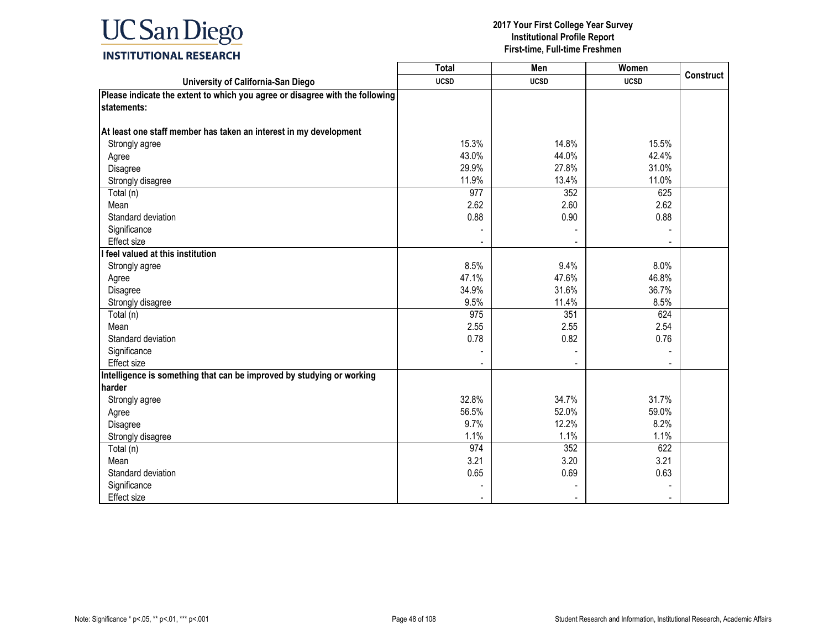

#### **2017 Your First College Year Survey Institutional Profile Report First-time, Full-time Freshmen**

┑

┰

### **INSTITUTIONAL RESEARCH**

|                                                                              | Total       | Men         | Women       | <b>Construct</b> |
|------------------------------------------------------------------------------|-------------|-------------|-------------|------------------|
| University of California-San Diego                                           | <b>UCSD</b> | <b>UCSD</b> | <b>UCSD</b> |                  |
| Please indicate the extent to which you agree or disagree with the following |             |             |             |                  |
| statements:                                                                  |             |             |             |                  |
|                                                                              |             |             |             |                  |
| At least one staff member has taken an interest in my development            |             |             |             |                  |
| Strongly agree                                                               | 15.3%       | 14.8%       | 15.5%       |                  |
| Agree                                                                        | 43.0%       | 44.0%       | 42.4%       |                  |
| Disagree                                                                     | 29.9%       | 27.8%       | 31.0%       |                  |
| Strongly disagree                                                            | 11.9%       | 13.4%       | 11.0%       |                  |
| Total (n)                                                                    | 977         | 352         | 625         |                  |
| Mean                                                                         | 2.62        | 2.60        | 2.62        |                  |
| Standard deviation                                                           | 0.88        | 0.90        | 0.88        |                  |
| Significance                                                                 |             |             |             |                  |
| <b>Effect size</b>                                                           |             |             |             |                  |
| feel valued at this institution                                              |             |             |             |                  |
| Strongly agree                                                               | 8.5%        | 9.4%        | 8.0%        |                  |
| Agree                                                                        | 47.1%       | 47.6%       | 46.8%       |                  |
| Disagree                                                                     | 34.9%       | 31.6%       | 36.7%       |                  |
| Strongly disagree                                                            | 9.5%        | 11.4%       | 8.5%        |                  |
| Total (n)                                                                    | 975         | 351         | 624         |                  |
| Mean                                                                         | 2.55        | 2.55        | 2.54        |                  |
| Standard deviation                                                           | 0.78        | 0.82        | 0.76        |                  |
| Significance                                                                 |             |             |             |                  |
| <b>Effect size</b>                                                           |             |             |             |                  |
| Intelligence is something that can be improved by studying or working        |             |             |             |                  |
| harder                                                                       |             |             |             |                  |
| Strongly agree                                                               | 32.8%       | 34.7%       | 31.7%       |                  |
| Agree                                                                        | 56.5%       | 52.0%       | 59.0%       |                  |
| Disagree                                                                     | 9.7%        | 12.2%       | 8.2%        |                  |
| Strongly disagree                                                            | 1.1%        | 1.1%        | 1.1%        |                  |
| Total (n)                                                                    | 974         | 352         | 622         |                  |
| Mean                                                                         | 3.21        | 3.20        | 3.21        |                  |
| Standard deviation                                                           | 0.65        | 0.69        | 0.63        |                  |
| Significance                                                                 |             |             |             |                  |
| Effect size                                                                  |             |             |             |                  |

Г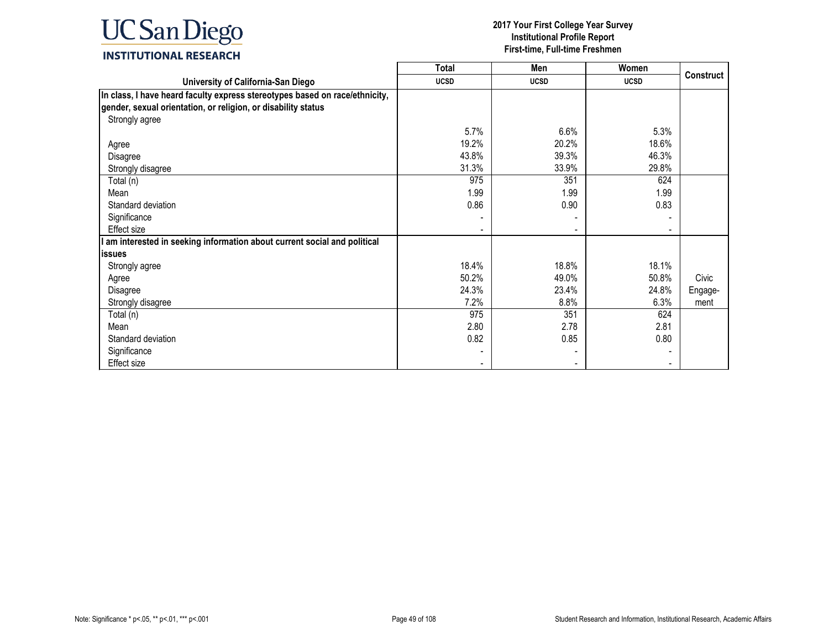

|                                                                             | <b>Total</b> | Men         | Women       |                  |
|-----------------------------------------------------------------------------|--------------|-------------|-------------|------------------|
| University of California-San Diego                                          | <b>UCSD</b>  | <b>UCSD</b> | <b>UCSD</b> | <b>Construct</b> |
| In class, I have heard faculty express stereotypes based on race/ethnicity, |              |             |             |                  |
| gender, sexual orientation, or religion, or disability status               |              |             |             |                  |
| Strongly agree                                                              |              |             |             |                  |
|                                                                             | 5.7%         | 6.6%        | 5.3%        |                  |
| Agree                                                                       | 19.2%        | 20.2%       | 18.6%       |                  |
| Disagree                                                                    | 43.8%        | 39.3%       | 46.3%       |                  |
| Strongly disagree                                                           | 31.3%        | 33.9%       | 29.8%       |                  |
| Total (n)                                                                   | 975          | 351         | 624         |                  |
| Mean                                                                        | 1.99         | 1.99        | 1.99        |                  |
| Standard deviation                                                          | 0.86         | 0.90        | 0.83        |                  |
| Significance                                                                |              |             |             |                  |
| Effect size                                                                 |              |             |             |                  |
| am interested in seeking information about current social and political     |              |             |             |                  |
| lissues                                                                     |              |             |             |                  |
| Strongly agree                                                              | 18.4%        | 18.8%       | 18.1%       |                  |
| Agree                                                                       | 50.2%        | 49.0%       | 50.8%       | Civic            |
| Disagree                                                                    | 24.3%        | 23.4%       | 24.8%       | Engage-          |
| Strongly disagree                                                           | 7.2%         | 8.8%        | 6.3%        | ment             |
| Total (n)                                                                   | 975          | 351         | 624         |                  |
| Mean                                                                        | 2.80         | 2.78        | 2.81        |                  |
| Standard deviation                                                          | 0.82         | 0.85        | 0.80        |                  |
| Significance                                                                |              |             |             |                  |
| Effect size                                                                 |              |             |             |                  |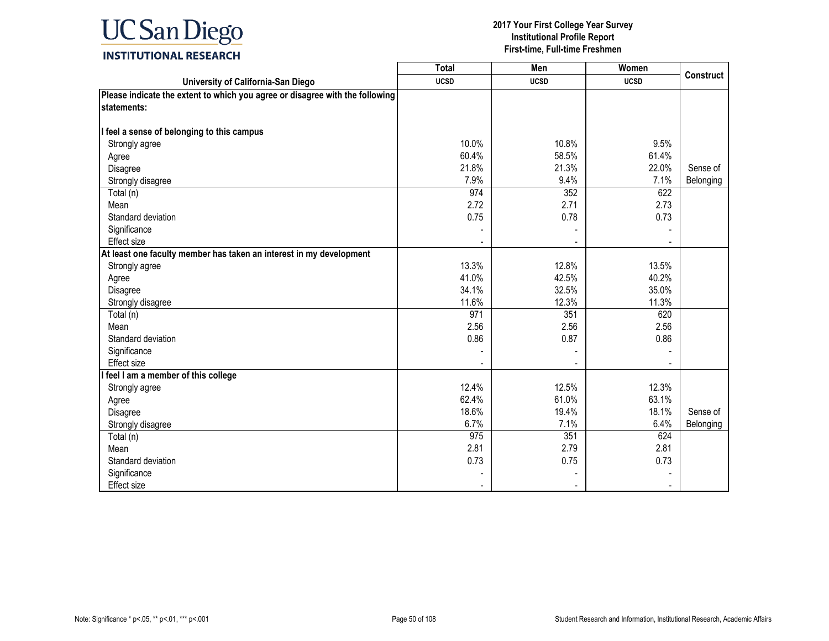

|                                                                              | <b>Total</b> | Men         | Women       |                  |
|------------------------------------------------------------------------------|--------------|-------------|-------------|------------------|
| University of California-San Diego                                           | <b>UCSD</b>  | <b>UCSD</b> | <b>UCSD</b> | <b>Construct</b> |
| Please indicate the extent to which you agree or disagree with the following |              |             |             |                  |
| statements:                                                                  |              |             |             |                  |
|                                                                              |              |             |             |                  |
| I feel a sense of belonging to this campus                                   |              |             |             |                  |
| Strongly agree                                                               | 10.0%        | 10.8%       | 9.5%        |                  |
| Agree                                                                        | 60.4%        | 58.5%       | 61.4%       |                  |
| Disagree                                                                     | 21.8%        | 21.3%       | 22.0%       | Sense of         |
| Strongly disagree                                                            | 7.9%         | 9.4%        | 7.1%        | Belonging        |
| Total (n)                                                                    | 974          | 352         | 622         |                  |
| Mean                                                                         | 2.72         | 2.71        | 2.73        |                  |
| Standard deviation                                                           | 0.75         | 0.78        | 0.73        |                  |
| Significance                                                                 |              |             |             |                  |
| Effect size                                                                  |              |             |             |                  |
| At least one faculty member has taken an interest in my development          |              |             |             |                  |
| Strongly agree                                                               | 13.3%        | 12.8%       | 13.5%       |                  |
| Agree                                                                        | 41.0%        | 42.5%       | 40.2%       |                  |
| Disagree                                                                     | 34.1%        | 32.5%       | 35.0%       |                  |
| Strongly disagree                                                            | 11.6%        | 12.3%       | 11.3%       |                  |
| Total (n)                                                                    | 971          | 351         | 620         |                  |
| Mean                                                                         | 2.56         | 2.56        | 2.56        |                  |
| Standard deviation                                                           | 0.86         | 0.87        | 0.86        |                  |
| Significance                                                                 |              |             |             |                  |
| <b>Effect size</b>                                                           |              |             |             |                  |
| I feel I am a member of this college                                         |              |             |             |                  |
| Strongly agree                                                               | 12.4%        | 12.5%       | 12.3%       |                  |
| Agree                                                                        | 62.4%        | 61.0%       | 63.1%       |                  |
| Disagree                                                                     | 18.6%        | 19.4%       | 18.1%       | Sense of         |
| Strongly disagree                                                            | 6.7%         | 7.1%        | 6.4%        | Belonging        |
| Total (n)                                                                    | 975          | 351         | 624         |                  |
| Mean                                                                         | 2.81         | 2.79        | 2.81        |                  |
| Standard deviation                                                           | 0.73         | 0.75        | 0.73        |                  |
| Significance                                                                 |              |             |             |                  |
| Effect size                                                                  |              |             |             |                  |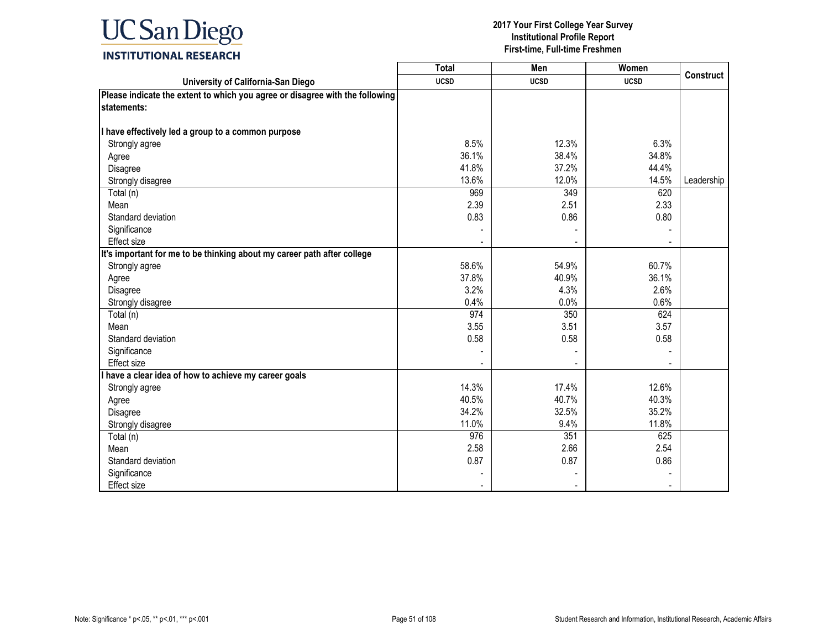

|                                                                              | <b>Total</b> | Men         | Women       | <b>Construct</b> |
|------------------------------------------------------------------------------|--------------|-------------|-------------|------------------|
| University of California-San Diego                                           | <b>UCSD</b>  | <b>UCSD</b> | <b>UCSD</b> |                  |
| Please indicate the extent to which you agree or disagree with the following |              |             |             |                  |
| statements:                                                                  |              |             |             |                  |
|                                                                              |              |             |             |                  |
| I have effectively led a group to a common purpose                           |              |             |             |                  |
| Strongly agree                                                               | 8.5%         | 12.3%       | 6.3%        |                  |
| Agree                                                                        | 36.1%        | 38.4%       | 34.8%       |                  |
| Disagree                                                                     | 41.8%        | 37.2%       | 44.4%       |                  |
| Strongly disagree                                                            | 13.6%        | 12.0%       | 14.5%       | Leadership       |
| Total (n)                                                                    | 969          | 349         | 620         |                  |
| Mean                                                                         | 2.39         | 2.51        | 2.33        |                  |
| Standard deviation                                                           | 0.83         | 0.86        | 0.80        |                  |
| Significance                                                                 |              |             |             |                  |
| Effect size                                                                  |              |             |             |                  |
| It's important for me to be thinking about my career path after college      |              |             |             |                  |
| Strongly agree                                                               | 58.6%        | 54.9%       | 60.7%       |                  |
| Agree                                                                        | 37.8%        | 40.9%       | 36.1%       |                  |
| Disagree                                                                     | 3.2%         | 4.3%        | 2.6%        |                  |
| Strongly disagree                                                            | 0.4%         | 0.0%        | 0.6%        |                  |
| Total (n)                                                                    | 974          | 350         | 624         |                  |
| Mean                                                                         | 3.55         | 3.51        | 3.57        |                  |
| Standard deviation                                                           | 0.58         | 0.58        | 0.58        |                  |
| Significance                                                                 |              |             |             |                  |
| Effect size                                                                  |              |             |             |                  |
| have a clear idea of how to achieve my career goals                          |              |             |             |                  |
| Strongly agree                                                               | 14.3%        | 17.4%       | 12.6%       |                  |
| Agree                                                                        | 40.5%        | 40.7%       | 40.3%       |                  |
| Disagree                                                                     | 34.2%        | 32.5%       | 35.2%       |                  |
| Strongly disagree                                                            | 11.0%        | 9.4%        | 11.8%       |                  |
| Total (n)                                                                    | 976          | 351         | 625         |                  |
| Mean                                                                         | 2.58         | 2.66        | 2.54        |                  |
| Standard deviation                                                           | 0.87         | 0.87        | 0.86        |                  |
| Significance                                                                 |              |             |             |                  |
| Effect size                                                                  |              |             |             |                  |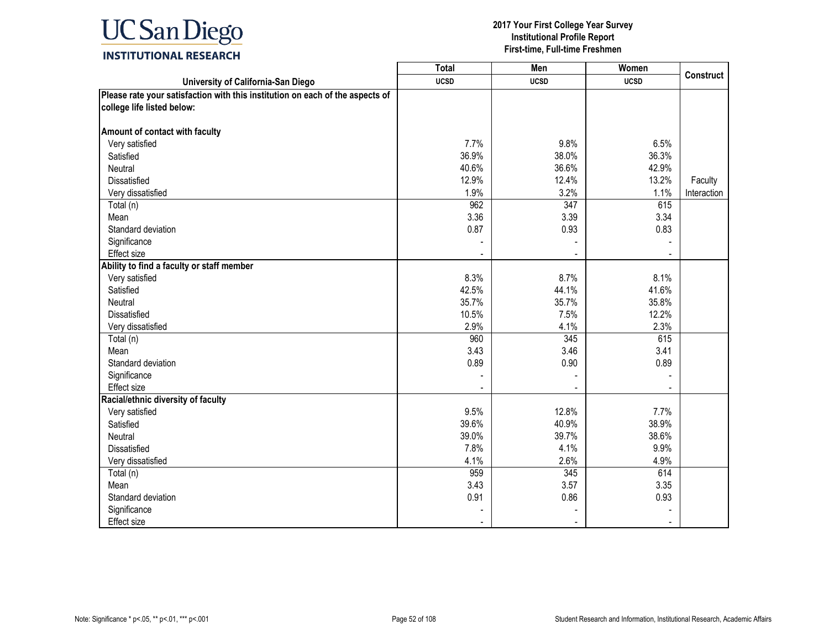

|                                                                               | <b>Total</b> | Men         | Women       | <b>Construct</b> |
|-------------------------------------------------------------------------------|--------------|-------------|-------------|------------------|
| University of California-San Diego                                            | <b>UCSD</b>  | <b>UCSD</b> | <b>UCSD</b> |                  |
| Please rate your satisfaction with this institution on each of the aspects of |              |             |             |                  |
| college life listed below:                                                    |              |             |             |                  |
|                                                                               |              |             |             |                  |
| Amount of contact with faculty                                                |              |             |             |                  |
| Very satisfied                                                                | 7.7%         | 9.8%        | 6.5%        |                  |
| Satisfied                                                                     | 36.9%        | 38.0%       | 36.3%       |                  |
| Neutral                                                                       | 40.6%        | 36.6%       | 42.9%       |                  |
| Dissatisfied                                                                  | 12.9%        | 12.4%       | 13.2%       | Faculty          |
| Very dissatisfied                                                             | 1.9%         | 3.2%        | 1.1%        | Interaction      |
| Total (n)                                                                     | 962          | 347         | 615         |                  |
| Mean                                                                          | 3.36         | 3.39        | 3.34        |                  |
| Standard deviation                                                            | 0.87         | 0.93        | 0.83        |                  |
| Significance                                                                  |              |             |             |                  |
| Effect size                                                                   |              |             |             |                  |
| Ability to find a faculty or staff member                                     |              |             |             |                  |
| Very satisfied                                                                | 8.3%         | 8.7%        | 8.1%        |                  |
| Satisfied                                                                     | 42.5%        | 44.1%       | 41.6%       |                  |
| Neutral                                                                       | 35.7%        | 35.7%       | 35.8%       |                  |
| <b>Dissatisfied</b>                                                           | 10.5%        | 7.5%        | 12.2%       |                  |
| Very dissatisfied                                                             | 2.9%         | 4.1%        | 2.3%        |                  |
| Total (n)                                                                     | 960          | 345         | 615         |                  |
| Mean                                                                          | 3.43         | 3.46        | 3.41        |                  |
| Standard deviation                                                            | 0.89         | 0.90        | 0.89        |                  |
| Significance                                                                  |              |             |             |                  |
| <b>Effect size</b>                                                            |              |             |             |                  |
| Racial/ethnic diversity of faculty                                            |              |             |             |                  |
| Very satisfied                                                                | 9.5%         | 12.8%       | 7.7%        |                  |
| Satisfied                                                                     | 39.6%        | 40.9%       | 38.9%       |                  |
| Neutral                                                                       | 39.0%        | 39.7%       | 38.6%       |                  |
| Dissatisfied                                                                  | 7.8%         | 4.1%        | 9.9%        |                  |
| Very dissatisfied                                                             | 4.1%         | 2.6%        | 4.9%        |                  |
| Total (n)                                                                     | 959          | 345         | 614         |                  |
| Mean                                                                          | 3.43         | 3.57        | 3.35        |                  |
| Standard deviation                                                            | 0.91         | 0.86        | 0.93        |                  |
| Significance                                                                  |              |             |             |                  |
| Effect size                                                                   |              |             |             |                  |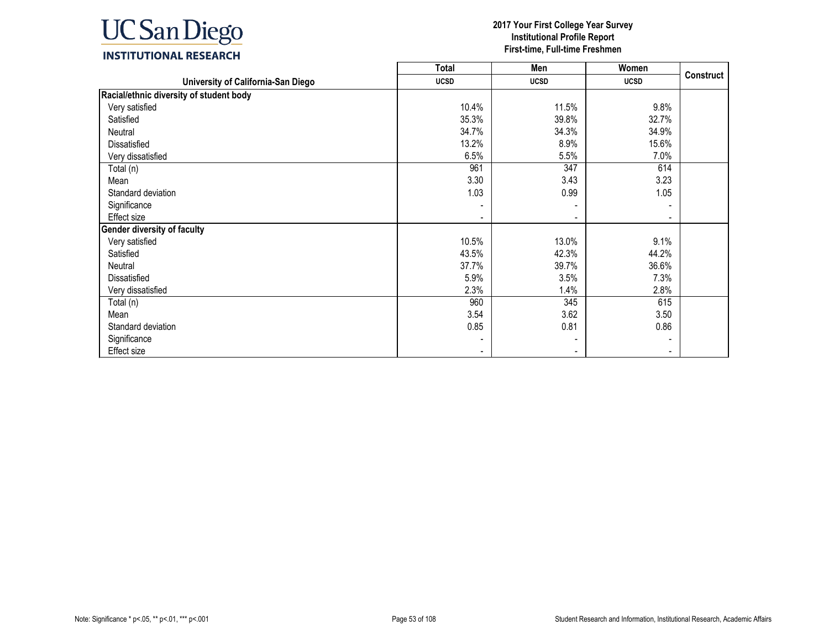

|                                         | <b>Total</b> | Men            | Women                    |                  |
|-----------------------------------------|--------------|----------------|--------------------------|------------------|
| University of California-San Diego      | <b>UCSD</b>  | <b>UCSD</b>    | <b>UCSD</b>              | <b>Construct</b> |
| Racial/ethnic diversity of student body |              |                |                          |                  |
| Very satisfied                          | 10.4%        | 11.5%          | 9.8%                     |                  |
| Satisfied                               | 35.3%        | 39.8%          | 32.7%                    |                  |
| Neutral                                 | 34.7%        | 34.3%          | 34.9%                    |                  |
| Dissatisfied                            | 13.2%        | 8.9%           | 15.6%                    |                  |
| Very dissatisfied                       | 6.5%         | 5.5%           | 7.0%                     |                  |
| Total (n)                               | 961          | 347            | 614                      |                  |
| Mean                                    | 3.30         | 3.43           | 3.23                     |                  |
| Standard deviation                      | 1.03         | 0.99           | 1.05                     |                  |
| Significance                            |              |                |                          |                  |
| <b>Effect size</b>                      |              | $\blacksquare$ | $\overline{\phantom{a}}$ |                  |
| <b>Gender diversity of faculty</b>      |              |                |                          |                  |
| Very satisfied                          | 10.5%        | 13.0%          | 9.1%                     |                  |
| Satisfied                               | 43.5%        | 42.3%          | 44.2%                    |                  |
| Neutral                                 | 37.7%        | 39.7%          | 36.6%                    |                  |
| Dissatisfied                            | 5.9%         | 3.5%           | 7.3%                     |                  |
| Very dissatisfied                       | 2.3%         | 1.4%           | 2.8%                     |                  |
| Total (n)                               | 960          | 345            | 615                      |                  |
| Mean                                    | 3.54         | 3.62           | 3.50                     |                  |
| Standard deviation                      | 0.85         | 0.81           | 0.86                     |                  |
| Significance                            |              |                |                          |                  |
| <b>Effect size</b>                      |              |                |                          |                  |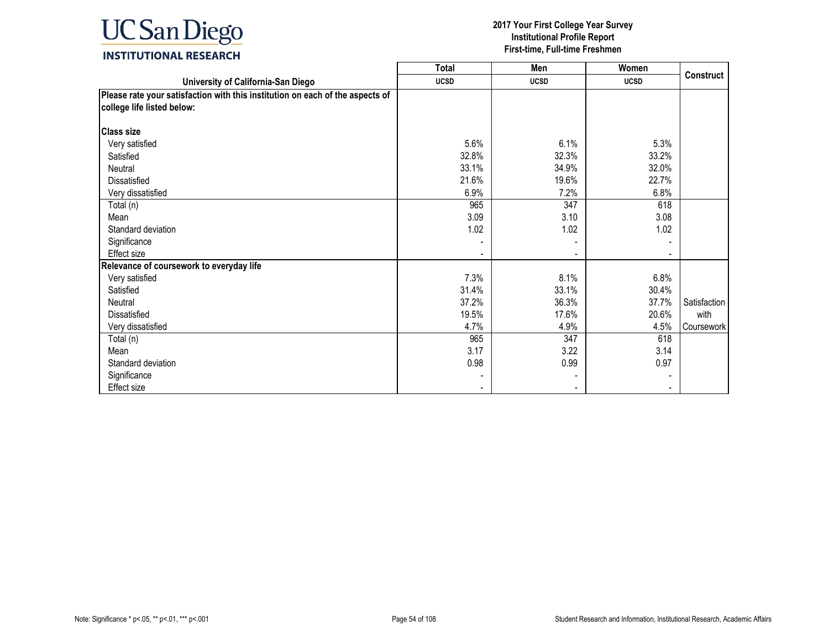

|                                                                                                             | Total       | Men         | Women       |                  |
|-------------------------------------------------------------------------------------------------------------|-------------|-------------|-------------|------------------|
| University of California-San Diego                                                                          | <b>UCSD</b> | <b>UCSD</b> | <b>UCSD</b> | <b>Construct</b> |
| Please rate your satisfaction with this institution on each of the aspects of<br>college life listed below: |             |             |             |                  |
| <b>Class size</b>                                                                                           |             |             |             |                  |
| Very satisfied                                                                                              | 5.6%        | 6.1%        | 5.3%        |                  |
| Satisfied                                                                                                   | 32.8%       | 32.3%       | 33.2%       |                  |
| Neutral                                                                                                     | 33.1%       | 34.9%       | 32.0%       |                  |
| <b>Dissatisfied</b>                                                                                         | 21.6%       | 19.6%       | 22.7%       |                  |
| Very dissatisfied                                                                                           | 6.9%        | 7.2%        | 6.8%        |                  |
| Total (n)                                                                                                   | 965         | 347         | 618         |                  |
| Mean                                                                                                        | 3.09        | 3.10        | 3.08        |                  |
| Standard deviation                                                                                          | 1.02        | 1.02        | 1.02        |                  |
| Significance                                                                                                |             |             |             |                  |
| Effect size                                                                                                 |             |             |             |                  |
| Relevance of coursework to everyday life                                                                    |             |             |             |                  |
| Very satisfied                                                                                              | 7.3%        | 8.1%        | 6.8%        |                  |
| Satisfied                                                                                                   | 31.4%       | 33.1%       | 30.4%       |                  |
| Neutral                                                                                                     | 37.2%       | 36.3%       | 37.7%       | Satisfaction     |
| Dissatisfied                                                                                                | 19.5%       | 17.6%       | 20.6%       | with             |
| Very dissatisfied                                                                                           | 4.7%        | 4.9%        | 4.5%        | Coursework       |
| Total (n)                                                                                                   | 965         | 347         | 618         |                  |
| Mean                                                                                                        | 3.17        | 3.22        | 3.14        |                  |
| Standard deviation                                                                                          | 0.98        | 0.99        | 0.97        |                  |
| Significance                                                                                                |             |             |             |                  |
| Effect size                                                                                                 |             |             |             |                  |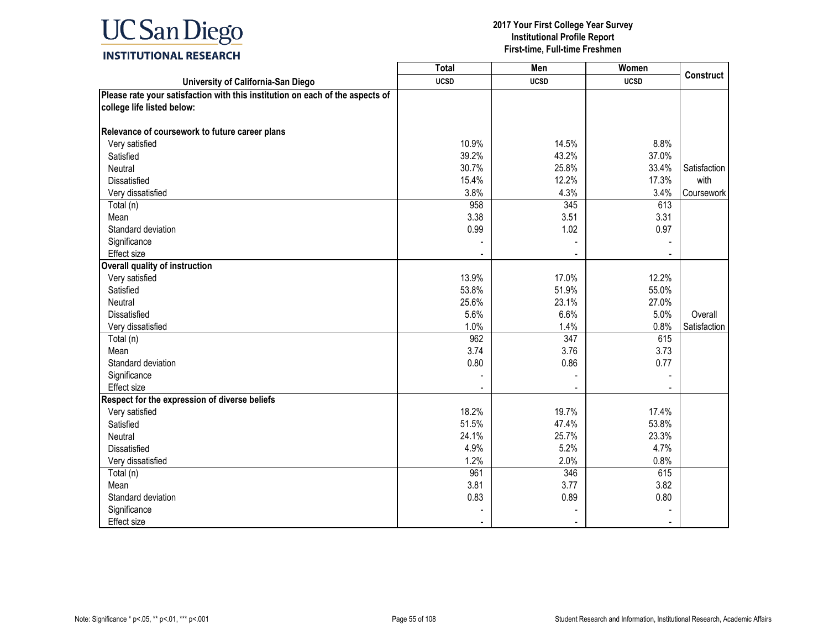

|                                                                               | <b>Total</b> | Men         | Women       |                  |
|-------------------------------------------------------------------------------|--------------|-------------|-------------|------------------|
| University of California-San Diego                                            | <b>UCSD</b>  | <b>UCSD</b> | <b>UCSD</b> | <b>Construct</b> |
| Please rate your satisfaction with this institution on each of the aspects of |              |             |             |                  |
| college life listed below:                                                    |              |             |             |                  |
|                                                                               |              |             |             |                  |
| Relevance of coursework to future career plans                                |              |             |             |                  |
| Very satisfied                                                                | 10.9%        | 14.5%       | 8.8%        |                  |
| Satisfied                                                                     | 39.2%        | 43.2%       | 37.0%       |                  |
| Neutral                                                                       | 30.7%        | 25.8%       | 33.4%       | Satisfaction     |
| Dissatisfied                                                                  | 15.4%        | 12.2%       | 17.3%       | with             |
| Very dissatisfied                                                             | 3.8%         | 4.3%        | 3.4%        | Coursework       |
| Total (n)                                                                     | 958          | 345         | 613         |                  |
| Mean                                                                          | 3.38         | 3.51        | 3.31        |                  |
| Standard deviation                                                            | 0.99         | 1.02        | 0.97        |                  |
| Significance                                                                  |              |             |             |                  |
| Effect size                                                                   |              |             |             |                  |
| <b>Overall quality of instruction</b>                                         |              |             |             |                  |
| Very satisfied                                                                | 13.9%        | 17.0%       | 12.2%       |                  |
| Satisfied                                                                     | 53.8%        | 51.9%       | 55.0%       |                  |
| Neutral                                                                       | 25.6%        | 23.1%       | 27.0%       |                  |
| <b>Dissatisfied</b>                                                           | 5.6%         | 6.6%        | 5.0%        | Overall          |
| Very dissatisfied                                                             | 1.0%         | 1.4%        | 0.8%        | Satisfaction     |
| Total (n)                                                                     | 962          | 347         | 615         |                  |
| Mean                                                                          | 3.74         | 3.76        | 3.73        |                  |
| Standard deviation                                                            | 0.80         | 0.86        | 0.77        |                  |
| Significance                                                                  |              |             |             |                  |
| <b>Effect size</b>                                                            |              |             |             |                  |
| Respect for the expression of diverse beliefs                                 |              |             |             |                  |
| Very satisfied                                                                | 18.2%        | 19.7%       | 17.4%       |                  |
| Satisfied                                                                     | 51.5%        | 47.4%       | 53.8%       |                  |
| Neutral                                                                       | 24.1%        | 25.7%       | 23.3%       |                  |
| Dissatisfied                                                                  | 4.9%         | 5.2%        | 4.7%        |                  |
| Very dissatisfied                                                             | 1.2%         | 2.0%        | 0.8%        |                  |
| Total (n)                                                                     | 961          | 346         | 615         |                  |
| Mean                                                                          | 3.81         | 3.77        | 3.82        |                  |
| Standard deviation                                                            | 0.83         | 0.89        | 0.80        |                  |
| Significance                                                                  |              |             |             |                  |
| Effect size                                                                   |              |             |             |                  |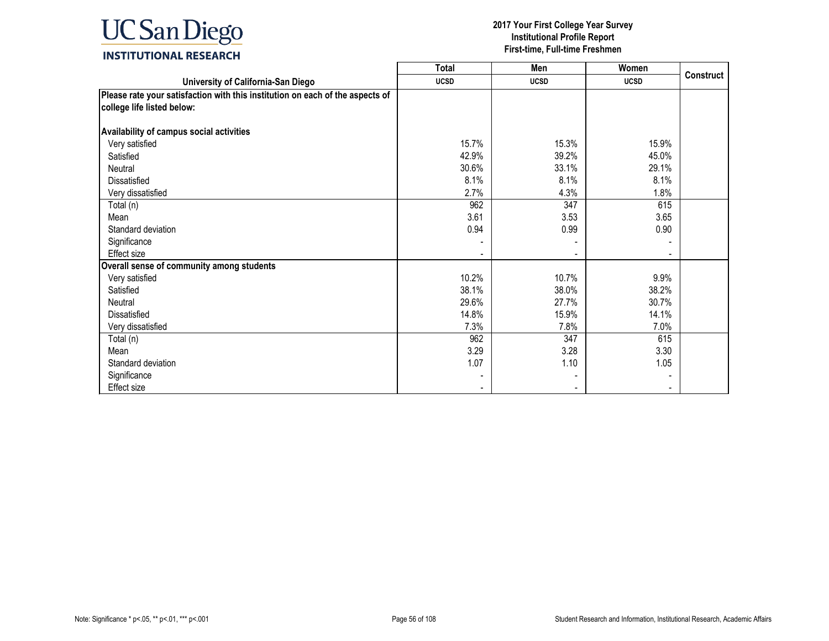

|                                                                                                             | <b>Total</b> | Men            | Women       |                  |
|-------------------------------------------------------------------------------------------------------------|--------------|----------------|-------------|------------------|
| University of California-San Diego                                                                          | <b>UCSD</b>  | <b>UCSD</b>    | <b>UCSD</b> | <b>Construct</b> |
| Please rate your satisfaction with this institution on each of the aspects of<br>college life listed below: |              |                |             |                  |
| Availability of campus social activities                                                                    |              |                |             |                  |
| Very satisfied                                                                                              | 15.7%        | 15.3%          | 15.9%       |                  |
| Satisfied                                                                                                   | 42.9%        | 39.2%          | 45.0%       |                  |
| Neutral                                                                                                     | 30.6%        | 33.1%          | 29.1%       |                  |
| Dissatisfied                                                                                                | 8.1%         | 8.1%           | 8.1%        |                  |
| Very dissatisfied                                                                                           | 2.7%         | 4.3%           | 1.8%        |                  |
| Total (n)                                                                                                   | 962          | 347            | 615         |                  |
| Mean                                                                                                        | 3.61         | 3.53           | 3.65        |                  |
| Standard deviation                                                                                          | 0.94         | 0.99           | 0.90        |                  |
| Significance                                                                                                |              |                |             |                  |
| <b>Effect size</b>                                                                                          |              |                |             |                  |
| Overall sense of community among students                                                                   |              |                |             |                  |
| Very satisfied                                                                                              | 10.2%        | 10.7%          | 9.9%        |                  |
| Satisfied                                                                                                   | 38.1%        | 38.0%          | 38.2%       |                  |
| Neutral                                                                                                     | 29.6%        | 27.7%          | 30.7%       |                  |
| Dissatisfied                                                                                                | 14.8%        | 15.9%          | 14.1%       |                  |
| Very dissatisfied                                                                                           | 7.3%         | 7.8%           | 7.0%        |                  |
| Total (n)                                                                                                   | 962          | 347            | 615         |                  |
| Mean                                                                                                        | 3.29         | 3.28           | 3.30        |                  |
| Standard deviation                                                                                          | 1.07         | 1.10           | 1.05        |                  |
| Significance                                                                                                |              |                |             |                  |
| <b>Effect size</b>                                                                                          |              | $\blacksquare$ |             |                  |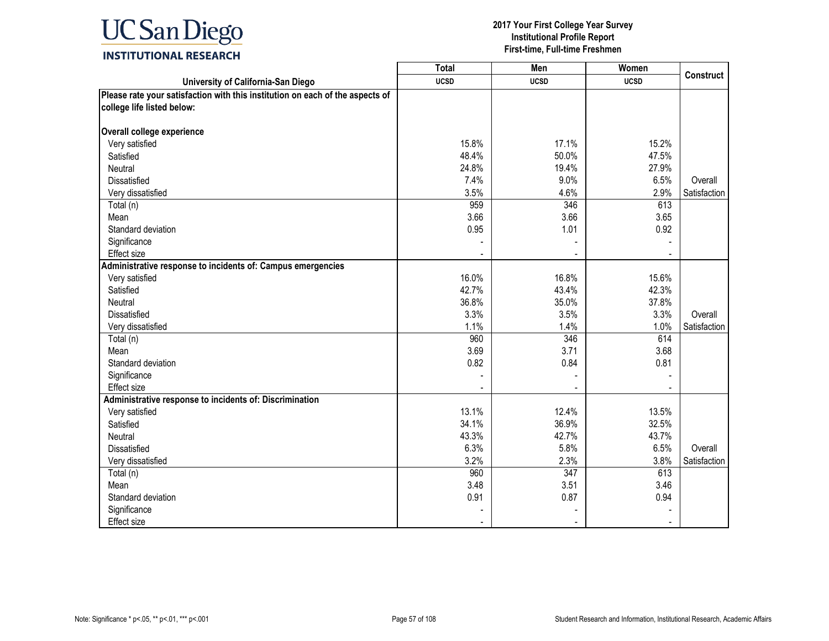

|                                                                               | <b>Total</b> | Men              | Women       |                  |
|-------------------------------------------------------------------------------|--------------|------------------|-------------|------------------|
| University of California-San Diego                                            | <b>UCSD</b>  | <b>UCSD</b>      | <b>UCSD</b> | <b>Construct</b> |
| Please rate your satisfaction with this institution on each of the aspects of |              |                  |             |                  |
| college life listed below:                                                    |              |                  |             |                  |
|                                                                               |              |                  |             |                  |
| Overall college experience                                                    |              |                  |             |                  |
| Very satisfied                                                                | 15.8%        | 17.1%            | 15.2%       |                  |
| Satisfied                                                                     | 48.4%        | 50.0%            | 47.5%       |                  |
| Neutral                                                                       | 24.8%        | 19.4%            | 27.9%       |                  |
| Dissatisfied                                                                  | 7.4%         | 9.0%             | 6.5%        | Overall          |
| Very dissatisfied                                                             | 3.5%         | 4.6%             | 2.9%        | Satisfaction     |
| Total (n)                                                                     | 959          | 346              | 613         |                  |
| Mean                                                                          | 3.66         | 3.66             | 3.65        |                  |
| Standard deviation                                                            | 0.95         | 1.01             | 0.92        |                  |
| Significance                                                                  |              |                  |             |                  |
| Effect size                                                                   |              |                  |             |                  |
| Administrative response to incidents of: Campus emergencies                   |              |                  |             |                  |
| Very satisfied                                                                | 16.0%        | 16.8%            | 15.6%       |                  |
| Satisfied                                                                     | 42.7%        | 43.4%            | 42.3%       |                  |
| Neutral                                                                       | 36.8%        | 35.0%            | 37.8%       |                  |
| <b>Dissatisfied</b>                                                           | 3.3%         | 3.5%             | 3.3%        | Overall          |
| Very dissatisfied                                                             | 1.1%         | 1.4%             | 1.0%        | Satisfaction     |
| Total (n)                                                                     | 960          | 346              | 614         |                  |
| Mean                                                                          | 3.69         | 3.71             | 3.68        |                  |
| Standard deviation                                                            | 0.82         | 0.84             | 0.81        |                  |
| Significance                                                                  |              |                  |             |                  |
| <b>Effect size</b>                                                            |              |                  |             |                  |
| Administrative response to incidents of: Discrimination                       |              |                  |             |                  |
| Very satisfied                                                                | 13.1%        | 12.4%            | 13.5%       |                  |
| Satisfied                                                                     | 34.1%        | 36.9%            | 32.5%       |                  |
| Neutral                                                                       | 43.3%        | 42.7%            | 43.7%       |                  |
| <b>Dissatisfied</b>                                                           | 6.3%         | 5.8%             | 6.5%        | Overall          |
| Very dissatisfied                                                             | 3.2%         | 2.3%             | 3.8%        | Satisfaction     |
| Total (n)                                                                     | 960          | $\overline{347}$ | 613         |                  |
| Mean                                                                          | 3.48         | 3.51             | 3.46        |                  |
| Standard deviation                                                            | 0.91         | 0.87             | 0.94        |                  |
| Significance                                                                  |              |                  |             |                  |
| <b>Effect size</b>                                                            |              |                  |             |                  |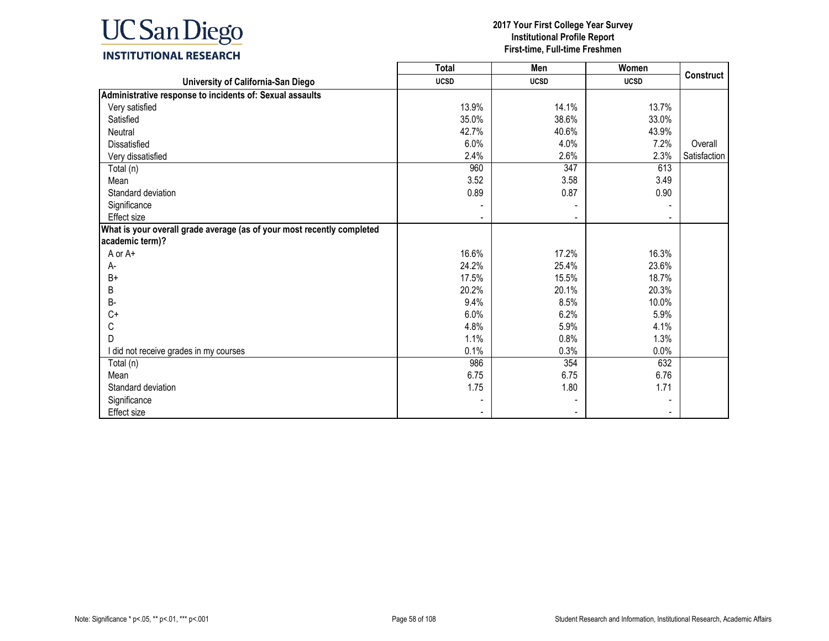

|                                                                        | <b>Total</b>   | Men         | Women       |              |
|------------------------------------------------------------------------|----------------|-------------|-------------|--------------|
| University of California-San Diego                                     | <b>UCSD</b>    | <b>UCSD</b> | <b>UCSD</b> | Construct    |
| Administrative response to incidents of: Sexual assaults               |                |             |             |              |
| Very satisfied                                                         | 13.9%          | 14.1%       | 13.7%       |              |
| Satisfied                                                              | 35.0%          | 38.6%       | 33.0%       |              |
| Neutral                                                                | 42.7%          | 40.6%       | 43.9%       |              |
| <b>Dissatisfied</b>                                                    | 6.0%           | 4.0%        | 7.2%        | Overall      |
| Very dissatisfied                                                      | 2.4%           | 2.6%        | 2.3%        | Satisfaction |
| Total (n)                                                              | 960            | 347         | 613         |              |
| Mean                                                                   | 3.52           | 3.58        | 3.49        |              |
| Standard deviation                                                     | 0.89           | 0.87        | 0.90        |              |
| Significance                                                           |                |             |             |              |
| Effect size                                                            |                |             |             |              |
| What is your overall grade average (as of your most recently completed |                |             |             |              |
| academic term)?                                                        |                |             |             |              |
| A or A+                                                                | 16.6%          | 17.2%       | 16.3%       |              |
| A-                                                                     | 24.2%          | 25.4%       | 23.6%       |              |
| $B+$                                                                   | 17.5%          | 15.5%       | 18.7%       |              |
| B                                                                      | 20.2%          | 20.1%       | 20.3%       |              |
| $B -$                                                                  | 9.4%           | 8.5%        | 10.0%       |              |
| $C+$                                                                   | 6.0%           | 6.2%        | 5.9%        |              |
| С                                                                      | 4.8%           | 5.9%        | 4.1%        |              |
| D                                                                      | 1.1%           | 0.8%        | 1.3%        |              |
| I did not receive grades in my courses                                 | 0.1%           | 0.3%        | 0.0%        |              |
| Total (n)                                                              | 986            | 354         | 632         |              |
| Mean                                                                   | 6.75           | 6.75        | 6.76        |              |
| Standard deviation                                                     | 1.75           | 1.80        | 1.71        |              |
| Significance                                                           |                |             |             |              |
| <b>Effect</b> size                                                     | $\blacksquare$ |             |             |              |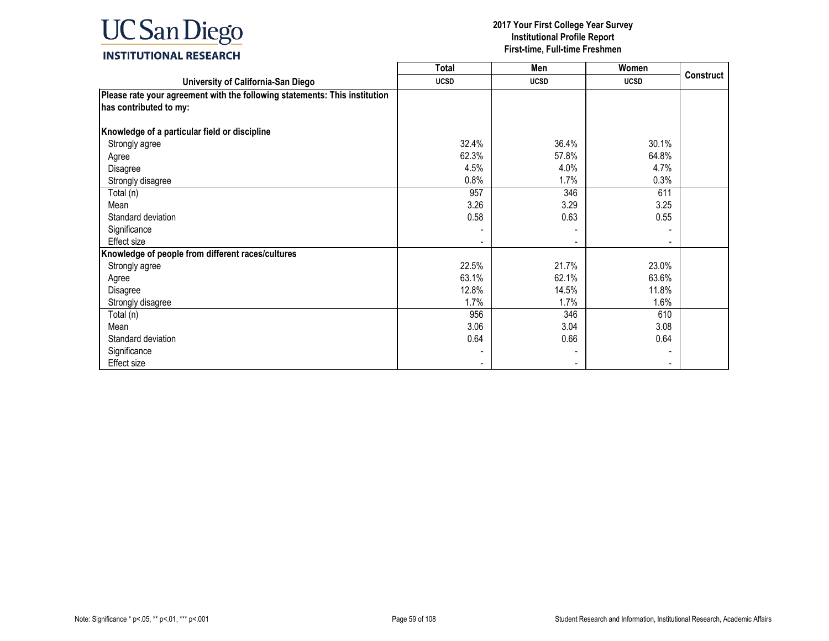

|                                                                            | <b>Total</b> | Men         | Women       |                  |
|----------------------------------------------------------------------------|--------------|-------------|-------------|------------------|
| University of California-San Diego                                         | <b>UCSD</b>  | <b>UCSD</b> | <b>UCSD</b> | <b>Construct</b> |
| Please rate your agreement with the following statements: This institution |              |             |             |                  |
| has contributed to my:                                                     |              |             |             |                  |
| Knowledge of a particular field or discipline                              |              |             |             |                  |
| Strongly agree                                                             | 32.4%        | 36.4%       | 30.1%       |                  |
| Agree                                                                      | 62.3%        | 57.8%       | 64.8%       |                  |
| Disagree                                                                   | 4.5%         | 4.0%        | 4.7%        |                  |
| Strongly disagree                                                          | 0.8%         | 1.7%        | 0.3%        |                  |
| Total (n)                                                                  | 957          | 346         | 611         |                  |
| Mean                                                                       | 3.26         | 3.29        | 3.25        |                  |
| Standard deviation                                                         | 0.58         | 0.63        | 0.55        |                  |
| Significance                                                               |              |             |             |                  |
| Effect size                                                                |              |             |             |                  |
| Knowledge of people from different races/cultures                          |              |             |             |                  |
| Strongly agree                                                             | 22.5%        | 21.7%       | 23.0%       |                  |
| Agree                                                                      | 63.1%        | 62.1%       | 63.6%       |                  |
| Disagree                                                                   | 12.8%        | 14.5%       | 11.8%       |                  |
| Strongly disagree                                                          | 1.7%         | 1.7%        | 1.6%        |                  |
| Total (n)                                                                  | 956          | 346         | 610         |                  |
| Mean                                                                       | 3.06         | 3.04        | 3.08        |                  |
| Standard deviation                                                         | 0.64         | 0.66        | 0.64        |                  |
| Significance                                                               |              |             |             |                  |
| Effect size                                                                |              |             |             |                  |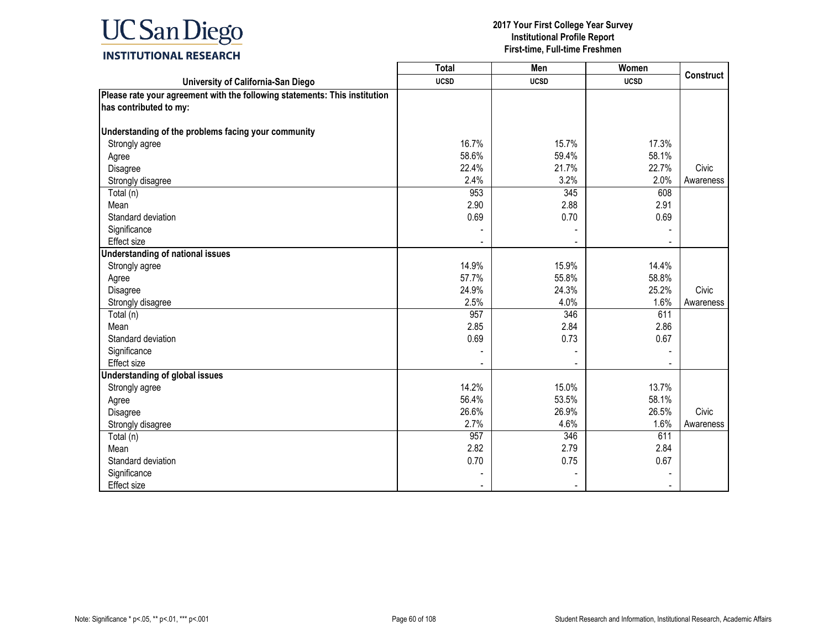

|                                                                            | <b>Total</b> | Men         | Women       | <b>Construct</b> |
|----------------------------------------------------------------------------|--------------|-------------|-------------|------------------|
| University of California-San Diego                                         | <b>UCSD</b>  | <b>UCSD</b> | <b>UCSD</b> |                  |
| Please rate your agreement with the following statements: This institution |              |             |             |                  |
| has contributed to my:                                                     |              |             |             |                  |
|                                                                            |              |             |             |                  |
| Understanding of the problems facing your community                        |              |             |             |                  |
| Strongly agree                                                             | 16.7%        | 15.7%       | 17.3%       |                  |
| Agree                                                                      | 58.6%        | 59.4%       | 58.1%       |                  |
| Disagree                                                                   | 22.4%        | 21.7%       | 22.7%       | Civic            |
| Strongly disagree                                                          | 2.4%         | 3.2%        | 2.0%        | Awareness        |
| Total (n)                                                                  | 953          | 345         | 608         |                  |
| Mean                                                                       | 2.90         | 2.88        | 2.91        |                  |
| Standard deviation                                                         | 0.69         | 0.70        | 0.69        |                  |
| Significance                                                               |              |             |             |                  |
| Effect size                                                                |              |             |             |                  |
| <b>Understanding of national issues</b>                                    |              |             |             |                  |
| Strongly agree                                                             | 14.9%        | 15.9%       | 14.4%       |                  |
| Agree                                                                      | 57.7%        | 55.8%       | 58.8%       |                  |
| Disagree                                                                   | 24.9%        | 24.3%       | 25.2%       | Civic            |
| Strongly disagree                                                          | 2.5%         | 4.0%        | 1.6%        | Awareness        |
| Total (n)                                                                  | 957          | 346         | 611         |                  |
| Mean                                                                       | 2.85         | 2.84        | 2.86        |                  |
| Standard deviation                                                         | 0.69         | 0.73        | 0.67        |                  |
| Significance                                                               |              |             |             |                  |
| <b>Effect size</b>                                                         |              |             |             |                  |
| <b>Understanding of global issues</b>                                      |              |             |             |                  |
| Strongly agree                                                             | 14.2%        | 15.0%       | 13.7%       |                  |
| Agree                                                                      | 56.4%        | 53.5%       | 58.1%       |                  |
| Disagree                                                                   | 26.6%        | 26.9%       | 26.5%       | Civic            |
| Strongly disagree                                                          | 2.7%         | 4.6%        | 1.6%        | Awareness        |
| Total (n)                                                                  | 957          | 346         | 611         |                  |
| Mean                                                                       | 2.82         | 2.79        | 2.84        |                  |
| Standard deviation                                                         | 0.70         | 0.75        | 0.67        |                  |
| Significance                                                               |              |             |             |                  |
| Effect size                                                                |              |             |             |                  |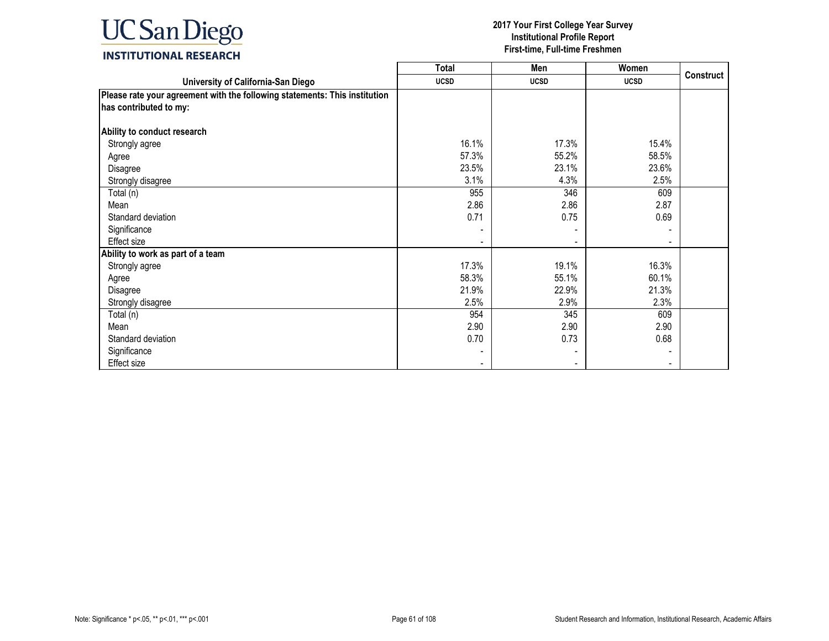

|                                                                            | <b>Total</b> | Men         | Women       |                  |
|----------------------------------------------------------------------------|--------------|-------------|-------------|------------------|
| University of California-San Diego                                         | <b>UCSD</b>  | <b>UCSD</b> | <b>UCSD</b> | <b>Construct</b> |
| Please rate your agreement with the following statements: This institution |              |             |             |                  |
| has contributed to my:                                                     |              |             |             |                  |
| Ability to conduct research                                                |              |             |             |                  |
| Strongly agree                                                             | 16.1%        | 17.3%       | 15.4%       |                  |
| Agree                                                                      | 57.3%        | 55.2%       | 58.5%       |                  |
| Disagree                                                                   | 23.5%        | 23.1%       | 23.6%       |                  |
| Strongly disagree                                                          | 3.1%         | 4.3%        | 2.5%        |                  |
| Total (n)                                                                  | 955          | 346         | 609         |                  |
| Mean                                                                       | 2.86         | 2.86        | 2.87        |                  |
| Standard deviation                                                         | 0.71         | 0.75        | 0.69        |                  |
| Significance                                                               |              |             |             |                  |
| Effect size                                                                |              |             |             |                  |
| Ability to work as part of a team                                          |              |             |             |                  |
| Strongly agree                                                             | 17.3%        | 19.1%       | 16.3%       |                  |
| Agree                                                                      | 58.3%        | 55.1%       | 60.1%       |                  |
| Disagree                                                                   | 21.9%        | 22.9%       | 21.3%       |                  |
| Strongly disagree                                                          | 2.5%         | 2.9%        | 2.3%        |                  |
| Total (n)                                                                  | 954          | 345         | 609         |                  |
| Mean                                                                       | 2.90         | 2.90        | 2.90        |                  |
| Standard deviation                                                         | 0.70         | 0.73        | 0.68        |                  |
| Significance                                                               |              |             |             |                  |
| Effect size                                                                |              |             |             |                  |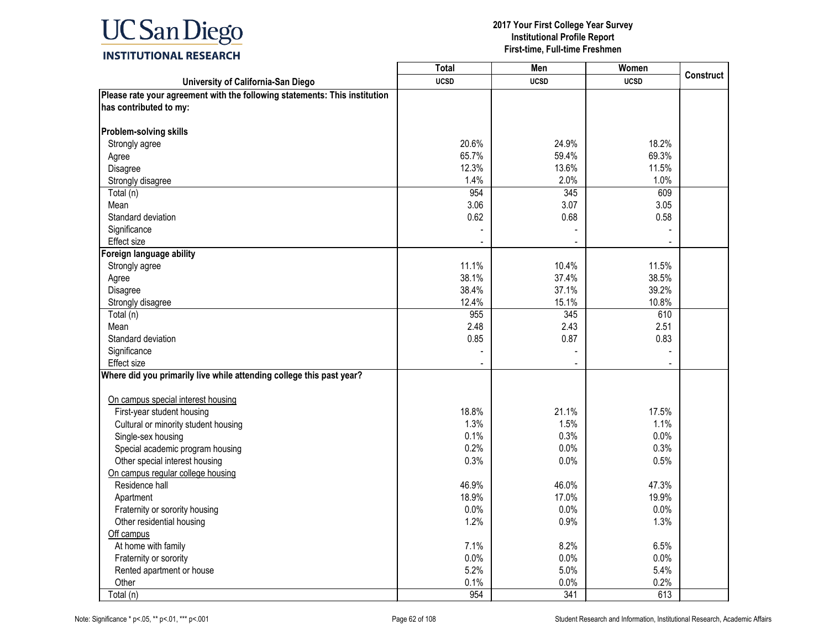

|                                                                            | <b>Total</b> | Men         | Women       | <b>Construct</b> |
|----------------------------------------------------------------------------|--------------|-------------|-------------|------------------|
| University of California-San Diego                                         | <b>UCSD</b>  | <b>UCSD</b> | <b>UCSD</b> |                  |
| Please rate your agreement with the following statements: This institution |              |             |             |                  |
| has contributed to my:                                                     |              |             |             |                  |
|                                                                            |              |             |             |                  |
| Problem-solving skills                                                     |              |             |             |                  |
| Strongly agree                                                             | 20.6%        | 24.9%       | 18.2%       |                  |
| Agree                                                                      | 65.7%        | 59.4%       | 69.3%       |                  |
| Disagree                                                                   | 12.3%        | 13.6%       | 11.5%       |                  |
| Strongly disagree                                                          | 1.4%         | 2.0%        | 1.0%        |                  |
| Total (n)                                                                  | 954          | 345         | 609         |                  |
| Mean                                                                       | 3.06         | 3.07        | 3.05        |                  |
| Standard deviation                                                         | 0.62         | 0.68        | 0.58        |                  |
| Significance                                                               |              |             |             |                  |
| Effect size                                                                |              |             |             |                  |
| Foreign language ability                                                   |              |             |             |                  |
| Strongly agree                                                             | 11.1%        | 10.4%       | 11.5%       |                  |
| Agree                                                                      | 38.1%        | 37.4%       | 38.5%       |                  |
| Disagree                                                                   | 38.4%        | 37.1%       | 39.2%       |                  |
| Strongly disagree                                                          | 12.4%        | 15.1%       | 10.8%       |                  |
| Total (n)                                                                  | 955          | 345         | 610         |                  |
| Mean                                                                       | 2.48         | 2.43        | 2.51        |                  |
| Standard deviation                                                         | 0.85         | 0.87        | 0.83        |                  |
| Significance                                                               |              |             |             |                  |
| Effect size                                                                |              |             |             |                  |
| Where did you primarily live while attending college this past year?       |              |             |             |                  |
|                                                                            |              |             |             |                  |
| On campus special interest housing                                         |              |             |             |                  |
| First-year student housing                                                 | 18.8%        | 21.1%       | 17.5%       |                  |
| Cultural or minority student housing                                       | 1.3%         | 1.5%        | 1.1%        |                  |
| Single-sex housing                                                         | 0.1%         | 0.3%        | 0.0%        |                  |
| Special academic program housing                                           | 0.2%         | 0.0%        | 0.3%        |                  |
| Other special interest housing                                             | 0.3%         | 0.0%        | 0.5%        |                  |
| On campus regular college housing                                          |              |             |             |                  |
| Residence hall                                                             | 46.9%        | 46.0%       | 47.3%       |                  |
| Apartment                                                                  | 18.9%        | 17.0%       | 19.9%       |                  |
| Fraternity or sorority housing                                             | 0.0%         | 0.0%        | 0.0%        |                  |
| Other residential housing                                                  | 1.2%         | 0.9%        | 1.3%        |                  |
| Off campus                                                                 |              |             |             |                  |
| At home with family                                                        | 7.1%         | 8.2%        | 6.5%        |                  |
| Fraternity or sorority                                                     | 0.0%         | 0.0%        | 0.0%        |                  |
| Rented apartment or house                                                  | 5.2%         | 5.0%        | 5.4%        |                  |
| Other                                                                      | 0.1%         | 0.0%        | 0.2%        |                  |
| Total (n)                                                                  | 954          | 341         | 613         |                  |
|                                                                            |              |             |             |                  |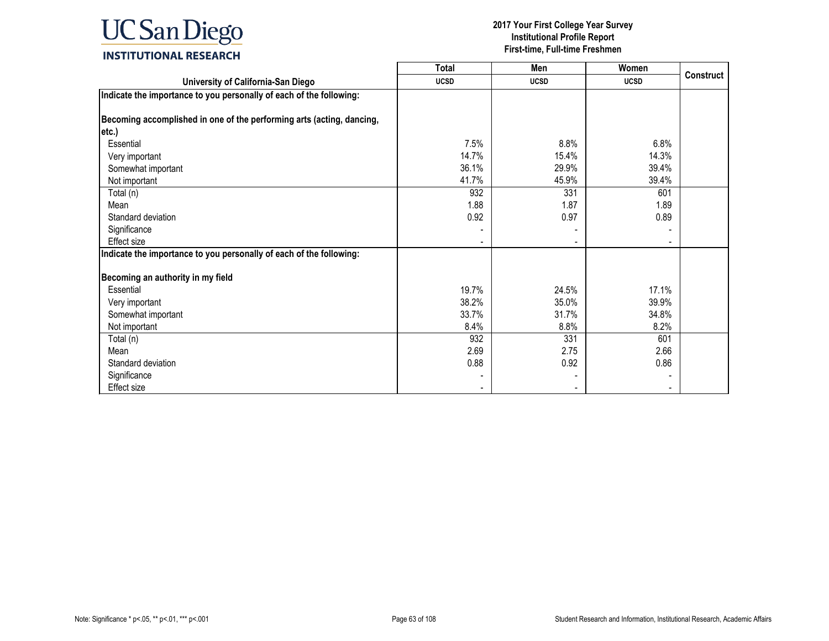

|                                                                       | <b>Total</b> | Men         | Women       |                  |
|-----------------------------------------------------------------------|--------------|-------------|-------------|------------------|
| University of California-San Diego                                    | <b>UCSD</b>  | <b>UCSD</b> | <b>UCSD</b> | <b>Construct</b> |
| Indicate the importance to you personally of each of the following:   |              |             |             |                  |
|                                                                       |              |             |             |                  |
| Becoming accomplished in one of the performing arts (acting, dancing, |              |             |             |                  |
| etc.)                                                                 |              |             |             |                  |
| Essential                                                             | 7.5%         | 8.8%        | 6.8%        |                  |
| Very important                                                        | 14.7%        | 15.4%       | 14.3%       |                  |
| Somewhat important                                                    | 36.1%        | 29.9%       | 39.4%       |                  |
| Not important                                                         | 41.7%        | 45.9%       | 39.4%       |                  |
| Total (n)                                                             | 932          | 331         | 601         |                  |
| Mean                                                                  | 1.88         | 1.87        | 1.89        |                  |
| Standard deviation                                                    | 0.92         | 0.97        | 0.89        |                  |
| Significance                                                          |              |             |             |                  |
| <b>Effect size</b>                                                    |              |             |             |                  |
| Indicate the importance to you personally of each of the following:   |              |             |             |                  |
|                                                                       |              |             |             |                  |
| Becoming an authority in my field                                     |              |             |             |                  |
| Essential                                                             | 19.7%        | 24.5%       | 17.1%       |                  |
| Very important                                                        | 38.2%        | 35.0%       | 39.9%       |                  |
| Somewhat important                                                    | 33.7%        | 31.7%       | 34.8%       |                  |
| Not important                                                         | 8.4%         | 8.8%        | 8.2%        |                  |
| Total (n)                                                             | 932          | 331         | 601         |                  |
| Mean                                                                  | 2.69         | 2.75        | 2.66        |                  |
| Standard deviation                                                    | 0.88         | 0.92        | 0.86        |                  |
| Significance                                                          |              |             |             |                  |
| Effect size                                                           |              |             |             |                  |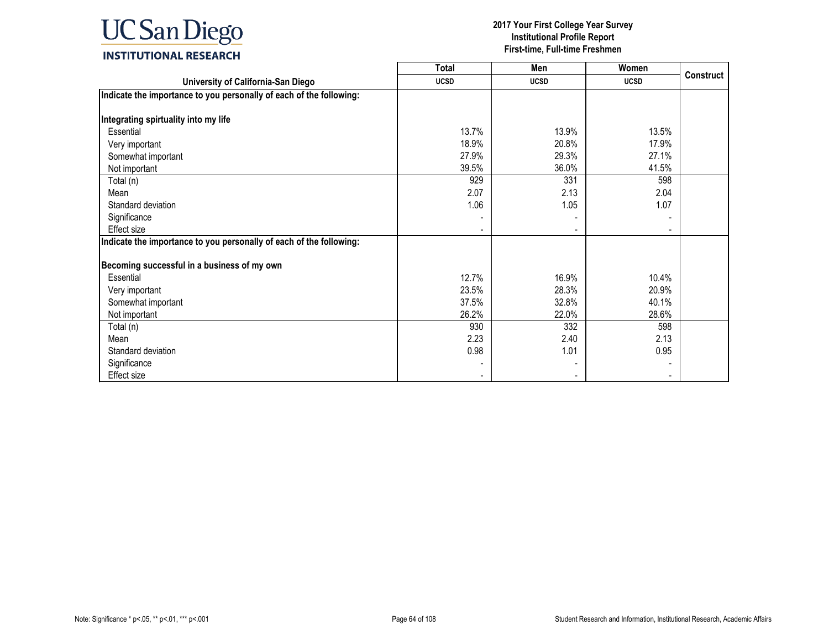

|                                                                     | Total       | Men         | Women       |                  |
|---------------------------------------------------------------------|-------------|-------------|-------------|------------------|
| University of California-San Diego                                  | <b>UCSD</b> | <b>UCSD</b> | <b>UCSD</b> | <b>Construct</b> |
| Indicate the importance to you personally of each of the following: |             |             |             |                  |
|                                                                     |             |             |             |                  |
| Integrating spirtuality into my life                                |             |             |             |                  |
| Essential                                                           | 13.7%       | 13.9%       | 13.5%       |                  |
| Very important                                                      | 18.9%       | 20.8%       | 17.9%       |                  |
| Somewhat important                                                  | 27.9%       | 29.3%       | 27.1%       |                  |
| Not important                                                       | 39.5%       | 36.0%       | 41.5%       |                  |
| Total (n)                                                           | 929         | 331         | 598         |                  |
| Mean                                                                | 2.07        | 2.13        | 2.04        |                  |
| Standard deviation                                                  | 1.06        | 1.05        | 1.07        |                  |
| Significance                                                        |             |             |             |                  |
| <b>Effect size</b>                                                  |             |             |             |                  |
| Indicate the importance to you personally of each of the following: |             |             |             |                  |
|                                                                     |             |             |             |                  |
| Becoming successful in a business of my own                         |             |             |             |                  |
| Essential                                                           | 12.7%       | 16.9%       | 10.4%       |                  |
| Very important                                                      | 23.5%       | 28.3%       | 20.9%       |                  |
| Somewhat important                                                  | 37.5%       | 32.8%       | 40.1%       |                  |
| Not important                                                       | 26.2%       | 22.0%       | 28.6%       |                  |
| Total (n)                                                           | 930         | 332         | 598         |                  |
| Mean                                                                | 2.23        | 2.40        | 2.13        |                  |
| Standard deviation                                                  | 0.98        | 1.01        | 0.95        |                  |
| Significance                                                        |             |             |             |                  |
| Effect size                                                         |             |             |             |                  |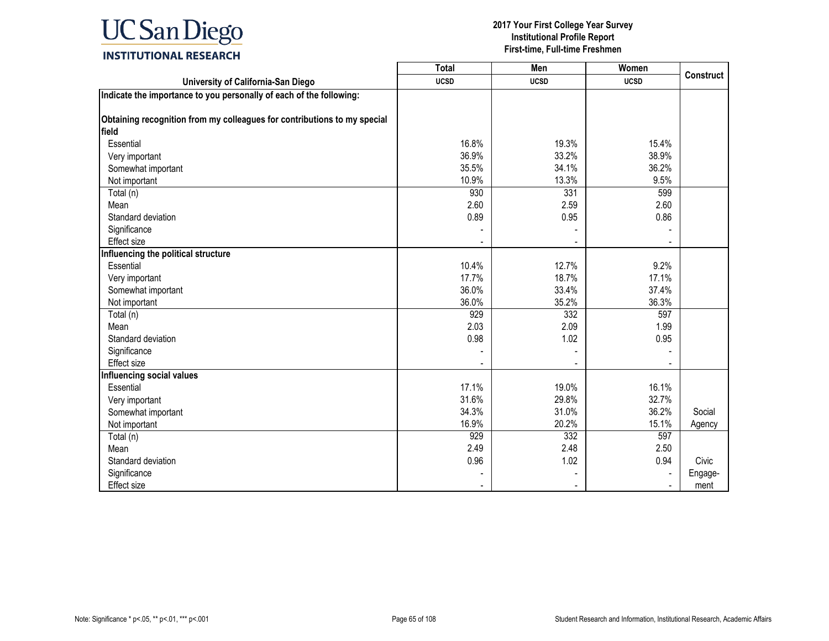

|                                                                          | <b>Total</b> | Men         | Women       |                  |
|--------------------------------------------------------------------------|--------------|-------------|-------------|------------------|
| University of California-San Diego                                       | <b>UCSD</b>  | <b>UCSD</b> | <b>UCSD</b> | <b>Construct</b> |
| Indicate the importance to you personally of each of the following:      |              |             |             |                  |
|                                                                          |              |             |             |                  |
| Obtaining recognition from my colleagues for contributions to my special |              |             |             |                  |
| field                                                                    |              |             |             |                  |
| Essential                                                                | 16.8%        | 19.3%       | 15.4%       |                  |
| Very important                                                           | 36.9%        | 33.2%       | 38.9%       |                  |
| Somewhat important                                                       | 35.5%        | 34.1%       | 36.2%       |                  |
| Not important                                                            | 10.9%        | 13.3%       | 9.5%        |                  |
| Total (n)                                                                | 930          | 331         | 599         |                  |
| Mean                                                                     | 2.60         | 2.59        | 2.60        |                  |
| Standard deviation                                                       | 0.89         | 0.95        | 0.86        |                  |
| Significance                                                             |              |             |             |                  |
| <b>Effect size</b>                                                       |              |             |             |                  |
| Influencing the political structure                                      |              |             |             |                  |
| Essential                                                                | 10.4%        | 12.7%       | 9.2%        |                  |
| Very important                                                           | 17.7%        | 18.7%       | 17.1%       |                  |
| Somewhat important                                                       | 36.0%        | 33.4%       | 37.4%       |                  |
| Not important                                                            | 36.0%        | 35.2%       | 36.3%       |                  |
| Total (n)                                                                | 929          | 332         | 597         |                  |
| Mean                                                                     | 2.03         | 2.09        | 1.99        |                  |
| Standard deviation                                                       | 0.98         | 1.02        | 0.95        |                  |
| Significance                                                             |              |             |             |                  |
| Effect size                                                              |              |             |             |                  |
| <b>Influencing social values</b>                                         |              |             |             |                  |
| Essential                                                                | 17.1%        | 19.0%       | 16.1%       |                  |
| Very important                                                           | 31.6%        | 29.8%       | 32.7%       |                  |
| Somewhat important                                                       | 34.3%        | 31.0%       | 36.2%       | Social           |
| Not important                                                            | 16.9%        | 20.2%       | 15.1%       | Agency           |
| Total (n)                                                                | 929          | 332         | 597         |                  |
| Mean                                                                     | 2.49         | 2.48        | 2.50        |                  |
| Standard deviation                                                       | 0.96         | 1.02        | 0.94        | Civic            |
| Significance                                                             |              |             |             | Engage-          |
| <b>Effect size</b>                                                       |              |             |             | ment             |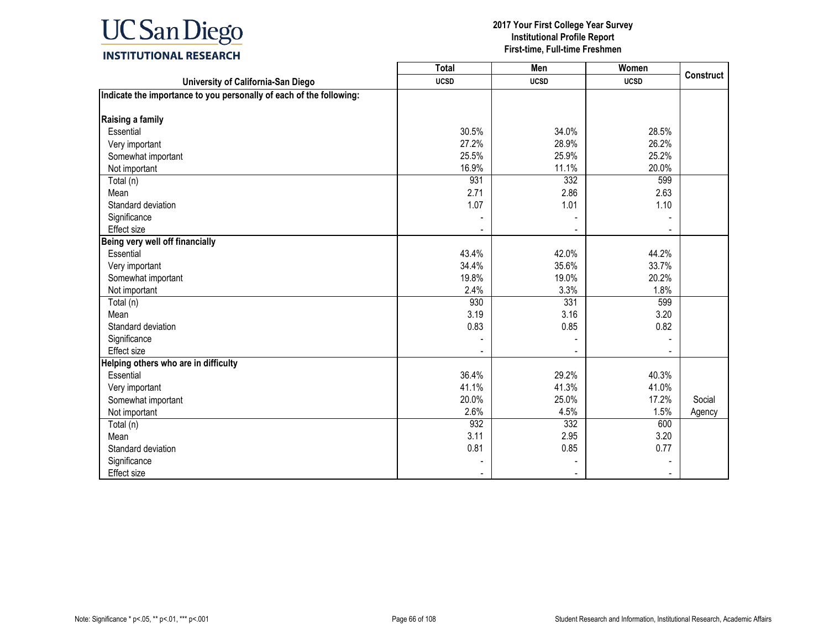

|                                                                     | <b>Total</b> | Men         | Women       | <b>Construct</b> |
|---------------------------------------------------------------------|--------------|-------------|-------------|------------------|
| University of California-San Diego                                  | <b>UCSD</b>  | <b>UCSD</b> | <b>UCSD</b> |                  |
| Indicate the importance to you personally of each of the following: |              |             |             |                  |
|                                                                     |              |             |             |                  |
| Raising a family                                                    |              |             |             |                  |
| Essential                                                           | 30.5%        | 34.0%       | 28.5%       |                  |
| Very important                                                      | 27.2%        | 28.9%       | 26.2%       |                  |
| Somewhat important                                                  | 25.5%        | 25.9%       | 25.2%       |                  |
| Not important                                                       | 16.9%        | 11.1%       | 20.0%       |                  |
| Total (n)                                                           | 931          | 332         | 599         |                  |
| Mean                                                                | 2.71         | 2.86        | 2.63        |                  |
| Standard deviation                                                  | 1.07         | 1.01        | 1.10        |                  |
| Significance                                                        |              |             |             |                  |
| Effect size                                                         |              |             |             |                  |
| Being very well off financially                                     |              |             |             |                  |
| Essential                                                           | 43.4%        | 42.0%       | 44.2%       |                  |
| Very important                                                      | 34.4%        | 35.6%       | 33.7%       |                  |
| Somewhat important                                                  | 19.8%        | 19.0%       | 20.2%       |                  |
| Not important                                                       | 2.4%         | 3.3%        | 1.8%        |                  |
| Total (n)                                                           | 930          | 331         | 599         |                  |
| Mean                                                                | 3.19         | 3.16        | 3.20        |                  |
| Standard deviation                                                  | 0.83         | 0.85        | 0.82        |                  |
| Significance                                                        |              |             |             |                  |
| Effect size                                                         |              |             |             |                  |
| Helping others who are in difficulty                                |              |             |             |                  |
| Essential                                                           | 36.4%        | 29.2%       | 40.3%       |                  |
| Very important                                                      | 41.1%        | 41.3%       | 41.0%       |                  |
| Somewhat important                                                  | 20.0%        | 25.0%       | 17.2%       | Social           |
| Not important                                                       | 2.6%         | 4.5%        | 1.5%        | Agency           |
| Total (n)                                                           | 932          | 332         | 600         |                  |
| Mean                                                                | 3.11         | 2.95        | 3.20        |                  |
| Standard deviation                                                  | 0.81         | 0.85        | 0.77        |                  |
| Significance                                                        |              |             |             |                  |
| <b>Effect size</b>                                                  |              |             |             |                  |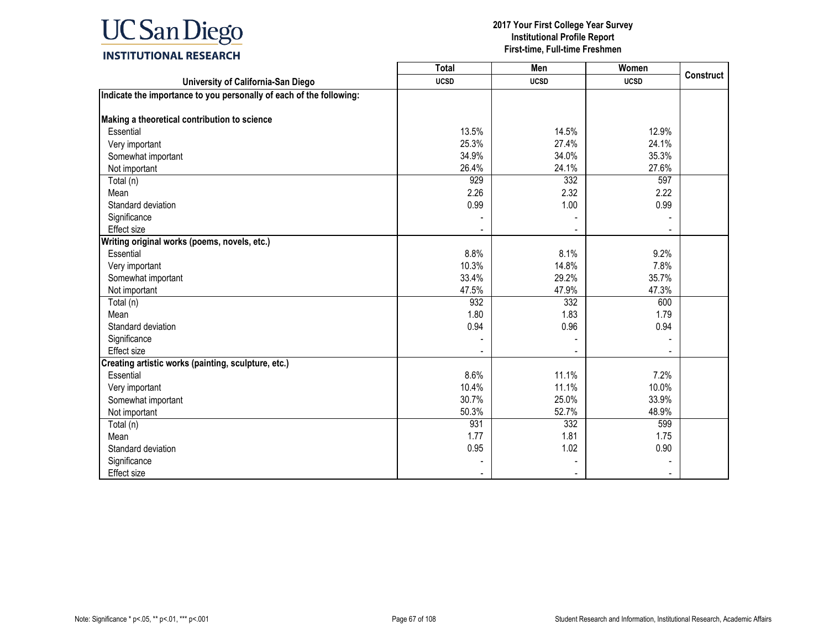

|                                                                     | <b>Total</b> | Men         | Women       | <b>Construct</b> |
|---------------------------------------------------------------------|--------------|-------------|-------------|------------------|
| University of California-San Diego                                  | <b>UCSD</b>  | <b>UCSD</b> | <b>UCSD</b> |                  |
| Indicate the importance to you personally of each of the following: |              |             |             |                  |
|                                                                     |              |             |             |                  |
| Making a theoretical contribution to science                        |              |             |             |                  |
| Essential                                                           | 13.5%        | 14.5%       | 12.9%       |                  |
| Very important                                                      | 25.3%        | 27.4%       | 24.1%       |                  |
| Somewhat important                                                  | 34.9%        | 34.0%       | 35.3%       |                  |
| Not important                                                       | 26.4%        | 24.1%       | 27.6%       |                  |
| Total (n)                                                           | 929          | 332         | 597         |                  |
| Mean                                                                | 2.26         | 2.32        | 2.22        |                  |
| Standard deviation                                                  | 0.99         | 1.00        | 0.99        |                  |
| Significance                                                        |              |             |             |                  |
| <b>Effect size</b>                                                  |              |             |             |                  |
| Writing original works (poems, novels, etc.)                        |              |             |             |                  |
| Essential                                                           | 8.8%         | 8.1%        | 9.2%        |                  |
| Very important                                                      | 10.3%        | 14.8%       | 7.8%        |                  |
| Somewhat important                                                  | 33.4%        | 29.2%       | 35.7%       |                  |
| Not important                                                       | 47.5%        | 47.9%       | 47.3%       |                  |
| Total (n)                                                           | 932          | 332         | 600         |                  |
| Mean                                                                | 1.80         | 1.83        | 1.79        |                  |
| Standard deviation                                                  | 0.94         | 0.96        | 0.94        |                  |
| Significance                                                        |              |             |             |                  |
| <b>Effect size</b>                                                  |              |             |             |                  |
| Creating artistic works (painting, sculpture, etc.)                 |              |             |             |                  |
| Essential                                                           | 8.6%         | 11.1%       | 7.2%        |                  |
| Very important                                                      | 10.4%        | 11.1%       | 10.0%       |                  |
| Somewhat important                                                  | 30.7%        | 25.0%       | 33.9%       |                  |
| Not important                                                       | 50.3%        | 52.7%       | 48.9%       |                  |
| Total (n)                                                           | 931          | 332         | 599         |                  |
| Mean                                                                | 1.77         | 1.81        | 1.75        |                  |
| Standard deviation                                                  | 0.95         | 1.02        | 0.90        |                  |
| Significance                                                        |              |             |             |                  |
| Effect size                                                         |              |             |             |                  |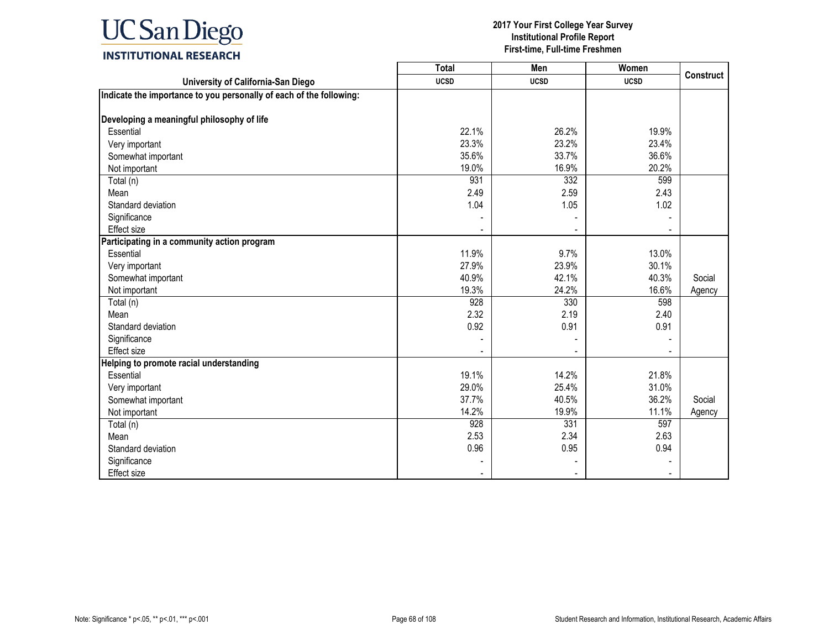

|                                                                     | <b>Total</b> | Men         | Women       | <b>Construct</b> |
|---------------------------------------------------------------------|--------------|-------------|-------------|------------------|
| University of California-San Diego                                  | <b>UCSD</b>  | <b>UCSD</b> | <b>UCSD</b> |                  |
| Indicate the importance to you personally of each of the following: |              |             |             |                  |
|                                                                     |              |             |             |                  |
| Developing a meaningful philosophy of life                          |              |             |             |                  |
| Essential                                                           | 22.1%        | 26.2%       | 19.9%       |                  |
| Very important                                                      | 23.3%        | 23.2%       | 23.4%       |                  |
| Somewhat important                                                  | 35.6%        | 33.7%       | 36.6%       |                  |
| Not important                                                       | 19.0%        | 16.9%       | 20.2%       |                  |
| Total (n)                                                           | 931          | 332         | 599         |                  |
| Mean                                                                | 2.49         | 2.59        | 2.43        |                  |
| Standard deviation                                                  | 1.04         | 1.05        | 1.02        |                  |
| Significance                                                        |              |             |             |                  |
| Effect size                                                         |              |             |             |                  |
| Participating in a community action program                         |              |             |             |                  |
| Essential                                                           | 11.9%        | 9.7%        | 13.0%       |                  |
| Very important                                                      | 27.9%        | 23.9%       | 30.1%       |                  |
| Somewhat important                                                  | 40.9%        | 42.1%       | 40.3%       | Social           |
| Not important                                                       | 19.3%        | 24.2%       | 16.6%       | Agency           |
| Total (n)                                                           | 928          | 330         | 598         |                  |
| Mean                                                                | 2.32         | 2.19        | 2.40        |                  |
| Standard deviation                                                  | 0.92         | 0.91        | 0.91        |                  |
| Significance                                                        |              |             |             |                  |
| Effect size                                                         |              |             |             |                  |
| Helping to promote racial understanding                             |              |             |             |                  |
| Essential                                                           | 19.1%        | 14.2%       | 21.8%       |                  |
| Very important                                                      | 29.0%        | 25.4%       | 31.0%       |                  |
| Somewhat important                                                  | 37.7%        | 40.5%       | 36.2%       | Social           |
| Not important                                                       | 14.2%        | 19.9%       | 11.1%       | Agency           |
| Total (n)                                                           | 928          | 331         | 597         |                  |
| Mean                                                                | 2.53         | 2.34        | 2.63        |                  |
| Standard deviation                                                  | 0.96         | 0.95        | 0.94        |                  |
| Significance                                                        |              |             |             |                  |
| Effect size                                                         |              |             |             |                  |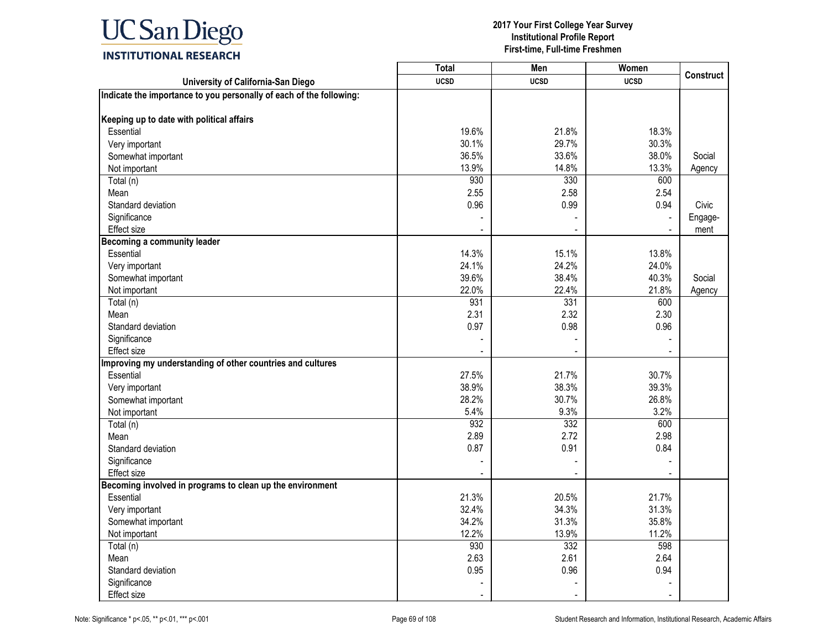

|                                                                     | <b>Total</b> | Men         | Women       |                  |
|---------------------------------------------------------------------|--------------|-------------|-------------|------------------|
| University of California-San Diego                                  | <b>UCSD</b>  | <b>UCSD</b> | <b>UCSD</b> | <b>Construct</b> |
| Indicate the importance to you personally of each of the following: |              |             |             |                  |
|                                                                     |              |             |             |                  |
| Keeping up to date with political affairs                           |              |             |             |                  |
| Essential                                                           | 19.6%        | 21.8%       | 18.3%       |                  |
| Very important                                                      | 30.1%        | 29.7%       | 30.3%       |                  |
| Somewhat important                                                  | 36.5%        | 33.6%       | 38.0%       | Social           |
| Not important                                                       | 13.9%        | 14.8%       | 13.3%       | Agency           |
| Total (n)                                                           | 930          | 330         | 600         |                  |
| Mean                                                                | 2.55         | 2.58        | 2.54        |                  |
| Standard deviation                                                  | 0.96         | 0.99        | 0.94        | Civic            |
| Significance                                                        |              |             |             | Engage-          |
| Effect size                                                         |              |             |             | ment             |
| <b>Becoming a community leader</b>                                  |              |             |             |                  |
| Essential                                                           | 14.3%        | 15.1%       | 13.8%       |                  |
| Very important                                                      | 24.1%        | 24.2%       | 24.0%       |                  |
| Somewhat important                                                  | 39.6%        | 38.4%       | 40.3%       | Social           |
| Not important                                                       | 22.0%        | 22.4%       | 21.8%       | Agency           |
| Total (n)                                                           | 931          | 331         | 600         |                  |
| Mean                                                                | 2.31         | 2.32        | 2.30        |                  |
| Standard deviation                                                  | 0.97         | 0.98        | 0.96        |                  |
| Significance                                                        |              |             |             |                  |
| Effect size                                                         |              |             |             |                  |
| Improving my understanding of other countries and cultures          |              |             |             |                  |
| Essential                                                           | 27.5%        | 21.7%       | 30.7%       |                  |
| Very important                                                      | 38.9%        | 38.3%       | 39.3%       |                  |
| Somewhat important                                                  | 28.2%        | 30.7%       | 26.8%       |                  |
| Not important                                                       | 5.4%         | 9.3%        | 3.2%        |                  |
| Total (n)                                                           | 932          | 332         | 600         |                  |
| Mean                                                                | 2.89         | 2.72        | 2.98        |                  |
| Standard deviation                                                  | 0.87         | 0.91        | 0.84        |                  |
| Significance                                                        |              |             |             |                  |
| Effect size                                                         |              |             |             |                  |
| Becoming involved in programs to clean up the environment           |              |             |             |                  |
| Essential                                                           | 21.3%        | 20.5%       | 21.7%       |                  |
| Very important                                                      | 32.4%        | 34.3%       | 31.3%       |                  |
| Somewhat important                                                  | 34.2%        | 31.3%       | 35.8%       |                  |
| Not important                                                       | 12.2%        | 13.9%       | 11.2%       |                  |
| Total (n)                                                           | 930          | 332         | 598         |                  |
| Mean                                                                | 2.63         | 2.61        | 2.64        |                  |
| Standard deviation                                                  | 0.95         | 0.96        | 0.94        |                  |
| Significance                                                        |              |             |             |                  |
| Effect size                                                         |              |             |             |                  |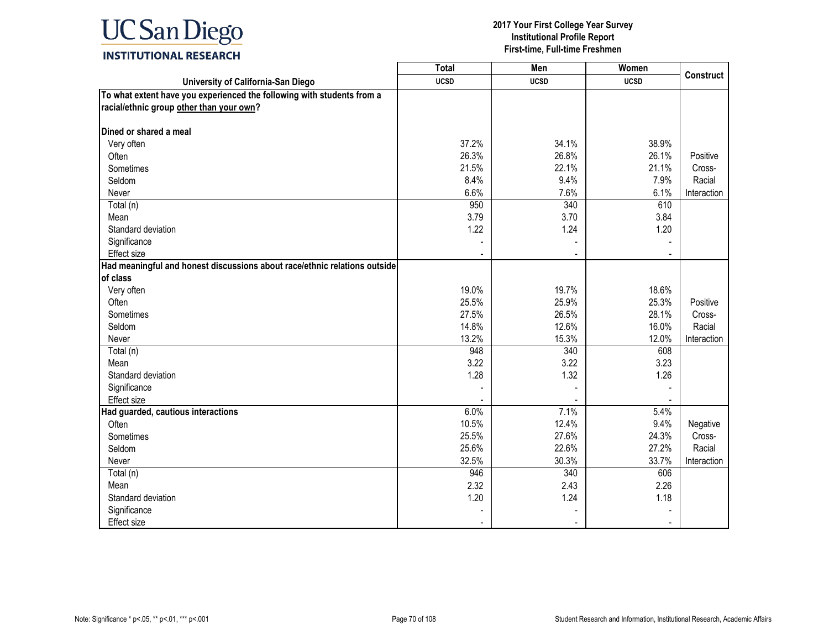

|                                                                           | <b>Total</b> | Men         | Women       |                  |
|---------------------------------------------------------------------------|--------------|-------------|-------------|------------------|
| University of California-San Diego                                        | <b>UCSD</b>  | <b>UCSD</b> | <b>UCSD</b> | <b>Construct</b> |
| To what extent have you experienced the following with students from a    |              |             |             |                  |
| racial/ethnic group other than your own?                                  |              |             |             |                  |
|                                                                           |              |             |             |                  |
| Dined or shared a meal                                                    |              |             |             |                  |
| Very often                                                                | 37.2%        | 34.1%       | 38.9%       |                  |
| Often                                                                     | 26.3%        | 26.8%       | 26.1%       | Positive         |
| Sometimes                                                                 | 21.5%        | 22.1%       | 21.1%       | Cross-           |
| Seldom                                                                    | 8.4%         | 9.4%        | 7.9%        | Racial           |
| Never                                                                     | 6.6%         | 7.6%        | 6.1%        | Interaction      |
| Total (n)                                                                 | 950          | 340         | 610         |                  |
| Mean                                                                      | 3.79         | 3.70        | 3.84        |                  |
| Standard deviation                                                        | 1.22         | 1.24        | 1.20        |                  |
| Significance                                                              |              |             |             |                  |
| Effect size                                                               |              |             |             |                  |
| Had meaningful and honest discussions about race/ethnic relations outside |              |             |             |                  |
| of class                                                                  |              |             |             |                  |
| Very often                                                                | 19.0%        | 19.7%       | 18.6%       |                  |
| Often                                                                     | 25.5%        | 25.9%       | 25.3%       | Positive         |
| Sometimes                                                                 | 27.5%        | 26.5%       | 28.1%       | Cross-           |
| Seldom                                                                    | 14.8%        | 12.6%       | 16.0%       | Racial           |
| Never                                                                     | 13.2%        | 15.3%       | 12.0%       | Interaction      |
| Total (n)                                                                 | 948          | 340         | 608         |                  |
| Mean                                                                      | 3.22         | 3.22        | 3.23        |                  |
| Standard deviation                                                        | 1.28         | 1.32        | 1.26        |                  |
| Significance                                                              |              |             |             |                  |
| <b>Effect size</b>                                                        |              |             |             |                  |
| Had guarded, cautious interactions                                        | 6.0%         | 7.1%        | 5.4%        |                  |
| Often                                                                     | 10.5%        | 12.4%       | 9.4%        | Negative         |
| Sometimes                                                                 | 25.5%        | 27.6%       | 24.3%       | Cross-           |
| Seldom                                                                    | 25.6%        | 22.6%       | 27.2%       | Racial           |
| Never                                                                     | 32.5%        | 30.3%       | 33.7%       | Interaction      |
| Total (n)                                                                 | 946          | 340         | 606         |                  |
| Mean                                                                      | 2.32         | 2.43        | 2.26        |                  |
| Standard deviation                                                        | 1.20         | 1.24        | 1.18        |                  |
| Significance                                                              |              |             |             |                  |
| <b>Effect size</b>                                                        |              |             |             |                  |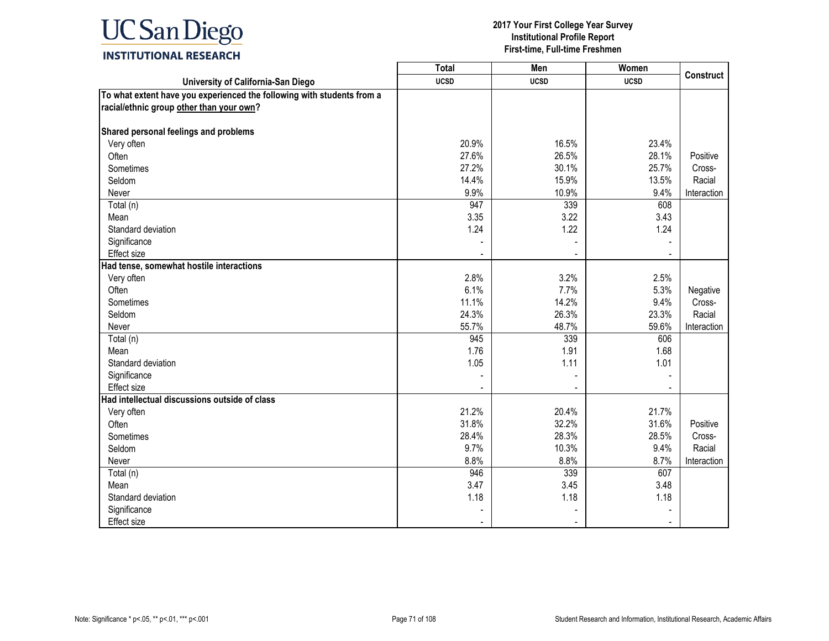

|                                                                        | <b>Total</b> | Men         | Women       |                  |
|------------------------------------------------------------------------|--------------|-------------|-------------|------------------|
| University of California-San Diego                                     | <b>UCSD</b>  | <b>UCSD</b> | <b>UCSD</b> | <b>Construct</b> |
| To what extent have you experienced the following with students from a |              |             |             |                  |
| racial/ethnic group other than your own?                               |              |             |             |                  |
|                                                                        |              |             |             |                  |
| Shared personal feelings and problems                                  |              |             |             |                  |
| Very often                                                             | 20.9%        | 16.5%       | 23.4%       |                  |
| Often                                                                  | 27.6%        | 26.5%       | 28.1%       | Positive         |
| Sometimes                                                              | 27.2%        | 30.1%       | 25.7%       | Cross-           |
| Seldom                                                                 | 14.4%        | 15.9%       | 13.5%       | Racial           |
| Never                                                                  | 9.9%         | 10.9%       | 9.4%        | Interaction      |
| Total (n)                                                              | 947          | 339         | 608         |                  |
| Mean                                                                   | 3.35         | 3.22        | 3.43        |                  |
| Standard deviation                                                     | 1.24         | 1.22        | 1.24        |                  |
| Significance                                                           |              |             |             |                  |
| Effect size                                                            |              |             |             |                  |
| Had tense, somewhat hostile interactions                               |              |             |             |                  |
| Very often                                                             | 2.8%         | 3.2%        | 2.5%        |                  |
| Often                                                                  | 6.1%         | 7.7%        | 5.3%        | Negative         |
| Sometimes                                                              | 11.1%        | 14.2%       | 9.4%        | Cross-           |
| Seldom                                                                 | 24.3%        | 26.3%       | 23.3%       | Racial           |
| Never                                                                  | 55.7%        | 48.7%       | 59.6%       | Interaction      |
| Total (n)                                                              | 945          | 339         | 606         |                  |
| Mean                                                                   | 1.76         | 1.91        | 1.68        |                  |
| Standard deviation                                                     | 1.05         | 1.11        | 1.01        |                  |
| Significance                                                           |              |             |             |                  |
| <b>Effect size</b>                                                     |              |             |             |                  |
| Had intellectual discussions outside of class                          |              |             |             |                  |
| Very often                                                             | 21.2%        | 20.4%       | 21.7%       |                  |
| Often                                                                  | 31.8%        | 32.2%       | 31.6%       | Positive         |
| Sometimes                                                              | 28.4%        | 28.3%       | 28.5%       | Cross-           |
| Seldom                                                                 | 9.7%         | 10.3%       | 9.4%        | Racial           |
| Never                                                                  | 8.8%         | 8.8%        | 8.7%        | Interaction      |
| Total (n)                                                              | 946          | 339         | 607         |                  |
| Mean                                                                   | 3.47         | 3.45        | 3.48        |                  |
| Standard deviation                                                     | 1.18         | 1.18        | 1.18        |                  |
| Significance                                                           |              |             |             |                  |
| Effect size                                                            |              |             |             |                  |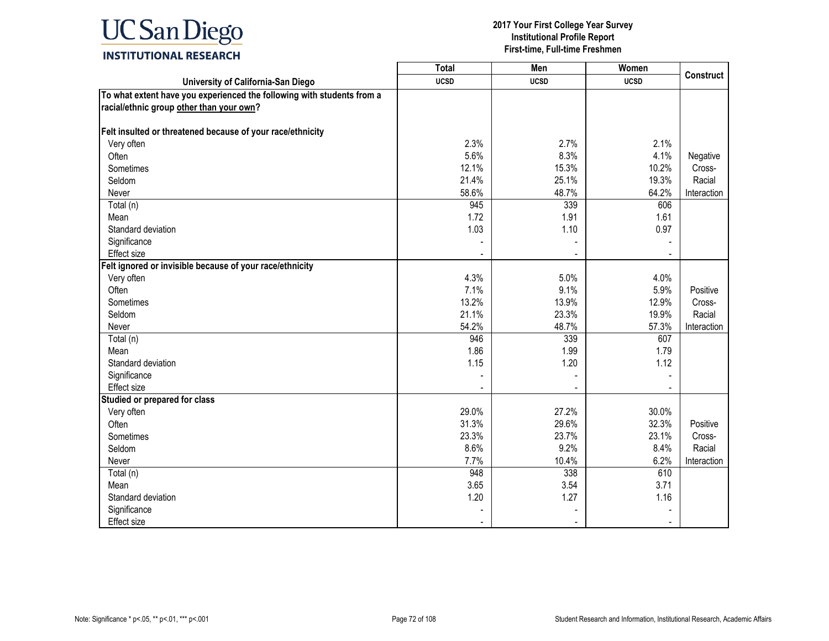

|                                                                        | <b>Total</b> | Men         | Women       | <b>Construct</b> |
|------------------------------------------------------------------------|--------------|-------------|-------------|------------------|
| University of California-San Diego                                     | <b>UCSD</b>  | <b>UCSD</b> | <b>UCSD</b> |                  |
| To what extent have you experienced the following with students from a |              |             |             |                  |
| racial/ethnic group other than your own?                               |              |             |             |                  |
|                                                                        |              |             |             |                  |
| Felt insulted or threatened because of your race/ethnicity             |              |             |             |                  |
| Very often                                                             | 2.3%         | 2.7%        | 2.1%        |                  |
| Often                                                                  | 5.6%         | 8.3%        | 4.1%        | Negative         |
| Sometimes                                                              | 12.1%        | 15.3%       | 10.2%       | Cross-           |
| Seldom                                                                 | 21.4%        | 25.1%       | 19.3%       | Racial           |
| Never                                                                  | 58.6%        | 48.7%       | 64.2%       | Interaction      |
| $\overline{\mathrm{Total}}$ (n)                                        | 945          | 339         | 606         |                  |
| Mean                                                                   | 1.72         | 1.91        | 1.61        |                  |
| Standard deviation                                                     | 1.03         | 1.10        | 0.97        |                  |
| Significance                                                           |              |             |             |                  |
| <b>Effect size</b>                                                     |              |             |             |                  |
| Felt ignored or invisible because of your race/ethnicity               |              |             |             |                  |
| Very often                                                             | 4.3%         | 5.0%        | 4.0%        |                  |
| Often                                                                  | 7.1%         | 9.1%        | 5.9%        | Positive         |
| Sometimes                                                              | 13.2%        | 13.9%       | 12.9%       | Cross-           |
| Seldom                                                                 | 21.1%        | 23.3%       | 19.9%       | Racial           |
| Never                                                                  | 54.2%        | 48.7%       | 57.3%       | Interaction      |
| Total (n)                                                              | 946          | 339         | 607         |                  |
| Mean                                                                   | 1.86         | 1.99        | 1.79        |                  |
| Standard deviation                                                     | 1.15         | 1.20        | 1.12        |                  |
| Significance                                                           |              |             |             |                  |
| <b>Effect size</b>                                                     |              |             |             |                  |
| Studied or prepared for class                                          |              |             |             |                  |
| Very often                                                             | 29.0%        | 27.2%       | 30.0%       |                  |
| Often                                                                  | 31.3%        | 29.6%       | 32.3%       | Positive         |
| Sometimes                                                              | 23.3%        | 23.7%       | 23.1%       | Cross-           |
| Seldom                                                                 | 8.6%         | 9.2%        | 8.4%        | Racial           |
| Never                                                                  | 7.7%         | 10.4%       | 6.2%        | Interaction      |
| Total (n)                                                              | 948          | 338         | 610         |                  |
| Mean                                                                   | 3.65         | 3.54        | 3.71        |                  |
| Standard deviation                                                     | 1.20         | 1.27        | 1.16        |                  |
| Significance                                                           |              |             |             |                  |
| Effect size                                                            |              |             |             |                  |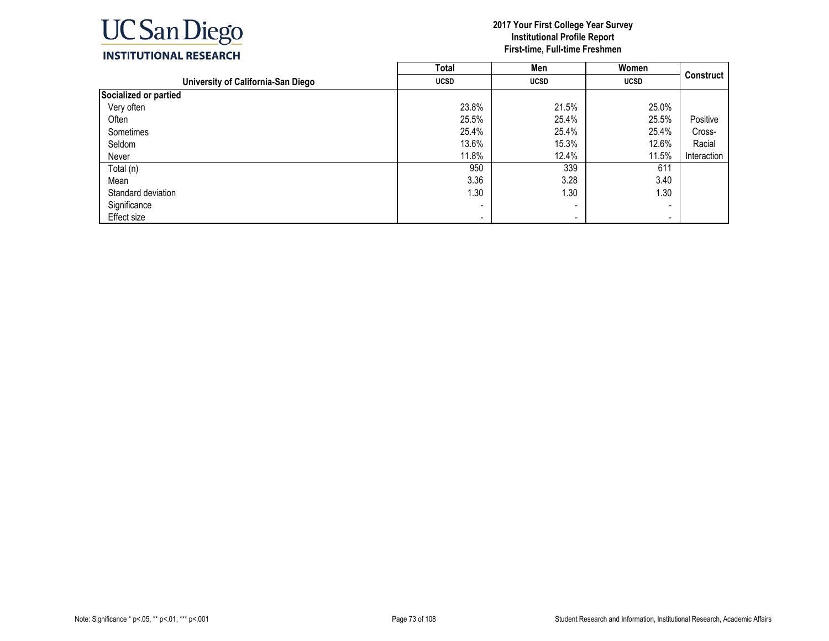

|                                    | <b>Total</b> | Men                      | Women       |             |
|------------------------------------|--------------|--------------------------|-------------|-------------|
| University of California-San Diego | <b>UCSD</b>  | <b>UCSD</b>              | <b>UCSD</b> | Construct   |
| Socialized or partied              |              |                          |             |             |
| Very often                         | 23.8%        | 21.5%                    | 25.0%       |             |
| Often                              | 25.5%        | 25.4%                    | 25.5%       | Positive    |
| Sometimes                          | 25.4%        | 25.4%                    | 25.4%       | Cross-      |
| Seldom                             | 13.6%        | 15.3%                    | 12.6%       | Racial      |
| Never                              | 11.8%        | 12.4%                    | 11.5%       | Interaction |
| Total (n)                          | 950          | 339                      | 611         |             |
| Mean                               | 3.36         | 3.28                     | 3.40        |             |
| Standard deviation                 | 1.30         | 1.30                     | 1.30        |             |
| Significance                       |              | -                        |             |             |
| Effect size                        | $\,$         | $\overline{\phantom{a}}$ | $\,$        |             |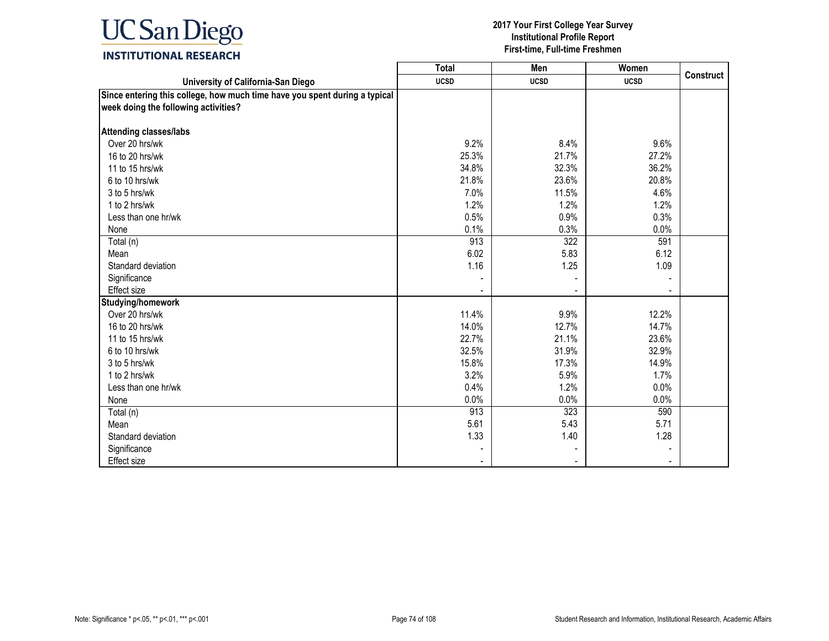

|                                                                            | <b>Total</b> | Men         | <b>Women</b> |                  |
|----------------------------------------------------------------------------|--------------|-------------|--------------|------------------|
| University of California-San Diego                                         | <b>UCSD</b>  | <b>UCSD</b> | <b>UCSD</b>  | <b>Construct</b> |
| Since entering this college, how much time have you spent during a typical |              |             |              |                  |
| week doing the following activities?                                       |              |             |              |                  |
| <b>Attending classes/labs</b>                                              |              |             |              |                  |
| Over 20 hrs/wk                                                             | 9.2%         | 8.4%        | 9.6%         |                  |
| 16 to 20 hrs/wk                                                            | 25.3%        | 21.7%       | 27.2%        |                  |
| 11 to 15 hrs/wk                                                            | 34.8%        | 32.3%       | 36.2%        |                  |
| 6 to 10 hrs/wk                                                             | 21.8%        | 23.6%       | 20.8%        |                  |
| 3 to 5 hrs/wk                                                              | 7.0%         | 11.5%       | 4.6%         |                  |
| 1 to 2 hrs/wk                                                              | 1.2%         | 1.2%        | 1.2%         |                  |
| Less than one hr/wk                                                        | 0.5%         | 0.9%        | 0.3%         |                  |
| None                                                                       | 0.1%         | 0.3%        | 0.0%         |                  |
| Total (n)                                                                  | 913          | 322         | 591          |                  |
| Mean                                                                       | 6.02         | 5.83        | 6.12         |                  |
| Standard deviation                                                         | 1.16         | 1.25        | 1.09         |                  |
| Significance                                                               |              |             |              |                  |
| Effect size                                                                |              |             |              |                  |
| Studying/homework                                                          |              |             |              |                  |
| Over 20 hrs/wk                                                             | 11.4%        | 9.9%        | 12.2%        |                  |
| 16 to 20 hrs/wk                                                            | 14.0%        | 12.7%       | 14.7%        |                  |
| 11 to 15 hrs/wk                                                            | 22.7%        | 21.1%       | 23.6%        |                  |
| 6 to 10 hrs/wk                                                             | 32.5%        | 31.9%       | 32.9%        |                  |
| 3 to 5 hrs/wk                                                              | 15.8%        | 17.3%       | 14.9%        |                  |
| 1 to 2 hrs/wk                                                              | 3.2%         | 5.9%        | 1.7%         |                  |
| Less than one hr/wk                                                        | 0.4%         | 1.2%        | 0.0%         |                  |
| None                                                                       | 0.0%         | 0.0%        | 0.0%         |                  |
| Total (n)                                                                  | 913          | 323         | 590          |                  |
| Mean                                                                       | 5.61         | 5.43        | 5.71         |                  |
| Standard deviation                                                         | 1.33         | 1.40        | 1.28         |                  |
| Significance                                                               |              |             |              |                  |
| Effect size                                                                |              |             |              |                  |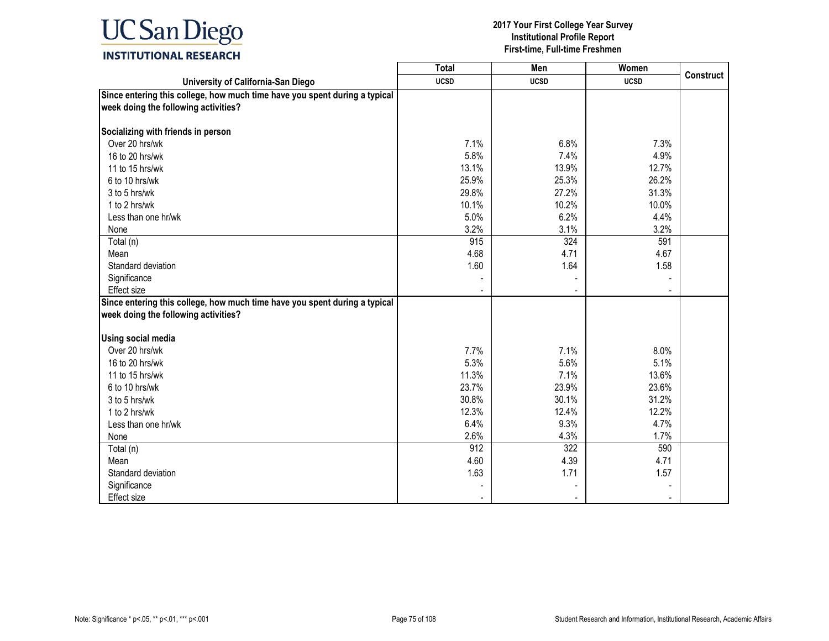

|                                                                                                                    | <b>Total</b> | <b>Men</b>  | Women       |                  |
|--------------------------------------------------------------------------------------------------------------------|--------------|-------------|-------------|------------------|
| University of California-San Diego                                                                                 | <b>UCSD</b>  | <b>UCSD</b> | <b>UCSD</b> | <b>Construct</b> |
| Since entering this college, how much time have you spent during a typical<br>week doing the following activities? |              |             |             |                  |
|                                                                                                                    |              |             |             |                  |
| Socializing with friends in person                                                                                 |              |             |             |                  |
| Over 20 hrs/wk                                                                                                     | 7.1%         | 6.8%        | 7.3%        |                  |
| 16 to 20 hrs/wk                                                                                                    | 5.8%         | 7.4%        | 4.9%        |                  |
| 11 to 15 hrs/wk                                                                                                    | 13.1%        | 13.9%       | 12.7%       |                  |
| 6 to 10 hrs/wk                                                                                                     | 25.9%        | 25.3%       | 26.2%       |                  |
| 3 to 5 hrs/wk                                                                                                      | 29.8%        | 27.2%       | 31.3%       |                  |
| 1 to 2 hrs/wk                                                                                                      | 10.1%        | 10.2%       | 10.0%       |                  |
| Less than one hr/wk                                                                                                | 5.0%         | 6.2%        | 4.4%        |                  |
| None                                                                                                               | 3.2%         | 3.1%        | 3.2%        |                  |
| Total (n)                                                                                                          | 915          | 324         | 591         |                  |
| Mean                                                                                                               | 4.68         | 4.71        | 4.67        |                  |
| Standard deviation                                                                                                 | 1.60         | 1.64        | 1.58        |                  |
| Significance                                                                                                       |              |             |             |                  |
| Effect size                                                                                                        |              |             |             |                  |
| Since entering this college, how much time have you spent during a typical                                         |              |             |             |                  |
| week doing the following activities?                                                                               |              |             |             |                  |
|                                                                                                                    |              |             |             |                  |
| <b>Using social media</b>                                                                                          |              |             |             |                  |
| Over 20 hrs/wk                                                                                                     | 7.7%         | 7.1%        | 8.0%        |                  |
| 16 to 20 hrs/wk                                                                                                    | 5.3%         | 5.6%        | 5.1%        |                  |
| 11 to 15 hrs/wk                                                                                                    | 11.3%        | 7.1%        | 13.6%       |                  |
| 6 to 10 hrs/wk                                                                                                     | 23.7%        | 23.9%       | 23.6%       |                  |
| 3 to 5 hrs/wk                                                                                                      | 30.8%        | 30.1%       | 31.2%       |                  |
| 1 to 2 hrs/wk                                                                                                      | 12.3%        | 12.4%       | 12.2%       |                  |
| Less than one hr/wk                                                                                                | 6.4%         | 9.3%        | 4.7%        |                  |
| None                                                                                                               | 2.6%         | 4.3%        | 1.7%        |                  |
| Total (n)                                                                                                          | 912          | 322         | 590         |                  |
| Mean                                                                                                               | 4.60         | 4.39        | 4.71        |                  |
| Standard deviation                                                                                                 | 1.63         | 1.71        | 1.57        |                  |
| Significance                                                                                                       |              |             |             |                  |
| Effect size                                                                                                        |              |             |             |                  |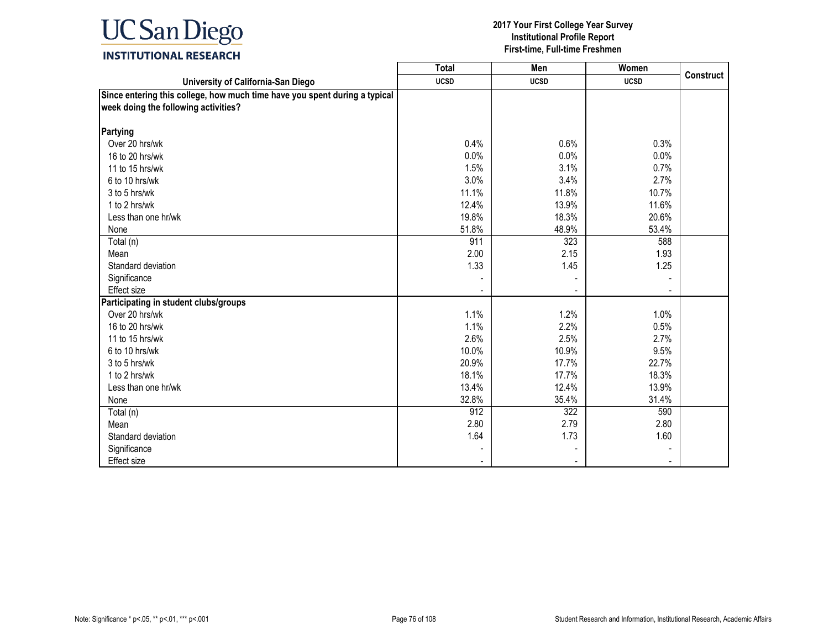

|                                                                            | <b>Total</b> | Men         | Women       |                  |
|----------------------------------------------------------------------------|--------------|-------------|-------------|------------------|
| University of California-San Diego                                         | <b>UCSD</b>  | <b>UCSD</b> | <b>UCSD</b> | <b>Construct</b> |
| Since entering this college, how much time have you spent during a typical |              |             |             |                  |
| week doing the following activities?                                       |              |             |             |                  |
|                                                                            |              |             |             |                  |
| Partying                                                                   |              |             |             |                  |
| Over 20 hrs/wk                                                             | 0.4%         | 0.6%        | 0.3%        |                  |
| 16 to 20 hrs/wk                                                            | 0.0%         | 0.0%        | 0.0%        |                  |
| 11 to 15 hrs/wk                                                            | 1.5%         | 3.1%        | 0.7%        |                  |
| 6 to 10 hrs/wk                                                             | 3.0%         | 3.4%        | 2.7%        |                  |
| 3 to 5 hrs/wk                                                              | 11.1%        | 11.8%       | 10.7%       |                  |
| 1 to 2 hrs/wk                                                              | 12.4%        | 13.9%       | 11.6%       |                  |
| Less than one hr/wk                                                        | 19.8%        | 18.3%       | 20.6%       |                  |
| None                                                                       | 51.8%        | 48.9%       | 53.4%       |                  |
| Total (n)                                                                  | 911          | 323         | 588         |                  |
| Mean                                                                       | 2.00         | 2.15        | 1.93        |                  |
| Standard deviation                                                         | 1.33         | 1.45        | 1.25        |                  |
| Significance                                                               |              |             |             |                  |
| <b>Effect size</b>                                                         |              |             |             |                  |
| Participating in student clubs/groups                                      |              |             |             |                  |
| Over 20 hrs/wk                                                             | 1.1%         | 1.2%        | 1.0%        |                  |
| 16 to 20 hrs/wk                                                            | 1.1%         | 2.2%        | 0.5%        |                  |
| 11 to 15 hrs/wk                                                            | 2.6%         | 2.5%        | 2.7%        |                  |
| 6 to 10 hrs/wk                                                             | 10.0%        | 10.9%       | 9.5%        |                  |
| 3 to 5 hrs/wk                                                              | 20.9%        | 17.7%       | 22.7%       |                  |
| 1 to 2 hrs/wk                                                              | 18.1%        | 17.7%       | 18.3%       |                  |
| Less than one hr/wk                                                        | 13.4%        | 12.4%       | 13.9%       |                  |
| None                                                                       | 32.8%        | 35.4%       | 31.4%       |                  |
| Total (n)                                                                  | 912          | 322         | 590         |                  |
| Mean                                                                       | 2.80         | 2.79        | 2.80        |                  |
| Standard deviation                                                         | 1.64         | 1.73        | 1.60        |                  |
| Significance                                                               |              |             |             |                  |
| <b>Effect size</b>                                                         |              |             |             |                  |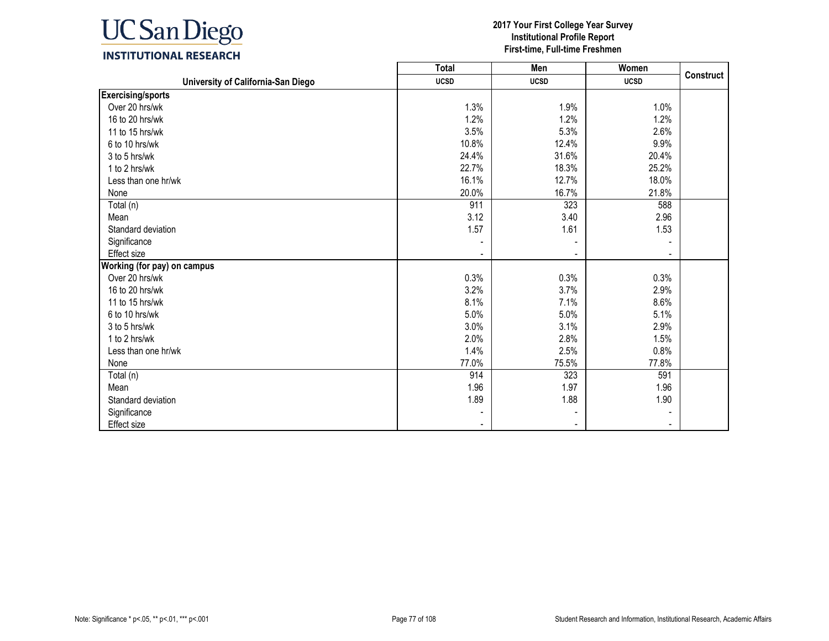

|                                    | <b>Total</b> | Men         | Women       |                  |
|------------------------------------|--------------|-------------|-------------|------------------|
| University of California-San Diego | <b>UCSD</b>  | <b>UCSD</b> | <b>UCSD</b> | <b>Construct</b> |
| <b>Exercising/sports</b>           |              |             |             |                  |
| Over 20 hrs/wk                     | 1.3%         | 1.9%        | 1.0%        |                  |
| 16 to 20 hrs/wk                    | 1.2%         | 1.2%        | 1.2%        |                  |
| 11 to 15 hrs/wk                    | 3.5%         | 5.3%        | 2.6%        |                  |
| 6 to 10 hrs/wk                     | 10.8%        | 12.4%       | 9.9%        |                  |
| 3 to 5 hrs/wk                      | 24.4%        | 31.6%       | 20.4%       |                  |
| 1 to 2 hrs/wk                      | 22.7%        | 18.3%       | 25.2%       |                  |
| Less than one hr/wk                | 16.1%        | 12.7%       | 18.0%       |                  |
| None                               | 20.0%        | 16.7%       | 21.8%       |                  |
| Total (n)                          | 911          | 323         | 588         |                  |
| Mean                               | 3.12         | 3.40        | 2.96        |                  |
| Standard deviation                 | 1.57         | 1.61        | 1.53        |                  |
| Significance                       |              |             |             |                  |
| Effect size                        |              |             |             |                  |
| Working (for pay) on campus        |              |             |             |                  |
| Over 20 hrs/wk                     | 0.3%         | 0.3%        | 0.3%        |                  |
| 16 to 20 hrs/wk                    | 3.2%         | 3.7%        | 2.9%        |                  |
| 11 to 15 hrs/wk                    | 8.1%         | 7.1%        | 8.6%        |                  |
| 6 to 10 hrs/wk                     | 5.0%         | 5.0%        | 5.1%        |                  |
| 3 to 5 hrs/wk                      | 3.0%         | 3.1%        | 2.9%        |                  |
| 1 to 2 hrs/wk                      | 2.0%         | 2.8%        | 1.5%        |                  |
| Less than one hr/wk                | 1.4%         | 2.5%        | 0.8%        |                  |
| None                               | 77.0%        | 75.5%       | 77.8%       |                  |
| Total (n)                          | 914          | 323         | 591         |                  |
| Mean                               | 1.96         | 1.97        | 1.96        |                  |
| Standard deviation                 | 1.89         | 1.88        | 1.90        |                  |
| Significance                       |              |             |             |                  |
| <b>Effect size</b>                 |              |             |             |                  |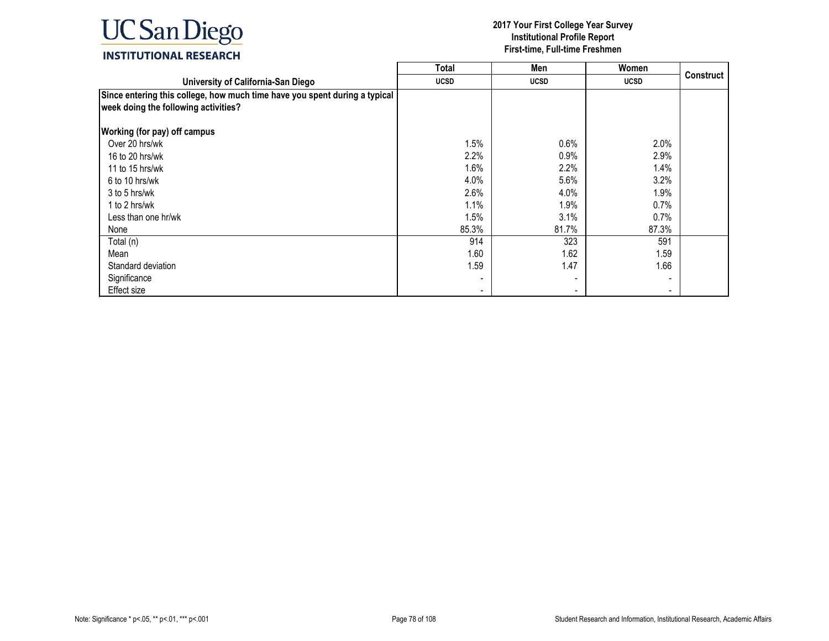

|                                                                                                                    | <b>Total</b> | Men         | Women                        |           |
|--------------------------------------------------------------------------------------------------------------------|--------------|-------------|------------------------------|-----------|
| University of California-San Diego                                                                                 | <b>UCSD</b>  | <b>UCSD</b> | <b>UCSD</b>                  | Construct |
| Since entering this college, how much time have you spent during a typical<br>week doing the following activities? |              |             |                              |           |
| <b>Working (for pay) off campus</b>                                                                                |              |             |                              |           |
| Over 20 hrs/wk                                                                                                     | 1.5%         | 0.6%        | 2.0%                         |           |
| 16 to 20 hrs/wk                                                                                                    | 2.2%         | 0.9%        | 2.9%                         |           |
| 11 to 15 hrs/wk                                                                                                    | 1.6%         | 2.2%        | 1.4%                         |           |
| 6 to 10 hrs/wk                                                                                                     | 4.0%         | 5.6%        | 3.2%                         |           |
| 3 to 5 hrs/wk                                                                                                      | 2.6%         | 4.0%        | 1.9%                         |           |
| 1 to 2 hrs/wk                                                                                                      | 1.1%         | 1.9%        | 0.7%                         |           |
| Less than one hr/wk                                                                                                | 1.5%         | 3.1%        | $0.7\%$                      |           |
| None                                                                                                               | 85.3%        | 81.7%       | 87.3%                        |           |
| Total (n)                                                                                                          | 914          | 323         | 591                          |           |
| Mean                                                                                                               | 1.60         | 1.62        | 1.59                         |           |
| Standard deviation                                                                                                 | 1.59         | 1.47        | 1.66                         |           |
| Significance                                                                                                       |              |             | $\qquad \qquad \blacksquare$ |           |
| Effect size                                                                                                        |              |             | $\blacksquare$               |           |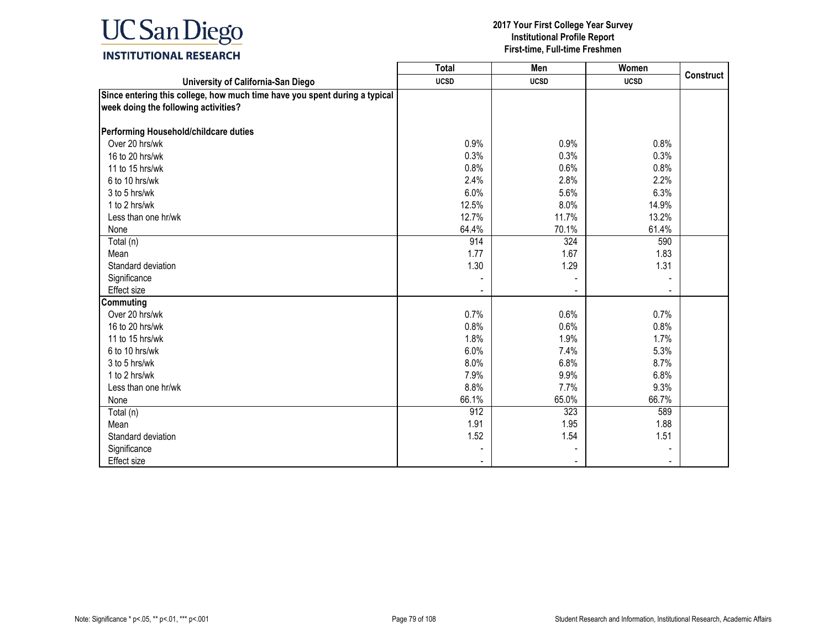

|                                                                                                                    | <b>Total</b> | Men         | Women       |                  |
|--------------------------------------------------------------------------------------------------------------------|--------------|-------------|-------------|------------------|
| University of California-San Diego                                                                                 | <b>UCSD</b>  | <b>UCSD</b> | <b>UCSD</b> | <b>Construct</b> |
| Since entering this college, how much time have you spent during a typical<br>week doing the following activities? |              |             |             |                  |
| Performing Household/childcare duties                                                                              |              |             |             |                  |
| Over 20 hrs/wk                                                                                                     | 0.9%         | 0.9%        | 0.8%        |                  |
| 16 to 20 hrs/wk                                                                                                    | 0.3%         | 0.3%        | 0.3%        |                  |
| 11 to 15 hrs/wk                                                                                                    | 0.8%         | 0.6%        | 0.8%        |                  |
| 6 to 10 hrs/wk                                                                                                     | 2.4%         | 2.8%        | 2.2%        |                  |
| 3 to 5 hrs/wk                                                                                                      | 6.0%         | 5.6%        | 6.3%        |                  |
| 1 to 2 hrs/wk                                                                                                      | 12.5%        | 8.0%        | 14.9%       |                  |
| Less than one hr/wk                                                                                                | 12.7%        | 11.7%       | 13.2%       |                  |
| None                                                                                                               | 64.4%        | 70.1%       | 61.4%       |                  |
| Total (n)                                                                                                          | 914          | 324         | 590         |                  |
| Mean                                                                                                               | 1.77         | 1.67        | 1.83        |                  |
| Standard deviation                                                                                                 | 1.30         | 1.29        | 1.31        |                  |
| Significance                                                                                                       |              |             |             |                  |
| Effect size                                                                                                        |              |             |             |                  |
| <b>Commuting</b>                                                                                                   |              |             |             |                  |
| Over 20 hrs/wk                                                                                                     | 0.7%         | 0.6%        | 0.7%        |                  |
| 16 to 20 hrs/wk                                                                                                    | 0.8%         | 0.6%        | 0.8%        |                  |
| 11 to 15 hrs/wk                                                                                                    | 1.8%         | 1.9%        | 1.7%        |                  |
| 6 to 10 hrs/wk                                                                                                     | 6.0%         | 7.4%        | 5.3%        |                  |
| 3 to 5 hrs/wk                                                                                                      | 8.0%         | 6.8%        | 8.7%        |                  |
| 1 to 2 hrs/wk                                                                                                      | 7.9%         | 9.9%        | 6.8%        |                  |
| Less than one hr/wk                                                                                                | 8.8%         | 7.7%        | 9.3%        |                  |
| None                                                                                                               | 66.1%        | 65.0%       | 66.7%       |                  |
| Total (n)                                                                                                          | 912          | 323         | 589         |                  |
| Mean                                                                                                               | 1.91         | 1.95        | 1.88        |                  |
| Standard deviation                                                                                                 | 1.52         | 1.54        | 1.51        |                  |
| Significance                                                                                                       |              |             |             |                  |
| <b>Effect size</b>                                                                                                 |              |             |             |                  |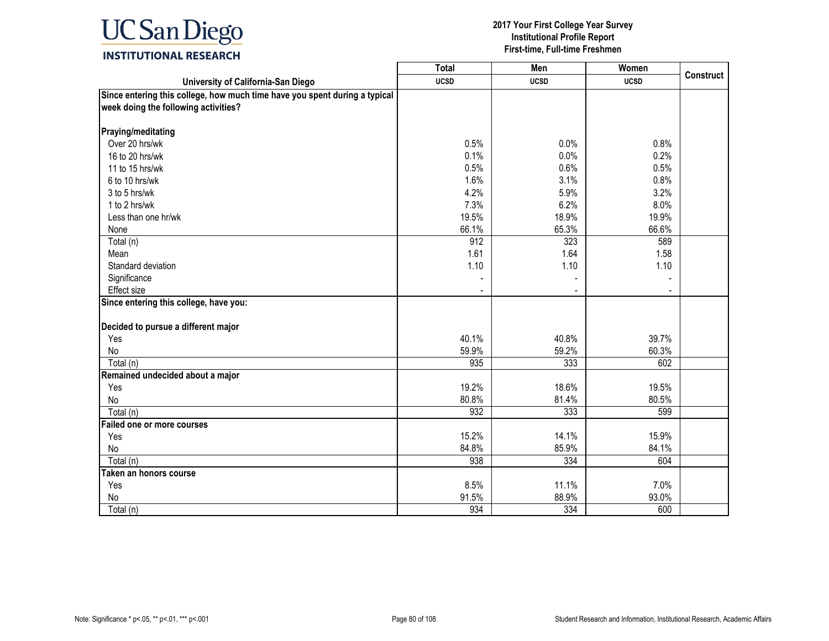

|                                                                            | <b>Total</b> | Men         | Women       |                  |
|----------------------------------------------------------------------------|--------------|-------------|-------------|------------------|
| University of California-San Diego                                         | <b>UCSD</b>  | <b>UCSD</b> | <b>UCSD</b> | <b>Construct</b> |
| Since entering this college, how much time have you spent during a typical |              |             |             |                  |
| week doing the following activities?                                       |              |             |             |                  |
|                                                                            |              |             |             |                  |
| Praying/meditating<br>Over 20 hrs/wk                                       |              |             |             |                  |
|                                                                            | 0.5%         | 0.0%        | 0.8%        |                  |
| 16 to 20 hrs/wk                                                            | 0.1%         | 0.0%        | 0.2%        |                  |
| 11 to 15 hrs/wk                                                            | 0.5%         | 0.6%        | 0.5%        |                  |
| 6 to 10 hrs/wk                                                             | 1.6%         | 3.1%        | 0.8%        |                  |
| 3 to 5 hrs/wk                                                              | 4.2%         | 5.9%        | 3.2%        |                  |
| 1 to 2 hrs/wk                                                              | 7.3%         | 6.2%        | 8.0%        |                  |
| Less than one hr/wk                                                        | 19.5%        | 18.9%       | 19.9%       |                  |
| None                                                                       | 66.1%        | 65.3%       | 66.6%       |                  |
| Total (n)                                                                  | 912          | 323         | 589         |                  |
| Mean                                                                       | 1.61         | 1.64        | 1.58        |                  |
| Standard deviation                                                         | 1.10         | 1.10        | 1.10        |                  |
| Significance                                                               |              |             |             |                  |
| <b>Effect size</b>                                                         |              |             |             |                  |
| Since entering this college, have you:                                     |              |             |             |                  |
| Decided to pursue a different major                                        |              |             |             |                  |
| Yes                                                                        | 40.1%        | 40.8%       | 39.7%       |                  |
| No                                                                         | 59.9%        | 59.2%       | 60.3%       |                  |
| Total (n)                                                                  | 935          | 333         | 602         |                  |
|                                                                            |              |             |             |                  |
| Remained undecided about a major                                           |              | 18.6%       | 19.5%       |                  |
| Yes                                                                        | 19.2%        |             |             |                  |
| No                                                                         | 80.8%        | 81.4%       | 80.5%       |                  |
| Total (n)                                                                  | 932          | 333         | 599         |                  |
| Failed one or more courses                                                 |              |             |             |                  |
| Yes                                                                        | 15.2%        | 14.1%       | 15.9%       |                  |
| No                                                                         | 84.8%        | 85.9%       | 84.1%       |                  |
| Total (n)                                                                  | 938          | 334         | 604         |                  |
| Taken an honors course                                                     |              |             |             |                  |
| Yes                                                                        | 8.5%         | 11.1%       | 7.0%        |                  |
| No                                                                         | 91.5%        | 88.9%       | 93.0%       |                  |
| Total (n)                                                                  | 934          | 334         | 600         |                  |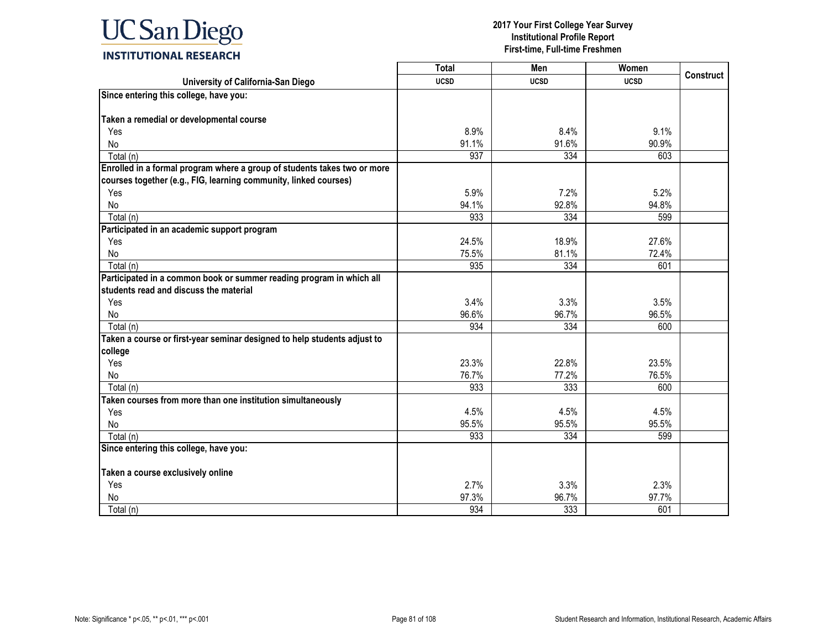

|                                                                          | <b>Total</b> | Men         | Women       |                  |
|--------------------------------------------------------------------------|--------------|-------------|-------------|------------------|
| University of California-San Diego                                       | <b>UCSD</b>  | <b>UCSD</b> | <b>UCSD</b> | <b>Construct</b> |
| Since entering this college, have you:                                   |              |             |             |                  |
|                                                                          |              |             |             |                  |
| Taken a remedial or developmental course                                 |              |             |             |                  |
| Yes                                                                      | 8.9%         | 8.4%        | 9.1%        |                  |
| No                                                                       | 91.1%        | 91.6%       | 90.9%       |                  |
| Total (n)                                                                | 937          | 334         | 603         |                  |
| Enrolled in a formal program where a group of students takes two or more |              |             |             |                  |
| courses together (e.g., FIG, learning community, linked courses)         |              |             |             |                  |
| Yes                                                                      | 5.9%         | 7.2%        | 5.2%        |                  |
| No                                                                       | 94.1%        | 92.8%       | 94.8%       |                  |
| Total (n)                                                                | 933          | 334         | 599         |                  |
| Participated in an academic support program                              |              |             |             |                  |
| Yes                                                                      | 24.5%        | 18.9%       | 27.6%       |                  |
| No                                                                       | 75.5%        | 81.1%       | 72.4%       |                  |
| Total (n)                                                                | 935          | 334         | 601         |                  |
| Participated in a common book or summer reading program in which all     |              |             |             |                  |
| students read and discuss the material                                   |              |             |             |                  |
| Yes                                                                      | 3.4%         | 3.3%        | 3.5%        |                  |
| No                                                                       | 96.6%        | 96.7%       | 96.5%       |                  |
| Total (n)                                                                | 934          | 334         | 600         |                  |
| Taken a course or first-year seminar designed to help students adjust to |              |             |             |                  |
| college                                                                  |              |             |             |                  |
| Yes                                                                      | 23.3%        | 22.8%       | 23.5%       |                  |
| No                                                                       | 76.7%        | 77.2%       | 76.5%       |                  |
| Total (n)                                                                | 933          | 333         | 600         |                  |
| Taken courses from more than one institution simultaneously              |              |             |             |                  |
| Yes                                                                      | 4.5%         | 4.5%        | 4.5%        |                  |
| No                                                                       | 95.5%        | 95.5%       | 95.5%       |                  |
| Total (n)                                                                | 933          | 334         | 599         |                  |
| Since entering this college, have you:                                   |              |             |             |                  |
| Taken a course exclusively online                                        |              |             |             |                  |
| Yes                                                                      | 2.7%         | 3.3%        | 2.3%        |                  |
| No                                                                       | 97.3%        | 96.7%       | 97.7%       |                  |
|                                                                          |              |             |             |                  |
| Total (n)                                                                | 934          | 333         | 601         |                  |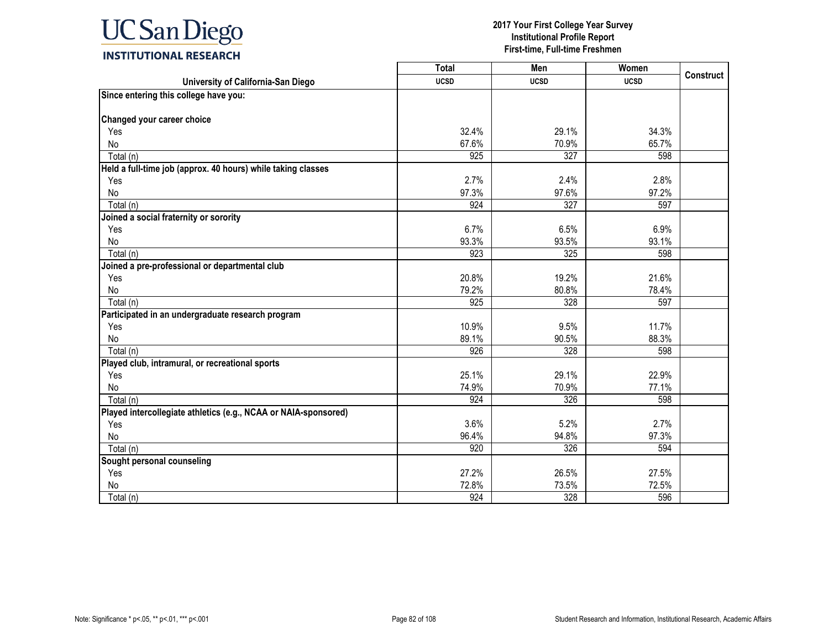

|                                                                 | Total       | Men         | Women       | <b>Construct</b> |
|-----------------------------------------------------------------|-------------|-------------|-------------|------------------|
| University of California-San Diego                              | <b>UCSD</b> | <b>UCSD</b> | <b>UCSD</b> |                  |
| Since entering this college have you:                           |             |             |             |                  |
|                                                                 |             |             |             |                  |
| Changed your career choice                                      |             |             |             |                  |
| Yes                                                             | 32.4%       | 29.1%       | 34.3%       |                  |
| No                                                              | 67.6%       | 70.9%       | 65.7%       |                  |
| Total (n)                                                       | 925         | 327         | 598         |                  |
| Held a full-time job (approx. 40 hours) while taking classes    |             |             |             |                  |
| Yes                                                             | 2.7%        | 2.4%        | 2.8%        |                  |
| No                                                              | 97.3%       | 97.6%       | 97.2%       |                  |
| Total (n)                                                       | 924         | 327         | 597         |                  |
| Joined a social fraternity or sorority                          |             |             |             |                  |
| Yes                                                             | 6.7%        | 6.5%        | 6.9%        |                  |
| No                                                              | 93.3%       | 93.5%       | 93.1%       |                  |
| Total (n)                                                       | 923         | 325         | 598         |                  |
| Joined a pre-professional or departmental club                  |             |             |             |                  |
| Yes                                                             | 20.8%       | 19.2%       | 21.6%       |                  |
| <b>No</b>                                                       | 79.2%       | 80.8%       | 78.4%       |                  |
| Total (n)                                                       | 925         | 328         | 597         |                  |
| Participated in an undergraduate research program               |             |             |             |                  |
| Yes                                                             | 10.9%       | 9.5%        | 11.7%       |                  |
| No                                                              | 89.1%       | 90.5%       | 88.3%       |                  |
| Total (n)                                                       | 926         | 328         | 598         |                  |
| Played club, intramural, or recreational sports                 |             |             |             |                  |
| Yes                                                             | 25.1%       | 29.1%       | 22.9%       |                  |
| No                                                              | 74.9%       | 70.9%       | 77.1%       |                  |
| Total (n)                                                       | 924         | 326         | 598         |                  |
| Played intercollegiate athletics (e.g., NCAA or NAIA-sponsored) |             |             |             |                  |
| Yes                                                             | 3.6%        | 5.2%        | 2.7%        |                  |
| No                                                              | 96.4%       | 94.8%       | 97.3%       |                  |
| Total (n)                                                       | 920         | 326         | 594         |                  |
| Sought personal counseling                                      |             |             |             |                  |
| Yes                                                             | 27.2%       | 26.5%       | 27.5%       |                  |
| No                                                              | 72.8%       | 73.5%       | 72.5%       |                  |
| Total (n)                                                       | 924         | 328         | 596         |                  |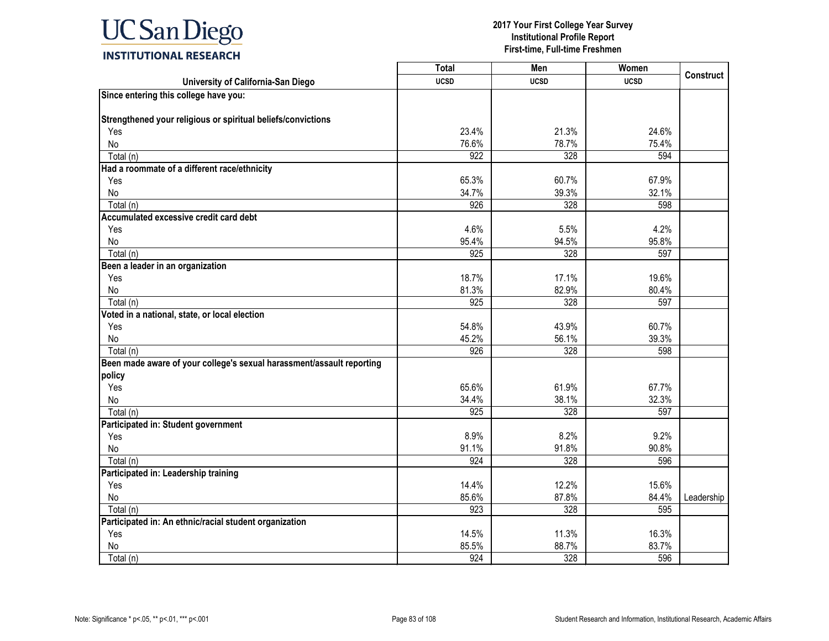

|                                                                       | <b>Total</b>     | Men         | Women       | <b>Construct</b> |
|-----------------------------------------------------------------------|------------------|-------------|-------------|------------------|
| University of California-San Diego                                    | <b>UCSD</b>      | <b>UCSD</b> | <b>UCSD</b> |                  |
| Since entering this college have you:                                 |                  |             |             |                  |
| Strengthened your religious or spiritual beliefs/convictions          |                  |             |             |                  |
| Yes                                                                   | 23.4%            | 21.3%       | 24.6%       |                  |
| <b>No</b>                                                             | 76.6%            | 78.7%       | 75.4%       |                  |
| Total (n)                                                             | 922              | 328         | 594         |                  |
| Had a roommate of a different race/ethnicity                          |                  |             |             |                  |
| Yes                                                                   | 65.3%            | 60.7%       | 67.9%       |                  |
| No                                                                    | 34.7%            | 39.3%       | 32.1%       |                  |
| Total (n)                                                             | 926              | 328         | 598         |                  |
| Accumulated excessive credit card debt                                |                  |             |             |                  |
| Yes                                                                   | 4.6%             | 5.5%        | 4.2%        |                  |
| No                                                                    | 95.4%            | 94.5%       | 95.8%       |                  |
| Total (n)                                                             | 925              | 328         | 597         |                  |
| Been a leader in an organization                                      |                  |             |             |                  |
| Yes                                                                   | 18.7%            | 17.1%       | 19.6%       |                  |
| No                                                                    | 81.3%            | 82.9%       | 80.4%       |                  |
| Total (n)                                                             | 925              | 328         | 597         |                  |
| Voted in a national, state, or local election                         |                  |             |             |                  |
| Yes                                                                   | 54.8%            | 43.9%       | 60.7%       |                  |
| No                                                                    | 45.2%            | 56.1%       | 39.3%       |                  |
| Total (n)                                                             | 926              | 328         | 598         |                  |
| Been made aware of your college's sexual harassment/assault reporting |                  |             |             |                  |
| policy                                                                |                  |             |             |                  |
| Yes                                                                   | 65.6%            | 61.9%       | 67.7%       |                  |
| No                                                                    | 34.4%            | 38.1%       | 32.3%       |                  |
| Total (n)                                                             | $\overline{925}$ | 328         | 597         |                  |
| Participated in: Student government                                   |                  |             |             |                  |
| Yes                                                                   | 8.9%             | 8.2%        | 9.2%        |                  |
| No                                                                    | 91.1%            | 91.8%       | 90.8%       |                  |
| Total (n)                                                             | 924              | 328         | 596         |                  |
| Participated in: Leadership training                                  |                  |             |             |                  |
| Yes                                                                   | 14.4%            | 12.2%       | 15.6%       |                  |
| No                                                                    | 85.6%            | 87.8%       | 84.4%       | Leadership       |
| Total (n)                                                             | 923              | 328         | 595         |                  |
| Participated in: An ethnic/racial student organization                |                  |             |             |                  |
| Yes                                                                   | 14.5%            | 11.3%       | 16.3%       |                  |
| No                                                                    | 85.5%            | 88.7%       | 83.7%       |                  |
| Total (n)                                                             | 924              | 328         | 596         |                  |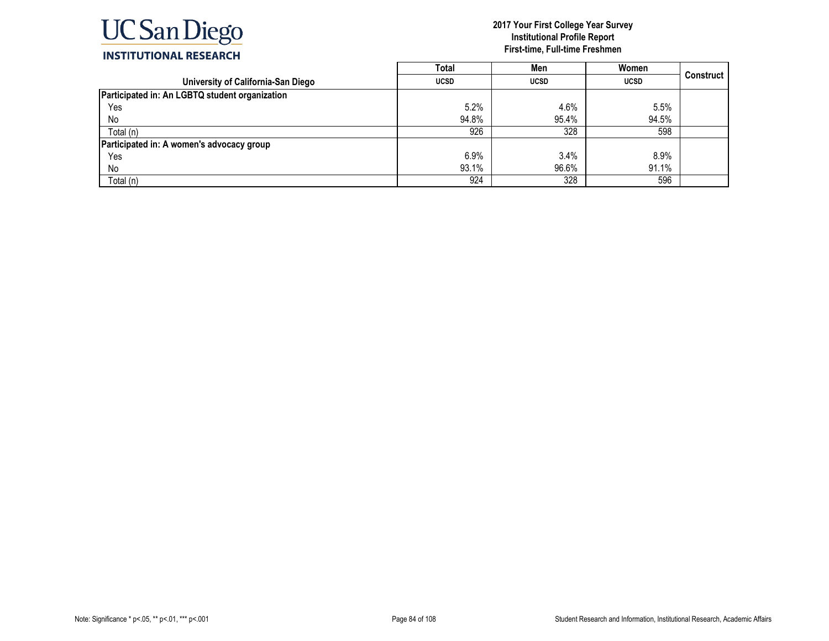

|                                                | <b>Total</b> | Men         | Women       |           |
|------------------------------------------------|--------------|-------------|-------------|-----------|
| University of California-San Diego             | <b>UCSD</b>  | <b>UCSD</b> | <b>UCSD</b> | Construct |
| Participated in: An LGBTQ student organization |              |             |             |           |
| Yes                                            | 5.2%         | 4.6%        | 5.5%        |           |
| No                                             | 94.8%        | 95.4%       | 94.5%       |           |
| Total (n)                                      | 926          | 328         | 598         |           |
| Participated in: A women's advocacy group      |              |             |             |           |
| Yes                                            | 6.9%         | 3.4%        | 8.9%        |           |
| No                                             | 93.1%        | 96.6%       | 91.1%       |           |
| Total (n)                                      | 924          | 328         | 596         |           |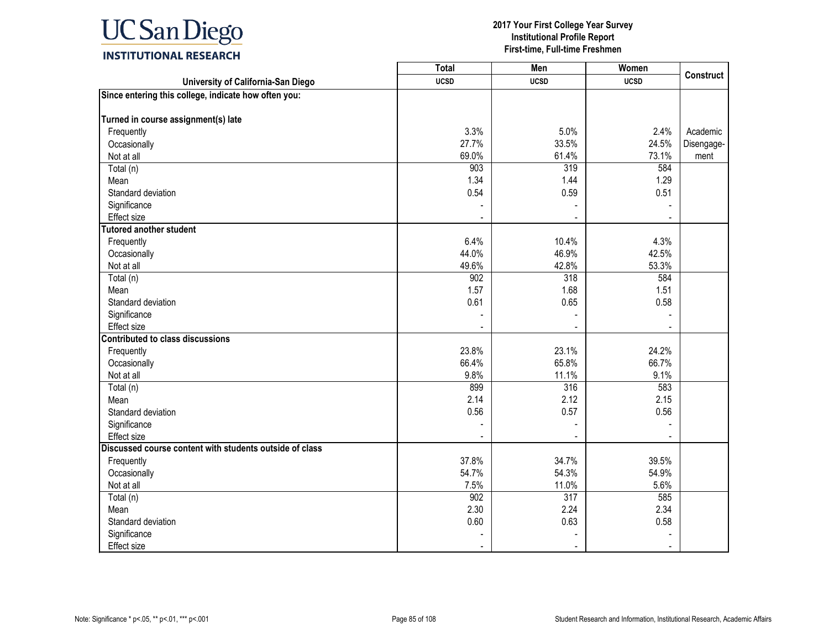

|                                                         | <b>Total</b> | Men              | Women       | <b>Construct</b> |
|---------------------------------------------------------|--------------|------------------|-------------|------------------|
| University of California-San Diego                      | <b>UCSD</b>  | <b>UCSD</b>      | <b>UCSD</b> |                  |
| Since entering this college, indicate how often you:    |              |                  |             |                  |
|                                                         |              |                  |             |                  |
| Turned in course assignment(s) late                     |              |                  |             |                  |
| Frequently                                              | 3.3%         | 5.0%             | 2.4%        | Academic         |
| Occasionally                                            | 27.7%        | 33.5%            | 24.5%       | Disengage-       |
| Not at all                                              | 69.0%        | 61.4%            | 73.1%       | ment             |
| Total (n)                                               | 903          | 319              | 584         |                  |
| Mean                                                    | 1.34         | 1.44             | 1.29        |                  |
| Standard deviation                                      | 0.54         | 0.59             | 0.51        |                  |
| Significance                                            |              |                  |             |                  |
| Effect size                                             |              |                  |             |                  |
| <b>Tutored another student</b>                          |              |                  |             |                  |
| Frequently                                              | 6.4%         | 10.4%            | 4.3%        |                  |
| Occasionally                                            | 44.0%        | 46.9%            | 42.5%       |                  |
| Not at all                                              | 49.6%        | 42.8%            | 53.3%       |                  |
| Total (n)                                               | 902          | 318              | 584         |                  |
| Mean                                                    | 1.57         | 1.68             | 1.51        |                  |
| Standard deviation                                      | 0.61         | 0.65             | 0.58        |                  |
| Significance                                            |              | ÷,               |             |                  |
| <b>Effect size</b>                                      |              |                  |             |                  |
| <b>Contributed to class discussions</b>                 |              |                  |             |                  |
| Frequently                                              | 23.8%        | 23.1%            | 24.2%       |                  |
| Occasionally                                            | 66.4%        | 65.8%            | 66.7%       |                  |
| Not at all                                              | 9.8%         | 11.1%            | 9.1%        |                  |
| Total (n)                                               | 899          | 316              | 583         |                  |
| Mean                                                    | 2.14         | 2.12             | 2.15        |                  |
| Standard deviation                                      | 0.56         | 0.57             | 0.56        |                  |
| Significance                                            |              |                  |             |                  |
| Effect size                                             |              |                  |             |                  |
| Discussed course content with students outside of class |              |                  |             |                  |
| Frequently                                              | 37.8%        | 34.7%            | 39.5%       |                  |
| Occasionally                                            | 54.7%        | 54.3%            | 54.9%       |                  |
| Not at all                                              | 7.5%         | 11.0%            | 5.6%        |                  |
| Total (n)                                               | 902          | $\overline{317}$ | 585         |                  |
| Mean                                                    | 2.30         | 2.24             | 2.34        |                  |
| Standard deviation                                      | 0.60         | 0.63             | 0.58        |                  |
| Significance                                            |              |                  |             |                  |
| <b>Effect size</b>                                      |              |                  |             |                  |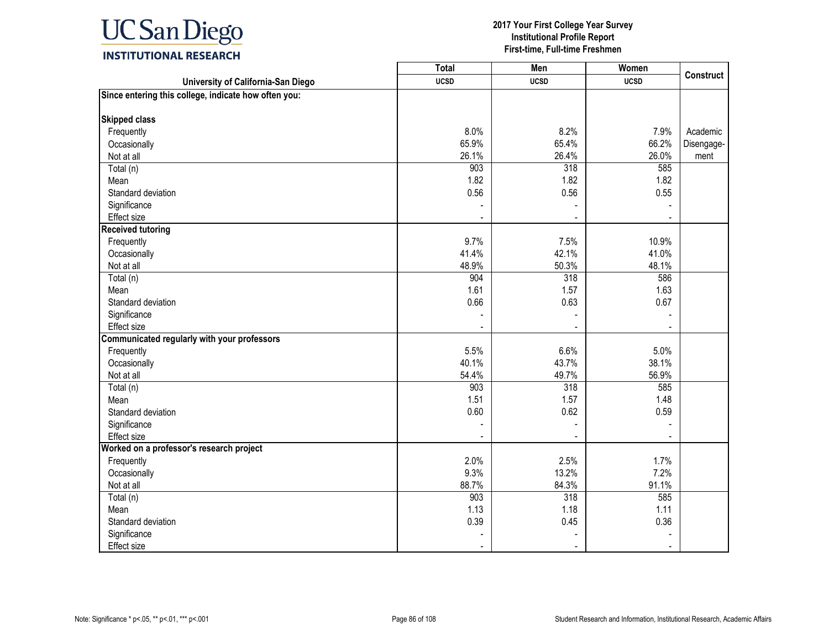

|                                                      | <b>Total</b> | Men         | Women       | <b>Construct</b> |
|------------------------------------------------------|--------------|-------------|-------------|------------------|
| University of California-San Diego                   | <b>UCSD</b>  | <b>UCSD</b> | <b>UCSD</b> |                  |
| Since entering this college, indicate how often you: |              |             |             |                  |
| <b>Skipped class</b>                                 |              |             |             |                  |
| Frequently                                           | 8.0%         | 8.2%        | 7.9%        | Academic         |
| Occasionally                                         | 65.9%        | 65.4%       | 66.2%       | Disengage-       |
| Not at all                                           | 26.1%        | 26.4%       | 26.0%       | ment             |
| Total (n)                                            | 903          | 318         | 585         |                  |
| Mean                                                 | 1.82         | 1.82        | 1.82        |                  |
| Standard deviation                                   | 0.56         | 0.56        | 0.55        |                  |
| Significance                                         |              |             |             |                  |
| Effect size                                          |              |             |             |                  |
| <b>Received tutoring</b>                             |              |             |             |                  |
| Frequently                                           | 9.7%         | 7.5%        | 10.9%       |                  |
| Occasionally                                         | 41.4%        | 42.1%       | 41.0%       |                  |
| Not at all                                           | 48.9%        | 50.3%       | 48.1%       |                  |
| Total (n)                                            | 904          | 318         | 586         |                  |
| Mean                                                 | 1.61         | 1.57        | 1.63        |                  |
| Standard deviation                                   | 0.66         | 0.63        | 0.67        |                  |
| Significance                                         |              |             |             |                  |
| <b>Effect size</b>                                   |              |             |             |                  |
| Communicated regularly with your professors          |              |             |             |                  |
| Frequently                                           | 5.5%         | 6.6%        | 5.0%        |                  |
| Occasionally                                         | 40.1%        | 43.7%       | 38.1%       |                  |
| Not at all                                           | 54.4%        | 49.7%       | 56.9%       |                  |
| Total (n)                                            | 903          | 318         | 585         |                  |
| Mean                                                 | 1.51         | 1.57        | 1.48        |                  |
| Standard deviation                                   | 0.60         | 0.62        | 0.59        |                  |
| Significance                                         |              |             |             |                  |
| Effect size                                          |              |             |             |                  |
| Worked on a professor's research project             |              |             |             |                  |
| Frequently                                           | 2.0%         | 2.5%        | 1.7%        |                  |
| Occasionally                                         | 9.3%         | 13.2%       | 7.2%        |                  |
| Not at all                                           | 88.7%        | 84.3%       | 91.1%       |                  |
| Total (n)                                            | 903          | 318         | 585         |                  |
| Mean                                                 | 1.13         | 1.18        | 1.11        |                  |
| Standard deviation                                   | 0.39         | 0.45        | 0.36        |                  |
| Significance                                         |              |             |             |                  |
| <b>Effect size</b>                                   |              |             |             |                  |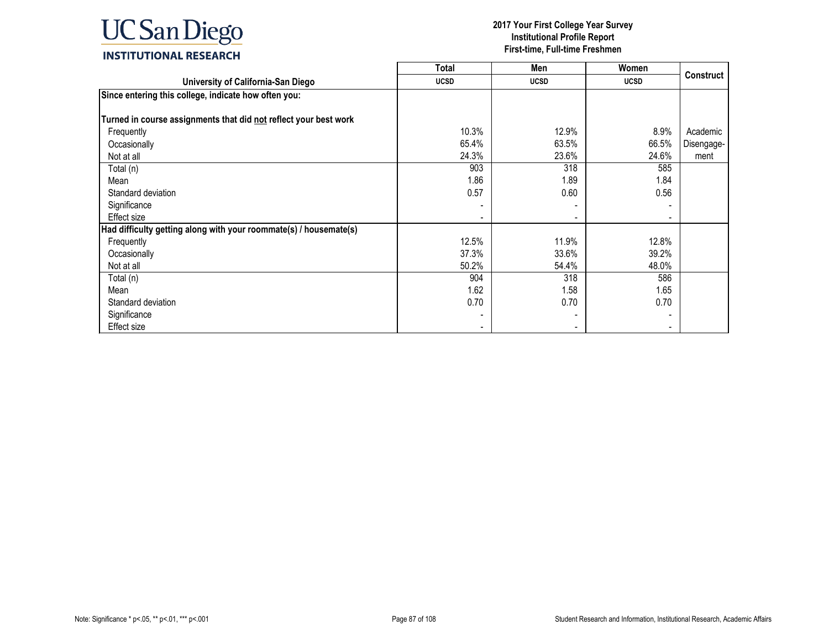

|                                                                   | Total       | Men         | Women          |                  |
|-------------------------------------------------------------------|-------------|-------------|----------------|------------------|
| University of California-San Diego                                | <b>UCSD</b> | <b>UCSD</b> | <b>UCSD</b>    | <b>Construct</b> |
| Since entering this college, indicate how often you:              |             |             |                |                  |
|                                                                   |             |             |                |                  |
| Turned in course assignments that did not reflect your best work  |             |             |                |                  |
| Frequently                                                        | 10.3%       | 12.9%       | 8.9%           | Academic         |
| Occasionally                                                      | 65.4%       | 63.5%       | 66.5%          | Disengage-       |
| Not at all                                                        | 24.3%       | 23.6%       | 24.6%          | ment             |
| Total (n)                                                         | 903         | 318         | 585            |                  |
| Mean                                                              | 1.86        | 1.89        | 1.84           |                  |
| Standard deviation                                                | 0.57        | 0.60        | 0.56           |                  |
| Significance                                                      |             |             |                |                  |
| Effect size                                                       |             |             | ٠              |                  |
| Had difficulty getting along with your roommate(s) / housemate(s) |             |             |                |                  |
| Frequently                                                        | 12.5%       | 11.9%       | 12.8%          |                  |
| Occasionally                                                      | 37.3%       | 33.6%       | 39.2%          |                  |
| Not at all                                                        | 50.2%       | 54.4%       | 48.0%          |                  |
| Total (n)                                                         | 904         | 318         | 586            |                  |
| Mean                                                              | 1.62        | 1.58        | 1.65           |                  |
| Standard deviation                                                | 0.70        | 0.70        | 0.70           |                  |
| Significance                                                      |             |             | $\blacksquare$ |                  |
| Effect size                                                       |             |             |                |                  |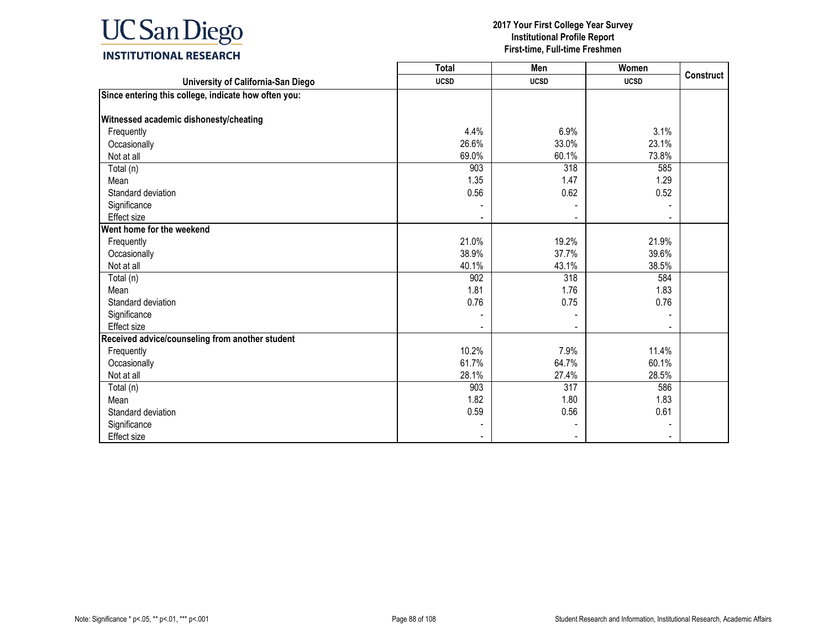

|                                                      | <b>Total</b> | Men         | Women       |                  |
|------------------------------------------------------|--------------|-------------|-------------|------------------|
| University of California-San Diego                   | <b>UCSD</b>  | <b>UCSD</b> | <b>UCSD</b> | <b>Construct</b> |
| Since entering this college, indicate how often you: |              |             |             |                  |
|                                                      |              |             |             |                  |
| Witnessed academic dishonesty/cheating               |              |             |             |                  |
| Frequently                                           | 4.4%         | 6.9%        | 3.1%        |                  |
| Occasionally                                         | 26.6%        | 33.0%       | 23.1%       |                  |
| Not at all                                           | 69.0%        | 60.1%       | 73.8%       |                  |
| Total (n)                                            | 903          | 318         | 585         |                  |
| Mean                                                 | 1.35         | 1.47        | 1.29        |                  |
| Standard deviation                                   | 0.56         | 0.62        | 0.52        |                  |
| Significance                                         |              |             |             |                  |
| <b>Effect size</b>                                   |              |             |             |                  |
| Went home for the weekend                            |              |             |             |                  |
| Frequently                                           | 21.0%        | 19.2%       | 21.9%       |                  |
| Occasionally                                         | 38.9%        | 37.7%       | 39.6%       |                  |
| Not at all                                           | 40.1%        | 43.1%       | 38.5%       |                  |
| Total (n)                                            | 902          | 318         | 584         |                  |
| Mean                                                 | 1.81         | 1.76        | 1.83        |                  |
| Standard deviation                                   | 0.76         | 0.75        | 0.76        |                  |
| Significance                                         |              |             |             |                  |
| <b>Effect size</b>                                   |              |             |             |                  |
| Received advice/counseling from another student      |              |             |             |                  |
| Frequently                                           | 10.2%        | 7.9%        | 11.4%       |                  |
| Occasionally                                         | 61.7%        | 64.7%       | 60.1%       |                  |
| Not at all                                           | 28.1%        | 27.4%       | 28.5%       |                  |
| Total (n)                                            | 903          | 317         | 586         |                  |
| Mean                                                 | 1.82         | 1.80        | 1.83        |                  |
| Standard deviation                                   | 0.59         | 0.56        | 0.61        |                  |
| Significance                                         |              |             |             |                  |
| Effect size                                          |              |             |             |                  |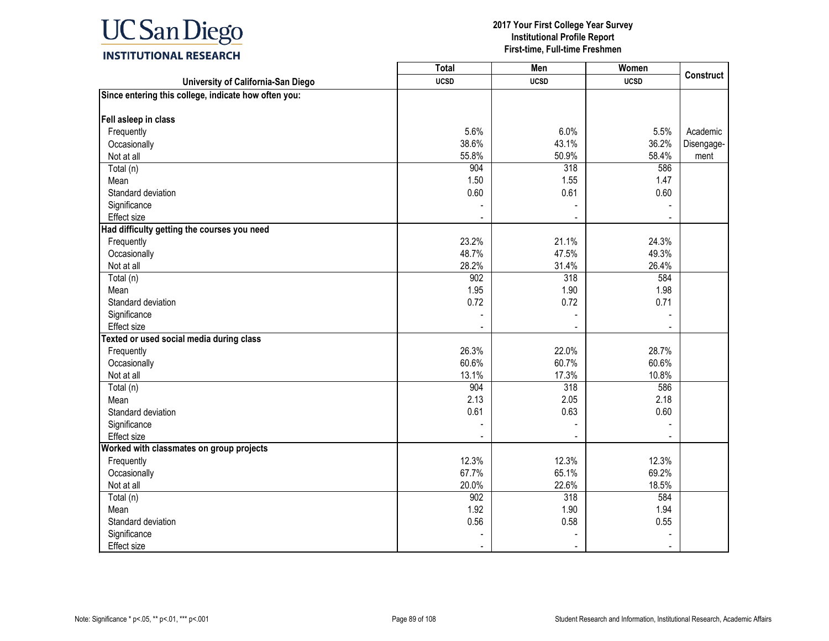

|                                                      | <b>Total</b> | Men         | Women       | <b>Construct</b> |
|------------------------------------------------------|--------------|-------------|-------------|------------------|
| University of California-San Diego                   | <b>UCSD</b>  | <b>UCSD</b> | <b>UCSD</b> |                  |
| Since entering this college, indicate how often you: |              |             |             |                  |
| Fell asleep in class                                 |              |             |             |                  |
| Frequently                                           | 5.6%         | 6.0%        | 5.5%        | Academic         |
| Occasionally                                         | 38.6%        | 43.1%       | 36.2%       | Disengage-       |
| Not at all                                           | 55.8%        | 50.9%       | 58.4%       | ment             |
| Total (n)                                            | 904          | 318         | 586         |                  |
| Mean                                                 | 1.50         | 1.55        | 1.47        |                  |
| Standard deviation                                   | 0.60         | 0.61        | 0.60        |                  |
| Significance                                         |              |             |             |                  |
| <b>Effect size</b>                                   |              | $\sim$      |             |                  |
| Had difficulty getting the courses you need          |              |             |             |                  |
| Frequently                                           | 23.2%        | 21.1%       | 24.3%       |                  |
| Occasionally                                         | 48.7%        | 47.5%       | 49.3%       |                  |
| Not at all                                           | 28.2%        | 31.4%       | 26.4%       |                  |
| Total (n)                                            | 902          | 318         | 584         |                  |
| Mean                                                 | 1.95         | 1.90        | 1.98        |                  |
| Standard deviation                                   | 0.72         | 0.72        | 0.71        |                  |
| Significance                                         |              |             |             |                  |
| <b>Effect size</b>                                   |              |             |             |                  |
| Texted or used social media during class             |              |             |             |                  |
| Frequently                                           | 26.3%        | 22.0%       | 28.7%       |                  |
| Occasionally                                         | 60.6%        | 60.7%       | 60.6%       |                  |
| Not at all                                           | 13.1%        | 17.3%       | 10.8%       |                  |
| Total (n)                                            | 904          | 318         | 586         |                  |
| Mean                                                 | 2.13         | 2.05        | 2.18        |                  |
| Standard deviation                                   | 0.61         | 0.63        | 0.60        |                  |
| Significance                                         |              |             |             |                  |
| Effect size                                          |              |             |             |                  |
| Worked with classmates on group projects             |              |             |             |                  |
| Frequently                                           | 12.3%        | 12.3%       | 12.3%       |                  |
| Occasionally                                         | 67.7%        | 65.1%       | 69.2%       |                  |
| Not at all                                           | 20.0%        | 22.6%       | 18.5%       |                  |
| Total (n)                                            | 902          | 318         | 584         |                  |
| Mean                                                 | 1.92         | 1.90        | 1.94        |                  |
| Standard deviation                                   | 0.56         | 0.58        | 0.55        |                  |
| Significance                                         |              |             |             |                  |
| <b>Effect size</b>                                   |              |             |             |                  |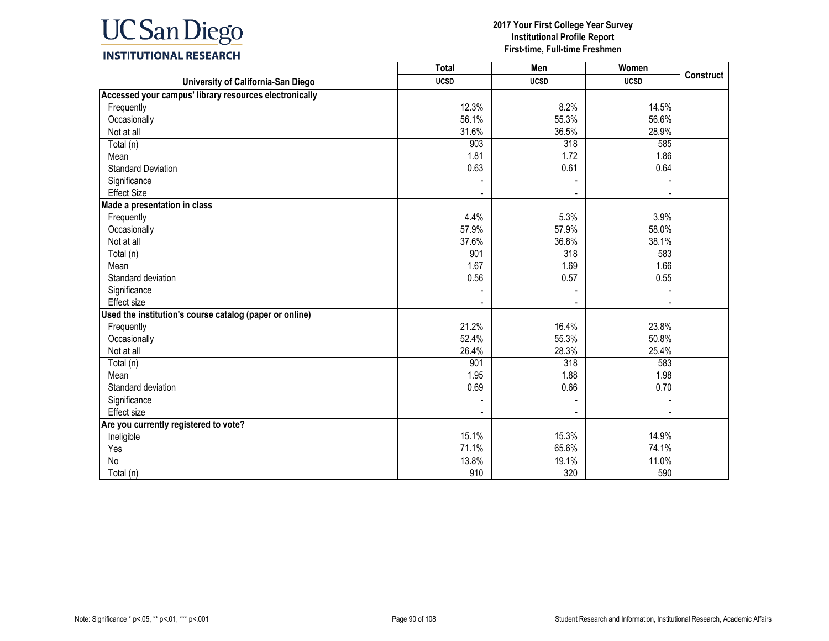

|                                                         | <b>Total</b>     | Men            | Women       | <b>Construct</b> |
|---------------------------------------------------------|------------------|----------------|-------------|------------------|
| University of California-San Diego                      | <b>UCSD</b>      | <b>UCSD</b>    | <b>UCSD</b> |                  |
| Accessed your campus' library resources electronically  |                  |                |             |                  |
| Frequently                                              | 12.3%            | 8.2%           | 14.5%       |                  |
| Occasionally                                            | 56.1%            | 55.3%          | 56.6%       |                  |
| Not at all                                              | 31.6%            | 36.5%          | 28.9%       |                  |
| Total (n)                                               | $\overline{903}$ | 318            | 585         |                  |
| Mean                                                    | 1.81             | 1.72           | 1.86        |                  |
| <b>Standard Deviation</b>                               | 0.63             | 0.61           | 0.64        |                  |
| Significance                                            |                  |                |             |                  |
| <b>Effect Size</b>                                      |                  | $\blacksquare$ |             |                  |
| Made a presentation in class                            |                  |                |             |                  |
| Frequently                                              | 4.4%             | 5.3%           | 3.9%        |                  |
| Occasionally                                            | 57.9%            | 57.9%          | 58.0%       |                  |
| Not at all                                              | 37.6%            | 36.8%          | 38.1%       |                  |
| Total (n)                                               | 901              | 318            | 583         |                  |
| Mean                                                    | 1.67             | 1.69           | 1.66        |                  |
| Standard deviation                                      | 0.56             | 0.57           | 0.55        |                  |
| Significance                                            |                  |                |             |                  |
| <b>Effect size</b>                                      |                  |                |             |                  |
| Used the institution's course catalog (paper or online) |                  |                |             |                  |
| Frequently                                              | 21.2%            | 16.4%          | 23.8%       |                  |
| Occasionally                                            | 52.4%            | 55.3%          | 50.8%       |                  |
| Not at all                                              | 26.4%            | 28.3%          | 25.4%       |                  |
| Total (n)                                               | 901              | 318            | 583         |                  |
| Mean                                                    | 1.95             | 1.88           | 1.98        |                  |
| Standard deviation                                      | 0.69             | 0.66           | 0.70        |                  |
| Significance                                            |                  |                |             |                  |
| <b>Effect size</b>                                      |                  |                |             |                  |
| Are you currently registered to vote?                   |                  |                |             |                  |
| Ineligible                                              | 15.1%            | 15.3%          | 14.9%       |                  |
| Yes                                                     | 71.1%            | 65.6%          | 74.1%       |                  |
| No                                                      | 13.8%            | 19.1%          | 11.0%       |                  |
| Total (n)                                               | 910              | 320            | 590         |                  |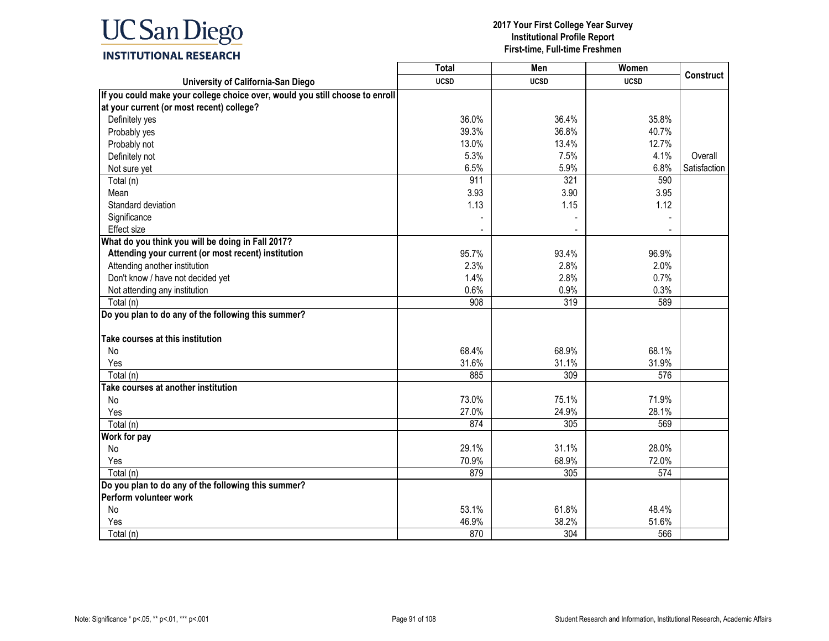

|                                                                              | <b>Total</b> | Men         | Women       |                  |
|------------------------------------------------------------------------------|--------------|-------------|-------------|------------------|
| University of California-San Diego                                           | <b>UCSD</b>  | <b>UCSD</b> | <b>UCSD</b> | <b>Construct</b> |
| If you could make your college choice over, would you still choose to enroll |              |             |             |                  |
| at your current (or most recent) college?                                    |              |             |             |                  |
| Definitely yes                                                               | 36.0%        | 36.4%       | 35.8%       |                  |
| Probably yes                                                                 | 39.3%        | 36.8%       | 40.7%       |                  |
| Probably not                                                                 | 13.0%        | 13.4%       | 12.7%       |                  |
| Definitely not                                                               | 5.3%         | 7.5%        | 4.1%        | Overall          |
| Not sure yet                                                                 | 6.5%         | 5.9%        | 6.8%        | Satisfaction     |
| Total (n)                                                                    | 911          | 321         | 590         |                  |
| Mean                                                                         | 3.93         | 3.90        | 3.95        |                  |
| Standard deviation                                                           | 1.13         | 1.15        | 1.12        |                  |
| Significance                                                                 |              |             |             |                  |
| Effect size                                                                  |              |             |             |                  |
| What do you think you will be doing in Fall 2017?                            |              |             |             |                  |
| Attending your current (or most recent) institution                          | 95.7%        | 93.4%       | 96.9%       |                  |
| Attending another institution                                                | 2.3%         | 2.8%        | 2.0%        |                  |
| Don't know / have not decided yet                                            | 1.4%         | 2.8%        | 0.7%        |                  |
| Not attending any institution                                                | 0.6%         | 0.9%        | 0.3%        |                  |
| Total (n)                                                                    | 908          | 319         | 589         |                  |
| Do you plan to do any of the following this summer?                          |              |             |             |                  |
| Take courses at this institution                                             |              |             |             |                  |
| No                                                                           | 68.4%        | 68.9%       | 68.1%       |                  |
| Yes                                                                          | 31.6%        | 31.1%       | 31.9%       |                  |
| Total (n)                                                                    | 885          | 309         | 576         |                  |
| Take courses at another institution                                          |              |             |             |                  |
| No                                                                           | 73.0%        | 75.1%       | 71.9%       |                  |
| Yes                                                                          | 27.0%        | 24.9%       | 28.1%       |                  |
| Total (n)                                                                    | 874          | 305         | 569         |                  |
| Work for pay                                                                 |              |             |             |                  |
| No                                                                           | 29.1%        | 31.1%       | 28.0%       |                  |
| Yes                                                                          | 70.9%        | 68.9%       | 72.0%       |                  |
| Total (n)                                                                    | 879          | 305         | 574         |                  |
| Do you plan to do any of the following this summer?                          |              |             |             |                  |
| Perform volunteer work                                                       |              |             |             |                  |
| No                                                                           | 53.1%        | 61.8%       | 48.4%       |                  |
| Yes                                                                          | 46.9%        | 38.2%       | 51.6%       |                  |
| Total (n)                                                                    | 870          | 304         | 566         |                  |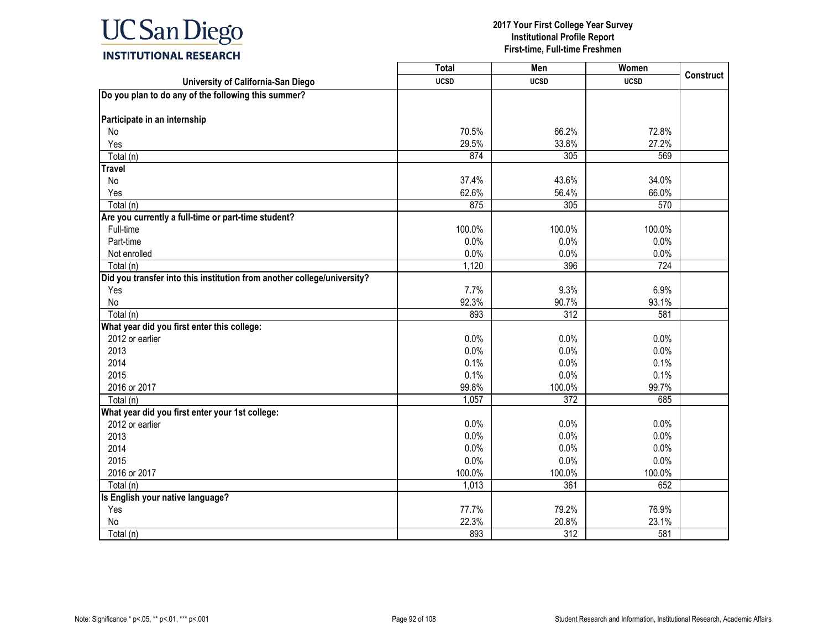

|                                                                         | <b>Total</b> | Men              | Women       | <b>Construct</b> |
|-------------------------------------------------------------------------|--------------|------------------|-------------|------------------|
| University of California-San Diego                                      | <b>UCSD</b>  | <b>UCSD</b>      | <b>UCSD</b> |                  |
| Do you plan to do any of the following this summer?                     |              |                  |             |                  |
|                                                                         |              |                  |             |                  |
| Participate in an internship                                            |              |                  |             |                  |
| No                                                                      | 70.5%        | 66.2%            | 72.8%       |                  |
| Yes                                                                     | 29.5%        | 33.8%            | 27.2%       |                  |
| Total (n)                                                               | 874          | 305              | 569         |                  |
| <b>Travel</b>                                                           |              |                  |             |                  |
| No                                                                      | 37.4%        | 43.6%            | 34.0%       |                  |
| Yes                                                                     | 62.6%        | 56.4%            | 66.0%       |                  |
| Total (n)                                                               | 875          | 305              | 570         |                  |
| Are you currently a full-time or part-time student?                     |              |                  |             |                  |
| Full-time                                                               | 100.0%       | 100.0%           | 100.0%      |                  |
| Part-time                                                               | 0.0%         | 0.0%             | 0.0%        |                  |
| Not enrolled                                                            | 0.0%         | 0.0%             | 0.0%        |                  |
| Total (n)                                                               | 1,120        | 396              | 724         |                  |
| Did you transfer into this institution from another college/university? |              |                  |             |                  |
| Yes                                                                     | 7.7%         | 9.3%             | 6.9%        |                  |
| No                                                                      | 92.3%        | 90.7%            | 93.1%       |                  |
| Total (n)                                                               | 893          | $\overline{312}$ | 581         |                  |
| What year did you first enter this college:                             |              |                  |             |                  |
| 2012 or earlier                                                         | 0.0%         | 0.0%             | 0.0%        |                  |
| 2013                                                                    | 0.0%         | 0.0%             | 0.0%        |                  |
| 2014                                                                    | 0.1%         | 0.0%             | 0.1%        |                  |
| 2015                                                                    | 0.1%         | 0.0%             | 0.1%        |                  |
| 2016 or 2017                                                            | 99.8%        | 100.0%           | 99.7%       |                  |
| Total (n)                                                               | 1,057        | 372              | 685         |                  |
| What year did you first enter your 1st college:                         |              |                  |             |                  |
| 2012 or earlier                                                         | 0.0%         | 0.0%             | 0.0%        |                  |
| 2013                                                                    | 0.0%         | 0.0%             | 0.0%        |                  |
| 2014                                                                    | 0.0%         | 0.0%             | 0.0%        |                  |
| 2015                                                                    | 0.0%         | 0.0%             | 0.0%        |                  |
| 2016 or 2017                                                            | 100.0%       | 100.0%           | 100.0%      |                  |
| Total (n)                                                               | 1,013        | 361              | 652         |                  |
| Is English your native language?                                        |              |                  |             |                  |
| Yes                                                                     | 77.7%        | 79.2%            | 76.9%       |                  |
| No                                                                      | 22.3%        | 20.8%            | 23.1%       |                  |
| Total (n)                                                               | 893          | 312              | 581         |                  |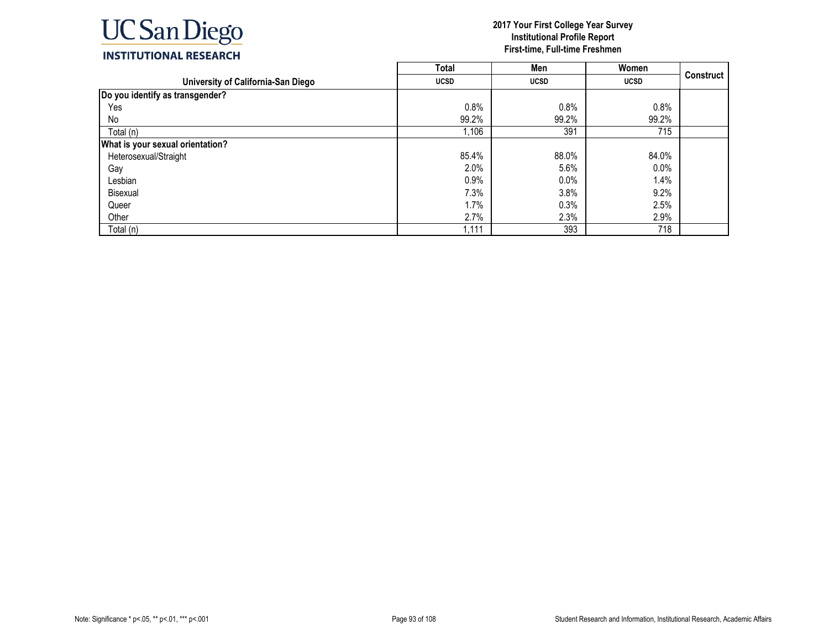

|                                    | <b>Total</b> | Men         | Women       |                  |
|------------------------------------|--------------|-------------|-------------|------------------|
| University of California-San Diego | <b>UCSD</b>  | <b>UCSD</b> | <b>UCSD</b> | <b>Construct</b> |
| Do you identify as transgender?    |              |             |             |                  |
| Yes                                | 0.8%         | 0.8%        | 0.8%        |                  |
| No                                 | 99.2%        | 99.2%       | 99.2%       |                  |
| Total (n)                          | 1,106        | 391         | 715         |                  |
| What is your sexual orientation?   |              |             |             |                  |
| Heterosexual/Straight              | 85.4%        | 88.0%       | 84.0%       |                  |
| Gay                                | 2.0%         | 5.6%        | $0.0\%$     |                  |
| Lesbian                            | 0.9%         | 0.0%        | 1.4%        |                  |
| Bisexual                           | 7.3%         | 3.8%        | 9.2%        |                  |
| Queer                              | 1.7%         | 0.3%        | 2.5%        |                  |
| Other                              | 2.7%         | 2.3%        | 2.9%        |                  |
| Total (n)                          | 1,111        | 393         | 718         |                  |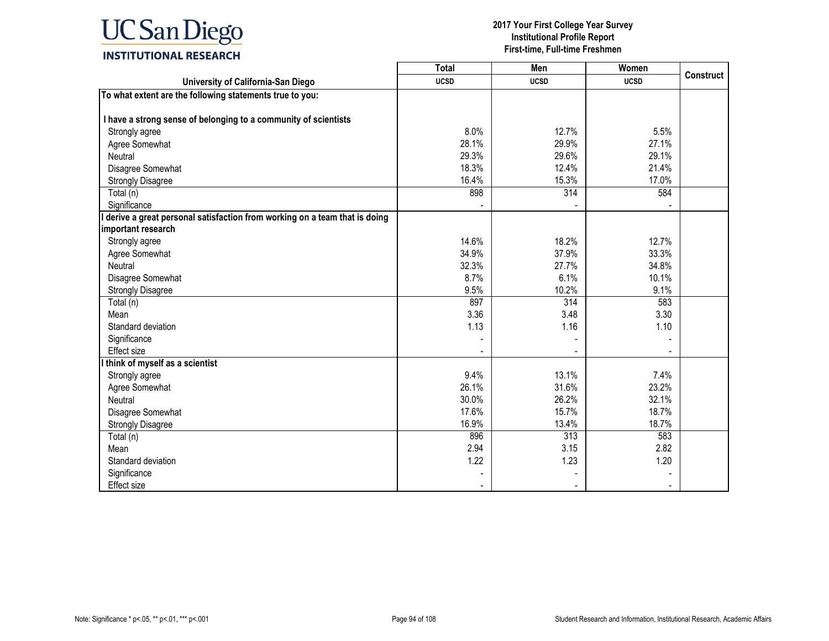

|                                                                           | Total       | Men         | Women       | <b>Construct</b> |
|---------------------------------------------------------------------------|-------------|-------------|-------------|------------------|
| University of California-San Diego                                        | <b>UCSD</b> | <b>UCSD</b> | <b>UCSD</b> |                  |
| To what extent are the following statements true to you:                  |             |             |             |                  |
|                                                                           |             |             |             |                  |
| I have a strong sense of belonging to a community of scientists           |             |             |             |                  |
| Strongly agree                                                            | 8.0%        | 12.7%       | 5.5%        |                  |
| Agree Somewhat                                                            | 28.1%       | 29.9%       | 27.1%       |                  |
| Neutral                                                                   | 29.3%       | 29.6%       | 29.1%       |                  |
| Disagree Somewhat                                                         | 18.3%       | 12.4%       | 21.4%       |                  |
| <b>Strongly Disagree</b>                                                  | 16.4%       | 15.3%       | 17.0%       |                  |
| Total (n)                                                                 | 898         | 314         | 584         |                  |
| Significance                                                              |             |             |             |                  |
| derive a great personal satisfaction from working on a team that is doing |             |             |             |                  |
| important research                                                        |             |             |             |                  |
| Strongly agree                                                            | 14.6%       | 18.2%       | 12.7%       |                  |
| Agree Somewhat                                                            | 34.9%       | 37.9%       | 33.3%       |                  |
| Neutral                                                                   | 32.3%       | 27.7%       | 34.8%       |                  |
| Disagree Somewhat                                                         | 8.7%        | 6.1%        | 10.1%       |                  |
| <b>Strongly Disagree</b>                                                  | 9.5%        | 10.2%       | 9.1%        |                  |
| Total (n)                                                                 | 897         | 314         | 583         |                  |
| Mean                                                                      | 3.36        | 3.48        | 3.30        |                  |
| Standard deviation                                                        | 1.13        | 1.16        | 1.10        |                  |
| Significance                                                              |             |             |             |                  |
| <b>Effect size</b>                                                        |             |             |             |                  |
| think of myself as a scientist                                            |             |             |             |                  |
| Strongly agree                                                            | 9.4%        | 13.1%       | 7.4%        |                  |
| Agree Somewhat                                                            | 26.1%       | 31.6%       | 23.2%       |                  |
| Neutral                                                                   | 30.0%       | 26.2%       | 32.1%       |                  |
| Disagree Somewhat                                                         | 17.6%       | 15.7%       | 18.7%       |                  |
| <b>Strongly Disagree</b>                                                  | 16.9%       | 13.4%       | 18.7%       |                  |
| Total (n)                                                                 | 896         | 313         | 583         |                  |
| Mean                                                                      | 2.94        | 3.15        | 2.82        |                  |
| Standard deviation                                                        | 1.22        | 1.23        | 1.20        |                  |
| Significance                                                              |             |             |             |                  |
| Effect size                                                               |             |             |             |                  |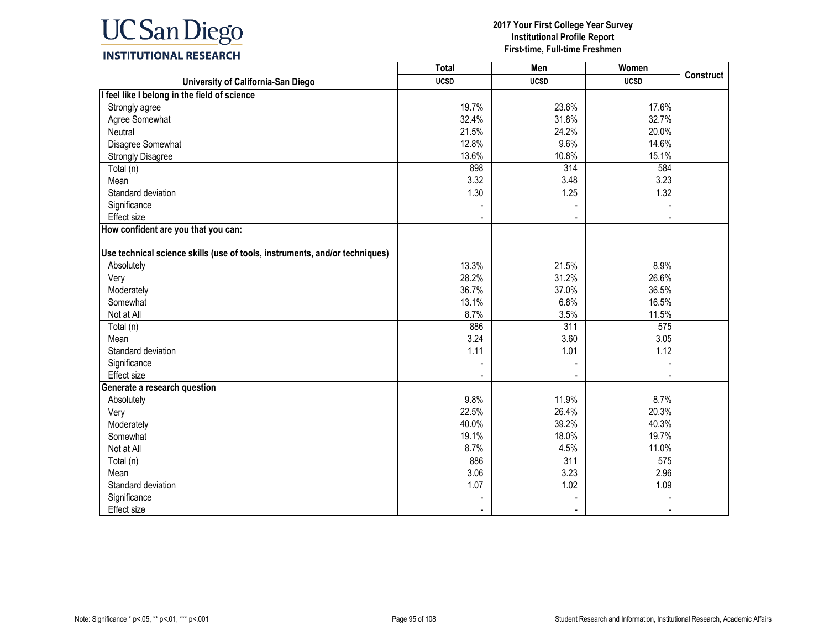

|                                                                             | <b>Total</b> | Men         | Women       | <b>Construct</b> |
|-----------------------------------------------------------------------------|--------------|-------------|-------------|------------------|
| University of California-San Diego                                          | <b>UCSD</b>  | <b>UCSD</b> | <b>UCSD</b> |                  |
| I feel like I belong in the field of science                                |              |             |             |                  |
| Strongly agree                                                              | 19.7%        | 23.6%       | 17.6%       |                  |
| Agree Somewhat                                                              | 32.4%        | 31.8%       | 32.7%       |                  |
| Neutral                                                                     | 21.5%        | 24.2%       | 20.0%       |                  |
| Disagree Somewhat                                                           | 12.8%        | 9.6%        | 14.6%       |                  |
| <b>Strongly Disagree</b>                                                    | 13.6%        | 10.8%       | 15.1%       |                  |
| Total (n)                                                                   | 898          | 314         | 584         |                  |
| Mean                                                                        | 3.32         | 3.48        | 3.23        |                  |
| Standard deviation                                                          | 1.30         | 1.25        | 1.32        |                  |
| Significance                                                                |              |             |             |                  |
| Effect size                                                                 |              |             |             |                  |
| How confident are you that you can:                                         |              |             |             |                  |
|                                                                             |              |             |             |                  |
| Use technical science skills (use of tools, instruments, and/or techniques) |              |             |             |                  |
| Absolutely                                                                  | 13.3%        | 21.5%       | 8.9%        |                  |
| Very                                                                        | 28.2%        | 31.2%       | 26.6%       |                  |
| Moderately                                                                  | 36.7%        | 37.0%       | 36.5%       |                  |
| Somewhat                                                                    | 13.1%        | 6.8%        | 16.5%       |                  |
| Not at All                                                                  | 8.7%         | 3.5%        | 11.5%       |                  |
| Total (n)                                                                   | 886          | 311         | 575         |                  |
| Mean                                                                        | 3.24         | 3.60        | 3.05        |                  |
| Standard deviation                                                          | 1.11         | 1.01        | 1.12        |                  |
| Significance                                                                |              |             |             |                  |
| <b>Effect size</b>                                                          |              |             |             |                  |
| Generate a research question                                                |              |             |             |                  |
| Absolutely                                                                  | 9.8%         | 11.9%       | 8.7%        |                  |
| Very                                                                        | 22.5%        | 26.4%       | 20.3%       |                  |
| Moderately                                                                  | 40.0%        | 39.2%       | 40.3%       |                  |
| Somewhat                                                                    | 19.1%        | 18.0%       | 19.7%       |                  |
| Not at All                                                                  | 8.7%         | 4.5%        | 11.0%       |                  |
| Total (n)                                                                   | 886          | 311         | 575         |                  |
| Mean                                                                        | 3.06         | 3.23        | 2.96        |                  |
| Standard deviation                                                          | 1.07         | 1.02        | 1.09        |                  |
| Significance                                                                |              |             |             |                  |
| <b>Effect size</b>                                                          |              |             |             |                  |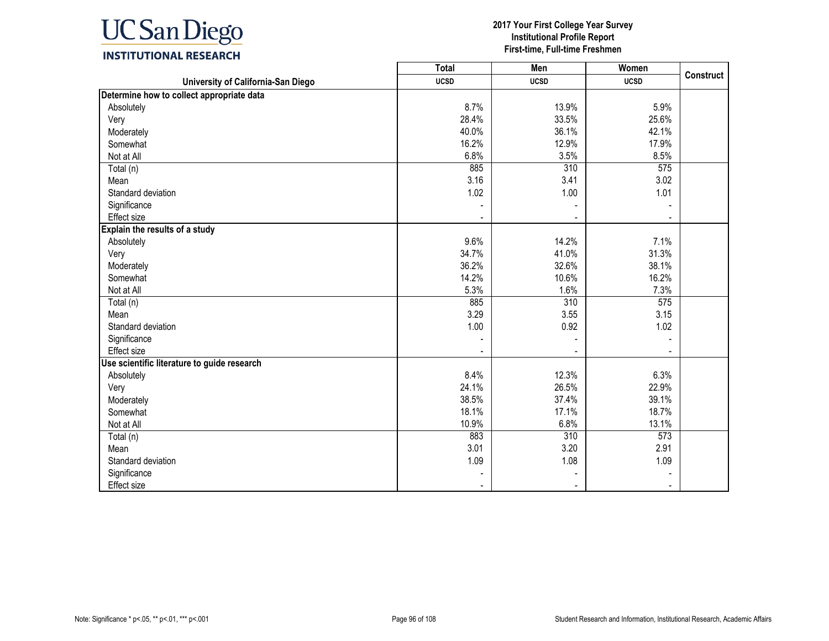

|                                             | <b>Total</b> | Men              | Women       | <b>Construct</b> |
|---------------------------------------------|--------------|------------------|-------------|------------------|
| University of California-San Diego          | <b>UCSD</b>  | <b>UCSD</b>      | <b>UCSD</b> |                  |
| Determine how to collect appropriate data   |              |                  |             |                  |
| Absolutely                                  | 8.7%         | 13.9%            | 5.9%        |                  |
| Very                                        | 28.4%        | 33.5%            | 25.6%       |                  |
| Moderately                                  | 40.0%        | 36.1%            | 42.1%       |                  |
| Somewhat                                    | 16.2%        | 12.9%            | 17.9%       |                  |
| Not at All                                  | 6.8%         | 3.5%             | 8.5%        |                  |
| Total (n)                                   | 885          | $\overline{310}$ | 575         |                  |
| Mean                                        | 3.16         | 3.41             | 3.02        |                  |
| Standard deviation                          | 1.02         | 1.00             | 1.01        |                  |
| Significance                                |              |                  |             |                  |
| Effect size                                 |              |                  |             |                  |
| Explain the results of a study              |              |                  |             |                  |
| Absolutely                                  | 9.6%         | 14.2%            | 7.1%        |                  |
| Very                                        | 34.7%        | 41.0%            | 31.3%       |                  |
| Moderately                                  | 36.2%        | 32.6%            | 38.1%       |                  |
| Somewhat                                    | 14.2%        | 10.6%            | 16.2%       |                  |
| Not at All                                  | 5.3%         | 1.6%             | 7.3%        |                  |
| Total (n)                                   | 885          | 310              | 575         |                  |
| Mean                                        | 3.29         | 3.55             | 3.15        |                  |
| Standard deviation                          | 1.00         | 0.92             | 1.02        |                  |
| Significance                                |              |                  |             |                  |
| Effect size                                 |              |                  |             |                  |
| Use scientific literature to guide research |              |                  |             |                  |
| Absolutely                                  | 8.4%         | 12.3%            | 6.3%        |                  |
| Very                                        | 24.1%        | 26.5%            | 22.9%       |                  |
| Moderately                                  | 38.5%        | 37.4%            | 39.1%       |                  |
| Somewhat                                    | 18.1%        | 17.1%            | 18.7%       |                  |
| Not at All                                  | 10.9%        | 6.8%             | 13.1%       |                  |
| Total (n)                                   | 883          | 310              | 573         |                  |
| Mean                                        | 3.01         | 3.20             | 2.91        |                  |
| Standard deviation                          | 1.09         | 1.08             | 1.09        |                  |
| Significance                                |              |                  |             |                  |
| Effect size                                 |              |                  |             |                  |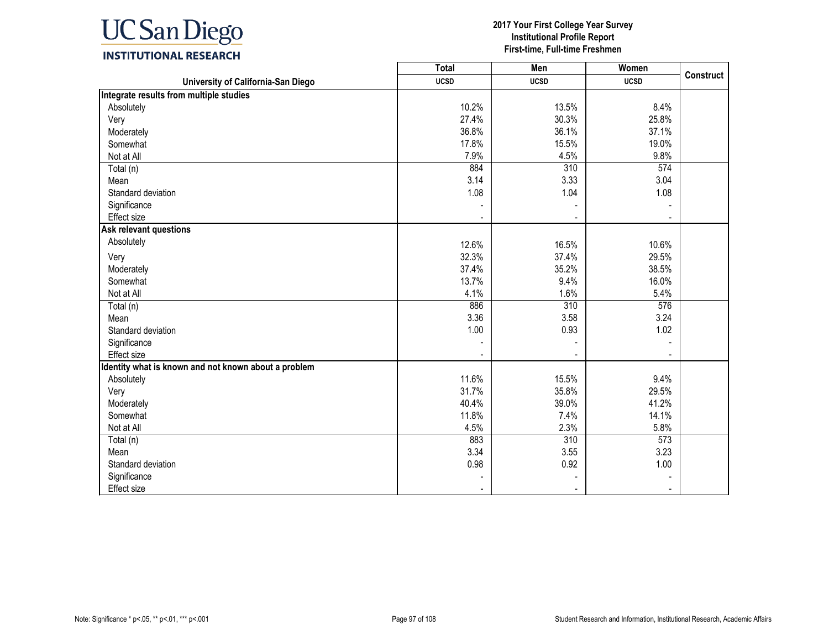

|                                                      | <b>Total</b> | Men              | Women       | <b>Construct</b> |
|------------------------------------------------------|--------------|------------------|-------------|------------------|
| University of California-San Diego                   | <b>UCSD</b>  | <b>UCSD</b>      | <b>UCSD</b> |                  |
| Integrate results from multiple studies              |              |                  |             |                  |
| Absolutely                                           | 10.2%        | 13.5%            | 8.4%        |                  |
| Very                                                 | 27.4%        | 30.3%            | 25.8%       |                  |
| Moderately                                           | 36.8%        | 36.1%            | 37.1%       |                  |
| Somewhat                                             | 17.8%        | 15.5%            | 19.0%       |                  |
| Not at All                                           | 7.9%         | 4.5%             | 9.8%        |                  |
| Total (n)                                            | 884          | 310              | 574         |                  |
| Mean                                                 | 3.14         | 3.33             | 3.04        |                  |
| Standard deviation                                   | 1.08         | 1.04             | 1.08        |                  |
| Significance                                         |              |                  |             |                  |
| Effect size                                          |              |                  |             |                  |
| <b>Ask relevant questions</b>                        |              |                  |             |                  |
| Absolutely                                           | 12.6%        | 16.5%            | 10.6%       |                  |
| Very                                                 | 32.3%        | 37.4%            | 29.5%       |                  |
| Moderately                                           | 37.4%        | 35.2%            | 38.5%       |                  |
| Somewhat                                             | 13.7%        | 9.4%             | 16.0%       |                  |
| Not at All                                           | 4.1%         | 1.6%             | 5.4%        |                  |
| Total (n)                                            | 886          | $\overline{310}$ | 576         |                  |
| Mean                                                 | 3.36         | 3.58             | 3.24        |                  |
| Standard deviation                                   | 1.00         | 0.93             | 1.02        |                  |
| Significance                                         |              |                  |             |                  |
| <b>Effect</b> size                                   |              |                  |             |                  |
| Identity what is known and not known about a problem |              |                  |             |                  |
| Absolutely                                           | 11.6%        | 15.5%            | 9.4%        |                  |
| Very                                                 | 31.7%        | 35.8%            | 29.5%       |                  |
| Moderately                                           | 40.4%        | 39.0%            | 41.2%       |                  |
| Somewhat                                             | 11.8%        | 7.4%             | 14.1%       |                  |
| Not at All                                           | 4.5%         | 2.3%             | 5.8%        |                  |
| Total (n)                                            | 883          | 310              | 573         |                  |
| Mean                                                 | 3.34         | 3.55             | 3.23        |                  |
| Standard deviation                                   | 0.98         | 0.92             | 1.00        |                  |
| Significance                                         |              |                  |             |                  |
| Effect size                                          |              |                  |             |                  |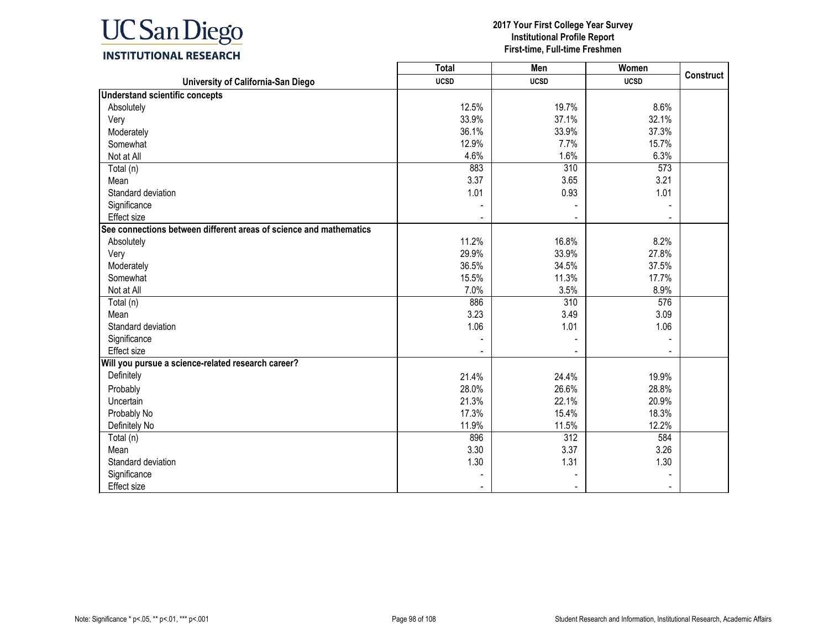

|                                                                    | <b>Total</b> | Men         | Women       | <b>Construct</b> |
|--------------------------------------------------------------------|--------------|-------------|-------------|------------------|
| University of California-San Diego                                 | <b>UCSD</b>  | <b>UCSD</b> | <b>UCSD</b> |                  |
| <b>Understand scientific concepts</b>                              |              |             |             |                  |
| Absolutely                                                         | 12.5%        | 19.7%       | 8.6%        |                  |
| Very                                                               | 33.9%        | 37.1%       | 32.1%       |                  |
| Moderately                                                         | 36.1%        | 33.9%       | 37.3%       |                  |
| Somewhat                                                           | 12.9%        | 7.7%        | 15.7%       |                  |
| Not at All                                                         | 4.6%         | 1.6%        | 6.3%        |                  |
| Total (n)                                                          | 883          | 310         | 573         |                  |
| Mean                                                               | 3.37         | 3.65        | 3.21        |                  |
| Standard deviation                                                 | 1.01         | 0.93        | 1.01        |                  |
| Significance                                                       |              |             |             |                  |
| <b>Effect size</b>                                                 |              |             |             |                  |
| See connections between different areas of science and mathematics |              |             |             |                  |
| Absolutely                                                         | 11.2%        | 16.8%       | 8.2%        |                  |
| Very                                                               | 29.9%        | 33.9%       | 27.8%       |                  |
| Moderately                                                         | 36.5%        | 34.5%       | 37.5%       |                  |
| Somewhat                                                           | 15.5%        | 11.3%       | 17.7%       |                  |
| Not at All                                                         | 7.0%         | 3.5%        | 8.9%        |                  |
| Total (n)                                                          | 886          | 310         | 576         |                  |
| Mean                                                               | 3.23         | 3.49        | 3.09        |                  |
| Standard deviation                                                 | 1.06         | 1.01        | 1.06        |                  |
| Significance                                                       |              |             |             |                  |
| Effect size                                                        |              |             |             |                  |
| Will you pursue a science-related research career?                 |              |             |             |                  |
| Definitely                                                         | 21.4%        | 24.4%       | 19.9%       |                  |
| Probably                                                           | 28.0%        | 26.6%       | 28.8%       |                  |
| Uncertain                                                          | 21.3%        | 22.1%       | 20.9%       |                  |
| Probably No                                                        | 17.3%        | 15.4%       | 18.3%       |                  |
| Definitely No                                                      | 11.9%        | 11.5%       | 12.2%       |                  |
| Total (n)                                                          | 896          | 312         | 584         |                  |
| Mean                                                               | 3.30         | 3.37        | 3.26        |                  |
| Standard deviation                                                 | 1.30         | 1.31        | 1.30        |                  |
| Significance                                                       |              |             |             |                  |
| <b>Effect size</b>                                                 |              |             |             |                  |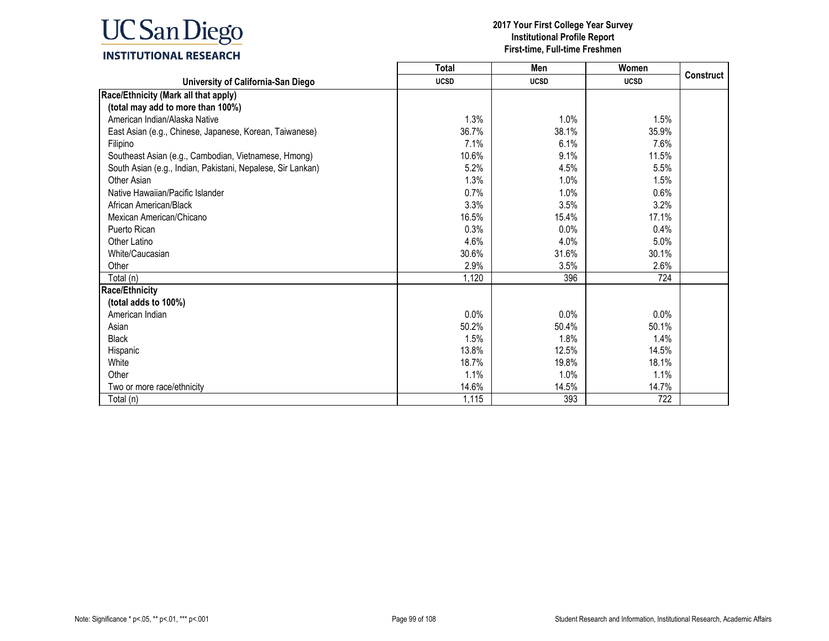

|                                                             | <b>Total</b> | Men         | Women       |           |
|-------------------------------------------------------------|--------------|-------------|-------------|-----------|
| University of California-San Diego                          | <b>UCSD</b>  | <b>UCSD</b> | <b>UCSD</b> | Construct |
| Race/Ethnicity (Mark all that apply)                        |              |             |             |           |
| (total may add to more than 100%)                           |              |             |             |           |
| American Indian/Alaska Native                               | 1.3%         | 1.0%        | 1.5%        |           |
| East Asian (e.g., Chinese, Japanese, Korean, Taiwanese)     | 36.7%        | 38.1%       | 35.9%       |           |
| Filipino                                                    | 7.1%         | 6.1%        | 7.6%        |           |
| Southeast Asian (e.g., Cambodian, Vietnamese, Hmong)        | 10.6%        | 9.1%        | 11.5%       |           |
| South Asian (e.g., Indian, Pakistani, Nepalese, Sir Lankan) | 5.2%         | 4.5%        | 5.5%        |           |
| Other Asian                                                 | 1.3%         | 1.0%        | 1.5%        |           |
| Native Hawaiian/Pacific Islander                            | 0.7%         | 1.0%        | 0.6%        |           |
| African American/Black                                      | 3.3%         | 3.5%        | 3.2%        |           |
| Mexican American/Chicano                                    | 16.5%        | 15.4%       | 17.1%       |           |
| Puerto Rican                                                | 0.3%         | 0.0%        | 0.4%        |           |
| Other Latino                                                | 4.6%         | 4.0%        | 5.0%        |           |
| White/Caucasian                                             | 30.6%        | 31.6%       | 30.1%       |           |
| Other                                                       | 2.9%         | 3.5%        | 2.6%        |           |
| Total (n)                                                   | 1,120        | 396         | 724         |           |
| <b>Race/Ethnicity</b>                                       |              |             |             |           |
| (total adds to 100%)                                        |              |             |             |           |
| American Indian                                             | 0.0%         | 0.0%        | 0.0%        |           |
| Asian                                                       | 50.2%        | 50.4%       | 50.1%       |           |
| <b>Black</b>                                                | 1.5%         | 1.8%        | 1.4%        |           |
| Hispanic                                                    | 13.8%        | 12.5%       | 14.5%       |           |
| White                                                       | 18.7%        | 19.8%       | 18.1%       |           |
| Other                                                       | 1.1%         | 1.0%        | 1.1%        |           |
| Two or more race/ethnicity                                  | 14.6%        | 14.5%       | 14.7%       |           |
| Total (n)                                                   | 1,115        | 393         | 722         |           |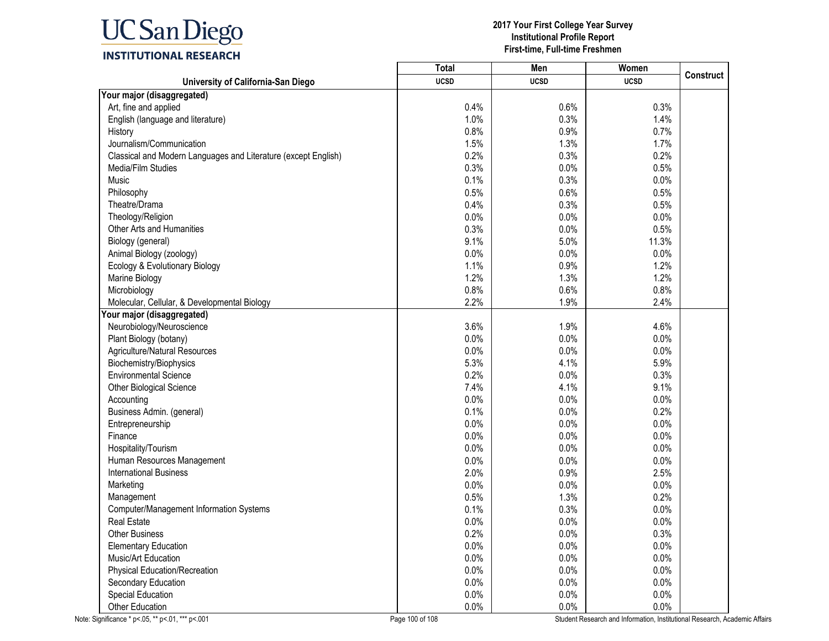

|                                                                | <b>Total</b> | Men         | Women       |                  |
|----------------------------------------------------------------|--------------|-------------|-------------|------------------|
| University of California-San Diego                             | <b>UCSD</b>  | <b>UCSD</b> | <b>UCSD</b> | <b>Construct</b> |
| Your major (disaggregated)                                     |              |             |             |                  |
| Art, fine and applied                                          | 0.4%         | 0.6%        | 0.3%        |                  |
| English (language and literature)                              | 1.0%         | 0.3%        | 1.4%        |                  |
| History                                                        | 0.8%         | 0.9%        | 0.7%        |                  |
| Journalism/Communication                                       | 1.5%         | 1.3%        | 1.7%        |                  |
| Classical and Modern Languages and Literature (except English) | 0.2%         | 0.3%        | 0.2%        |                  |
| Media/Film Studies                                             | 0.3%         | 0.0%        | 0.5%        |                  |
| Music                                                          | 0.1%         | 0.3%        | 0.0%        |                  |
| Philosophy                                                     | 0.5%         | 0.6%        | 0.5%        |                  |
| Theatre/Drama                                                  | 0.4%         | 0.3%        | 0.5%        |                  |
| Theology/Religion                                              | 0.0%         | 0.0%        | 0.0%        |                  |
| Other Arts and Humanities                                      | 0.3%         | 0.0%        | 0.5%        |                  |
| Biology (general)                                              | 9.1%         | 5.0%        | 11.3%       |                  |
| Animal Biology (zoology)                                       | 0.0%         | 0.0%        | 0.0%        |                  |
| Ecology & Evolutionary Biology                                 | 1.1%         | 0.9%        | 1.2%        |                  |
| Marine Biology                                                 | 1.2%         | 1.3%        | 1.2%        |                  |
| Microbiology                                                   | 0.8%         | 0.6%        | 0.8%        |                  |
| Molecular, Cellular, & Developmental Biology                   | 2.2%         | 1.9%        | 2.4%        |                  |
| Your major (disaggregated)                                     |              |             |             |                  |
| Neurobiology/Neuroscience                                      | 3.6%         | 1.9%        | 4.6%        |                  |
| Plant Biology (botany)                                         | 0.0%         | 0.0%        | 0.0%        |                  |
| Agriculture/Natural Resources                                  | 0.0%         | 0.0%        | 0.0%        |                  |
| Biochemistry/Biophysics                                        | 5.3%         | 4.1%        | 5.9%        |                  |
| <b>Environmental Science</b>                                   | 0.2%         | 0.0%        | 0.3%        |                  |
| Other Biological Science                                       | 7.4%         | 4.1%        | 9.1%        |                  |
| Accounting                                                     | 0.0%         | 0.0%        | 0.0%        |                  |
| Business Admin. (general)                                      | 0.1%         | 0.0%        | 0.2%        |                  |
| Entrepreneurship                                               | 0.0%         | 0.0%        | 0.0%        |                  |
| Finance                                                        | 0.0%         | 0.0%        | 0.0%        |                  |
| Hospitality/Tourism                                            | 0.0%         | 0.0%        | 0.0%        |                  |
| Human Resources Management                                     | 0.0%         | 0.0%        | 0.0%        |                  |
| <b>International Business</b>                                  | 2.0%         | 0.9%        | 2.5%        |                  |
| Marketing                                                      | 0.0%         | 0.0%        | 0.0%        |                  |
| Management                                                     | 0.5%         | 1.3%        | 0.2%        |                  |
| Computer/Management Information Systems                        | 0.1%         | 0.3%        | $0.0\%$     |                  |
| <b>Real Estate</b>                                             | 0.0%         | 0.0%        | 0.0%        |                  |
| <b>Other Business</b>                                          | 0.2%         | 0.0%        | 0.3%        |                  |
| <b>Elementary Education</b>                                    | 0.0%         | 0.0%        | 0.0%        |                  |
| Music/Art Education                                            | 0.0%         | 0.0%        | 0.0%        |                  |
| <b>Physical Education/Recreation</b>                           | 0.0%         | 0.0%        | 0.0%        |                  |
| Secondary Education                                            | 0.0%         | 0.0%        | 0.0%        |                  |
| <b>Special Education</b>                                       | 0.0%         | 0.0%        | 0.0%        |                  |
| Other Education                                                | 0.0%         | 0.0%        | $0.0\%$     |                  |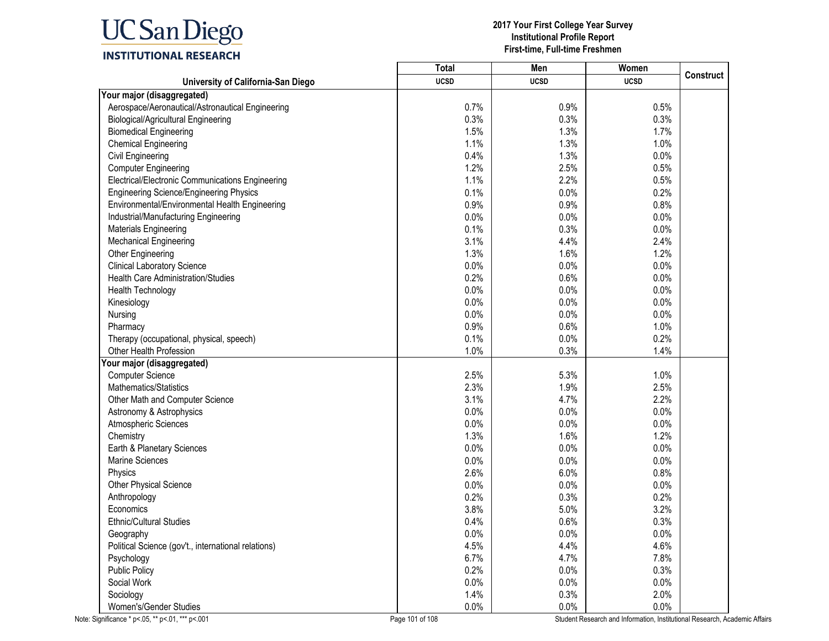

|                                                     | <b>Total</b> | Men         | Women       |                  |
|-----------------------------------------------------|--------------|-------------|-------------|------------------|
| University of California-San Diego                  | <b>UCSD</b>  | <b>UCSD</b> | <b>UCSD</b> | <b>Construct</b> |
| Your major (disaggregated)                          |              |             |             |                  |
| Aerospace/Aeronautical/Astronautical Engineering    | 0.7%         | 0.9%        | 0.5%        |                  |
| Biological/Agricultural Engineering                 | 0.3%         | 0.3%        | 0.3%        |                  |
| <b>Biomedical Engineering</b>                       | 1.5%         | 1.3%        | 1.7%        |                  |
| <b>Chemical Engineering</b>                         | 1.1%         | 1.3%        | 1.0%        |                  |
| <b>Civil Engineering</b>                            | 0.4%         | 1.3%        | 0.0%        |                  |
| <b>Computer Engineering</b>                         | 1.2%         | 2.5%        | 0.5%        |                  |
| Electrical/Electronic Communications Engineering    | 1.1%         | 2.2%        | 0.5%        |                  |
| <b>Engineering Science/Engineering Physics</b>      | 0.1%         | 0.0%        | 0.2%        |                  |
| Environmental/Environmental Health Engineering      | 0.9%         | 0.9%        | 0.8%        |                  |
| Industrial/Manufacturing Engineering                | 0.0%         | 0.0%        | 0.0%        |                  |
| <b>Materials Engineering</b>                        | 0.1%         | 0.3%        | 0.0%        |                  |
| <b>Mechanical Engineering</b>                       | 3.1%         | 4.4%        | 2.4%        |                  |
| Other Engineering                                   | 1.3%         | 1.6%        | 1.2%        |                  |
| <b>Clinical Laboratory Science</b>                  | 0.0%         | 0.0%        | 0.0%        |                  |
| <b>Health Care Administration/Studies</b>           | 0.2%         | 0.6%        | 0.0%        |                  |
| Health Technology                                   | 0.0%         | 0.0%        | 0.0%        |                  |
| Kinesiology                                         | 0.0%         | 0.0%        | 0.0%        |                  |
| Nursing                                             | 0.0%         | 0.0%        | 0.0%        |                  |
| Pharmacy                                            | 0.9%         | 0.6%        | 1.0%        |                  |
| Therapy (occupational, physical, speech)            | 0.1%         | 0.0%        | 0.2%        |                  |
| Other Health Profession                             | 1.0%         | 0.3%        | 1.4%        |                  |
| Your major (disaggregated)                          |              |             |             |                  |
| <b>Computer Science</b>                             | 2.5%         | 5.3%        | 1.0%        |                  |
| Mathematics/Statistics                              | 2.3%         | 1.9%        | 2.5%        |                  |
| Other Math and Computer Science                     | 3.1%         | 4.7%        | 2.2%        |                  |
| Astronomy & Astrophysics                            | 0.0%         | 0.0%        | 0.0%        |                  |
| Atmospheric Sciences                                | 0.0%         | 0.0%        | 0.0%        |                  |
| Chemistry                                           | 1.3%         | 1.6%        | 1.2%        |                  |
| Earth & Planetary Sciences                          | 0.0%         | 0.0%        | 0.0%        |                  |
| <b>Marine Sciences</b>                              | 0.0%         | 0.0%        | 0.0%        |                  |
| Physics                                             | 2.6%         | 6.0%        | 0.8%        |                  |
| Other Physical Science                              | 0.0%         | 0.0%        | 0.0%        |                  |
| Anthropology                                        | 0.2%         | 0.3%        | 0.2%        |                  |
| Economics                                           | 3.8%         | 5.0%        | 3.2%        |                  |
| Ethnic/Cultural Studies                             | 0.4%         | 0.6%        | 0.3%        |                  |
| Geography                                           | 0.0%         | 0.0%        | 0.0%        |                  |
| Political Science (gov't., international relations) | 4.5%         | 4.4%        | 4.6%        |                  |
| Psychology                                          | 6.7%         | 4.7%        | 7.8%        |                  |
| <b>Public Policy</b>                                | 0.2%         | $0.0\%$     | 0.3%        |                  |
| Social Work                                         | 0.0%         | 0.0%        | 0.0%        |                  |
| Sociology                                           | 1.4%         | 0.3%        | 2.0%        |                  |
| Women's/Gender Studies                              | 0.0%         | 0.0%        | 0.0%        |                  |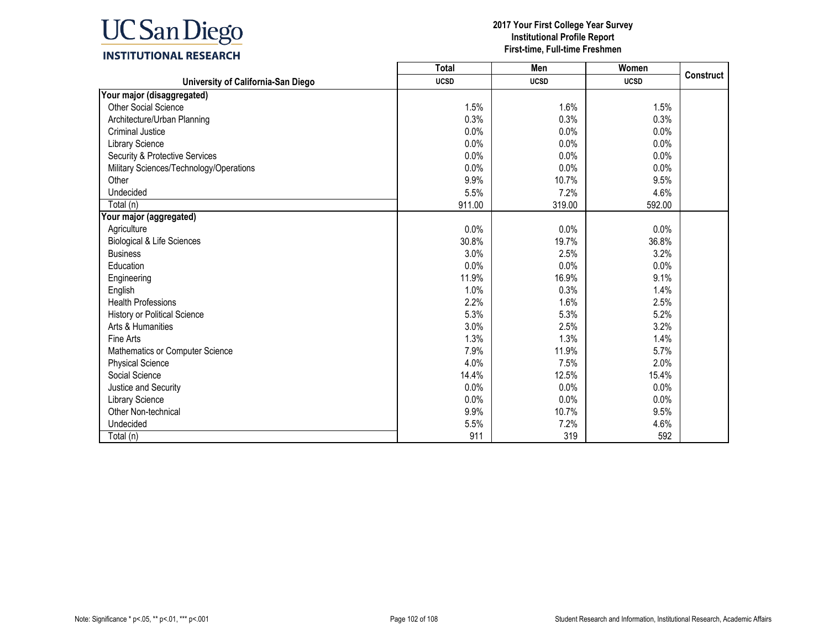

|                                         | <b>Total</b> | Men         | Women       |                  |
|-----------------------------------------|--------------|-------------|-------------|------------------|
| University of California-San Diego      | <b>UCSD</b>  | <b>UCSD</b> | <b>UCSD</b> | <b>Construct</b> |
| Your major (disaggregated)              |              |             |             |                  |
| <b>Other Social Science</b>             | 1.5%         | 1.6%        | 1.5%        |                  |
| Architecture/Urban Planning             | 0.3%         | 0.3%        | 0.3%        |                  |
| <b>Criminal Justice</b>                 | 0.0%         | 0.0%        | 0.0%        |                  |
| <b>Library Science</b>                  | 0.0%         | 0.0%        | 0.0%        |                  |
| Security & Protective Services          | 0.0%         | 0.0%        | 0.0%        |                  |
| Military Sciences/Technology/Operations | 0.0%         | 0.0%        | 0.0%        |                  |
| Other                                   | 9.9%         | 10.7%       | 9.5%        |                  |
| Undecided                               | 5.5%         | 7.2%        | 4.6%        |                  |
| Total (n)                               | 911.00       | 319.00      | 592.00      |                  |
| Your major (aggregated)                 |              |             |             |                  |
| Agriculture                             | 0.0%         | 0.0%        | 0.0%        |                  |
| <b>Biological &amp; Life Sciences</b>   | 30.8%        | 19.7%       | 36.8%       |                  |
| <b>Business</b>                         | 3.0%         | 2.5%        | 3.2%        |                  |
| Education                               | 0.0%         | 0.0%        | 0.0%        |                  |
| Engineering                             | 11.9%        | 16.9%       | 9.1%        |                  |
| English                                 | 1.0%         | 0.3%        | 1.4%        |                  |
| <b>Health Professions</b>               | 2.2%         | 1.6%        | 2.5%        |                  |
| History or Political Science            | 5.3%         | 5.3%        | 5.2%        |                  |
| Arts & Humanities                       | 3.0%         | 2.5%        | 3.2%        |                  |
| Fine Arts                               | 1.3%         | 1.3%        | 1.4%        |                  |
| Mathematics or Computer Science         | 7.9%         | 11.9%       | 5.7%        |                  |
| <b>Physical Science</b>                 | 4.0%         | 7.5%        | 2.0%        |                  |
| Social Science                          | 14.4%        | 12.5%       | 15.4%       |                  |
| Justice and Security                    | 0.0%         | 0.0%        | 0.0%        |                  |
| <b>Library Science</b>                  | 0.0%         | 0.0%        | 0.0%        |                  |
| Other Non-technical                     | 9.9%         | 10.7%       | 9.5%        |                  |
| Undecided                               | 5.5%         | 7.2%        | 4.6%        |                  |
| Total (n)                               | 911          | 319         | 592         |                  |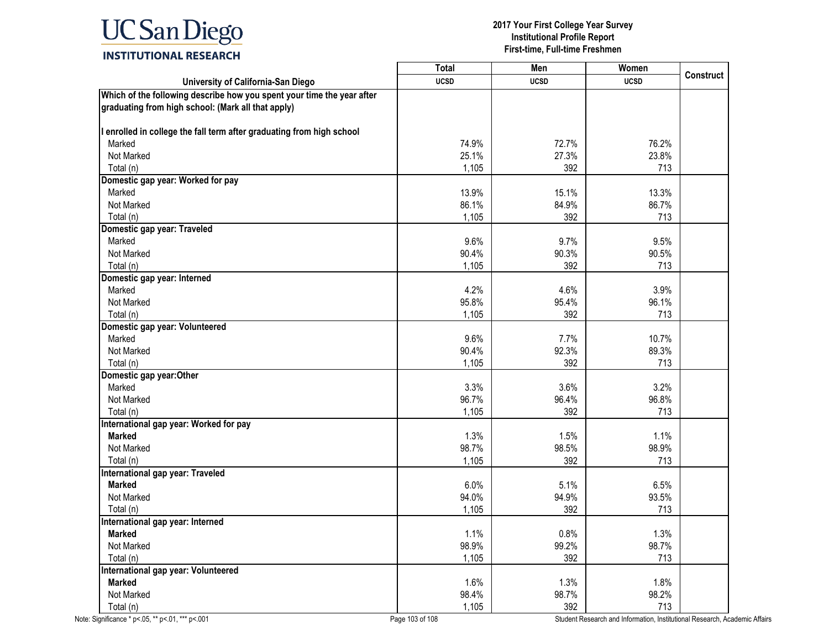# **UC** San Diego

## **INSTITUTIONAL RESEARCH**

|                                                                        | <b>Total</b> | Men         | Women       |                  |
|------------------------------------------------------------------------|--------------|-------------|-------------|------------------|
| University of California-San Diego                                     | <b>UCSD</b>  | <b>UCSD</b> | <b>UCSD</b> | <b>Construct</b> |
| Which of the following describe how you spent your time the year after |              |             |             |                  |
| graduating from high school: (Mark all that apply)                     |              |             |             |                  |
| I enrolled in college the fall term after graduating from high school  |              |             |             |                  |
| Marked                                                                 | 74.9%        | 72.7%       | 76.2%       |                  |
| Not Marked                                                             | 25.1%        | 27.3%       | 23.8%       |                  |
| Total (n)                                                              | 1,105        | 392         | 713         |                  |
| Domestic gap year: Worked for pay                                      |              |             |             |                  |
| Marked                                                                 | 13.9%        | 15.1%       | 13.3%       |                  |
| Not Marked                                                             | 86.1%        | 84.9%       | 86.7%       |                  |
| Total (n)                                                              | 1,105        | 392         | 713         |                  |
| Domestic gap year: Traveled                                            |              |             |             |                  |
| Marked                                                                 | 9.6%         | 9.7%        | 9.5%        |                  |
| Not Marked                                                             | 90.4%        | 90.3%       | 90.5%       |                  |
| Total (n)                                                              | 1,105        | 392         | 713         |                  |
| Domestic gap year: Interned                                            |              |             |             |                  |
| Marked                                                                 | 4.2%         | 4.6%        | 3.9%        |                  |
| Not Marked                                                             | 95.8%        | 95.4%       | 96.1%       |                  |
| Total (n)                                                              | 1,105        | 392         | 713         |                  |
| Domestic gap year: Volunteered                                         |              |             |             |                  |
| Marked                                                                 | 9.6%         | 7.7%        | 10.7%       |                  |
| Not Marked                                                             | 90.4%        | 92.3%       | 89.3%       |                  |
| Total (n)                                                              | 1,105        | 392         | 713         |                  |
| Domestic gap year: Other                                               |              |             |             |                  |
| Marked                                                                 | 3.3%         | 3.6%        | 3.2%        |                  |
| Not Marked                                                             | 96.7%        | 96.4%       | 96.8%       |                  |
| Total (n)                                                              | 1,105        | 392         | 713         |                  |
| International gap year: Worked for pay                                 |              |             |             |                  |
| <b>Marked</b>                                                          | 1.3%         | 1.5%        | 1.1%        |                  |
| Not Marked                                                             | 98.7%        | 98.5%       | 98.9%       |                  |
| Total (n)                                                              | 1,105        | 392         | 713         |                  |
| <b>International gap year: Traveled</b>                                |              |             |             |                  |
| <b>Marked</b>                                                          | 6.0%         | 5.1%        | 6.5%        |                  |
| Not Marked                                                             | 94.0%        | 94.9%       | 93.5%       |                  |
| Total (n)                                                              | 1,105        | 392         | 713         |                  |
| International gap year: Interned                                       |              |             |             |                  |
| <b>Marked</b>                                                          | 1.1%         | 0.8%        | 1.3%        |                  |
| Not Marked                                                             | 98.9%        | 99.2%       | 98.7%       |                  |
| Total (n)                                                              | 1,105        | 392         | 713         |                  |
| International gap year: Volunteered                                    |              |             |             |                  |
| <b>Marked</b>                                                          | 1.6%         | 1.3%        | 1.8%        |                  |
| Not Marked                                                             | 98.4%        | 98.7%       | 98.2%       |                  |
| Total (n)                                                              | 1,105        | 392         | 713         |                  |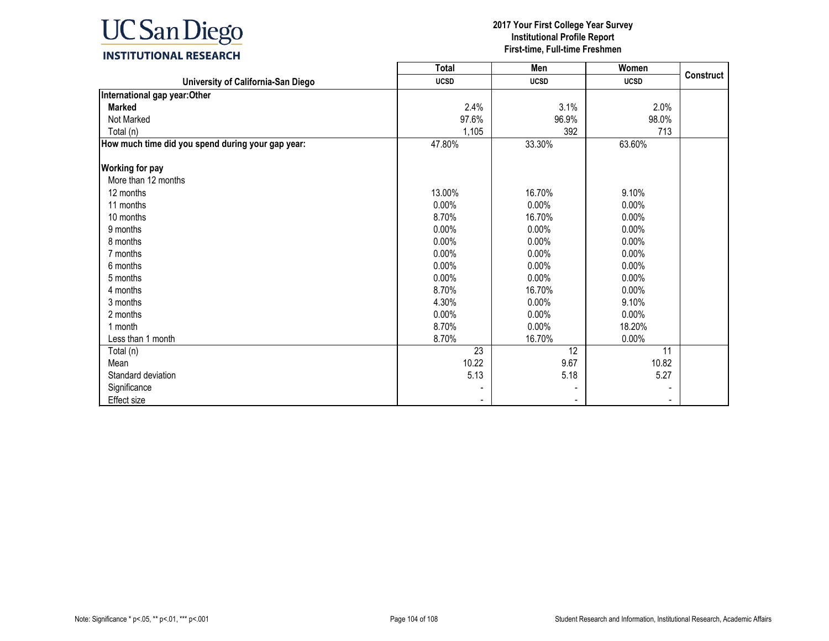

|                                                   | Total       | Men         | Women       |                  |
|---------------------------------------------------|-------------|-------------|-------------|------------------|
| University of California-San Diego                | <b>UCSD</b> | <b>UCSD</b> | <b>UCSD</b> | <b>Construct</b> |
| International gap year: Other                     |             |             |             |                  |
| <b>Marked</b>                                     | 2.4%        | 3.1%        | 2.0%        |                  |
| Not Marked                                        | 97.6%       | 96.9%       | 98.0%       |                  |
| Total (n)                                         | 1,105       | 392         | 713         |                  |
| How much time did you spend during your gap year: | 47.80%      | 33.30%      | 63.60%      |                  |
| <b>Working for pay</b>                            |             |             |             |                  |
| More than 12 months                               |             |             |             |                  |
| 12 months                                         | 13.00%      | 16.70%      | 9.10%       |                  |
| 11 months                                         | $0.00\%$    | $0.00\%$    | $0.00\%$    |                  |
| 10 months                                         | 8.70%       | 16.70%      | 0.00%       |                  |
| 9 months                                          | $0.00\%$    | $0.00\%$    | $0.00\%$    |                  |
| 8 months                                          | $0.00\%$    | 0.00%       | 0.00%       |                  |
| 7 months                                          | $0.00\%$    | 0.00%       | $0.00\%$    |                  |
| 6 months                                          | 0.00%       | 0.00%       | 0.00%       |                  |
| 5 months                                          | $0.00\%$    | $0.00\%$    | $0.00\%$    |                  |
| 4 months                                          | 8.70%       | 16.70%      | $0.00\%$    |                  |
| 3 months                                          | 4.30%       | 0.00%       | 9.10%       |                  |
| 2 months                                          | $0.00\%$    | 0.00%       | $0.00\%$    |                  |
| 1 month                                           | 8.70%       | 0.00%       | 18.20%      |                  |
| Less than 1 month                                 | 8.70%       | 16.70%      | 0.00%       |                  |
| Total (n)                                         | 23          | 12          | 11          |                  |
| Mean                                              | 10.22       | 9.67        | 10.82       |                  |
| Standard deviation                                | 5.13        | 5.18        | 5.27        |                  |
| Significance                                      |             |             |             |                  |
| Effect size                                       |             |             |             |                  |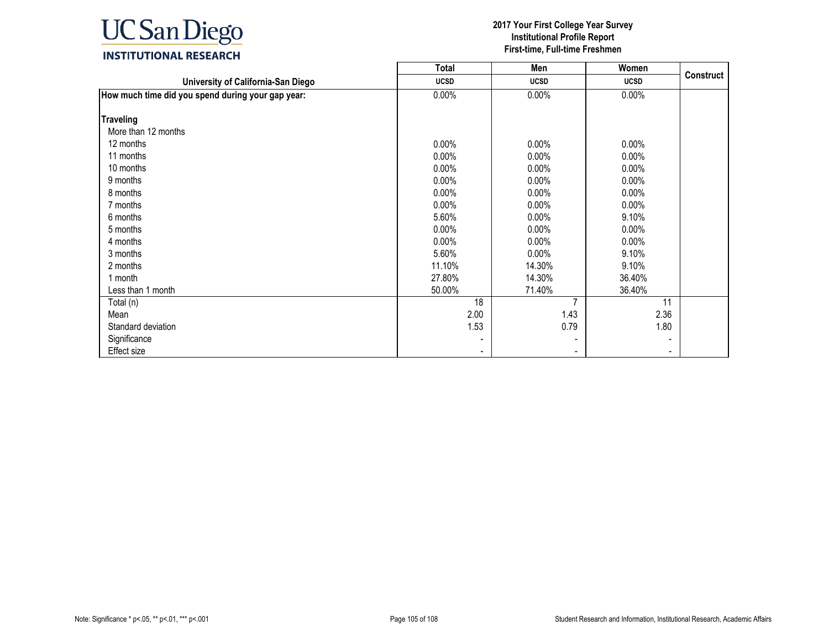

|                                                   | <b>Total</b> | Men            | Women       |                  |
|---------------------------------------------------|--------------|----------------|-------------|------------------|
| University of California-San Diego                | <b>UCSD</b>  | <b>UCSD</b>    | <b>UCSD</b> | <b>Construct</b> |
| How much time did you spend during your gap year: | $0.00\%$     | $0.00\%$       | 0.00%       |                  |
|                                                   |              |                |             |                  |
| <b>Traveling</b>                                  |              |                |             |                  |
| More than 12 months                               |              |                |             |                  |
| 12 months                                         | $0.00\%$     | $0.00\%$       | $0.00\%$    |                  |
| 11 months                                         | $0.00\%$     | $0.00\%$       | $0.00\%$    |                  |
| 10 months                                         | $0.00\%$     | $0.00\%$       | 0.00%       |                  |
| 9 months                                          | 0.00%        | $0.00\%$       | 0.00%       |                  |
| 8 months                                          | $0.00\%$     | $0.00\%$       | $0.00\%$    |                  |
| 7 months                                          | $0.00\%$     | $0.00\%$       | $0.00\%$    |                  |
| 6 months                                          | 5.60%        | $0.00\%$       | 9.10%       |                  |
| 5 months                                          | $0.00\%$     | $0.00\%$       | $0.00\%$    |                  |
| 4 months                                          | $0.00\%$     | $0.00\%$       | $0.00\%$    |                  |
| 3 months                                          | 5.60%        | $0.00\%$       | 9.10%       |                  |
| 2 months                                          | 11.10%       | 14.30%         | 9.10%       |                  |
| 1 month                                           | 27.80%       | 14.30%         | 36.40%      |                  |
| Less than 1 month                                 | 50.00%       | 71.40%         | 36.40%      |                  |
| Total (n)                                         | 18           | $\overline{7}$ | 11          |                  |
| Mean                                              | 2.00         | 1.43           | 2.36        |                  |
| Standard deviation                                | 1.53         | 0.79           | 1.80        |                  |
| Significance                                      |              |                |             |                  |
| Effect size                                       |              |                |             |                  |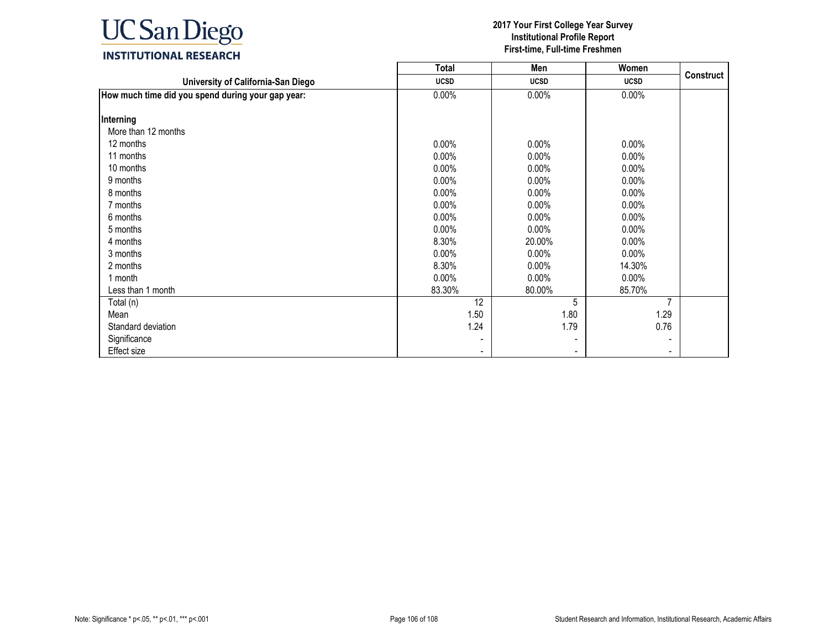

|                                                   | <b>Total</b> | Men         | Women          |                  |
|---------------------------------------------------|--------------|-------------|----------------|------------------|
| University of California-San Diego                | <b>UCSD</b>  | <b>UCSD</b> | <b>UCSD</b>    | <b>Construct</b> |
| How much time did you spend during your gap year: | $0.00\%$     | $0.00\%$    | 0.00%          |                  |
|                                                   |              |             |                |                  |
| Interning                                         |              |             |                |                  |
| More than 12 months                               |              |             |                |                  |
| 12 months                                         | $0.00\%$     | $0.00\%$    | $0.00\%$       |                  |
| 11 months                                         | $0.00\%$     | $0.00\%$    | $0.00\%$       |                  |
| 10 months                                         | 0.00%        | $0.00\%$    | $0.00\%$       |                  |
| 9 months                                          | 0.00%        | $0.00\%$    | 0.00%          |                  |
| 8 months                                          | $0.00\%$     | $0.00\%$    | $0.00\%$       |                  |
| 7 months                                          | $0.00\%$     | $0.00\%$    | $0.00\%$       |                  |
| 6 months                                          | $0.00\%$     | $0.00\%$    | $0.00\%$       |                  |
| 5 months                                          | 0.00%        | $0.00\%$    | $0.00\%$       |                  |
| 4 months                                          | 8.30%        | 20.00%      | $0.00\%$       |                  |
| 3 months                                          | 0.00%        | $0.00\%$    | $0.00\%$       |                  |
| 2 months                                          | 8.30%        | $0.00\%$    | 14.30%         |                  |
| 1 month                                           | $0.00\%$     | $0.00\%$    | $0.00\%$       |                  |
| Less than 1 month                                 | 83.30%       | 80.00%      | 85.70%         |                  |
| Total (n)                                         | 12           | 5           | $\overline{7}$ |                  |
| Mean                                              | 1.50         | 1.80        | 1.29           |                  |
| Standard deviation                                | 1.24         | 1.79        | 0.76           |                  |
| Significance                                      |              |             |                |                  |
| Effect size                                       |              |             |                |                  |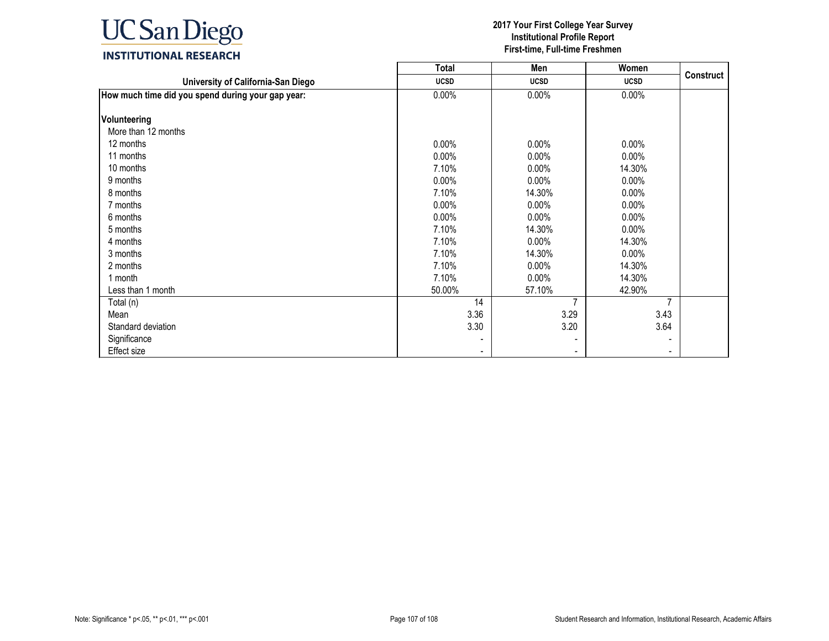

|                                                   | <b>Total</b> | Men            | Women          |                  |
|---------------------------------------------------|--------------|----------------|----------------|------------------|
| University of California-San Diego                | <b>UCSD</b>  | <b>UCSD</b>    | <b>UCSD</b>    | <b>Construct</b> |
| How much time did you spend during your gap year: | $0.00\%$     | $0.00\%$       | 0.00%          |                  |
|                                                   |              |                |                |                  |
| Volunteering                                      |              |                |                |                  |
| More than 12 months                               |              |                |                |                  |
| 12 months                                         | $0.00\%$     | $0.00\%$       | $0.00\%$       |                  |
| 11 months                                         | $0.00\%$     | $0.00\%$       | $0.00\%$       |                  |
| 10 months                                         | 7.10%        | $0.00\%$       | 14.30%         |                  |
| 9 months                                          | 0.00%        | $0.00\%$       | 0.00%          |                  |
| 8 months                                          | 7.10%        | 14.30%         | $0.00\%$       |                  |
| 7 months                                          | $0.00\%$     | $0.00\%$       | $0.00\%$       |                  |
| 6 months                                          | $0.00\%$     | $0.00\%$       | $0.00\%$       |                  |
| 5 months                                          | 7.10%        | 14.30%         | $0.00\%$       |                  |
| 4 months                                          | 7.10%        | $0.00\%$       | 14.30%         |                  |
| 3 months                                          | 7.10%        | 14.30%         | $0.00\%$       |                  |
| 2 months                                          | 7.10%        | $0.00\%$       | 14.30%         |                  |
| 1 month                                           | 7.10%        | $0.00\%$       | 14.30%         |                  |
| Less than 1 month                                 | 50.00%       | 57.10%         | 42.90%         |                  |
| Total (n)                                         | 14           | $\overline{7}$ | $\overline{7}$ |                  |
| Mean                                              | 3.36         | 3.29           | 3.43           |                  |
| Standard deviation                                | 3.30         | 3.20           | 3.64           |                  |
| Significance                                      |              |                |                |                  |
| Effect size                                       |              |                |                |                  |